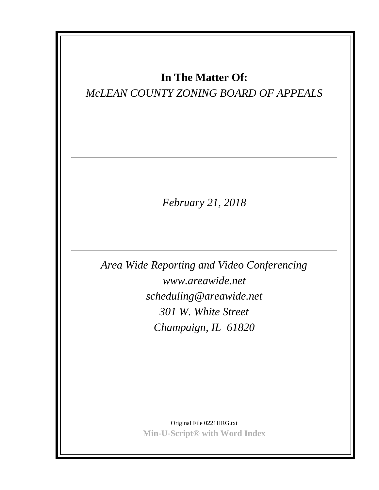# **In The Matter Of:**

# *McLEAN COUNTY ZONING BOARD OF APPEALS*

*February 21, 2018*

*Area Wide Reporting and Video Conferencing www.areawide.net scheduling@areawide.net 301 W. White Street Champaign, IL 61820*

> Original File 0221HRG.txt **Min-U-Script® with Word Index**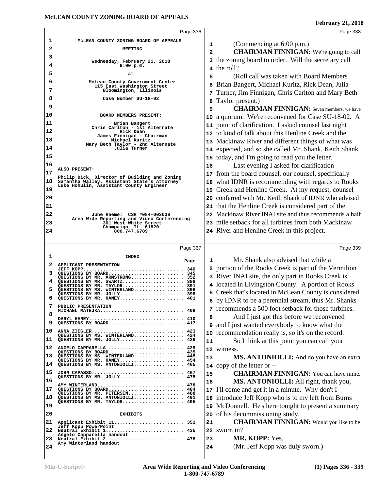|                                                                | Page 336                                                                                        |              | Page 338                                                                                                    |
|----------------------------------------------------------------|-------------------------------------------------------------------------------------------------|--------------|-------------------------------------------------------------------------------------------------------------|
| 1                                                              | MCLEAN COUNTY ZONING BOARD OF APPEALS                                                           | 1            | (Commencing at 6:00 p.m.)                                                                                   |
| 2                                                              | <b>MEETING</b>                                                                                  | $\mathbf{2}$ | <b>CHAIRMAN FINNIGAN:</b> We're going to call                                                               |
| 3<br>4                                                         | Wednesday, February 21, 2018<br>$6:00$ p.m.                                                     |              | 3 the zoning board to order. Will the secretary call                                                        |
| 5                                                              | at                                                                                              | 4            | the roll?                                                                                                   |
| 6                                                              | McLean County Government Center                                                                 | 5            | (Roll call was taken with Board Members)                                                                    |
| 7                                                              | 115 East Washington Street<br>Bloomington, Illinois                                             | 6            | Brian Bangert, Michael Kuritz, Rick Dean, Julia                                                             |
| 8                                                              | Case Number SU-18-02                                                                            | 7            | Turner, Jim Finnigan, Chris Carlton and Mary Beth                                                           |
| 9                                                              |                                                                                                 | 8            | Taylor present.)                                                                                            |
| 10                                                             | BOARD MEMBERS PRESENT:                                                                          | 9            | <b>CHAIRMAN FINNIGAN:</b> Seven members, we have                                                            |
| 11                                                             | Brian Bangert                                                                                   | 10           | a quorum. We're reconvened for Case SU-18-02. A                                                             |
| 12                                                             | Chris Carlton - 1st Alternate<br>Rick Dean                                                      | 11           | point of clarification. I asked counsel last night<br>12 to kind of talk about this Henline Creek and the   |
| 13                                                             | James Finnigan - Chairman<br>Michael Kuritz                                                     |              |                                                                                                             |
| 14                                                             | Mary Beth Taylor - 2nd Alternate<br>Julia Turner                                                |              | 13 Mackinaw River and different things of what was<br>14 expected, and so she called Mr. Shank, Keith Shank |
| 15                                                             |                                                                                                 |              | 15 today, and I'm going to read you the letter.                                                             |
| 16                                                             |                                                                                                 | 16           | Last evening I asked for clarification                                                                      |
| 17                                                             | ALSO PRESENT:                                                                                   | 17           | from the board counsel, our counsel, specifically                                                           |
| 18                                                             | Philip Dick, Director of Building and Zoning<br>Samantha Walley, Assistant State's Attorney     | 18           | what IDNR is recommending with regards to Rooks                                                             |
| 19                                                             | Luke Hohulin, Assistant County Engineer                                                         | 19           | Creek and Henline Creek. At my request, counsel                                                             |
| 20                                                             |                                                                                                 |              | 20 conferred with Mr. Keith Shank of IDNR who advised                                                       |
| 21                                                             |                                                                                                 |              | 21 that the Henline Creek is considered part of the                                                         |
| 22                                                             | June Haeme: CSR #084-003038                                                                     |              | 22 Mackinaw River INAI site and thus recommends a half                                                      |
| 23                                                             | Area Wide Reporting and Video Conferencing<br>301 West White Street                             |              | 23 mile setback for all turbines from both Mackinaw                                                         |
| 24                                                             | Champaign, IL 61820<br>800.747.6789                                                             |              | 24 River and Henline Creek in this project.                                                                 |
|                                                                |                                                                                                 |              |                                                                                                             |
|                                                                | Page 337                                                                                        |              | Page 339                                                                                                    |
|                                                                |                                                                                                 |              |                                                                                                             |
| 1                                                              | <b>INDEX</b>                                                                                    | 1            | Mr. Shank also advised that while a                                                                         |
| 2                                                              | Page<br>APPLICANT PRESENTATION                                                                  | 2            | portion of the Rooks Creek is part of the Vermilion                                                         |
| 3                                                              | QUESTIONS BY BOARD 345<br>QUESTIONS BY MR. ARMSTRONG 352                                        |              | 3 River INAI site, the only part in Rooks Creek is                                                          |
| 4                                                              | QUESTIONS BY MR. SWARTZ 388                                                                     |              | 4 located in Livingston County. A portion of Rooks                                                          |
|                                                                | QUESTIONS BY MR. TAYLOR 391<br>QUESTIONS BY MS. WINTERLAND<br>396<br>QUESTIONS BY MR. JOLLY 398 |              | 5 Creek that's located in McLean County is considered                                                       |
| 6                                                              | QUESTIONS BY MR. HANEY 401                                                                      |              | 6 by IDNR to be a perennial stream, thus Mr. Shanks                                                         |
| 7                                                              | PUBLIC PRESENTATION<br>MICHAEL MATEJKA 408                                                      |              | 7 recommends a 500 foot setback for those turbines.                                                         |
| 8                                                              | DARYL HANEY 410                                                                                 | 8            | And I just got this before we reconvened                                                                    |
| 9                                                              | OUESTIONS BY BOARD 417                                                                          | 9            | and I just wanted everybody to know what the                                                                |
|                                                                | ANNA ZIEGLER 423<br>QUESTIONS BY MS. WINTERLAND 424                                             | 10           | recommendation really is, so it's on the record.                                                            |
|                                                                | QUESTIONS BY MR. JOLLY 426                                                                      | 11           | So I think at this point you can call your                                                                  |
|                                                                | ANGELO CAPPARELLA 429<br>QUESTIONS BY BOARD 435                                                 |              | 12 witness.                                                                                                 |
|                                                                | QUESTIONS BY MS. WINTERLAND 445<br>QUESTIONS BY MR. HANEY 454                                   | 13           | MS. ANTONIOLLI: And do you have an extra                                                                    |
|                                                                | QUESTIONS BY MS. ANTONIOLLI 465                                                                 |              | 14 copy of the letter or --                                                                                 |
|                                                                | JOHN CAPASSO 467<br>QUESTIONS BY MR. JOLLY 475                                                  | 15           | <b>CHAIRMAN FINNIGAN:</b> You can have mine.                                                                |
|                                                                | AMY WINTERLAND 478                                                                              | 16           | MS. ANTONIOLLI: All right, thank you,                                                                       |
|                                                                | QUESTIONS BY BOARD 484<br>QUESTIONS BY MR. PETERSEN 488                                         | 17           | I'll come and get it in a minute. Why don't I                                                               |
|                                                                | QUESTIONS BY MS. ANTONIOLLI 491<br>QUESTIONS BY MR. TAYLOR 495                                  | 18           | introduce Jeff Kopp who is to my left from Burns                                                            |
|                                                                |                                                                                                 | 19           | McDonnell. He's here tonight to present a summary                                                           |
| 10<br>11<br>12<br>13<br>14<br>15<br>16<br>17<br>18<br>19<br>20 | <b>EXHIBITS</b>                                                                                 | 20           | of his decommissioning study.                                                                               |
| 21                                                             | Applicant Exhibit 11 351<br>Jeff Kopp PowerPoint                                                | 21           | <b>CHAIRMAN FINNIGAN:</b> Would you like to be                                                              |
| 22                                                             | Neutral Exhibit 1 435<br>Angelo Capparella handout                                              |              | 22 sworn in?                                                                                                |
| 23                                                             | Neutral Exhibit 2 478<br>Amy Winterland handout                                                 | 23           | MR. KOPP: Yes.                                                                                              |
| 24                                                             |                                                                                                 | 24           | (Mr. Jeff Kopp was duly sworn.)                                                                             |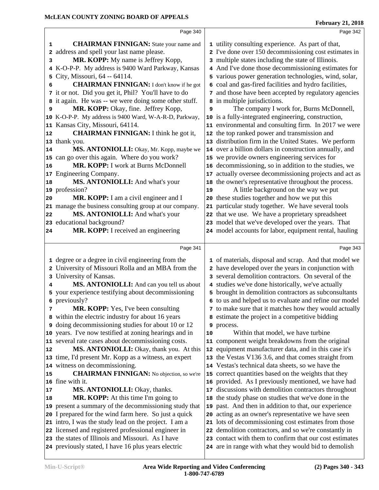|                 | Page 340                                                                                                 |    | Page 342                                                                                                     |
|-----------------|----------------------------------------------------------------------------------------------------------|----|--------------------------------------------------------------------------------------------------------------|
| 1               | <b>CHAIRMAN FINNIGAN:</b> State your name and                                                            |    | 1 utility consulting experience. As part of that,                                                            |
| 2               | address and spell your last name please.                                                                 |    | 2 I've done over 150 decommissioning cost estimates in                                                       |
| 3               | MR. KOPP: My name is Jeffrey Kopp,                                                                       |    | 3 multiple states including the state of Illinois.                                                           |
| 4               | K-O-P-P. My address is 9400 Ward Parkway, Kansas                                                         |    | 4 And I've done those decommissioning estimates for                                                          |
| 5               | City, Missouri, 64 -- 64114.                                                                             | 5  | various power generation technologies, wind, solar,                                                          |
| 6               | <b>CHAIRMAN FINNIGAN:</b> I don't know if he got                                                         | 6  | coal and gas-fired facilities and hydro facilities,                                                          |
|                 | 7 it or not. Did you get it, Phil? You'll have to do                                                     |    | 7 and those have been accepted by regulatory agencies                                                        |
| 8               | it again. He was -- we were doing some other stuff.                                                      |    | 8 in multiple jurisdictions.                                                                                 |
| 9               | MR. KOPP: Okay, fine. Jeffrey Kopp,                                                                      | 9  | The company I work for, Burns McDonnell,                                                                     |
|                 | 10 K-O-P-P. My address is 9400 Ward, W-A-R-D, Parkway,                                                   |    | 10 is a fully-integrated engineering, construction,                                                          |
|                 | 11 Kansas City, Missouri, 64114.                                                                         |    | 11 environmental and consulting firm. In 2017 we were                                                        |
| 12              | <b>CHAIRMAN FINNIGAN:</b> I think he got it,                                                             | 12 | the top ranked power and transmission and                                                                    |
|                 | 13 thank you.                                                                                            | 13 | distribution firm in the United States. We perform                                                           |
| 14              | MS. ANTONIOLLI: Okay, Mr. Kopp, maybe we                                                                 |    | 14 over a billion dollars in construction annually, and                                                      |
|                 | 15 can go over this again. Where do you work?                                                            |    | 15 we provide owners engineering services for                                                                |
| 16              | MR. KOPP: I work at Burns McDonnell                                                                      | 16 | decommissioning, so in addition to the studies, we                                                           |
| 17 <sub>2</sub> | Engineering Company.                                                                                     | 17 | actually oversee decommissioning projects and act as                                                         |
| 18              | MS. ANTONIOLLI: And what's your                                                                          | 18 | the owner's representative throughout the process.                                                           |
|                 | 19 profession?                                                                                           | 19 | A little background on the way we put                                                                        |
| 20              | MR. KOPP: I am a civil engineer and I                                                                    | 20 | these studies together and how we put this                                                                   |
|                 | 21 manage the business consulting group at our company.                                                  | 21 | particular study together. We have several tools                                                             |
| 22              | MS. ANTONIOLLI: And what's your                                                                          | 22 | that we use. We have a proprietary spreadsheet                                                               |
|                 | 23 educational background?                                                                               |    | 23 model that we've developed over the years. That                                                           |
| 24              | MR. KOPP: I received an engineering                                                                      |    | 24 model accounts for labor, equipment rental, hauling                                                       |
|                 | Page 341                                                                                                 |    | Page 343                                                                                                     |
|                 |                                                                                                          |    |                                                                                                              |
|                 |                                                                                                          |    |                                                                                                              |
|                 | 1 degree or a degree in civil engineering from the                                                       |    | 1 of materials, disposal and scrap. And that model we                                                        |
|                 | 2 University of Missouri Rolla and an MBA from the                                                       |    | 2 have developed over the years in conjunction with                                                          |
|                 | 3 University of Kansas.                                                                                  |    | 3 several demolition contractors. On several of the                                                          |
| 4               | MS. ANTONIOLLI: And can you tell us about                                                                |    | 4 studies we've done historically, we've actually                                                            |
| 5               | your experience testifying about decommissioning                                                         |    | 5 brought in demolition contractors as subconsultants                                                        |
| 7               | 6 previously?                                                                                            |    | 6 to us and helped us to evaluate and refine our model                                                       |
|                 | <b>MR. KOPP:</b> Yes, I've been consulting                                                               |    | 7 to make sure that it matches how they would actually                                                       |
| 9               | 8 within the electric industry for about 16 years                                                        | 9  | estimate the project in a competitive bidding                                                                |
| 10              | doing decommissioning studies for about 10 or 12<br>years. I've now testified at zoning hearings and in  | 10 | process.<br>Within that model, we have turbine                                                               |
|                 | 11 several rate cases about decommissioning costs.                                                       |    | 11 component weight breakdowns from the original                                                             |
| 12              | MS. ANTONIOLLI: Okay, thank you. At this                                                                 | 12 | equipment manufacturer data, and in this case it's                                                           |
|                 | 13 time, I'd present Mr. Kopp as a witness, an expert                                                    |    | the Vestas V136 3.6, and that comes straight from                                                            |
|                 | 14 witness on decommissioning.                                                                           |    | 14 Vestas's technical data sheets, so we have the                                                            |
| 15              | <b>CHAIRMAN FINNIGAN:</b> No objection, so we're                                                         |    | 15 correct quantities based on the weights that they                                                         |
|                 | 16 fine with it.                                                                                         | 16 | provided. As I previously mentioned, we have had                                                             |
| 17              | <b>MS. ANTONIOLLI:</b> Okay, thanks.                                                                     | 17 | discussions with demolition contractors throughout                                                           |
| 18              | <b>MR. KOPP:</b> At this time I'm going to                                                               | 18 | the study phase on studies that we've done in the                                                            |
| 19              | present a summary of the decommissioning study that                                                      | 19 | past. And then in addition to that, our experience                                                           |
|                 | 20 I prepared for the wind farm here. So just a quick                                                    | 20 | acting as an owner's representative we have seen                                                             |
|                 | 21 intro, I was the study lead on the project. I am a                                                    | 21 | lots of decommissioning cost estimates from those                                                            |
|                 | 22 licensed and registered professional engineer in                                                      | 22 | demolition contractors, and so we're constantly in                                                           |
|                 | 23 the states of Illinois and Missouri. As I have<br>24 previously stated, I have 16 plus years electric | 23 | contact with them to confirm that our cost estimates<br>24 are in range with what they would bid to demolish |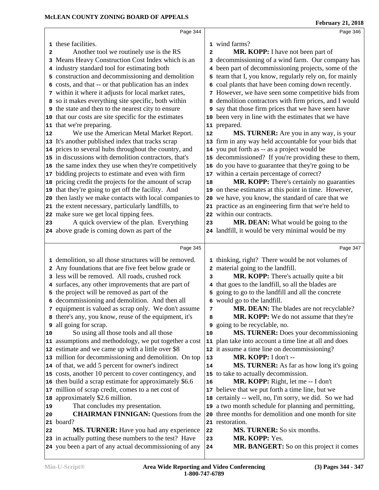|              | Page 344                                                                                               |                   | Page 346                                                                  |  |
|--------------|--------------------------------------------------------------------------------------------------------|-------------------|---------------------------------------------------------------------------|--|
|              | 1 these facilities.                                                                                    |                   | 1 wind farms?                                                             |  |
| $\mathbf{2}$ | Another tool we routinely use is the RS                                                                | 2                 | MR. KOPP: I have not been part of                                         |  |
|              | 3 Means Heavy Construction Cost Index which is an                                                      |                   | 3 decommissioning of a wind farm. Our company has                         |  |
|              | 4 industry standard tool for estimating both                                                           | 4                 | been part of decommissioning projects, some of the                        |  |
|              | 5 construction and decommissioning and demolition                                                      | 5                 | team that I, you know, regularly rely on, for mainly                      |  |
|              | 6 costs, and that -- or that publication has an index                                                  | 6                 | coal plants that have been coming down recently.                          |  |
|              | 7 within it where it adjusts for local market rates,                                                   |                   | 7 However, we have seen some competitive bids from                        |  |
|              | 8 so it makes everything site specific, both within                                                    | 8                 | demolition contractors with firm prices, and I would                      |  |
|              | <b>9</b> the state and then to the nearest city to ensure                                              |                   | 9 say that those firm prices that we have seen have                       |  |
|              | 10 that our costs are site specific for the estimates                                                  | 10                | been very in line with the estimates that we have                         |  |
|              | 11 that we're preparing.                                                                               |                   | 11 prepared.                                                              |  |
| 12           | We use the American Metal Market Report.                                                               | 12                | MS. TURNER: Are you in any way, is your                                   |  |
|              | 13 It's another published index that tracks scrap                                                      |                   | 13 firm in any way held accountable for your bids that                    |  |
|              | 14 prices to several hubs throughout the country, and                                                  |                   | 14 you put forth as -- as a project would be                              |  |
|              | 15 in discussions with demolition contractors, that's                                                  |                   | 15 decommissioned? If you're providing these to them,                     |  |
|              | 16 the same index they use when they're competitively                                                  |                   | 16 do you have to guarantee that they're going to be                      |  |
|              | 17 bidding projects to estimate and even with firm                                                     |                   | 17 within a certain percentage of correct?                                |  |
|              | 18 pricing credit the projects for the amount of scrap                                                 | 18                | MR. KOPP: There's certainly no guaranties                                 |  |
|              | 19 that they're going to get off the facility. And                                                     |                   | 19 on these estimates at this point in time. However,                     |  |
|              | 20 then lastly we make contacts with local companies to                                                |                   | 20 we have, you know, the standard of care that we                        |  |
|              | 21 the extent necessary, particularly landfills, to                                                    |                   | 21 practice as an engineering firm that we're held to                     |  |
|              | 22 make sure we get local tipping fees.                                                                |                   | 22 within our contracts.                                                  |  |
| 23           | A quick overview of the plan. Everything                                                               | 23                | MR. DEAN: What would be going to the                                      |  |
|              | 24 above grade is coming down as part of the                                                           |                   | 24 landfill, it would be very minimal would be my                         |  |
|              | Page 345                                                                                               |                   | Page 347                                                                  |  |
|              |                                                                                                        |                   |                                                                           |  |
|              | 1 demolition, so all those structures will be removed.                                                 |                   | 1 thinking, right? There would be not volumes of                          |  |
|              | 2 Any foundations that are five feet below grade or<br>3 less will be removed. All roads, crushed rock | $\mathbf{2}$<br>3 | material going to the landfill.<br>MR. KOPP: There's actually quite a bit |  |
|              | 4 surfaces, any other improvements that are part of                                                    | 4                 | that goes to the landfill, so all the blades are                          |  |
|              | 5 the project will be removed as part of the                                                           | 5                 | going to go to the landfill and all the concrete                          |  |
|              | 6 decommissioning and demolition. And then all                                                         |                   | 6 would go to the landfill.                                               |  |
|              | 7 equipment is valued as scrap only. We don't assume                                                   | 7                 | MR. DEAN: The blades are not recyclable?                                  |  |
|              | 8 there's any, you know, reuse of the equipment, it's                                                  | 8                 | MR. KOPP: We do not assume that they're                                   |  |
| 9            | all going for scrap.                                                                                   | 9                 | going to be recyclable, no.                                               |  |
| 10           | So using all those tools and all those                                                                 | 10                | MS. TURNER: Does your decommissioning                                     |  |
|              | 11 assumptions and methodology, we put together a cost                                                 |                   | 11 plan take into account a time line at all and does                     |  |
|              | 12 estimate and we came up with a little over \$8                                                      |                   | 12 it assume a time line on decommissioning?                              |  |
|              | 13 million for decommissioning and demolition. On top                                                  | 13                | MR. KOPP: I don't --                                                      |  |
|              | 14 of that, we add 5 percent for owner's indirect                                                      | 14                | <b>MS. TURNER:</b> As far as how long it's going                          |  |
|              | 15 costs, another 10 percent to cover contingency, and                                                 |                   | 15 to take to actually decommission.                                      |  |
|              | 16 then build a scrap estimate for approximately \$6.6                                                 | 16                | <b>MR. KOPP:</b> Right, let me -- I don't                                 |  |
|              | 17 million of scrap credit, comes to a net cost of                                                     |                   | 17 believe that we put forth a time line, but we                          |  |
|              | 18 approximately \$2.6 million.                                                                        |                   | 18 certainly -- well, no, I'm sorry, we did. So we had                    |  |
| 19           | That concludes my presentation.                                                                        |                   | 19 a two month schedule for planning and permitting,                      |  |
| 20           | <b>CHAIRMAN FINNIGAN: Questions from the</b>                                                           |                   | 20 three months for demolition and one month for site                     |  |
|              | 21 board?                                                                                              |                   | 21 restoration.                                                           |  |
| 22           | MS. TURNER: Have you had any experience                                                                | 22                | MS. TURNER: So six months.                                                |  |
|              | 23 in actually putting these numbers to the test? Have                                                 | 23                | MR. KOPP: Yes.                                                            |  |
|              | 24 you been a part of any actual decommissioning of any                                                | 24                | MR. BANGERT: So on this project it comes                                  |  |
|              |                                                                                                        |                   |                                                                           |  |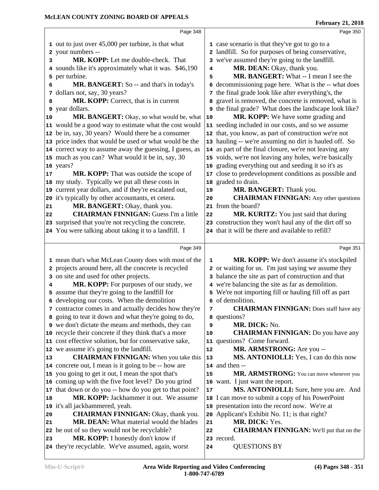|                | 1 out to just over 45,000 per turbine, is that what       |    | 1 case scenario is that they've got to go to a               |
|----------------|-----------------------------------------------------------|----|--------------------------------------------------------------|
|                | 2 your numbers --                                         |    | 2 landfill. So for purposes of being conservative,           |
| 3              | MR. KOPP: Let me double-check. That                       |    | 3 we've assumed they're going to the landfill.               |
|                | 4 sounds like it's approximately what it was. \$46,190    | 4  | MR. DEAN: Okay, thank you.                                   |
|                | 5 per turbine.                                            | 5  | <b>MR. BANGERT:</b> What -- I mean I see the                 |
| 6              | MR. BANGERT: So -- and that's in today's                  | 6  | decommissioning page here. What is the -- what does          |
|                | 7 dollars not, say, 30 years?                             |    | 7 the final grade look like after everything's, the          |
| 8              | MR. KOPP: Correct, that is in current                     | 8  | gravel is removed, the concrete is removed, what is          |
|                | <b>9</b> year dollars.                                    |    | <b>9</b> the final grade? What does the landscape look like? |
| 10             | MR. BANGERT: Okay, so what would be, what                 | 10 | MR. KOPP: We have some grading and                           |
|                | 11 would be a good way to estimate what the cost would    |    | 11 seeding included in our costs, and so we assume           |
|                | 12 be in, say, 30 years? Would there be a consumer        |    | 12 that, you know, as part of construction we're not         |
|                | 13 price index that would be used or what would be the    |    | 13 hauling -- we're assuming no dirt is hauled off. So       |
|                | 14 correct way to assume away the guessing, I guess, as   |    | 14 as part of the final closure, we're not leaving any       |
|                | 15 much as you can? What would it be in, say, 30          |    | 15 voids, we're not leaving any holes, we're basically       |
|                | 16 years?                                                 |    | 16 grading everything out and seeding it so it's as          |
| 17             | MR. KOPP: That was outside the scope of                   |    | 17 close to predevelopment conditions as possible and        |
|                | 18 my study. Typically we put all these costs in          |    | 18 graded to drain.                                          |
|                | 19 current year dollars, and if they're escalated out,    | 19 | MR. BANGERT: Thank you.                                      |
|                | 20 it's typically by other accountants, et cetera.        | 20 | <b>CHAIRMAN FINNIGAN:</b> Any other questions                |
| 21             | MR. BANGERT: Okay, thank you.                             |    | 21 from the board?                                           |
| 22             | <b>CHAIRMAN FINNIGAN:</b> Guess I'm a little              | 22 | MR. KURITZ: You just said that during                        |
|                | 23 surprised that you're not recycling the concrete.      |    | 23 construction they won't haul any of the dirt off so       |
|                | 24 You were talking about taking it to a landfill. I      |    | 24 that it will be there and available to refill?            |
|                |                                                           |    |                                                              |
|                | Page 349                                                  |    | Page 351                                                     |
|                | 1 mean that's what McLean County does with most of the    | 1  | MR. KOPP: We don't assume it's stockpiled                    |
|                | 2 projects around here, all the concrete is recycled      |    | 2 or waiting for us. I'm just saying we assume they          |
|                | 3 on site and used for other projects.                    |    | 3 balance the site as part of construction and that          |
| 4              | MR. KOPP: For purposes of our study, we                   |    | 4 we're balancing the site as far as demolition.             |
|                | 5 assume that they're going to the landfill for           |    | 5 We're not importing fill or hauling fill off as part       |
|                | 6 developing our costs. When the demolition               | 6  | of demolition.                                               |
|                | 7 contractor comes in and actually decides how they're    | 7  | <b>CHAIRMAN FINNIGAN:</b> Does staff have any                |
|                | 8 going to tear it down and what they're going to do,     |    | 8 questions?                                                 |
|                | <b>9</b> we don't dictate the means and methods, they can | 9  | MR. DICK: No.                                                |
|                | 10 recycle their concrete if they think that's a more     | 10 | <b>CHAIRMAN FINNIGAN:</b> Do you have any                    |
|                | 11 cost effective solution, but for conservative sake,    |    | 11 questions? Come forward.                                  |
|                | 12 we assume it's going to the landfill.                  | 12 | MR. ARMSTRONG: Are you --                                    |
| 13             | <b>CHAIRMAN FINNIGAN:</b> When you take this              | 13 | MS. ANTONIOLLI: Yes, I can do this now                       |
|                | 14 concrete out, I mean is it going to be -- how are      |    | 14 and then --                                               |
|                | 15 you going to get it out, I mean the spot that's        | 15 | MR. ARMSTRONG: You can move whenever you                     |
|                | 16 coming up with the five foot level? Do you grind       |    | 16 want. I just want the report.                             |
|                | 17 that down or do you -- how do you get to that point?   | 17 | MS. ANTONIOLLI: Sure, here you are. And                      |
| 18             | MR. KOPP: Jackhammer it out. We assume                    |    | 18 I can move to submit a copy of his PowerPoint             |
|                | 19 it's all jackhammered, yeah.                           |    | 19 presentation into the record now. We're at                |
|                |                                                           |    | 20 Applicant's Exhibit No. 11; is that right?                |
|                | <b>CHAIRMAN FINNIGAN: Okay, thank you.</b>                |    |                                                              |
|                | <b>MR. DEAN:</b> What material would the blades           | 21 | MR. DICK: Yes.                                               |
|                | 22 be out of so they would not be recyclable?             | 22 | <b>CHAIRMAN FINNIGAN:</b> We'll put that on the              |
| 20<br>21<br>23 | MR. KOPP: I honestly don't know if                        |    | 23 record.                                                   |
|                | 24 they're recyclable. We've assumed, again, worst        | 24 | <b>QUESTIONS BY</b>                                          |

Page 348

Page 350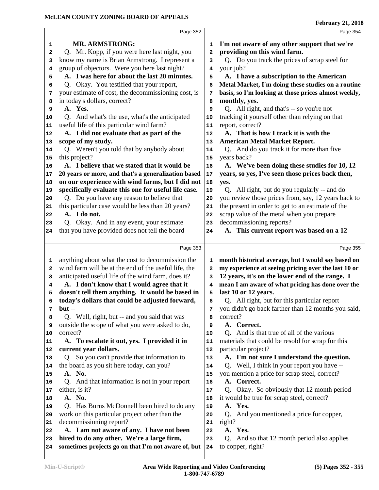|                            | Page 352                                             |            | Page 354                                             |
|----------------------------|------------------------------------------------------|------------|------------------------------------------------------|
| 1                          | <b>MR. ARMSTRONG:</b>                                | 1          | I'm not aware of any other support that we're        |
| 2                          | Q. Mr. Kopp, if you were here last night, you        | 2          | providing on this wind farm.                         |
| 3                          | know my name is Brian Armstrong. I represent a       | 3          | Q. Do you track the prices of scrap steel for        |
| 4                          | group of objectors. Were you here last night?        | 4          | your job?                                            |
| 5                          | A. I was here for about the last 20 minutes.         | 5          | A. I have a subscription to the American             |
| 6                          | Q. Okay. You testified that your report,             | 6          | Metal Market, I'm doing these studies on a routine   |
| 7                          | your estimate of cost, the decommissioning cost, is  | 7          | basis, so I'm looking at those prices almost weekly, |
| 8                          | in today's dollars, correct?                         | 8          | monthly, yes.                                        |
| 9                          | A. Yes.                                              | 9          | Q. All right, and that's -- so you're not            |
| 10                         | Q. And what's the use, what's the anticipated        | 10         | tracking it yourself other than relying on that      |
| 11                         | useful life of this particular wind farm?            | 11         | report, correct?                                     |
| 12                         | A. I did not evaluate that as part of the            | 12         | A. That is how I track it is with the                |
| 13                         | scope of my study.                                   | 13         | <b>American Metal Market Report.</b>                 |
| 14                         | Q. Weren't you told that by anybody about            | 14         | Q. And do you track it for more than five            |
| 15                         | this project?                                        | 15         | years back?                                          |
| 16                         | A. I believe that we stated that it would be         | 16         | A. We've been doing these studies for 10, 12         |
| 17                         | 20 years or more, and that's a generalization based  | $17$       | years, so yes, I've seen those prices back then,     |
| 18                         | on our experience with wind farms, but I did not     | 18         | yes.                                                 |
| 19                         | specifically evaluate this one for useful life case. | 19         | Q. All right, but do you regularly -- and do         |
| 20                         | Q. Do you have any reason to believe that            | 20         | you review those prices from, say, 12 years back to  |
| 21                         | this particular case would be less than 20 years?    | 21         | the present in order to get to an estimate of the    |
| 22                         | A. I do not.                                         | 22         | scrap value of the metal when you prepare            |
| 23                         | Q. Okay. And in any event, your estimate             | 23         | decommissioning reports?                             |
| 24                         | that you have provided does not tell the board       | 24         | A. This current report was based on a 12             |
|                            |                                                      |            |                                                      |
|                            | Page 353                                             |            | Page 355                                             |
| 1                          | anything about what the cost to decommission the     | 1          | month historical average, but I would say based on   |
| 2                          | wind farm will be at the end of the useful life, the | 2          | my experience at seeing pricing over the last 10 or  |
| 3                          | anticipated useful life of the wind farm, does it?   | 3          | 12 years, it's on the lower end of the range. I      |
| 4                          | A. I don't know that I would agree that it           | 4          | mean I am aware of what pricing has done over the    |
| 5                          | doesn't tell them anything. It would be based in     | 5          | last 10 or 12 years.                                 |
| 6                          | today's dollars that could be adjusted forward,      | 6          | Q. All right, but for this particular report         |
| 7                          | $but -$                                              | 7          | you didn't go back farther than 12 months you said,  |
| 8                          | Q. Well, right, but -- and you said that was         | 8          | correct?                                             |
| 9                          | outside the scope of what you were asked to do,      | 9          | A. Correct.                                          |
| 10                         | correct?                                             | 10         | Q. And is that true of all of the various            |
| 11                         | A. To escalate it out, yes. I provided it in         | 11         | materials that could be resold for scrap for this    |
| 12                         | current year dollars.                                | 12         | particular project?                                  |
| 13                         | Q. So you can't provide that information to          | 13         | A. I'm not sure I understand the question.           |
| 14                         | the board as you sit here today, can you?            | 14         | Q. Well, I think in your report you have --          |
| 15                         | A. No.                                               | 15         | you mention a price for scrap steel, correct?        |
| 16                         | Q. And that information is not in your report        | 16         | A. Correct.                                          |
| 17                         | either, is it?                                       | 17         | Q. Okay. So obviously that 12 month period           |
| 18                         | A. No.                                               | 18         | it would be true for scrap steel, correct?           |
| 19                         | Q. Has Burns McDonnell been hired to do any          | 19         | A. Yes.                                              |
|                            |                                                      | 20         | Q. And you mentioned a price for copper,             |
|                            | work on this particular project other than the       |            |                                                      |
|                            | decommissioning report?                              | 21         | right?                                               |
|                            | A. I am not aware of any. I have not been            | 22         | A. Yes.                                              |
|                            | hired to do any other. We're a large firm,           | 23         | Q. And so that 12 month period also applies          |
| 20<br>21<br>22<br>23<br>24 | sometimes projects go on that I'm not aware of, but  | ${\bf 24}$ | to copper, right?                                    |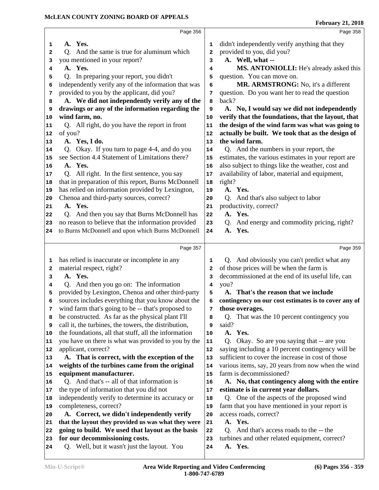|              | Page 356                                                                      |            | Page 358                                                  |
|--------------|-------------------------------------------------------------------------------|------------|-----------------------------------------------------------|
| 1            | A. Yes.                                                                       | 1          | didn't independently verify anything that they            |
| $\mathbf{2}$ | Q. And the same is true for aluminum which                                    | 2          | provided to you, did you?                                 |
| з            | you mentioned in your report?                                                 | 3          | A. Well, what --                                          |
| 4            | A. Yes.                                                                       | 4          | MS. ANTONIOLLI: He's already asked this                   |
| 5            | Q. In preparing your report, you didn't                                       | 5          | question. You can move on.                                |
| 6            | independently verify any of the information that was                          | 6          | MR. ARMSTRONG: No, it's a different                       |
| 7            | provided to you by the applicant, did you?                                    | 7          | question. Do you want her to read the question            |
| 8            | A. We did not independently verify any of the                                 | 8          | back?                                                     |
| 9            | drawings or any of the information regarding the                              | 9          | A. No, I would say we did not independently               |
| 10           | wind farm, no.                                                                | 10         | verify that the foundations, that the layout, that        |
| 11           | Q. All right, do you have the report in front                                 | 11         | the design of the wind farm was what was going to         |
| 12           | of you?                                                                       | 12         | actually be built. We took that as the design of          |
| 13           | A. Yes, I do.                                                                 | 13         | the wind farm.                                            |
| 14           | Q. Okay. If you turn to page 4-4, and do you                                  | 14         | Q. And the numbers in your report, the                    |
| 15           | see Section 4.4 Statement of Limitations there?                               | 15         | estimates, the various estimates in your report are       |
| 16           | A. Yes.                                                                       | 16         | also subject to things like the weather, cost and         |
| 17           | Q. All right. In the first sentence, you say                                  | 17         | availability of labor, material and equipment,            |
| 18           | that in preparation of this report, Burns McDonnell                           | 18         | right?                                                    |
| 19           | has relied on information provided by Lexington,                              | 19         | A. Yes.                                                   |
| 20           | Chenoa and third-party sources, correct?                                      | 20         | Q. And that's also subject to labor                       |
| 21           | A. Yes.                                                                       | 21         | productivity, correct?                                    |
| 22           | Q. And then you say that Burns McDonnell has                                  | 22         | A. Yes.                                                   |
| 23           | no reason to believe that the information provided                            | 23         | Q. And energy and commodity pricing, right?               |
| 24           | to Burns McDonnell and upon which Burns McDonnell                             | 24         | A. Yes.                                                   |
|              |                                                                               |            |                                                           |
|              | Page 357                                                                      |            | Page 359                                                  |
| 1            | has relied is inaccurate or incomplete in any                                 | 1          | Q. And obviously you can't predict what any               |
| 2            | material respect, right?                                                      | 2          | of those prices will be when the farm is                  |
| 3            | A. Yes.                                                                       | 3          | decommissioned at the end of its useful life, can         |
| 4            | Q. And then you go on: The information                                        | 4          | you?                                                      |
| 5            |                                                                               |            |                                                           |
| 6            | provided by Lexington, Chenoa and other third-party                           | 5          | That's the reason that we include                         |
|              | sources includes everything that you know about the                           | 6          | contingency on our cost estimates is to cover any of      |
| 7            | wind farm that's going to be -- that's proposed to                            | 7          | those overages.                                           |
| 8            | be constructed. As far as the physical plant I'll                             | 8          | Q. That was the 10 percent contingency you                |
| 9            | call it, the turbines, the towers, the distribution,                          | 9          | said?                                                     |
| 10           | the foundations, all that stuff, all the information                          | 10         | A. Yes.                                                   |
| 11           | you have on there is what was provided to you by the                          | ${\bf 11}$ | Q. Okay. So are you saying that -- are you                |
| 12           | applicant, correct?                                                           | 12         | saying including a 10 percent contingency will be         |
| 13           | A. That is correct, with the exception of the                                 | 13         | sufficient to cover the increase in cost of those         |
| 14           | weights of the turbines came from the original                                | 14         | various items, say, 20 years from now when the wind       |
| 15           | equipment manufacturer.                                                       | 15         | farm is decommissioned?                                   |
| 16           | Q. And that's -- all of that information is                                   | 16         | A. No, that contingency along with the entire             |
| 17           | the type of information that you did not                                      | 17         | estimate is in current year dollars.                      |
| 18           | independently verify to determine its accuracy or                             | 18         | Q. One of the aspects of the proposed wind                |
| 19           | completeness, correct?                                                        | 19         | farm that you have mentioned in your report is            |
| 20           | A. Correct, we didn't independently verify                                    | 20         | access roads, correct?                                    |
| 21           | that the layout they provided us was what they were                           | 21         | A. Yes.                                                   |
| 22           | going to build. We used that layout as the basis                              | 22         | Q. And that's access roads to the -- the                  |
| 23<br>24     | for our decommissioning costs.<br>Q. Well, but it wasn't just the layout. You | 23<br>24   | turbines and other related equipment, correct?<br>A. Yes. |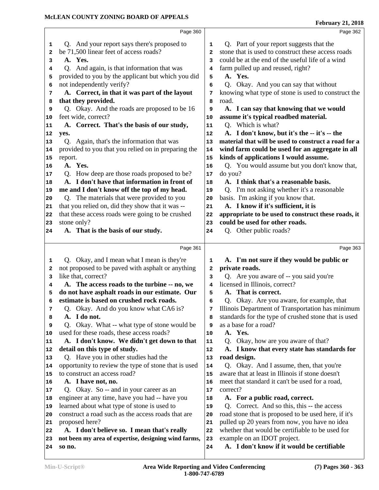|    | Page 360                                             |              | Page 362                                             |
|----|------------------------------------------------------|--------------|------------------------------------------------------|
| 1  | Q. And your report says there's proposed to          | 1            | Q. Part of your report suggests that the             |
| 2  | be 71,500 linear feet of access roads?               | 2            | stone that is used to construct these access roads   |
| 3  | A. Yes.                                              | 3            | could be at the end of the useful life of a wind     |
| 4  | Q. And again, is that information that was           | 4            | farm pulled up and reused, right?                    |
| 5  | provided to you by the applicant but which you did   | 5            | A. Yes.                                              |
| 6  | not independently verify?                            | 6            | Q. Okay. And you can say that without                |
| 7  | A. Correct, in that it was part of the layout        | 7            | knowing what type of stone is used to construct the  |
| 8  | that they provided.                                  | 8            | road.                                                |
| 9  | Q. Okay. And the roads are proposed to be 16         | 9            | A. I can say that knowing that we would              |
| 10 | feet wide, correct?                                  | 10           | assume it's typical roadbed material.                |
| 11 | A. Correct. That's the basis of our study,           | 11           | Q. Which is what?                                    |
| 12 | yes.                                                 | 12           | A. I don't know, but it's the -- it's -- the         |
| 13 | Q. Again, that's the information that was            | 13           | material that will be used to construct a road for a |
| 14 | provided to you that you relied on in preparing the  | 14           | wind farm could be used for an aggregate in all      |
| 15 | report.                                              | 15           | kinds of applications I would assume.                |
| 16 | A. Yes.                                              | 16           | Q. You would assume but you don't know that,         |
| 17 | Q. How deep are those roads proposed to be?          | $17\,$       | do you?                                              |
| 18 | A. I don't have that information in front of         | 18           | A. I think that's a reasonable basis.                |
| 19 | me and I don't know off the top of my head.          | 19           | Q. I'm not asking whether it's a reasonable          |
| 20 | Q. The materials that were provided to you           | 20           | basis. I'm asking if you know that.                  |
| 21 | that you relied on, did they show that it was --     | 21           | A. I know if it's sufficient, it is                  |
| 22 | that these access roads were going to be crushed     | 22           | appropriate to be used to construct these roads, it  |
| 23 | stone only?                                          | 23           | could be used for other roads.                       |
| 24 | A. That is the basis of our study.                   | 24           | Q. Other public roads?                               |
|    |                                                      |              |                                                      |
|    | Page 361                                             |              | Page 363                                             |
| 1  | Q. Okay, and I mean what I mean is they're           | 1            | A. I'm not sure if they would be public or           |
| 2  | not proposed to be paved with asphalt or anything    | $\mathbf{2}$ | private roads.                                       |
| 3  | like that, correct?                                  | 3            | Q. Are you aware of -- you said you're               |
| 4  | A. The access roads to the turbine -- no, we         | 4            | licensed in Illinois, correct?                       |
| 5  | do not have asphalt roads in our estimate. Our       | 5            | A. That is correct.                                  |
| 6  | estimate is based on crushed rock roads.             | 6            | Q. Okay. Are you aware, for example, that            |
| 7  | Q. Okay. And do you know what CA6 is?                | 7            | Illinois Department of Transportation has minimum    |
| 8  | A. I do not.                                         | 8            | standards for the type of crushed stone that is used |
| 9  | Okay. What -- what type of stone would be<br>O.      | 9            | as a base for a road?                                |
| 10 | used for these roads, these access roads?            | 10           | A. Yes.                                              |
| 11 | A. I don't know. We didn't get down to that          | 11           | Q. Okay, how are you aware of that?                  |
| 12 | detail on this type of study.                        | 12           | A. I know that every state has standards for         |
| 13 | Q. Have you in other studies had the                 | 13           | road design.                                         |
| 14 | opportunity to review the type of stone that is used | 14           | Q. Okay. And I assume, then, that you're             |
| 15 | to construct an access road?                         | 15           | aware that at least in Illinois if stone doesn't     |
| 16 | A. I have not, no.                                   | 16           | meet that standard it can't be used for a road,      |
| 17 | Q. Okay. So -- and in your career as an              | 17           | correct?                                             |
| 18 | engineer at any time, have you had -- have you       | 18           | A. For a public road, correct.                       |
| 19 | learned about what type of stone is used to          | 19           | Q. Correct. And so this, this -- the access          |
| 20 | construct a road such as the access roads that are   | 20           | road stone that is proposed to be used here, if it's |
| 21 | proposed here?                                       | 21           | pulled up 20 years from now, you have no idea        |
| 22 | A. I don't believe so. I mean that's really          | 22           | whether that would be certifiable to be used for     |
|    |                                                      |              |                                                      |
| 23 | not been my area of expertise, designing wind farms, | 23           | example on an IDOT project.                          |
| 24 | so no.                                               | 24           | A. I don't know if it would be certifiable           |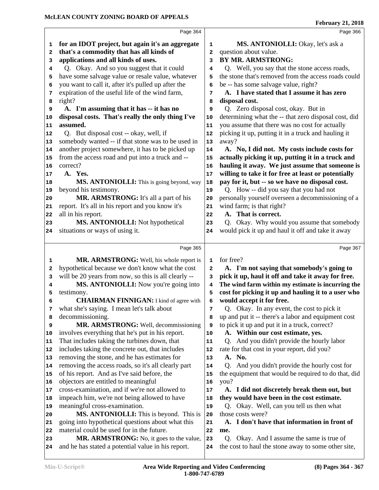|                | Page 364                                                                                       |                | Page 366                                                                                            |
|----------------|------------------------------------------------------------------------------------------------|----------------|-----------------------------------------------------------------------------------------------------|
| 1              | for an IDOT project, but again it's an aggregate                                               | 1              | MS. ANTONIOLLI: Okay, let's ask a                                                                   |
| 2              | that's a commodity that has all kinds of                                                       | $\overline{a}$ | question about value.                                                                               |
| 3              | applications and all kinds of uses.                                                            | 3              | <b>BY MR. ARMSTRONG:</b>                                                                            |
| 4              | Q. Okay. And so you suggest that it could                                                      | 4              | Q. Well, you say that the stone access roads,                                                       |
| 5              | have some salvage value or resale value, whatever                                              | 5              | the stone that's removed from the access roads could                                                |
| 6              | you want to call it, after it's pulled up after the                                            | 6              | be -- has some salvage value, right?                                                                |
| 7              | expiration of the useful life of the wind farm,                                                | 7              | A. I have stated that I assume it has zero                                                          |
| 8              | right?                                                                                         | 8              | disposal cost.                                                                                      |
| 9              | A. I'm assuming that it has -- it has no                                                       | 9              | Q. Zero disposal cost, okay. But in                                                                 |
| 10             | disposal costs. That's really the only thing I've                                              | 10             | determining what the -- that zero disposal cost, did                                                |
| 11             | assumed.                                                                                       | 11             | you assume that there was no cost for actually                                                      |
| 12             | Q. But disposal cost -- okay, well, if                                                         | 12             | picking it up, putting it in a truck and hauling it                                                 |
| 13             | somebody wanted -- if that stone was to be used in                                             | 13             | away?                                                                                               |
| 14             | another project somewhere, it has to be picked up                                              | 14             | A. No, I did not. My costs include costs for                                                        |
| 15             | from the access road and put into a truck and --                                               | 15             | actually picking it up, putting it in a truck and                                                   |
| 16             | correct?                                                                                       | 16             | hauling it away. We just assume that someone is                                                     |
| 17             | A. Yes.                                                                                        | 17             | willing to take it for free at least or potentially                                                 |
| 18             | MS. ANTONIOLLI: This is going beyond, way                                                      | 18             | pay for it, but -- so we have no disposal cost.                                                     |
| 19             | beyond his testimony.                                                                          | 19             | Q. How -- did you say that you had not                                                              |
| 20             | MR. ARMSTRONG: It's all a part of his                                                          | 20             | personally yourself overseen a decommissioning of a                                                 |
| 21             | report. It's all in his report and you know it's                                               | 21             | wind farm; is that right?                                                                           |
| 22             | all in his report.                                                                             | 22             | That is correct.<br>A.                                                                              |
| 23             | MS. ANTONIOLLI: Not hypothetical                                                               | 23             | Q. Okay. Why would you assume that somebody                                                         |
| 24             | situations or ways of using it.                                                                | 24             | would pick it up and haul it off and take it away                                                   |
|                |                                                                                                |                |                                                                                                     |
|                | Page 365                                                                                       |                | Page 367                                                                                            |
| 1              | MR. ARMSTRONG: Well, his whole report is                                                       | $\mathbf{1}$   | for free?                                                                                           |
|                | hypothetical because we don't know what the cost                                               |                |                                                                                                     |
| 2              |                                                                                                | $\mathbf{2}$   | A. I'm not saying that somebody's going to                                                          |
| 3              | will be 20 years from now, so this is all clearly --                                           | 3              | pick it up, haul it off and take it away for free.                                                  |
| 4              | MS. ANTONIOLLI: Now you're going into                                                          | 4              | The wind farm within my estimate is incurring the                                                   |
| 5              | testimony.                                                                                     | 5              | cost for picking it up and hauling it to a user who                                                 |
| 6              | <b>CHAIRMAN FINNIGAN:</b> I kind of agree with                                                 | 6              | would accept it for free.                                                                           |
| 7              | what she's saying. I mean let's talk about                                                     | 7              | Q. Okay. In any event, the cost to pick it                                                          |
| 8              | decommissioning.                                                                               | 8              | up and put it -- there's a labor and equipment cost                                                 |
| 9              | MR. ARMSTRONG: Well, decommissioning                                                           | 9              | to pick it up and put it in a truck, correct?                                                       |
| 10             | involves everything that he's put in his report.                                               | 10             | A. Within our cost estimate, yes.                                                                   |
| 11             | That includes taking the turbines down, that                                                   | 11             | Q. And you didn't provide the hourly labor                                                          |
|                | includes taking the concrete out, that includes                                                | 12             | rate for that cost in your report, did you?                                                         |
|                | removing the stone, and he has estimates for                                                   | 13             | A. No.                                                                                              |
|                | removing the access roads, so it's all clearly part                                            | 14             | Q. And you didn't provide the hourly cost for                                                       |
| 13<br>14<br>15 | of his report. And as I've said before, the                                                    | 15             | the equipment that would be required to do that, did                                                |
| 16             | objectors are entitled to meaningful                                                           | 16             | you?                                                                                                |
| 17             | cross-examination, and if we're not allowed to                                                 | $17\,$         | A. I did not discretely break them out, but                                                         |
|                | impeach him, we're not being allowed to have                                                   | 18             | they would have been in the cost estimate.                                                          |
| 19             | meaningful cross-examination.                                                                  | 19             | Q. Okay. Well, can you tell us then what                                                            |
| 20             | MS. ANTONIOLLI: This is beyond. This is                                                        | 20             | those costs were?                                                                                   |
| 21             | going into hypothetical questions about what this                                              | 21             | A. I don't have that information in front of                                                        |
| 12<br>18<br>22 | material could be used for in the future.                                                      | 22             | me.                                                                                                 |
| 23<br>24       | MR. ARMSTRONG: No, it goes to the value,<br>and he has stated a potential value in his report. | 23<br>24       | Okay. And I assume the same is true of<br>Q.<br>the cost to haul the stone away to some other site, |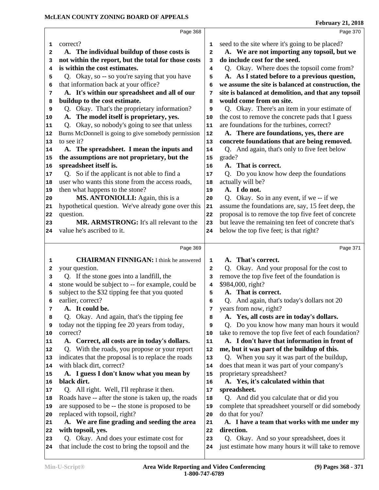| Page 368<br>correct?<br>seed to the site where it's going to be placed?<br>1<br>1<br>A. We are not importing any topsoil, but we<br>A. The individual buildup of those costs is<br>2<br>2                      | Page 370 |
|----------------------------------------------------------------------------------------------------------------------------------------------------------------------------------------------------------------|----------|
|                                                                                                                                                                                                                |          |
|                                                                                                                                                                                                                |          |
|                                                                                                                                                                                                                |          |
| do include cost for the seed.<br>not within the report, but the total for those costs<br>3<br>3                                                                                                                |          |
| is within the cost estimates.<br>Q. Okay. Where does the topsoil come from?<br>4<br>4                                                                                                                          |          |
| A. As I stated before to a previous question,<br>Q. Okay, so -- so you're saying that you have<br>5<br>5                                                                                                       |          |
| that information back at your office?<br>we assume the site is balanced at construction, the<br>6<br>6                                                                                                         |          |
| A. It's within our spreadsheet and all of our<br>site is balanced at demolition, and that any topsoil<br>7<br>7                                                                                                |          |
| buildup to the cost estimate.<br>would come from on site.<br>8<br>8                                                                                                                                            |          |
| Q. Okay. There's an item in your estimate of<br>Q. Okay. That's the proprietary information?<br>9<br>9                                                                                                         |          |
| A. The model itself is proprietary, yes.<br>the cost to remove the concrete pads that I guess<br>10<br>10                                                                                                      |          |
| Q. Okay, so nobody's going to see that unless<br>are foundations for the turbines, correct?<br>11<br>11                                                                                                        |          |
| A. There are foundations, yes, there are<br>Burns McDonnell is going to give somebody permission<br>12<br>12                                                                                                   |          |
| to see it?<br>concrete foundations that are being removed.<br> 13<br>13                                                                                                                                        |          |
| Q. And again, that's only to five feet below<br>A. The spreadsheet. I mean the inputs and<br>14<br>14                                                                                                          |          |
| the assumptions are not proprietary, but the<br>grade?<br>15<br>15                                                                                                                                             |          |
| spreadsheet itself is.<br>A. That is correct.<br>16<br>16                                                                                                                                                      |          |
| Q. So if the applicant is not able to find a<br>Q. Do you know how deep the foundations<br>17<br>17                                                                                                            |          |
| user who wants this stone from the access roads,<br>actually will be?<br>18<br>18                                                                                                                              |          |
| A. I do not.<br>then what happens to the stone?<br>19<br>19                                                                                                                                                    |          |
| MS. ANTONIOLLI: Again, this is a<br>Q. Okay. So in any event, if we -- if we<br>20<br>20                                                                                                                       |          |
| hypothetical question. We've already gone over this<br>assume the foundations are, say, 15 feet deep, the<br>21<br>21                                                                                          |          |
|                                                                                                                                                                                                                |          |
| proposal is to remove the top five feet of concrete<br>question.<br>22                                                                                                                                         |          |
| MR. ARMSTRONG: It's all relevant to the<br>but leave the remaining ten feet of concrete that's<br>23                                                                                                           |          |
| 22<br>23<br>below the top five feet; is that right?<br>value he's ascribed to it.<br>24<br>24                                                                                                                  |          |
|                                                                                                                                                                                                                |          |
| Page 369                                                                                                                                                                                                       | Page 371 |
| <b>CHAIRMAN FINNIGAN:</b> I think he answered<br>A. That's correct.<br>1<br>1                                                                                                                                  |          |
| Q. Okay. And your proposal for the cost to<br>your question.<br>$\mathbf{2}$<br>2                                                                                                                              |          |
| Q. If the stone goes into a landfill, the<br>remove the top five feet of the foundation is<br>3<br>3                                                                                                           |          |
| stone would be subject to -- for example, could be<br>\$984,000, right?<br>4<br>4                                                                                                                              |          |
| A. That is correct.<br>subject to the \$32 tipping fee that you quoted<br>5<br>5                                                                                                                               |          |
| earlier, correct?<br>Q. And again, that's today's dollars not 20<br>6<br>6                                                                                                                                     |          |
| A. It could be.<br>years from now, right?<br>7<br>7                                                                                                                                                            |          |
| Q. Okay. And again, that's the tipping fee<br>A. Yes, all costs are in today's dollars.<br>8<br>8                                                                                                              |          |
| today not the tipping fee 20 years from today,<br>Q. Do you know how many man hours it would<br>9<br>9                                                                                                         |          |
| take to remove the top five feet of each foundation?<br>correct?<br>10                                                                                                                                         |          |
| A. Correct, all costs are in today's dollars.<br>A. I don't have that information in front of<br>11                                                                                                            |          |
| Q. With the roads, you propose or your report<br>me, but it was part of the buildup of this.<br>12                                                                                                             |          |
| indicates that the proposal is to replace the roads<br>Q. When you say it was part of the buildup,<br>13                                                                                                       |          |
| with black dirt, correct?<br>does that mean it was part of your company's<br>14                                                                                                                                |          |
| A. I guess I don't know what you mean by<br>proprietary spreadsheet?<br>15                                                                                                                                     |          |
| black dirt.<br>A. Yes, it's calculated within that<br>16                                                                                                                                                       |          |
| spreadsheet.<br>Q. All right. Well, I'll rephrase it then.<br>17                                                                                                                                               |          |
| Roads have -- after the stone is taken up, the roads<br>Q. And did you calculate that or did you<br>18                                                                                                         |          |
| are supposed to be -- the stone is proposed to be<br>complete that spreadsheet yourself or did somebody<br>19                                                                                                  |          |
| 10<br>replaced with topsoil, right?<br>do that for you?<br>20                                                                                                                                                  |          |
| A. We are fine grading and seeding the area<br>A. I have a team that works with me under my<br>21                                                                                                              |          |
| 11<br> 12<br> 13<br>14<br>15<br>16<br> 17<br>18<br>19<br>20<br>21<br>with topsoil, yes.<br>direction.<br>22<br>22                                                                                              |          |
| Q. Okay. And does your estimate cost for<br>Q. Okay. And so your spreadsheet, does it<br>23<br>23<br>that include the cost to bring the topsoil and the<br>just estimate how many hours it will take to remove |          |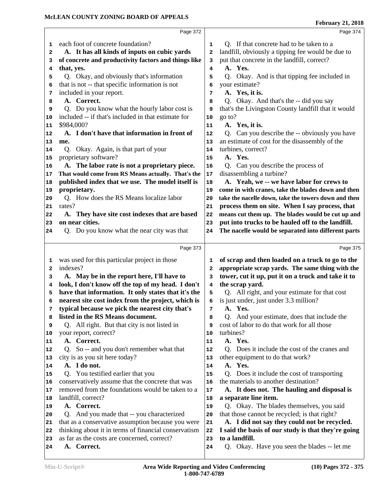|              |                                                      |              | repruary 21, 2010                                    |
|--------------|------------------------------------------------------|--------------|------------------------------------------------------|
|              | Page 372                                             |              | Page 374                                             |
| 1            | each foot of concrete foundation?                    | 1            | Q. If that concrete had to be taken to a             |
| 2            | A. It has all kinds of inputs on cubic yards         | $\mathbf{2}$ | landfill, obviously a tipping fee would be due to    |
| 3            | of concrete and productivity factors and things like | 3            | put that concrete in the landfill, correct?          |
| 4            | that, yes.                                           | 4            | A. Yes.                                              |
| 5            | Q. Okay, and obviously that's information            | 5            | Q. Okay. And is that tipping fee included in         |
| 6            | that is not -- that specific information is not      | 6            | your estimate?                                       |
| 7            | included in your report.                             | 7            | A. Yes, it is.                                       |
| 8            | A. Correct.                                          | 8            | Q. Okay. And that's the -- did you say               |
| 9            | Q. Do you know what the hourly labor cost is         | 9            | that's the Livingston County landfill that it would  |
| 10           | included -- if that's included in that estimate for  | 10           | go to?                                               |
| 11           | \$984,000?                                           | 11           | A. Yes, it is.                                       |
| 12           | A. I don't have that information in front of         | 12           | Q. Can you describe the -- obviously you have        |
| 13           | me.                                                  | 13           | an estimate of cost for the disassembly of the       |
| 14           | Q. Okay. Again, is that part of your                 | 14           | turbines, correct?                                   |
| 15           | proprietary software?                                | 15           | A. Yes.                                              |
| 16           | A. The labor rate is not a proprietary piece.        | 16           | Q. Can you describe the process of                   |
| 17           | That would come from RS Means actually. That's the   | 17           | disassembling a turbine?                             |
| 18           | published index that we use. The model itself is     | 18           | A. Yeah, we -- we have labor for crews to            |
| 19           | proprietary.                                         | 19           | come in with cranes, take the blades down and then   |
| 20           | Q. How does the RS Means localize labor              | 20           | take the nacelle down, take the towers down and then |
| 21           | rates?                                               | 21           | process them on site. When I say process, that       |
| 22           | A. They have site cost indexes that are based        | 22           | means cut them up. The blades would be cut up and    |
| 23           | on near cities.                                      | 23           | put into trucks to be hauled off to the landfill.    |
| 24           | Q. Do you know what the near city was that           | 24           | The nacelle would be separated into different parts  |
|              |                                                      |              |                                                      |
|              | Page 373                                             |              | Page 375                                             |
| 1            | was used for this particular project in those        | 1            | of scrap and then loaded on a truck to go to the     |
|              |                                                      |              |                                                      |
|              |                                                      |              |                                                      |
| $\mathbf{2}$ | indexes?                                             | 2            | appropriate scrap yards. The same thing with the     |
| з            | A. May be in the report here, I'll have to           | 3            | tower, cut it up, put it on a truck and take it to   |
| 4            | look, I don't know off the top of my head. I don't   | 4            | the scrap yard.                                      |
| 5            | have that information. It only states that it's the  | 5            | Q. All right, and your estimate for that cost        |
|              | nearest site cost index from the project, which is   |              | 6 is just under, just under 3.3 million?             |
| 7            | typical because we pick the nearest city that's      | 7            | A. Yes.                                              |
| 8            | listed in the RS Means document.                     | 8            | Q. And your estimate, does that include the          |
| 9            | Q. All right. But that city is not listed in         | 9            | cost of labor to do that work for all those          |
|              | your report, correct?                                | 10           | turbines?                                            |
| 10<br>11     | A. Correct.                                          | 11           | A. Yes.                                              |
|              | Q. So -- and you don't remember what that            | 12           | Q. Does it include the cost of the cranes and        |
| 13           | city is as you sit here today?                       | 13           | other equipment to do that work?                     |
| 14           | A. I do not.                                         | 14           | A. Yes.                                              |
|              | Q. You testified earlier that you                    | 15           | Q. Does it include the cost of transporting          |
| 15<br>16     | conservatively assume that the concrete that was     | 16           | the materials to another destination?                |
| 17           | removed from the foundations would be taken to a     | 17           | A. It does not. The hauling and disposal is          |
| 18           | landfill, correct?                                   | 18           | a separate line item.                                |
| 12<br>19     | A. Correct.                                          | 19           | Q. Okay. The blades themselves, you said             |
| 20           | Q. And you made that -- you characterized            | 20           | that those cannot be recycled; is that right?        |
|              | that as a conservative assumption because you were   | 21           | A. I did not say they could not be recycled.         |
| 21<br>22     | thinking about it in terms of financial conservatism | 22           | I said the basis of our study is that they're going  |
| 23           | as far as the costs are concerned, correct?          | 23           | to a landfill.                                       |
| 24           | A. Correct.                                          | 24           | Q. Okay. Have you seen the blades -- let me          |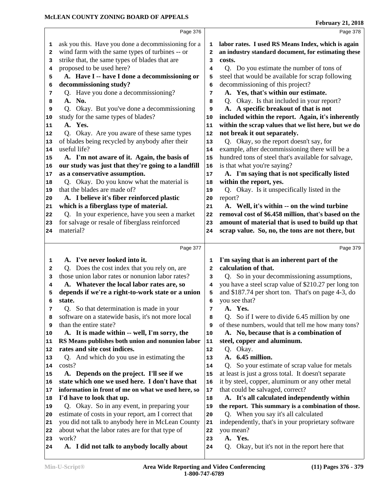|              | Page 376                                                                                         |              | Page 378                                                                                                    |
|--------------|--------------------------------------------------------------------------------------------------|--------------|-------------------------------------------------------------------------------------------------------------|
| 1            | ask you this. Have you done a decommissioning for a                                              | 1            | labor rates. I used RS Means Index, which is again                                                          |
| $\mathbf{2}$ | wind farm with the same types of turbines -- or                                                  | $\mathbf{2}$ | an industry standard document, for estimating these                                                         |
| 3            | strike that, the same types of blades that are                                                   | 3            | costs.                                                                                                      |
| 4            | proposed to be used here?                                                                        | 4            | Q. Do you estimate the number of tons of                                                                    |
| 5            | A. Have I -- have I done a decommissioning or                                                    | 5            | steel that would be available for scrap following                                                           |
| 6            | decommissioning study?                                                                           | 6            | decommissioning of this project?                                                                            |
| 7            | Q. Have you done a decommissioning?                                                              | 7            | A. Yes, that's within our estimate.                                                                         |
| 8            | A. No.                                                                                           | 8            | Q. Okay. Is that included in your report?                                                                   |
| 9            | Q. Okay. But you've done a decommissioning                                                       | 9            | A. A specific breakout of that is not                                                                       |
| 10           | study for the same types of blades?                                                              | 10           | included within the report. Again, it's inherently                                                          |
| 11           | A. Yes.                                                                                          | 11           | within the scrap values that we list here, but we do                                                        |
| 12           | Q. Okay. Are you aware of these same types                                                       | 12           | not break it out separately.                                                                                |
| 13           | of blades being recycled by anybody after their                                                  | 13           | Q. Okay, so the report doesn't say, for                                                                     |
| 14           | useful life?                                                                                     | 14           | example, after decommissioning there will be a                                                              |
| 15           | A. I'm not aware of it. Again, the basis of                                                      | 15           | hundred tons of steel that's available for salvage,                                                         |
| 16           | our study was just that they're going to a landfill                                              | 16           | is that what you're saying?                                                                                 |
| 17           | as a conservative assumption.                                                                    | 17           | A. I'm saying that is not specifically listed                                                               |
| 18           | Q. Okay. Do you know what the material is                                                        | 18           | within the report, yes.                                                                                     |
| 19           | that the blades are made of?                                                                     | 19           | Q. Okay. Is it unspecifically listed in the                                                                 |
| 20           | A. I believe it's fiber reinforced plastic                                                       | 20           | report?                                                                                                     |
| 21           | which is a fiberglass type of material.                                                          | 21           | A. Well, it's within -- on the wind turbine                                                                 |
| 22           | Q. In your experience, have you seen a market                                                    | 22           | removal cost of \$6.458 million, that's based on the                                                        |
| 23           | for salvage or resale of fiberglass reinforced                                                   | 23           | amount of material that is used to build up that                                                            |
| 24           | material?                                                                                        | 24           | scrap value. So, no, the tons are not there, but                                                            |
|              |                                                                                                  |              |                                                                                                             |
|              |                                                                                                  |              |                                                                                                             |
|              | Page 377                                                                                         |              | Page 379                                                                                                    |
|              |                                                                                                  | 1            |                                                                                                             |
| 1<br>2       | A. I've never looked into it.                                                                    | 2            | I'm saying that is an inherent part of the<br>calculation of that.                                          |
| 3            | Q. Does the cost index that you rely on, are<br>those union labor rates or nonunion labor rates? | 3            |                                                                                                             |
| 4            |                                                                                                  | 4            | Q. So in your decommissioning assumptions,                                                                  |
| 5            | A. Whatever the local labor rates are, so<br>depends if we're a right-to-work state or a union   | 5            | you have a steel scrap value of \$210.27 per long ton<br>and \$187.74 per short ton. That's on page 4-3, do |
| 6            | state.                                                                                           | 6            | you see that?                                                                                               |
| 7            | Q. So that determination is made in your                                                         | 7            | A. Yes.                                                                                                     |
| 8            | software on a statewide basis, it's not more local                                               | 8            | Q. So if I were to divide 6.45 million by one                                                               |
| 9            | than the entire state?                                                                           | 9            | of these numbers, would that tell me how many tons?                                                         |
| 10           | A. It is made within -- well, I'm sorry, the                                                     | ${\bf 10}$   | A. No, because that is a combination of                                                                     |
| 11           | RS Means publishes both union and nonunion labor                                                 | 11           | steel, copper and aluminum.                                                                                 |
| 12           | rates and site cost indices.                                                                     | ${\bf 12}$   | Q. Okay.                                                                                                    |
| 13           | Q. And which do you use in estimating the                                                        | 13           | A. 6.45 million.                                                                                            |
| 14           | costs?                                                                                           | 14           | Q. So your estimate of scrap value for metals                                                               |
| 15           | A. Depends on the project. I'll see if we                                                        | 15           | at least is just a gross total. It doesn't separate                                                         |
| 16           | state which one we used here. I don't have that                                                  | 16           | it by steel, copper, aluminum or any other metal                                                            |
| 17           | information in front of me on what we used here, so                                              | $17\,$       | that could be salvaged, correct?                                                                            |
| 18           | I'd have to look that up.                                                                        | 18           | A. It's all calculated independently within                                                                 |
| 19           | Q. Okay. So in any event, in preparing your                                                      | 19           | the report. This summary is a combination of those.                                                         |
| 20           | estimate of costs in your report, am I correct that                                              | 20           | Q. When you say it's all calculated                                                                         |
| 21           | you did not talk to anybody here in McLean County                                                | 21           | independently, that's in your proprietary software                                                          |
| 22           | about what the labor rates are for that type of                                                  | 22           | you mean?                                                                                                   |
| 23<br>24     | work?<br>A. I did not talk to anybody locally about                                              | 23<br>24     | A. Yes.<br>Okay, but it's not in the report here that<br>$Q_{\rm{c}}$                                       |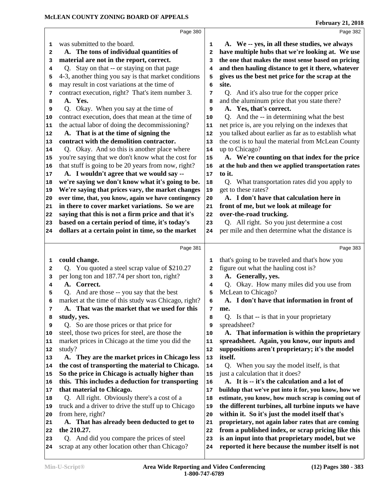|    | Page 380                                                                                  |              | Page 382                                                              |
|----|-------------------------------------------------------------------------------------------|--------------|-----------------------------------------------------------------------|
| 1  | was submitted to the board.                                                               | 1            | A. We -- yes, in all these studies, we always                         |
| 2  | A. The tons of individual quantities of                                                   | $\mathbf{2}$ | have multiple hubs that we're looking at. We use                      |
| з  | material are not in the report, correct.                                                  | 3            | the one that makes the most sense based on pricing                    |
| 4  | Q. Stay on that -- or staying on that page                                                | 4            | and then hauling distance to get it there, whatever                   |
| 5  | 4-3, another thing you say is that market conditions                                      | 5            | gives us the best net price for the scrap at the                      |
| 6  | may result in cost variations at the time of                                              | 6            | site.                                                                 |
|    | contract execution, right? That's item number 3.                                          | 7            | Q. And it's also true for the copper price                            |
| 7  | A. Yes.                                                                                   |              | and the aluminum price that you state there?                          |
| 8  |                                                                                           | 8            |                                                                       |
| 9  | Q. Okay. When you say at the time of<br>contract execution, does that mean at the time of | 9            | A. Yes, that's correct.<br>Q. And the -- in determining what the best |
| 10 |                                                                                           | 10           |                                                                       |
| 11 | the actual labor of doing the decommissioning?                                            | 11           | net price is, are you relying on the indexes that                     |
| 12 | A. That is at the time of signing the                                                     | 12           | you talked about earlier as far as to establish what                  |
| 13 | contract with the demolition contractor.                                                  | 13           | the cost is to haul the material from McLean County                   |
| 14 | Q. Okay. And so this is another place where                                               | 14           | up to Chicago?                                                        |
| 15 | you're saying that we don't know what the cost for                                        | 15           | A. We're counting on that index for the price                         |
| 16 | that stuff is going to be 20 years from now, right?                                       | 16           | at the hub and then we applied transportation rates                   |
| 17 | A. I wouldn't agree that we would say --                                                  | 17           | to it.                                                                |
| 18 | we're saying we don't know what it's going to be.                                         | 18           | Q. What transportation rates did you apply to                         |
| 19 | We're saying that prices vary, the market changes                                         | 19           | get to these rates?                                                   |
| 20 | over time, that, you know, again we have contingency                                      | 20           | A. I don't have that calculation here in                              |
| 21 | in there to cover market variations. So we are                                            | 21           | front of me, but we look at mileage for                               |
| 22 | saying that this is not a firm price and that it's                                        | 22           | over-the-road trucking.                                               |
| 23 | based on a certain period of time, it's today's                                           | 23           | Q. All right. So you just determine a cost                            |
| 24 | dollars at a certain point in time, so the market                                         | 24           | per mile and then determine what the distance is                      |
|    |                                                                                           |              |                                                                       |
|    | Page 381                                                                                  |              | Page 383                                                              |
|    |                                                                                           |              |                                                                       |
| 1  |                                                                                           | 1            |                                                                       |
| 2  | could change.                                                                             | $\mathbf{2}$ | that's going to be traveled and that's how you                        |
|    | Q. You quoted a steel scrap value of \$210.27                                             | 3            | figure out what the hauling cost is?                                  |
| з  | per long ton and 187.74 per short ton, right?                                             |              | A. Generally, yes.                                                    |
| 4  | A. Correct.                                                                               | 4            | Q. Okay. How many miles did you use from                              |
| 5  | Q. And are those -- you say that the best                                                 | 5            | McLean to Chicago?                                                    |
| 6  | market at the time of this study was Chicago, right?                                      | 6            | A. I don't have that information in front of                          |
| 7  | A. That was the market that we used for this                                              | 7            | me.                                                                   |
| 8  | study, yes.                                                                               | 8            | Q. Is that -- is that in your proprietary                             |
| 9  | Q. So are those prices or that price for                                                  | 9            | spreadsheet?                                                          |
| 10 | steel, those two prices for steel, are those the                                          | 10           | A. That information is within the proprietary                         |
| 11 | market prices in Chicago at the time you did the                                          | 11           | spreadsheet. Again, you know, our inputs and                          |
| 12 | study?                                                                                    | 12           | suppositions aren't proprietary; it's the model                       |
| 13 | A. They are the market prices in Chicago less                                             | 13           | itself.                                                               |
| 14 | the cost of transporting the material to Chicago.                                         | 14           | Q. When you say the model itself, is that                             |
| 15 | So the price in Chicago is actually higher than                                           | 15           | just a calculation that it does?                                      |
| 16 | this. This includes a deduction for transporting                                          | 16           | A. It is -- it's the calculation and a lot of                         |
| 17 | that material to Chicago.                                                                 | 17           | buildup that we've put into it for, you know, how we                  |
| 18 | Q. All right. Obviously there's a cost of a                                               | 18           | estimate, you know, how much scrap is coming out of                   |
| 19 | truck and a driver to drive the stuff up to Chicago                                       | 19           | the different turbines, all turbine inputs we have                    |
| 20 | from here, right?                                                                         | 20           | within it. So it's just the model itself that's                       |
| 21 | A. That has already been deducted to get to                                               | 21           | proprietary, not again labor rates that are coming                    |
| 22 | the 210.27.                                                                               | 22           | from a published index, or scrap pricing like this                    |
| 23 | Q. And did you compare the prices of steel                                                | 23           | is an input into that proprietary model, but we                       |
| 24 | scrap at any other location other than Chicago?                                           | 24           | reported it here because the number itself is not                     |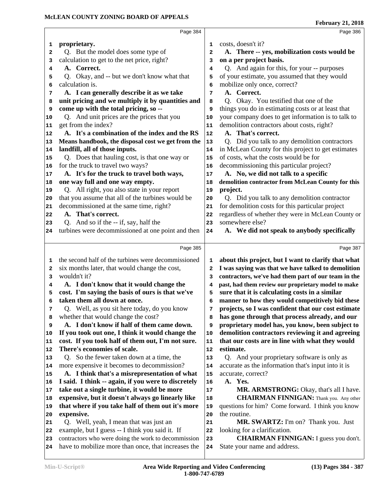|                                                                                  | Page 384                                                                         |                   | Page 386                                            |
|----------------------------------------------------------------------------------|----------------------------------------------------------------------------------|-------------------|-----------------------------------------------------|
| 1                                                                                | proprietary.                                                                     | 1                 | costs, doesn't it?                                  |
| $\mathbf{2}$                                                                     | Q. But the model does some type of                                               | $\mathbf{2}$      | A. There -- yes, mobilization costs would be        |
| 3                                                                                | calculation to get to the net price, right?                                      | 3                 | on a per project basis.                             |
| 4                                                                                | A. Correct.                                                                      | 4                 | Q. And again for this, for your -- purposes         |
| 5                                                                                | Q. Okay, and -- but we don't know what that                                      | 5                 | of your estimate, you assumed that they would       |
| 6                                                                                | calculation is.                                                                  | 6                 | mobilize only once, correct?                        |
| 7                                                                                | A. I can generally describe it as we take                                        | $\overline{7}$    | A. Correct.                                         |
|                                                                                  | unit pricing and we multiply it by quantities and                                | 8                 | Q. Okay. You testified that one of the              |
| 8                                                                                | come up with the total pricing, so --                                            |                   | things you do in estimating costs or at least that  |
| 9                                                                                |                                                                                  | 9                 |                                                     |
| 10                                                                               | Q. And unit prices are the prices that you                                       | 10                | your company does to get information is to talk to  |
| 11                                                                               | get from the index?                                                              | 11                | demolition contractors about costs, right?          |
| 12                                                                               | A. It's a combination of the index and the RS                                    | $12 \overline{ }$ | A. That's correct.                                  |
| 13                                                                               | Means handbook, the disposal cost we get from the                                | 13                | Q. Did you talk to any demolition contractors       |
| 14                                                                               | landfill, all of those inputs.                                                   | 14                | in McLean County for this project to get estimates  |
| 15                                                                               | Q. Does that hauling cost, is that one way or                                    | 15                | of costs, what the costs would be for               |
| 16                                                                               | for the truck to travel two ways?                                                | 16                | decommissioning this particular project?            |
| 17                                                                               | A. It's for the truck to travel both ways,                                       | 17                | A. No, we did not talk to a specific                |
| 18                                                                               | one way full and one way empty.                                                  | 18                | demolition contractor from McLean County for this   |
| 19                                                                               | Q. All right, you also state in your report                                      | 19                | project.                                            |
| 20                                                                               | that you assume that all of the turbines would be                                | 20                | Q. Did you talk to any demolition contractor        |
| 21                                                                               | decommissioned at the same time, right?                                          | 21                | for demolition costs for this particular project    |
| 22                                                                               | A. That's correct.                                                               | 22                | regardless of whether they were in McLean County or |
| 23                                                                               | Q. And so if the -- if, say, half the                                            | 23                | somewhere else?                                     |
| 24                                                                               | turbines were decommissioned at one point and then                               | 24                | A. We did not speak to anybody specifically         |
|                                                                                  |                                                                                  |                   |                                                     |
|                                                                                  | Page 385                                                                         |                   | Page 387                                            |
|                                                                                  |                                                                                  |                   |                                                     |
| 1                                                                                | the second half of the turbines were decommissioned                              | 1                 | about this project, but I want to clarify that what |
| 2                                                                                | six months later, that would change the cost,                                    | 2                 | I was saying was that we have talked to demolition  |
| 3                                                                                | wouldn't it?                                                                     | 3                 | contractors, we've had them part of our team in the |
| 4                                                                                | A. I don't know that it would change the                                         | 4                 | past, had them review our proprietary model to make |
| 5                                                                                |                                                                                  | 5                 | sure that it is calculating costs in a similar      |
| 6                                                                                | cost. I'm saying the basis of ours is that we've<br>taken them all down at once. | 6                 | manner to how they would competitively bid these    |
| 7                                                                                |                                                                                  | 7                 |                                                     |
| 8                                                                                | Q. Well, as you sit here today, do you know                                      | 8                 | projects, so I was confident that our cost estimate |
| 9                                                                                | whether that would change the cost?                                              | 9                 | has gone through that process already, and our      |
|                                                                                  | A. I don't know if half of them came down.                                       | 10                | proprietary model has, you know, been subject to    |
|                                                                                  | If you took out one, I think it would change the                                 |                   | demolition contractors reviewing it and agreeing    |
|                                                                                  | cost. If you took half of them out, I'm not sure.                                | 11                | that our costs are in line with what they would     |
|                                                                                  | There's economies of scale.                                                      | 12                | estimate.                                           |
|                                                                                  | Q. So the fewer taken down at a time, the                                        | 13                | Q. And your proprietary software is only as         |
|                                                                                  | more expensive it becomes to decommission?                                       | 14                | accurate as the information that's input into it is |
|                                                                                  | A. I think that's a misrepresentation of what                                    | 15                | accurate, correct?                                  |
|                                                                                  | I said. I think -- again, if you were to discretely                              | 16                | A. Yes.                                             |
|                                                                                  | take out a single turbine, it would be more                                      | 17                | MR. ARMSTRONG: Okay, that's all I have.             |
|                                                                                  | expensive, but it doesn't always go linearly like                                | 18                | <b>CHAIRMAN FINNIGAN:</b> Thank you. Any other      |
|                                                                                  | that where if you take half of them out it's more                                | 19                | questions for him? Come forward. I think you know   |
|                                                                                  | expensive.                                                                       | 20                | the routine.                                        |
|                                                                                  | Q. Well, yeah, I mean that was just an                                           | 21                | <b>MR. SWARTZ:</b> I'm on? Thank you. Just          |
|                                                                                  | example, but I guess -- I think you said it. If                                  | 22                | looking for a clarification.                        |
| 10<br>11<br>12<br>13<br>14<br>15<br>16<br>17<br>18<br>19<br>20<br>21<br>22<br>23 | contractors who were doing the work to decommission                              | 23                | <b>CHAIRMAN FINNIGAN:</b> I guess you don't.        |
| 24                                                                               | have to mobilize more than once, that increases the                              | 24                | State your name and address.                        |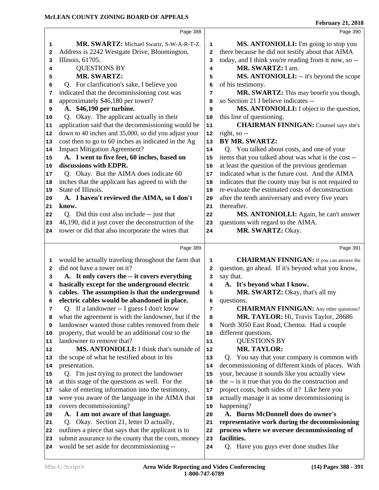|              | Page 388                                                                       |              | Page 390                                             |
|--------------|--------------------------------------------------------------------------------|--------------|------------------------------------------------------|
| 1            | MR. SWARTZ: Michael Swartz, S-W-A-R-T-Z.                                       | 1            | MS. ANTONIOLLI: I'm going to stop you                |
| $\mathbf{2}$ | Address is 2242 Westgate Drive, Bloomington,                                   | $\mathbf{2}$ | there because he did not testify about that AIMA     |
| 3            | Illinois, 61705.                                                               | 3            | today, and I think you're reading from it now, so -- |
| 4            | <b>QUESTIONS BY</b>                                                            | 4            | MR. SWARTZ: I am.                                    |
| 5            | <b>MR. SWARTZ:</b>                                                             | 5            | MS. ANTONIOLLI: -- it's beyond the scope             |
| 6            | Q. For clarification's sake, I believe you                                     | 6            | of his testimony.                                    |
| 7            | indicated that the decommissioning cost was                                    | 7            | MR. SWARTZ: This may benefit you though,             |
| 8            | approximately \$46,180 per tower?                                              | 8            | so Section 21 I believe indicates --                 |
| 9            | A. \$46,190 per turbine.                                                       | 9            | MS. ANTONIOLLI: I object to the question,            |
| 10           | Q. Okay. The applicant actually in their                                       | 10           | this line of questioning.                            |
| 11           | application said that the decommissioning would be                             | 11           | <b>CHAIRMAN FINNIGAN:</b> Counsel says she's         |
| 12           | down to 40 inches and 35,000, so did you adjust your                           | 12           | right, so --                                         |
| 13           | cost then to go to 60 inches as indicated in the Ag                            | 13           | <b>BY MR. SWARTZ:</b>                                |
| 14           | <b>Impact Mitigation Agreement?</b>                                            | 14           | Q. You talked about costs, and one of your           |
| 15           | A. I went to five feet, 60 inches, based on                                    | 15           | items that you talked about was what is the cost --  |
| 16           | discussions with EDPR.                                                         | 16           | at least the question of the previous gentleman      |
| 17           | Q. Okay. But the AIMA does indicate 60                                         | 17           | indicated what is the future cost. And the AIMA      |
| 18           | inches that the applicant has agreed to with the                               | 18           | indicates that the county may but is not required to |
| 19           | State of Illinois.                                                             | 19           | re-evaluate the estimated costs of deconstruction    |
| 20           | A. I haven't reviewed the AIMA, so I don't                                     | 20           | after the tenth anniversary and every five years     |
| 21           | know.                                                                          | 21           | thereafter.                                          |
| 22           | Q. Did this cost also include -- just that                                     | 22           | MS. ANTONIOLLI: Again, he can't answer               |
| 23           | 46,190, did it just cover the deconstruction of the                            | 23           | questions with regard to the AIMA.                   |
| 24           | tower or did that also incorporate the wires that                              | 24           | MR. SWARTZ: Okay.                                    |
|              |                                                                                |              |                                                      |
|              | Page 389                                                                       |              | Page 391                                             |
| 1            | would be actually traveling throughout the farm that                           | 1            | <b>CHAIRMAN FINNIGAN:</b> If you can answer the      |
| $\mathbf{2}$ | did not have a tower on it?                                                    | 2            | question, go ahead. If it's beyond what you know,    |
| 3            | A. It only covers the -- it covers everything                                  | 3            | say that.                                            |
| 4            | basically except for the underground electric                                  | 4            | A. It's beyond what I know.                          |
| 5            | cables. The assumption is that the underground                                 | 5            | MR. SWARTZ: Okay, that's all my                      |
| 6            | electric cables would be abandoned in place.                                   | 6            | questions.                                           |
| 7            | Q. If a landowner -- I guess I don't know                                      | 7            | <b>CHAIRMAN FINNIGAN:</b> Any other questions?       |
| 8            | what the agreement is with the landowner, but if the                           | 8            | MR. TAYLOR: Hi, Travis Taylor, 28686                 |
| 9            | landowner wanted those cables removed from their                               | 9            | North 3050 East Road, Chenoa. Had a couple           |
| 10           | property, that would be an additional cost to the                              | ${\bf 10}$   | different questions.                                 |
| 11           | landowner to remove that?                                                      | 11           | <b>QUESTIONS BY</b>                                  |
| 12           | MS. ANTONIOLLI: I think that's outside of                                      | 12           | <b>MR. TAYLOR:</b>                                   |
| 13           | the scope of what he testified about in his                                    | 13           | Q. You say that your company is common with          |
| 14           | presentation.                                                                  | 14           | decommissioning of different kinds of places. With   |
| 15           | Q. I'm just trying to protect the landowner                                    | 15           | your, because it sounds like you actually view       |
| 16           | at this stage of the questions as well. For the                                | 16           | the -- is it true that you do the construction and   |
| 17           | sake of entering information into the testimony,                               | 17           | project costs, both sides of it? Like here you       |
| 18           | were you aware of the language in the AIMA that                                | 18           | actually manage it as some decommissioning is        |
| 19           | covers decommissioning?                                                        | 19           | happening?<br>A. Burns McDonnell does do owner's     |
| 20           | A. I am not aware of that language.<br>Q. Okay. Section 21, letter D actually, | 20           | representative work during the decommissioning       |
| 21           | outlines a piece that says that the applicant is to                            | 21           | process where we oversee decommissioning of          |
| 22           | submit assurance to the county that the costs, money                           | 22           | facilities.                                          |
| 23<br>24     | would be set aside for decommissioning --                                      | 23<br>24     | Q. Have you guys ever done studies like              |
|              |                                                                                |              |                                                      |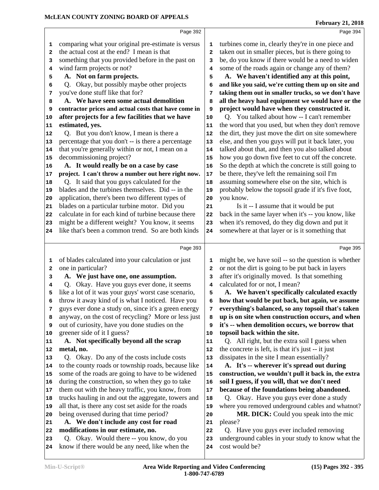|        | Page 392                                                                      |            | Page 394                                                                       |
|--------|-------------------------------------------------------------------------------|------------|--------------------------------------------------------------------------------|
| 1      | comparing what your original pre-estimate is versus                           | 1          | turbines come in, clearly they're in one piece and                             |
| 2      | the actual cost at the end? I mean is that                                    | 2          | taken out in smaller pieces, but is there going to                             |
| 3      | something that you provided before in the past on                             | 3          | be, do you know if there would be a need to widen                              |
| 4      | wind farm projects or not?                                                    | 4          | some of the roads again or change any of them?                                 |
| 5      | A. Not on farm projects.                                                      | 5          | A. We haven't identified any at this point,                                    |
| 6      | Q. Okay, but possibly maybe other projects                                    | 6          | and like you said, we're cutting them up on site and                           |
| 7      | you've done stuff like that for?                                              | 7          | taking them out in smaller trucks, so we don't have                            |
| 8      | A. We have seen some actual demolition                                        | 8          | all the heavy haul equipment we would have or the                              |
| 9      | contractor prices and actual costs that have come in                          | 9          | project would have when they constructed it.                                   |
| 10     | after projects for a few facilities that we have                              | ${\bf 10}$ | Q. You talked about how -- I can't remember                                    |
| 11     | estimated, yes.                                                               | 11         | the word that you used, but when they don't remove                             |
| 12     | Q. But you don't know, I mean is there a                                      | 12         | the dirt, they just move the dirt on site somewhere                            |
| 13     | percentage that you don't -- is there a percentage                            | 13         | else, and then you guys will put it back later, you                            |
| 14     | that you're generally within or not, I mean on a                              | 14         | talked about that, and then you also talked about                              |
| 15     | decommissioning project?                                                      | 15         | how you go down five feet to cut off the concrete.                             |
| 16     | A. It would really be on a case by case                                       | 16         | So the depth at which the concrete is still going to                           |
| 17     | project. I can't throw a number out here right now.                           | 17         | be there, they've left the remaining soil I'm                                  |
| 18     | Q. It said that you guys calculated for the                                   | 18         | assuming somewhere else on the site, which is                                  |
| 19     | blades and the turbines themselves. Did -- in the                             | 19         | probably below the topsoil grade if it's five foot,                            |
| 20     | application, there's been two different types of                              | 20         | you know.                                                                      |
| 21     | blades on a particular turbine motor. Did you                                 | 21         | Is it -- I assume that it would be put                                         |
| 22     | calculate in for each kind of turbine because there                           | 22         | back in the same layer when it's -- you know, like                             |
| 23     | might be a different weight? You know, it seems                               | 23         | when it's removed, do they dig down and put it                                 |
| 24     | like that's been a common trend. So are both kinds                            | 24         | somewhere at that layer or is it something that                                |
|        |                                                                               |            |                                                                                |
|        | Page 393                                                                      |            | Page 395                                                                       |
| 1      | of blades calculated into your calculation or just                            | 1          | might be, we have soil -- so the question is whether                           |
| 2      | one in particular?                                                            | 2          | or not the dirt is going to be put back in layers                              |
|        |                                                                               |            |                                                                                |
| 3      |                                                                               | з          |                                                                                |
| 4      | A. We just have one, one assumption.                                          |            | after it's originally moved. Is that something                                 |
| 5      | Q. Okay. Have you guys ever done, it seems                                    | 4          | calculated for or not, I mean?                                                 |
|        | like a lot of it was your guys' worst case scenario,                          | 5          | A. We haven't specifically calculated exactly                                  |
| 6<br>7 | throw it away kind of is what I noticed. Have you                             | 6<br>7     | how that would be put back, but again, we assume                               |
| 8      | guys ever done a study on, since it's a green energy                          | 8          | everything's balanced, so any topsoil that's taken                             |
| 9      | anyway, on the cost of recycling? More or less just                           | 9          | up is on site when construction occurs, and when                               |
| 10     | out of curiosity, have you done studies on the<br>greener side of it I guess? | 10         | it's -- when demolition occurs, we borrow that                                 |
| 11     | A. Not specifically beyond all the scrap                                      | 11         | topsoil back within the site.<br>Q. All right, but the extra soil I guess when |
| 12     | metal, no.                                                                    | 12         | the concrete is left, is that it's just -- it just                             |
| 13     | Q. Okay. Do any of the costs include costs                                    | 13         | dissipates in the site I mean essentially?                                     |
| 14     | to the county roads or township roads, because like                           | 14         | A. It's -- wherever it's spread out during                                     |
| 15     | some of the roads are going to have to be widened                             | 15         | construction, we wouldn't pull it back in, the extra                           |
| 16     | during the construction, so when they go to take                              | 16         | soil I guess, if you will, that we don't need                                  |
| 17     | them out with the heavy traffic, you know, from                               | $17\,$     | because of the foundations being abandoned.                                    |
| 18     | trucks hauling in and out the aggregate, towers and                           | 18         | Q. Okay. Have you guys ever done a study                                       |
| 19     | all that, is there any cost set aside for the roads                           | 19         | where you removed underground cables and whatnot?                              |
| 20     | being overused during that time period?                                       | 20         | MR. DICK: Could you speak into the mic                                         |
| 21     | A. We don't include any cost for road                                         | 21         | please?                                                                        |
| 22     | modifications in our estimate, no.                                            | 22         | Q. Have you guys ever included removing                                        |
| 23     | Q. Okay. Would there -- you know, do you                                      | 23         | underground cables in your study to know what the                              |
| 24     | know if there would be any need, like when the                                | 24         | cost would be?                                                                 |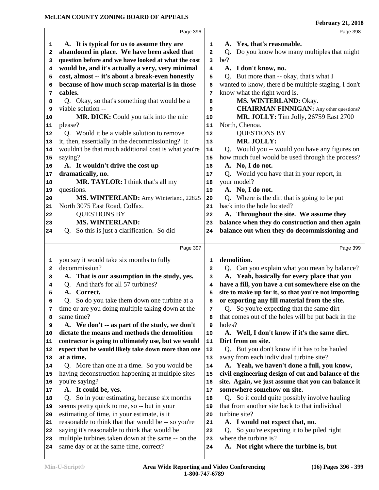|          | Page 396                                                                                     |                         | Page 398                                                                    |
|----------|----------------------------------------------------------------------------------------------|-------------------------|-----------------------------------------------------------------------------|
| 1        | A. It is typical for us to assume they are                                                   | 1                       | A. Yes, that's reasonable.                                                  |
| 2        | abandoned in place. We have been asked that                                                  | $\overline{\mathbf{2}}$ | Q. Do you know how many multiples that might                                |
| з        | question before and we have looked at what the cost                                          | 3                       | be?                                                                         |
| 4        | would be, and it's actually a very, very minimal                                             | 4                       | A. I don't know, no.                                                        |
| 5        | cost, almost -- it's about a break-even honestly                                             | 5                       | Q. But more than -- okay, that's what I                                     |
| 6        | because of how much scrap material is in those                                               | 6                       | wanted to know, there'd be multiple staging, I don't                        |
| 7        | cables.                                                                                      | 7                       | know what the right word is.                                                |
| 8        | Q. Okay, so that's something that would be a                                                 | 8                       | MS. WINTERLAND: Okay.                                                       |
| 9        | viable solution --                                                                           | 9                       | <b>CHAIRMAN FINNIGAN:</b> Any other questions?                              |
| 10       | MR. DICK: Could you talk into the mic                                                        | 10                      | <b>MR. JOLLY:</b> Tim Jolly, 26759 East 2700                                |
| 11       | please?                                                                                      | 11                      | North, Chenoa.                                                              |
| 12       | Q. Would it be a viable solution to remove                                                   | 12                      | <b>QUESTIONS BY</b>                                                         |
|          | it, then, essentially in the decommissioning? It                                             |                         | MR. JOLLY:                                                                  |
| 13       | wouldn't be that much additional cost is what you're                                         | 13                      | Q. Would you -- would you have any figures on                               |
| 14       | saying?                                                                                      | 14                      |                                                                             |
| 15       |                                                                                              | 15                      | how much fuel would be used through the process?<br>A. No, I do not.        |
| 16       | A. It wouldn't drive the cost up                                                             | 16                      |                                                                             |
| 17       | dramatically, no.                                                                            | 17                      | Q. Would you have that in your report, in                                   |
| 18       | MR. TAYLOR: I think that's all my                                                            | 18                      | your model?                                                                 |
| 19       | questions.                                                                                   | 19                      | A. No, I do not.                                                            |
| 20       | MS. WINTERLAND: Amy Winterland, 22825                                                        | 20                      | Q. Where is the dirt that is going to be put<br>back into the hole located? |
| 21       | North 3075 East Road, Colfax.                                                                | 21                      |                                                                             |
| 22       | <b>QUESTIONS BY</b>                                                                          | 22                      | A. Throughout the site. We assume they                                      |
| 23       | <b>MS. WINTERLAND:</b>                                                                       | 23                      | balance when they do construction and then again                            |
| 24       | Q. So this is just a clarification. So did                                                   | 24                      | balance out when they do decommissioning and                                |
|          |                                                                                              |                         |                                                                             |
|          | Page 397                                                                                     |                         | Page 399                                                                    |
|          |                                                                                              |                         |                                                                             |
| 1        | you say it would take six months to fully                                                    | 1                       | demolition.                                                                 |
| 2        | decommission?                                                                                | $\mathbf{2}$            | Q. Can you explain what you mean by balance?                                |
| з        | A. That is our assumption in the study, yes.                                                 | 3                       | A. Yeah, basically for every place that you                                 |
| 4        | Q. And that's for all 57 turbines?                                                           | 4                       | have a fill, you have a cut somewhere else on the                           |
| 5        | A. Correct.                                                                                  | 5                       | site to make up for it, so that you're not importing                        |
| 6        | So do you take them down one turbine at a<br>Q.                                              | 6                       | or exporting any fill material from the site.                               |
| 7        | time or are you doing multiple taking down at the                                            | 7                       | Q. So you're expecting that the same dirt                                   |
| 8        | same time?                                                                                   | 8                       | that comes out of the holes will be put back in the                         |
| 9        | A. We don't -- as part of the study, we don't                                                | 9                       | holes?                                                                      |
| 10       | dictate the means and methods the demolition                                                 | 10                      | A. Well, I don't know if it's the same dirt.                                |
| 11       | contractor is going to ultimately use, but we would                                          | ${\bf 11}$              | Dirt from on site.                                                          |
| 12       | expect that he would likely take down more than one                                          | 12                      | Q. But you don't know if it has to be hauled                                |
| 13       | at a time.                                                                                   | 13                      | away from each individual turbine site?                                     |
| 14       | Q. More than one at a time. So you would be                                                  | 14                      | A. Yeah, we haven't done a full, you know,                                  |
| 15       | having deconstruction happening at multiple sites                                            | 15                      | civil engineering design of cut and balance of the                          |
| 16       | you're saying?                                                                               | 16                      | site. Again, we just assume that you can balance it                         |
| 17       | A. It could be, yes.                                                                         | 17                      | somewhere somehow on site.                                                  |
| 18       | Q. So in your estimating, because six months                                                 | 18                      | Q. So it could quite possibly involve hauling                               |
| 19       | seems pretty quick to me, so -- but in your                                                  | 19                      | that from another site back to that individual                              |
| 20       | estimating of time, in your estimate, is it                                                  | 20                      | turbine site?                                                               |
| 21       | reasonable to think that that would be -- so you're                                          | 21                      | A. I would not expect that, no.                                             |
| 22       | saying it's reasonable to think that would be                                                | 22                      | Q. So you're expecting it to be piled right                                 |
| 23<br>24 | multiple turbines taken down at the same -- on the<br>same day or at the same time, correct? | 23<br>24                | where the turbine is?<br>A. Not right where the turbine is, but             |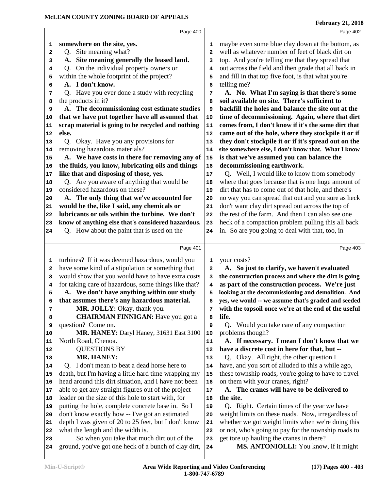|    | Page 400                                                                                           |          | Page 402                                                                          |
|----|----------------------------------------------------------------------------------------------------|----------|-----------------------------------------------------------------------------------|
| 1  | somewhere on the site, yes.                                                                        | 1        | maybe even some blue clay down at the bottom, as                                  |
| 2  | Q. Site meaning what?                                                                              | 2        | well as whatever number of feet of black dirt on                                  |
| 3  | Site meaning generally the leased land.<br>A.                                                      | 3        | top. And you're telling me that they spread that                                  |
| 4  | On the individual property owners or<br>Q.                                                         | 4        | out across the field and then grade that all back in                              |
| 5  | within the whole footprint of the project?                                                         | 5        | and fill in that top five foot, is that what you're                               |
| 6  | A. I don't know.                                                                                   | 6        | telling me?                                                                       |
| 7  | Q. Have you ever done a study with recycling                                                       | 7        | A. No. What I'm saying is that there's some                                       |
| 8  | the products in it?                                                                                | 8        | soil available on site. There's sufficient to                                     |
| 9  | A. The decommissioning cost estimate studies                                                       | 9        | backfill the holes and balance the site out at the                                |
| 10 | that we have put together have all assumed that                                                    | 10       | time of decommissioning. Again, where that dirt                                   |
| 11 | scrap material is going to be recycled and nothing                                                 | 11       | comes from, I don't know if it's the same dirt that                               |
| 12 | else.                                                                                              | 12       | came out of the hole, where they stockpile it or if                               |
| 13 | Okay. Have you any provisions for<br>Q <sub>1</sub>                                                | 13       | they don't stockpile it or if it's spread out on the                              |
| 14 | removing hazardous materials?                                                                      | 14       | site somewhere else, I don't know that. What I know                               |
| 15 | A. We have costs in there for removing any of                                                      | 15       | is that we've assumed you can balance the                                         |
| 16 | the fluids, you know, lubricating oils and things                                                  | 16       | decommissioning earthwork.                                                        |
| 17 | like that and disposing of those, yes.                                                             | 17       | Q. Well, I would like to know from somebody                                       |
| 18 | Q. Are you aware of anything that would be                                                         | 18       | where that goes because that is one huge amount of                                |
| 19 | considered hazardous on these?                                                                     | 19       | dirt that has to come out of that hole, and there's                               |
| 20 | A. The only thing that we've accounted for                                                         | 20       | no way you can spread that out and you sure as heck                               |
| 21 | would be the, like I said, any chemicals or                                                        | 21       | don't want clay dirt spread out across the top of                                 |
| 22 | lubricants or oils within the turbine. We don't                                                    | 22       | the rest of the farm. And then I can also see one                                 |
| 23 | know of anything else that's considered hazardous.                                                 | 23       | heck of a compaction problem pulling this all back                                |
| 24 | Q. How about the paint that is used on the                                                         | 24       | in. So are you going to deal with that, too, in                                   |
|    |                                                                                                    |          |                                                                                   |
|    | Page 401                                                                                           |          | Page 403                                                                          |
| 1  | turbines? If it was deemed hazardous, would you                                                    | 1        | your costs?                                                                       |
| 2  | have some kind of a stipulation or something that                                                  | 2        | A. So just to clarify, we haven't evaluated                                       |
| 3  | would show that you would have to have extra costs                                                 | з        | the construction process and where the dirt is going                              |
| 4  | for taking care of hazardous, some things like that?                                               | 4        | as part of the construction process. We're just                                   |
| 5  | A. We don't have anything within our study                                                         | 5        | looking at the decommissioning and demolition. And                                |
| 6  | that assumes there's any hazardous material.                                                       | 6        | yes, we would -- we assume that's graded and seeded                               |
| 7  | MR. JOLLY: Okay, thank you.                                                                        | 7        | with the topsoil once we're at the end of the useful                              |
| 8  | <b>CHAIRMAN FINNIGAN:</b> Have you got a                                                           | 8        | life.                                                                             |
| 9  | question? Come on.                                                                                 | 9        | Q. Would you take care of any compaction                                          |
| 10 | MR. HANEY: Daryl Haney, 31631 East 3100                                                            | 10       | problems though?                                                                  |
| 11 | North Road, Chenoa.                                                                                | 11       | A. If necessary. I mean I don't know that we                                      |
| 12 | <b>QUESTIONS BY</b>                                                                                | 12       | have a discrete cost in here for that, but --                                     |
| 13 | <b>MR. HANEY:</b>                                                                                  | 13       | Q. Okay. All right, the other question I                                          |
| 14 | Q. I don't mean to beat a dead horse here to                                                       | 14       | have, and you sort of alluded to this a while ago,                                |
| 15 | death, but I'm having a little hard time wrapping my                                               | 15       | these township roads, you're going to have to travel                              |
| 16 | head around this dirt situation, and I have not been                                               | 16       | on them with your cranes, right?                                                  |
| 17 | able to get any straight figures out of the project                                                | 17       | A. The cranes will have to be delivered to                                        |
| 18 | leader on the size of this hole to start with, for                                                 | 18       | the site.                                                                         |
| 19 | putting the hole, complete concrete base in. So I                                                  | 19       | Q. Right. Certain times of the year we have                                       |
| 20 | don't know exactly how -- I've got an estimated                                                    | 20       | weight limits on these roads. Now, irregardless of                                |
| 21 |                                                                                                    | 21       | whether we got weight limits when we're doing this                                |
|    | depth I was given of 20 to 25 feet, but I don't know                                               |          |                                                                                   |
| 22 | what the length and the width is.                                                                  | 22       | or not, who's going to pay for the township roads to                              |
| 23 | So when you take that much dirt out of the<br>ground, you've got one heck of a bunch of clay dirt, | 23<br>24 | get tore up hauling the cranes in there?<br>MS. ANTONIOLLI: You know, if it might |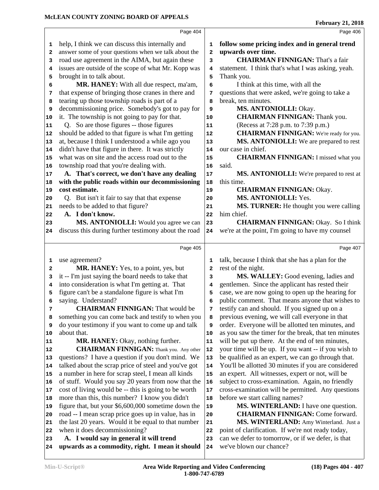|    | Page 404                                                                                   |              | Page 406                                                                     |  |
|----|--------------------------------------------------------------------------------------------|--------------|------------------------------------------------------------------------------|--|
| 1  | help, I think we can discuss this internally and                                           | 1            | follow some pricing index and in general trend                               |  |
| 2  | answer some of your questions when we talk about the                                       | $\mathbf{z}$ | upwards over time.                                                           |  |
| 3  | road use agreement in the AIMA, but again these                                            | 3            | <b>CHAIRMAN FINNIGAN: That's a fair</b>                                      |  |
| 4  | issues are outside of the scope of what Mr. Kopp was                                       | 4            | statement. I think that's what I was asking, yeah.                           |  |
| 5  | brought in to talk about.                                                                  | 5            | Thank you.                                                                   |  |
| 6  | MR. HANEY: With all due respect, ma'am,                                                    | 6            | I think at this time, with all the                                           |  |
| 7  | that expense of bringing those cranes in there and                                         | 7            | questions that were asked, we're going to take a                             |  |
| 8  | tearing up those township roads is part of a                                               | 8            | break, ten minutes.                                                          |  |
| 9  | decommissioning price. Somebody's got to pay for                                           | 9            | MS. ANTONIOLLI: Okay.                                                        |  |
| 10 | it. The township is not going to pay for that.                                             | 10           | <b>CHAIRMAN FINNIGAN: Thank you.</b>                                         |  |
| 11 | Q. So are those figures -- those figures                                                   | 11           | (Recess at 7:28 p.m. to 7:39 p.m.)                                           |  |
| 12 | should be added to that figure is what I'm getting                                         | 12           | <b>CHAIRMAN FINNIGAN:</b> We're ready for you.                               |  |
| 13 | at, because I think I understood a while ago you                                           | 13           | MS. ANTONIOLLI: We are prepared to rest                                      |  |
| 14 | didn't have that figure in there. It was strictly                                          | 14           | our case in chief.                                                           |  |
| 15 | what was on site and the access road out to the                                            | 15           | <b>CHAIRMAN FINNIGAN: I missed what you</b>                                  |  |
| 16 | township road that you're dealing with.                                                    | 16           | said.                                                                        |  |
| 17 | A. That's correct, we don't have any dealing                                               | 17           | MS. ANTONIOLLI: We're prepared to rest at                                    |  |
| 18 | with the public roads within our decommissioning                                           | 18           | this time.                                                                   |  |
| 19 | cost estimate.                                                                             | 19           | <b>CHAIRMAN FINNIGAN: Okay.</b>                                              |  |
| 20 | Q. But isn't it fair to say that that expense                                              | 20           | MS. ANTONIOLLI: Yes.                                                         |  |
| 21 | needs to be added to that figure?                                                          | 21           | MS. TURNER: He thought you were calling                                      |  |
| 22 | A. I don't know.                                                                           | 22           | him chief.                                                                   |  |
| 23 | MS. ANTONIOLLI: Would you agree we can                                                     | 23           | <b>CHAIRMAN FINNIGAN: Okay. So I think</b>                                   |  |
| 24 | discuss this during further testimony about the road                                       | 24           | we're at the point, I'm going to have my counsel                             |  |
|    | Page 405                                                                                   |              | Page 407                                                                     |  |
| 1  | use agreement?                                                                             | 1            | talk, because I think that she has a plan for the                            |  |
| 2  | MR. HANEY: Yes, to a point, yes, but                                                       | 2            | rest of the night.                                                           |  |
| 3  | it -- I'm just saying the board needs to take that                                         | 3            | MS. WALLEY: Good evening, ladies and                                         |  |
| 4  | into consideration is what I'm getting at. That                                            | 4            | gentlemen. Since the applicant has rested their                              |  |
| 5  | figure can't be a standalone figure is what I'm                                            | 5            | case, we are now going to open up the hearing for                            |  |
| 6  | saying. Understand?                                                                        | 6            | public comment. That means anyone that wishes to                             |  |
| 7  | <b>CHAIRMAN FINNIGAN:</b> That would be                                                    | 7            | testify can and should. If you signed up on a                                |  |
| 8  | something you can come back and testify to when you                                        | 8            | previous evening, we will call everyone in that                              |  |
| 9  | do your testimony if you want to come up and talk                                          | 9            | order. Everyone will be allotted ten minutes, and                            |  |
| 10 | about that.                                                                                | 10           | as you saw the timer for the break, that ten minutes                         |  |
| 11 | MR. HANEY: Okay, nothing further.                                                          | 11           | will be put up there. At the end of ten minutes,                             |  |
| 12 | <b>CHAIRMAN FINNIGAN:</b> Thank you. Any other                                             | 12           | your time will be up. If you want -- if you wish to                          |  |
| 13 | questions? I have a question if you don't mind. We                                         | 13           | be qualified as an expert, we can go through that.                           |  |
| 14 | talked about the scrap price of steel and you've got                                       | 14           | You'll be allotted 30 minutes if you are considered                          |  |
| 15 | a number in here for scrap steel, I mean all kinds                                         | 15           | an expert. All witnesses, expert or not, will be                             |  |
| 16 | of stuff. Would you say 20 years from now that the                                         | 16           | subject to cross-examination. Again, no friendly                             |  |
| 17 | cost of living would be -- this is going to be worth                                       | 17           | cross-examination will be permitted. Any questions                           |  |
| 18 | more than this, this number? I know you didn't                                             | 18           | before we start calling names?                                               |  |
| 19 | figure that, but your \$6,600,000 sometime down the                                        | 19           | <b>MS. WINTERLAND:</b> I have one question.                                  |  |
| 20 | road -- I mean scrap price goes up in value, has in                                        | 20           | <b>CHAIRMAN FINNIGAN: Come forward.</b>                                      |  |
| 21 | the last 20 years. Would it be equal to that number                                        | 21           | MS. WINTERLAND: Amy Winterland. Just a                                       |  |
| 22 |                                                                                            |              |                                                                              |  |
|    | when it does decommissioning?                                                              | 22           | point of clarification. If we're not ready today,                            |  |
| 23 | A. I would say in general it will trend<br>upwards as a commodity, right. I mean it should | 23           | can we defer to tomorrow, or if we defer, is that<br>we've blown our chance? |  |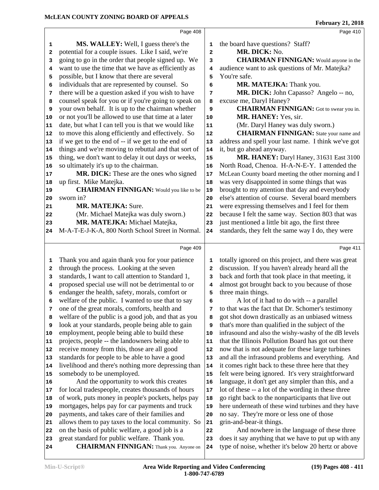|                   | Page 408                                                                                               |            | Page 410                                                               |  |
|-------------------|--------------------------------------------------------------------------------------------------------|------------|------------------------------------------------------------------------|--|
|                   | <b>MS. WALLEY:</b> Well, I guess there's the                                                           | 1          | the board have questions? Staff?                                       |  |
| 1                 | potential for a couple issues. Like I said, we're                                                      |            | MR. DICK: No.                                                          |  |
| $\mathbf{2}$<br>3 | going to go in the order that people signed up. We                                                     | 2<br>3     | <b>CHAIRMAN FINNIGAN:</b> Would anyone in the                          |  |
|                   | want to use the time that we have as efficiently as                                                    |            | audience want to ask questions of Mr. Matejka?                         |  |
| 4<br>5            | possible, but I know that there are several                                                            | 4<br>5     | You're safe.                                                           |  |
| 6                 | individuals that are represented by counsel. So                                                        | 6          | MR. MATEJKA: Thank you.                                                |  |
| 7                 | there will be a question asked if you wish to have                                                     | 7          | MR. DICK: John Capasso? Angelo -- no,                                  |  |
| 8                 | counsel speak for you or if you're going to speak on                                                   | 8          | excuse me, Daryl Haney?                                                |  |
| 9                 | your own behalf. It is up to the chairman whether                                                      | 9          | <b>CHAIRMAN FINNIGAN:</b> Got to swear you in.                         |  |
| 10                | or not you'll be allowed to use that time at a later                                                   | ${\bf 10}$ | MR. HANEY: Yes, sir.                                                   |  |
| 11                | date, but what I can tell you is that we would like                                                    | 11         | (Mr. Daryl Haney was duly sworn.)                                      |  |
| 12                | to move this along efficiently and effectively. So                                                     | ${\bf 12}$ | <b>CHAIRMAN FINNIGAN:</b> State your name and                          |  |
| 13                | if we get to the end of -- if we get to the end of                                                     | 13         | address and spell your last name. I think we've got                    |  |
| 14                | things and we're moving to rebuttal and that sort of                                                   | 14         | it, but go ahead anyway.                                               |  |
| 15                | thing, we don't want to delay it out days or weeks,                                                    | 15         | MR. HANEY: Daryl Haney, 31631 East 3100                                |  |
| 16                | so ultimately it's up to the chairman.                                                                 | 16         | North Road, Chenoa. H-A-N-E-Y. I attended the                          |  |
| 17                | MR. DICK: These are the ones who signed                                                                | $17\,$     | McLean County board meeting the other morning and I                    |  |
| 18                | up first. Mike Matejka.                                                                                | 18         | was very disappointed in some things that was                          |  |
| 19                | <b>CHAIRMAN FINNIGAN:</b> Would you like to be                                                         | 19         | brought to my attention that day and everybody                         |  |
| 20                | sworn in?                                                                                              | 20         | else's attention of course. Several board members                      |  |
| 21                | <b>MR. MATEJKA: Sure.</b>                                                                              | 21         | were expressing themselves and I feel for them                         |  |
| 22                | (Mr. Michael Matejka was duly sworn.)                                                                  | 22         | because I felt the same way. Section 803 that was                      |  |
| 23                | MR. MATEJKA: Michael Matejka,                                                                          | 23         | just mentioned a little bit ago, the first three                       |  |
| 24                | M-A-T-E-J-K-A, 800 North School Street in Normal.                                                      | 24         | standards, they felt the same way I do, they were                      |  |
|                   |                                                                                                        |            |                                                                        |  |
|                   | Page 409                                                                                               |            | Page 411                                                               |  |
| 1                 | Thank you and again thank you for your patience                                                        | 1          | totally ignored on this project, and there was great                   |  |
| $\mathbf{2}$      | through the process. Looking at the seven                                                              | 2          | discussion. If you haven't already heard all the                       |  |
| 3                 | standards, I want to call attention to Standard 1,                                                     | 3          | back and forth that took place in that meeting, it                     |  |
| 4                 | proposed special use will not be detrimental to or                                                     | 4          | almost got brought back to you because of those                        |  |
| 5                 | endanger the health, safety, morals, comfort or                                                        | 5          | three main things.                                                     |  |
| 6                 | welfare of the public. I wanted to use that to say                                                     | 6          | A lot of it had to do with -- a parallel                               |  |
| 7                 | one of the great morals, comforts, health and                                                          | 7          | to that was the fact that Dr. Schomer's testimony                      |  |
| 8                 | welfare of the public is a good job, and that as you                                                   | 8          | got shot down drastically as an unbiased witness                       |  |
| 9                 | look at your standards, people being able to gain                                                      | 9          | that's more than qualified in the subject of the                       |  |
| 10                | employment, people being able to build these                                                           | 10         | infrasound and also the wishy-washy of the dB levels                   |  |
| 11                | projects, people -- the landowners being able to                                                       | 11         | that the Illinois Pollution Board has got out there                    |  |
| 12                | receive money from this, those are all good                                                            | 12         | now that is not adequate for these large turbines                      |  |
| 13                | standards for people to be able to have a good                                                         | 13         | and all the infrasound problems and everything. And                    |  |
| 14                | livelihood and there's nothing more depressing than                                                    | 14         | it comes right back to these three here that they                      |  |
| 15                | somebody to be unemployed.                                                                             | 15         | felt were being ignored. It's very straightforward                     |  |
| 16                | And the opportunity to work this creates                                                               | 16         | language, it don't get any simpler than this, and a                    |  |
| 17                | for local tradespeople, creates thousands of hours                                                     | $17\,$     | lot of these -- a lot of the wording in these three                    |  |
| 18                | of work, puts money in people's pockets, helps pay                                                     | 18         | go right back to the nonparticipants that live out                     |  |
| 19                | mortgages, helps pay for car payments and truck                                                        | 19         | here underneath of these wind turbines and they have                   |  |
| 20                | payments, and takes care of their families and                                                         | 20         | no say. They're more or less one of those                              |  |
| 21                | allows them to pay taxes to the local community. So<br>on the basis of public welfare, a good job is a | 21<br>22   | grin-and-bear-it things.<br>And nowhere in the language of these three |  |
| 22<br>23          | great standard for public welfare. Thank you.                                                          | 23         | does it say anything that we have to put up with any                   |  |
| 24                | <b>CHAIRMAN FINNIGAN:</b> Thank you. Anyone on                                                         | 24         | type of noise, whether it's below 20 hertz or above                    |  |
|                   |                                                                                                        |            |                                                                        |  |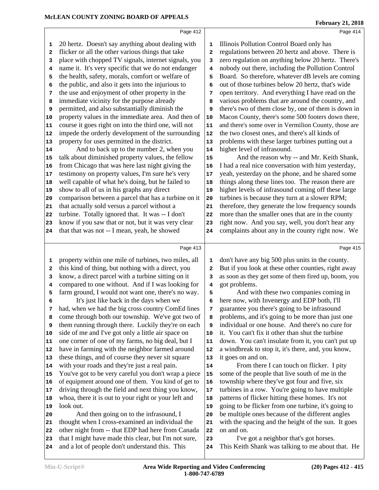|                         | Page 412                                             |              | Page 414                                             |
|-------------------------|------------------------------------------------------|--------------|------------------------------------------------------|
| 1                       | 20 hertz. Doesn't say anything about dealing with    | 1            | Illinois Pollution Control Board only has            |
| $\overline{\mathbf{2}}$ | flicker or all the other various things that take    | $\mathbf{2}$ | regulations between 20 hertz and above. There is     |
| 3                       | place with chopped TV signals, internet signals, you | 3            | zero regulation on anything below 20 hertz. There's  |
| 4                       | name it. It's very specific that we do not endanger  | 4            | nobody out there, including the Pollution Control    |
| 5                       | the health, safety, morals, comfort or welfare of    | 5            | Board. So therefore, whatever dB levels are coming   |
| 6                       | the public, and also it gets into the injurious to   | 6            | out of those turbines below 20 hertz, that's wide    |
| 7                       | the use and enjoyment of other property in the       | 7            | open territory. And everything I have read on the    |
| 8                       | immediate vicinity for the purpose already           | 8            | various problems that are around the country, and    |
| 9                       | permitted, and also substantially diminish the       | 9            | there's two of them close by, one of them is down in |
| 10                      | property values in the immediate area. And then of   | 10           | Macon County, there's some 500 footers down there,   |
| 11                      | course it goes right on into the third one, will not | ${\bf 11}$   | and there's some over in Vermilion County, those are |
| 12                      | impede the orderly development of the surrounding    | ${\bf 12}$   | the two closest ones, and there's all kinds of       |
| 13                      | property for uses permitted in the district.         | 13           | problems with these larger turbines putting out a    |
| 14                      | And to back up to the number 2, when you             | 14           | higher level of infrasound.                          |
| 15                      | talk about diminished property values, the fellow    | 15           | And the reason why -- and Mr. Keith Shank,           |
| 16                      | from Chicago that was here last night giving the     | 16           | I had a real nice conversation with him yesterday,   |
| 17                      | testimony on property values, I'm sure he's very     | 17           | yeah, yesterday on the phone, and he shared some     |
| 18                      | well capable of what he's doing, but he failed to    | 18           | things along these lines too. The reason there are   |
| 19                      | show to all of us in his graphs any direct           | 19           | higher levels of infrasound coming off these large   |
| 20                      | comparison between a parcel that has a turbine on it | 20           | turbines is because they turn at a slower RPM;       |
| 21                      | that actually sold versus a parcel without a         | 21           | therefore, they generate the low frequency sounds    |
| 22                      | turbine. Totally ignored that. It was -- I don't     | 22           | more than the smaller ones that are in the county    |
| 23                      | know if you saw that or not, but it was very clear   | 23           | right now. And you say, well, you don't hear any     |
| 24                      | that that was not -- I mean, yeah, he showed         | 24           | complaints about any in the county right now. We     |
|                         |                                                      |              |                                                      |
|                         | Page 413                                             |              | Page 415                                             |
| 1                       | property within one mile of turbines, two miles, all | $\mathbf 1$  | don't have any big 500 plus units in the county.     |
| $\mathbf{2}$            | this kind of thing, but nothing with a direct, you   | $\mathbf{2}$ | But if you look at these other counties, right away  |
| 3                       | know, a direct parcel with a turbine sitting on it   | 3            | as soon as they get some of them fired up, boom, you |
| 4                       | compared to one without. And if I was looking for    | 4            | got problems.                                        |
| 5                       | farm ground, I would not want one, there's no way.   | 5            | And with these two companies coming in               |
| 6                       | It's just like back in the days when we              | 6            | here now, with Invenergy and EDP both, I'll          |
| 7                       | had, when we had the big cross country ComEd lines   | 7            | guarantee you there's going to be infrasound         |
| 8                       | come through both our township. We've got two of     | 8            | problems, and it's going to be more than just one    |
| 9                       | them running through there. Luckily they're on each  | 9            | individual or one house. And there's no cure for     |
| 10                      | side of me and I've got only a little air space on   | 10           | it. You can't fix it other than shut the turbine     |
| 11                      | one corner of one of my farms, no big deal, but I    | 11           | down. You can't insulate from it, you can't put up   |
| 12                      | have in farming with the neighbor farmed around      | 12           | a windbreak to stop it, it's there, and, you know,   |
| 13                      | these things, and of course they never sit square    | 13           | it goes on and on.                                   |
| 14                      | with your roads and they're just a real pain.        | 14           | From there I can touch on flicker. I pity            |
| 15                      | You've got to be very careful you don't wrap a piece | 15           | some of the people that live south of me in the      |
| 16                      | of equipment around one of them. You kind of get to  | 16           | township where they've got four and five, six        |
| 17                      | driving through the field and next thing you know,   | 17           | turbines in a row. You're going to have multiple     |
| 18                      | whoa, there it is out to your right or your left and | 18           | patterns of flicker hitting these homes. It's not    |
| 19                      | look out.                                            | 19           | going to be flicker from one turbine, it's going to  |
| 20                      | And then going on to the infrasound, I               | 20           | be multiple ones because of the different angles     |
| 21                      | thought when I cross-examined an individual the      | 21           | with the spacing and the height of the sun. It goes  |
| 22                      |                                                      | 22           | on and on.                                           |
|                         | other night from -- that EDP had here from Canada    |              |                                                      |
| 23                      | that I might have made this clear, but I'm not sure, | 23           | I've got a neighbor that's got horses.               |
| 24                      | and a lot of people don't understand this. This      | 24           | This Keith Shank was talking to me about that. He    |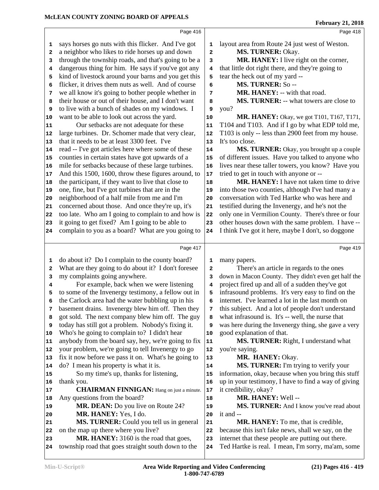|                         | Page 416                                                    |              | Page 418                                              |
|-------------------------|-------------------------------------------------------------|--------------|-------------------------------------------------------|
| 1                       | says horses go nuts with this flicker. And I've got         | 1            | layout area from Route 24 just west of Weston.        |
| $\mathbf{2}$            | a neighbor who likes to ride horses up and down             | 2            | MS. TURNER: Okay.                                     |
| 3                       | through the township roads, and that's going to be a        | 3            | MR. HANEY: I live right on the corner,                |
| 4                       | dangerous thing for him. He says if you've got any          | 4            | that little dot right there, and they're going to     |
| 5                       | kind of livestock around your barns and you get this        | 5            | tear the heck out of my yard --                       |
| 6                       | flicker, it drives them nuts as well. And of course         | 6            | MS. TURNER: So--                                      |
| 7                       | we all know it's going to bother people whether in          | 7            | MR. HANEY: -- with that road.                         |
| 8                       | their house or out of their house, and I don't want         | 8            | MS. TURNER: -- what towers are close to               |
| 9                       | to live with a bunch of shades on my windows. I             | 9            | you?                                                  |
| 10                      | want to be able to look out across the yard.                | 10           | MR. HANEY: Okay, we got T101, T167, T171,             |
| 11                      | Our setbacks are not adequate for these                     | 11           | T104 and T103. And if I go by what EDP told me,       |
| 12                      | large turbines. Dr. Schomer made that very clear,           | 12           | T103 is only -- less than 2900 feet from my house.    |
| 13                      | that it needs to be at least 3300 feet. I've                | 13           | It's too close.                                       |
| 14                      | read -- I've got articles here where some of these          | 14           | MS. TURNER: Okay, you brought up a couple             |
| 15                      | counties in certain states have got upwards of a            | 15           | of different issues. Have you talked to anyone who    |
| 16                      | mile for setbacks because of these large turbines.          | 16           | lives near these taller towers, you know? Have you    |
| 17                      | And this 1500, 1600, throw these figures around, to         | 17           | tried to get in touch with anyone or --               |
| 18                      | the participant, if they want to live that close to         | 18           | <b>MR. HANEY:</b> I have not taken time to drive      |
| 19                      | one, fine, but I've got turbines that are in the            | 19           | into those two counties, although I've had many a     |
| 20                      | neighborhood of a half mile from me and I'm                 | 20           | conversation with Ted Hartke who was here and         |
| 21                      | concerned about those. And once they're up, it's            | 21           | testified during the Invenergy, and he's not the      |
| 22                      | too late. Who am I going to complain to and how is          | 22           | only one in Vermilion County. There's three or four   |
| 23                      | it going to get fixed? Am I going to be able to             | 23           | other houses down with the same problem. I have --    |
| 24                      | complain to you as a board? What are you going to           | 24           | I think I've got it here, maybe I don't, so doggone   |
|                         |                                                             |              |                                                       |
|                         |                                                             |              |                                                       |
|                         | Page 417                                                    |              | Page 419                                              |
| 1                       | do about it? Do I complain to the county board?             | 1            | many papers.                                          |
| $\overline{\mathbf{2}}$ | What are they going to do about it? I don't foresee         | $\mathbf{2}$ | There's an article in regards to the ones             |
| 3                       | my complaints going anywhere.                               | 3            | down in Macon County. They didn't even get half the   |
| 4                       | For example, back when we were listening                    | 4            | project fired up and all of a sudden they've got      |
| 5                       | to some of the Invenergy testimony, a fellow out in         | 5            | infrasound problems. It's very easy to find on the    |
| 6                       | the Carlock area had the water bubbling up in his           | 6            | internet. I've learned a lot in the last month on     |
| 7                       | basement drains. Invenergy blew him off. Then they          | 7            | this subject. And a lot of people don't understand    |
| 8                       | got sold. The next company blew him off. The guy            | 8            | what infrasound is. It's -- well, the nurse that      |
| 9                       | today has still got a problem. Nobody's fixing it.          | 9            | was here during the Invenergy thing, she gave a very  |
| 10                      | Who's he going to complain to? I didn't hear                | 10           | good explanation of that.                             |
| 11                      | anybody from the board say, hey, we're going to fix         | 11           | MS. TURNER: Right, I understand what                  |
| 12                      | your problem, we're going to tell Invenergy to go           | 12           | you're saying.                                        |
| 13                      | fix it now before we pass it on. What's he going to         | 13           | MR. HANEY: Okay.                                      |
| 14                      | do? I mean his property is what it is.                      | 14           | MS. TURNER: I'm trying to verify your                 |
| 15                      | So my time's up, thanks for listening,                      | 15           | information, okay, because when you bring this stuff  |
| 16                      | thank you.                                                  | 16           | up in your testimony, I have to find a way of giving  |
| 17                      | <b>CHAIRMAN FINNIGAN:</b> Hang on just a minute.            | 17           | it credibility, okay?                                 |
| 18<br>19                | Any questions from the board?                               | 18<br>19     | MR. HANEY: Well --                                    |
| 20                      | MR. DEAN: Do you live on Route 24?<br>MR. HANEY: Yes, I do. | 20           | MS. TURNER: And I know you've read about<br>it and -- |
| 21                      | MS. TURNER: Could you tell us in general                    | 21           | <b>MR. HANEY:</b> To me, that is credible,            |
| 22                      | on the map up there where you live?                         | 22           | because this isn't fake news, shall we say, on the    |
| 23                      | MR. HANEY: 3160 is the road that goes,                      | 23           | internet that these people are putting out there.     |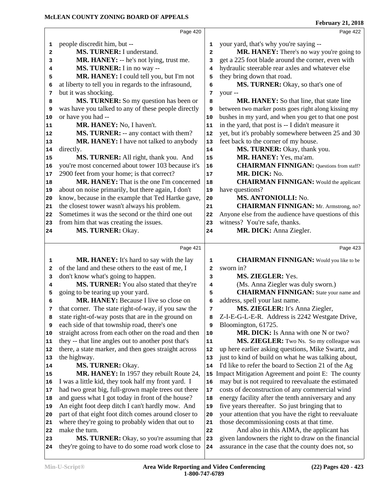|                                              |                                                      |              | February 21, 2018                                    |
|----------------------------------------------|------------------------------------------------------|--------------|------------------------------------------------------|
|                                              | Page 420                                             |              | Page 422                                             |
| 1                                            | people discredit him, but --                         | 1            | your yard, that's why you're saying --               |
| $\overline{\mathbf{2}}$                      | MS. TURNER: I understand.                            | $\mathbf{2}$ | MR. HANEY: There's no way you're going to            |
| 3                                            | MR. HANEY: -- he's not lying, trust me.              | 3            | get a 225 foot blade around the corner, even with    |
| 4                                            | MS. TURNER: I in no way --                           | 4            | hydraulic steerable rear axles and whatever else     |
| 5                                            | MR. HANEY: I could tell you, but I'm not             | 5            | they bring down that road.                           |
| 6                                            | at liberty to tell you in regards to the infrasound, | 6            | MS. TURNER: Okay, so that's one of                   |
| 7                                            | but it was shocking.                                 | 7            | your --                                              |
| 8                                            | MS. TURNER: So my question has been or               | 8            | MR. HANEY: So that line, that state line             |
| 9                                            | was have you talked to any of these people directly  | 9            | between two marker posts goes right along kissing my |
| 10                                           | or have you had --                                   | 10           | bushes in my yard, and when you get to that one post |
| 11                                           | MR. HANEY: No, I haven't.                            | 11           | in the yard, that post is -- I didn't measure it     |
| 12                                           | MS. TURNER: -- any contact with them?                | 12           | yet, but it's probably somewhere between 25 and 30   |
| 13                                           | MR. HANEY: I have not talked to anybody              | 13           | feet back to the corner of my house.                 |
| 14                                           | directly.                                            | 14           | MS. TURNER: Okay, thank you.                         |
| 15                                           | MS. TURNER: All right, thank you. And                | 15           | MR. HANEY: Yes, ma'am.                               |
| 16                                           | you're most concerned about tower 103 because it's   | 16           | <b>CHAIRMAN FINNIGAN:</b> Questions from staff?      |
| 17                                           | 2900 feet from your home; is that correct?           | 17           | MR. DICK: No.                                        |
| 18                                           | MR. HANEY: That is the one I'm concerned             | 18           | <b>CHAIRMAN FINNIGAN:</b> Would the applicant        |
| 19                                           | about on noise primarily, but there again, I don't   | 19           | have questions?                                      |
| 20                                           | know, because in the example that Ted Hartke gave,   | 20           | MS. ANTONIOLLI: No.                                  |
| 21                                           | the closest tower wasn't always his problem.         | 21           | <b>CHAIRMAN FINNIGAN:</b> Mr. Armstrong, no?         |
| 22                                           | Sometimes it was the second or the third one out     | 22           | Anyone else from the audience have questions of this |
| 23                                           | from him that was creating the issues.               | 23           | witness? You're safe, thanks.                        |
| 24                                           | MS. TURNER: Okay.                                    | 24           | MR. DICK: Anna Ziegler.                              |
|                                              |                                                      |              |                                                      |
|                                              | Page 421                                             |              | Page 423                                             |
| 1                                            | MR. HANEY: It's hard to say with the lay             | 1            | <b>CHAIRMAN FINNIGAN:</b> Would you like to be       |
| $\mathbf{2}$                                 | of the land and these others to the east of me, I    | $\mathbf{2}$ | sworn in?                                            |
| 3                                            | don't know what's going to happen.                   | 3            | MS. ZIEGLER: Yes.                                    |
| 4                                            | MS. TURNER: You also stated that they're             | 4            | (Ms. Anna Ziegler was duly sworn.)                   |
| 5                                            | going to be tearing up your yard.                    | 5            | <b>CHAIRMAN FINNIGAN:</b> State your name and        |
| 6                                            | MR. HANEY: Because I live so close on                | 6            | address, spell your last name.                       |
| 7                                            | that corner. The state right-of-way, if you saw the  | 7            | MS. ZIEGLER: It's Anna Ziegler,                      |
| 8                                            | state right-of-way posts that are in the ground on   | 8            | Z-I-E-G-L-E-R. Address is 2242 Westgate Drive,       |
| 9                                            | each side of that township road, there's one         | 9            | Bloomington, 61725.                                  |
| 10                                           | straight across from each other on the road and then | $10$         | MR. DICK: Is Anna with one N or two?                 |
| 11                                           | they -- that line angles out to another post that's  | ${\bf 11}$   | MS. ZIEGLER: Two Ns. So my colleague was             |
| 12                                           | there, a state marker, and then goes straight across | 12           | up here earlier asking questions, Mike Swartz, and   |
| 13                                           | the highway.                                         | 13           | just to kind of build on what he was talking about,  |
| 14                                           | MS. TURNER: Okay.                                    | 14           | I'd like to refer the board to Section 21 of the Ag  |
| 15                                           | MR. HANEY: In 1957 they rebuilt Route 24,            | 15           | Impact Mitigation Agreement and point E: The county  |
|                                              |                                                      |              | may but is not required to reevaluate the estimated  |
|                                              | I was a little kid, they took half my front yard. I  | 16           |                                                      |
|                                              | had two great big, full-grown maple trees out there  | 17           | costs of deconstruction of any commercial wind       |
|                                              | and guess what I got today in front of the house?    | 18           | energy facility after the tenth anniversary and any  |
|                                              | An eight foot deep ditch I can't hardly mow. And     | 19           | five years thereafter. So just bringing that to      |
|                                              | part of that eight foot ditch comes around closer to | 20           | your attention that you have the right to reevaluate |
|                                              | where they're going to probably widen that out to    | 21           | those decommissioning costs at that time.            |
|                                              | make the turn.                                       | 22           | And also in this AIMA, the applicant has             |
| 16<br>17<br>18<br>19<br>20<br>21<br>22<br>23 | MS. TURNER: Okay, so you're assuming that            | 23           | given landowners the right to draw on the financial  |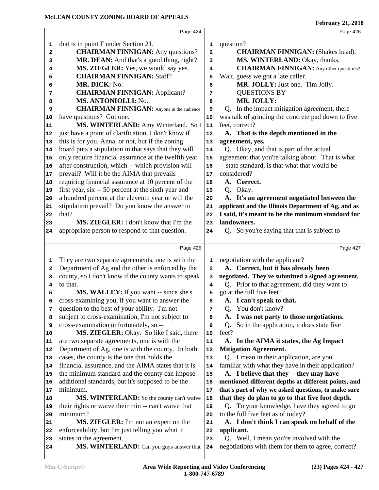|              | Page 424                                                             |              | Page 426                                                                                       |
|--------------|----------------------------------------------------------------------|--------------|------------------------------------------------------------------------------------------------|
| 1            | that is in point F under Section 21.                                 | 1            | question?                                                                                      |
| $\mathbf{2}$ | <b>CHAIRMAN FINNIGAN:</b> Any questions?                             | $\mathbf{z}$ | <b>CHAIRMAN FINNIGAN:</b> (Shakes head).                                                       |
| 3            | MR. DEAN: And that's a good thing, right?                            | 3            | MS. WINTERLAND: Okay, thanks.                                                                  |
| 4            | MS. ZIEGLER: Yes, we would say yes.                                  | 4            | <b>CHAIRMAN FINNIGAN:</b> Any other questions?                                                 |
| 5            | <b>CHAIRMAN FINNIGAN: Staff?</b>                                     | 5            | Wait, guess we got a late caller.                                                              |
| 6            | MR. DICK: No.                                                        | 6            | MR. JOLLY: Just one. Tim Jolly.                                                                |
| 7            | <b>CHAIRMAN FINNIGAN: Applicant?</b>                                 | 7            | <b>QUESTIONS BY</b>                                                                            |
|              | MS. ANTONIOLLI: No.                                                  | 8            | MR. JOLLY:                                                                                     |
| 8<br>9       | <b>CHAIRMAN FINNIGAN:</b> Anyone in the audience                     | 9            | Q. In the impact mitigation agreement, there                                                   |
| 10           | have questions? Got one.                                             | 10           | was talk of grinding the concrete pad down to five                                             |
|              | MS. WINTERLAND: Amy Winterland. So I                                 | 11           | feet, correct?                                                                                 |
| 11           |                                                                      |              |                                                                                                |
| 12           | just have a point of clarification, I don't know if                  | 12           | A. That is the depth mentioned in the                                                          |
| 13           | this is for you, Anna, or not, but if the zoning                     | 13           | agreement, yes.                                                                                |
| 14           | board puts a stipulation in that says that they will                 | 14           | Q. Okay, and that is part of the actual                                                        |
| 15           | only require financial assurance at the twelfth year                 | 15           | agreement that you're talking about. That is what                                              |
| 16           | after construction, which -- which provision will                    | 16           | -- state standard, is that what that would be                                                  |
| 17           | prevail? Will it be the AIMA that prevails                           | 17           | considered?                                                                                    |
| 18           | requiring financial assurance at 10 percent of the                   | 18           | A. Correct.                                                                                    |
| 19           | first year, six -- 50 percent at the sixth year and                  | 19           | Q. Okay.                                                                                       |
| 20           | a hundred percent at the eleventh year or will the                   | 20           | A. It's an agreement negotiated between the                                                    |
| 21           | stipulation prevail? Do you know the answer to                       | 21           | applicant and the Illinois Department of Ag, and as                                            |
| 22           | that?                                                                | 22           | I said, it's meant to be the minimum standard for                                              |
| 23           | MS. ZIEGLER: I don't know that I'm the                               | 23           | landowners.                                                                                    |
|              |                                                                      |              |                                                                                                |
| 24           | appropriate person to respond to that question.                      | 24           | Q. So you're saying that that is subject to                                                    |
|              |                                                                      |              |                                                                                                |
|              | Page 425                                                             |              | Page 427                                                                                       |
| 1            | They are two separate agreements, one is with the                    | 1            | negotiation with the applicant?                                                                |
| $\mathbf{2}$ | Department of Ag and the other is enforced by the                    | 2            | A. Correct, but it has already been                                                            |
| 3            | county, so I don't know if the county wants to speak                 | 3            | negotiated. They've submitted a signed agreement.                                              |
| 4            | to that.                                                             | 4            | Q. Prior to that agreement, did they want to                                                   |
| 5            | MS. WALLEY: If you want -- since she's                               | 5            | go at the full five feet?                                                                      |
| 6            | cross-examining you, if you want to answer the                       | 6            | A. I can't speak to that.                                                                      |
| 7            | question to the best of your ability. I'm not                        | 7            | You don't know?<br>Q.                                                                          |
| 8            | subject to cross-examination, I'm not subject to                     | 8            | A. I was not party to those negotiations.                                                      |
| 9            | cross-examination unfortunately, so --                               | 9            | So in the application, it does state five<br>Q.                                                |
| 10           | MS. ZIEGLER: Okay. So like I said, there                             | 10           | feet?                                                                                          |
| 11           | are two separate agreements, one is with the                         | ${\bf 11}$   | A. In the AIMA it states, the Ag Impact                                                        |
| 12           | Department of Ag, one is with the county. In both                    | 12           | <b>Mitigation Agreement.</b>                                                                   |
| 13           | cases, the county is the one that holds the                          | 13           | Q. I mean in their application, are you                                                        |
| 14           | financial assurance, and the AIMA states that it is                  | 14           | familiar with what they have in their application?                                             |
| 15           | the minimum standard and the county can impose                       | 15           | A. I believe that they -- they may have                                                        |
| 16           | additional standards, but it's supposed to be the                    | 16           | mentioned different depths at different points, and                                            |
| 17           | minimum.                                                             | 17           | that's part of why we asked questions, to make sure                                            |
| 18           | MS. WINTERLAND: So the county can't waive                            | 18           | that they do plan to go to that five foot depth.                                               |
| 19           | their rights or waive their min -- can't waive that                  | 19           | Q. To your knowledge, have they agreed to go                                                   |
| 20           | minimum?                                                             | 20           | to the full five feet as of today?                                                             |
| 21           | MS. ZIEGLER: I'm not an expert on the                                | 21           | A. I don't think I can speak on behalf of the                                                  |
| 22           | enforceability, but I'm just telling you what it                     | 22           | applicant.                                                                                     |
| 23           | states in the agreement.<br>MS. WINTERLAND: Can you guys answer that | 23           | Q. Well, I mean you're involved with the<br>negotiations with them for them to agree, correct? |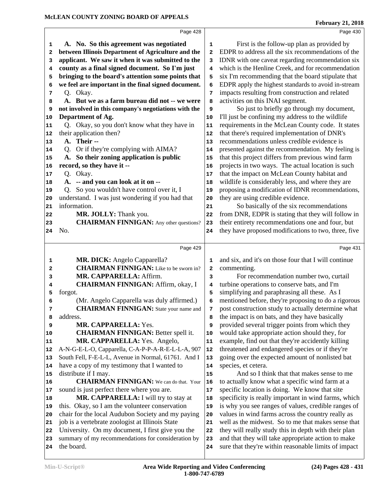|              | Page 428                                             |    | Page 430                                             |
|--------------|------------------------------------------------------|----|------------------------------------------------------|
| 1            | A. No. So this agreement was negotiated              | 1  | First is the follow-up plan as provided by           |
| $\mathbf{2}$ | between Illinois Department of Agriculture and the   | 2  | EDPR to address all the six recommendations of the   |
| 3            | applicant. We saw it when it was submitted to the    | 3  | IDNR with one caveat regarding recommendation six    |
| 4            | county as a final signed document. So I'm just       | 4  | which is the Henline Creek, and for recommendation   |
| 5            | bringing to the board's attention some points that   | 5  | six I'm recommending that the board stipulate that   |
| 6            | we feel are important in the final signed document.  | 6  | EDPR apply the highest standards to avoid in-stream  |
| 7            | Q. Okay.                                             | 7  | impacts resulting from construction and related      |
| 8            | A. But we as a farm bureau did not -- we were        | 8  | activities on this INAI segment.                     |
| 9            | not involved in this company's negotiations with the | 9  | So just to briefly go through my document,           |
| 10           | Department of Ag.                                    | 10 | I'll just be confining my address to the wildlife    |
| 11           | Q. Okay, so you don't know what they have in         | 11 | requirements in the McLean County code. It states    |
| 12           | their application then?                              | 12 | that there's required implementation of DNR's        |
| 13           | A. Their --                                          | 13 | recommendations unless credible evidence is          |
| 14           | Or if they're complying with AIMA?<br>Q.             | 14 | presented against the recommendation. My feeling is  |
| 15           | A. So their zoning application is public             | 15 | that this project differs from previous wind farm    |
| 16           | record, so they have it --                           | 16 | projects in two ways. The actual location is such    |
| 17           | Q. Okay.                                             | 17 | that the impact on McLean County habitat and         |
| 18           | A. -- and you can look at it on --                   | 18 | wildlife is considerably less, and where they are    |
| 19           | Q. So you wouldn't have control over it, I           | 19 | proposing a modification of IDNR recommendations,    |
| 20           | understand. I was just wondering if you had that     | 20 | they are using credible evidence.                    |
| 21           | information.                                         | 21 | So basically of the six recommendations              |
| 22           | MR. JOLLY: Thank you.                                | 22 | from DNR, EDPR is stating that they will follow in   |
| 23           | <b>CHAIRMAN FINNIGAN:</b> Any other questions?       | 23 | their entirety recommendations one and four, but     |
| 24           | No.                                                  | 24 | they have proposed modifications to two, three, five |
|              |                                                      |    |                                                      |
|              | Page 429                                             |    | Page 431                                             |
| 1            | MR. DICK: Angelo Capparella?                         | 1  | and six, and it's on those four that I will continue |
| 2            | <b>CHAIRMAN FINNIGAN:</b> Like to be sworn in?       | 2  | commenting.                                          |
| 3            | MR. CAPPARELLA: Affirm.                              | 3  | For recommendation number two, curtail               |
| 4            | <b>CHAIRMAN FINNIGAN: Affirm, okay, I</b>            | 4  | turbine operations to conserve bats, and I'm         |
| 5            | forgot.                                              | 5  | simplifying and paraphrasing all these. As I         |
| 6            | (Mr. Angelo Capparella was duly affirmed.)           | 6  | mentioned before, they're proposing to do a rigorous |
| 7            | <b>CHAIRMAN FINNIGAN:</b> State your name and        | 7  | post construction study to actually determine what   |
| 8            | address.                                             | 8  | the impact is on bats, and they have basically       |
| 9            | MR. CAPPARELLA: Yes.                                 | 9  | provided several trigger points from which they      |
| 10           | <b>CHAIRMAN FINNIGAN: Better spell it.</b>           | 10 | would take appropriate action should they, for       |
| 11           |                                                      |    |                                                      |
| 12           |                                                      |    |                                                      |
|              | MR. CAPPARELLA: Yes. Angelo,                         | 11 | example, find out that they're accidently killing    |
|              | A-N-G-E-L-O, Capparella, C-A-P-P-A-R-E-L-L-A, 907    | 12 | threatened and endangered species or if they're      |
| 13           | South Fell, F-E-L-L, Avenue in Normal, 61761. And I  | 13 | going over the expected amount of nonlisted bat      |
| 14           | have a copy of my testimony that I wanted to         | 14 | species, et cetera.                                  |
| 15           | distribute if I may.                                 | 15 | And so I think that that makes sense to me           |
| 16           | <b>CHAIRMAN FINNIGAN:</b> We can do that. Your       | 16 | to actually know what a specific wind farm at a      |
| 17           | sound is just perfect there where you are.           | 17 | specific location is doing. We know that site        |
| 18           | MR. CAPPARELLA: I will try to stay at                | 18 | specificity is really important in wind farms, which |
| 19           | this. Okay, so I am the volunteer conservation       | 19 | is why you see ranges of values, credible ranges of  |
| 20           | chair for the local Audubon Society and my paying    | 20 | values in wind farms across the country really as    |
| 21           | job is a vertebrate zoologist at Illinois State      | 21 | well as the midwest. So to me that makes sense that  |
| 22           | University. On my document, I first give you the     | 22 | they will really study this in depth with their plan |
| 23           | summary of my recommendations for consideration by   | 23 | and that they will take appropriate action to make   |
| 24           | the board.                                           | 24 | sure that they're within reasonable limits of impact |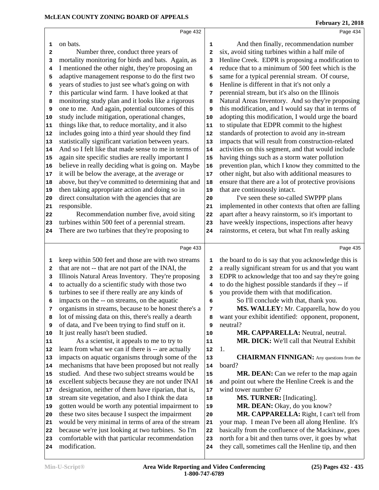north for a bit and then turns over, it goes by what they call, sometimes call the Henline tip, and then

| 1  | on bats.                                             | 1  | And then finally, recommendation number                                                                   |
|----|------------------------------------------------------|----|-----------------------------------------------------------------------------------------------------------|
| 2  | Number three, conduct three years of                 | 2  | six, avoid siting turbines within a half mile of                                                          |
| з  | mortality monitoring for birds and bats. Again, as   | 3  | Henline Creek. EDPR is proposing a modification to                                                        |
| 4  | I mentioned the other night, they're proposing an    | 4  | reduce that to a minimum of 500 feet which is the                                                         |
| 5  | adaptive management response to do the first two     | 5  | same for a typical perennial stream. Of course,                                                           |
| 6  | years of studies to just see what's going on with    | 6  | Henline is different in that it's not only a                                                              |
| 7  | this particular wind farm. I have looked at that     | 7  | perennial stream, but it's also on the Illinois                                                           |
| 8  | monitoring study plan and it looks like a rigorous   | 8  | Natural Areas Inventory. And so they're proposing                                                         |
| 9  | one to me. And again, potential outcomes of this     | 9  | this modification, and I would say that in terms of                                                       |
| 10 | study include mitigation, operational changes,       | 10 | adopting this modification, I would urge the board                                                        |
| 11 | things like that, to reduce mortality, and it also   | 11 | to stipulate that EDPR commit to the highest                                                              |
| 12 | includes going into a third year should they find    | 12 | standards of protection to avoid any in-stream                                                            |
| 13 | statistically significant variation between years.   | 13 | impacts that will result from construction-related                                                        |
| 14 | And so I felt like that made sense to me in terms of | 14 | activities on this segment, and that would include                                                        |
| 15 | again site specific studies are really important I   | 15 | having things such as a storm water pollution                                                             |
| 16 | believe in really deciding what is going on. Maybe   | 16 | prevention plan, which I know they committed to the                                                       |
| 17 | it will be below the average, at the average or      | 17 | other night, but also with additional measures to                                                         |
| 18 | above, but they've committed to determining that and | 18 | ensure that there are a lot of protective provisions                                                      |
| 19 | then taking appropriate action and doing so in       | 19 | that are continuously intact.                                                                             |
| 20 | direct consultation with the agencies that are       | 20 | I've seen these so-called SWPPP plans                                                                     |
| 21 | responsible.                                         | 21 | implemented in other contexts that often are falling                                                      |
| 22 | Recommendation number five, avoid siting             | 22 | apart after a heavy rainstorm, so it's important to                                                       |
| 23 | turbines within 500 feet of a perennial stream.      | 23 | have weekly inspections, inspections after heavy                                                          |
| 24 | There are two turbines that they're proposing to     | 24 | rainstorms, et cetera, but what I'm really asking                                                         |
|    | Page 433                                             |    | Page 435                                                                                                  |
| 1  | keep within 500 feet and those are with two streams  | 1  | the board to do is say that you acknowledge this is                                                       |
| 2  | that are not -- that are not part of the INAI, the   | 2  | a really significant stream for us and that you want                                                      |
| з  | Illinois Natural Areas Inventory. They're proposing  | з  | EDPR to acknowledge that too and say they're going                                                        |
| 4  | to actually do a scientific study with those two     | 4  | to do the highest possible standards if they -- if                                                        |
| 5  | turbines to see if there really are any kinds of     | 5  | you provide them with that modification.                                                                  |
| 6  | impacts on the -- on streams, on the aquatic         | 6  | So I'll conclude with that, thank you.                                                                    |
| 7  | organisms in streams, because to be honest there's a | 7  | MS. WALLEY: Mr. Capparella, how do you                                                                    |
| 8  | lot of missing data on this, there's really a dearth | 8  | want your exhibit identified: opponent, proponent,                                                        |
| 9  | of data, and I've been trying to find stuff on it.   | 9  | neutral?                                                                                                  |
| 10 | It just really hasn't been studied.                  | 10 | MR. CAPPARELLA: Neutral, neutral.                                                                         |
| 11 | As a scientist, it appeals to me to try to           | 11 | <b>MR. DICK:</b> We'll call that Neutral Exhibit                                                          |
| 12 | learn from what we can if there is -- are actually   | 12 | 1.                                                                                                        |
| 13 | impacts on aquatic organisms through some of the     | 13 | <b>CHAIRMAN FINNIGAN:</b> Any questions from the                                                          |
| 14 | mechanisms that have been proposed but not really    | 14 | board?                                                                                                    |
| 15 | studied. And these two subject streams would be      | 15 | MR. DEAN: Can we refer to the map again                                                                   |
|    |                                                      |    |                                                                                                           |
| 16 | excellent subjects because they are not under INAI   | 16 | and point out where the Henline Creek is and the                                                          |
| 17 | designation, neither of them have riparian, that is, | 17 | wind tower number 6?                                                                                      |
| 18 | stream site vegetation, and also I think the data    | 18 | MS. TURNER: [Indicating].                                                                                 |
| 19 | gotten would be worth any potential impairment to    | 19 | MR. DEAN: Okay, do you know?                                                                              |
| 20 | these two sites because I suspect the impairment     | 20 | MR. CAPPARELLA: Right, I can't tell from                                                                  |
| 21 | would be very minimal in terms of area of the stream | 21 | your map. I mean I've been all along Henline. It's<br>basically from the confluence of the Mackinaw, goes |

**1-800-747-6789**

Page 432

 because we're just looking at two turbines. So I'm comfortable with that particular recommendation

modification.

# Page 434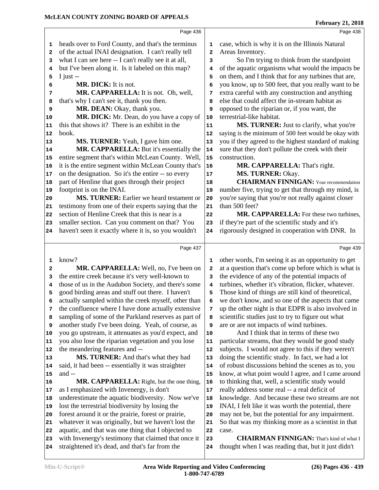thought when I was reading that, but it just didn't

|          | heads over to Ford County, and that's the terminus                                                         | 1                       | case, which is why it is on the Illinois Natural         |
|----------|------------------------------------------------------------------------------------------------------------|-------------------------|----------------------------------------------------------|
| 2        | of the actual INAI designation. I can't really tell                                                        | $\overline{\mathbf{2}}$ | Areas Inventory.                                         |
| 3        | what I can see here -- I can't really see it at all,                                                       | 3                       | So I'm trying to think from the standpoint               |
| 4        | but I've been along it. Is it labeled on this map?                                                         | 4                       | of the aquatic organisms what would the impacts be       |
| 5        | I just $-$                                                                                                 | 5                       | on them, and I think that for any turbines that are,     |
| 6        | MR. DICK: It is not.                                                                                       | 6                       | you know, up to 500 feet, that you really want to be     |
| 7        | MR. CAPPARELLA: It is not. Oh, well,                                                                       | 7                       | extra careful with any construction and anything         |
| 8        | that's why I can't see it, thank you then.                                                                 | 8                       | else that could affect the in-stream habitat as          |
| 9        | MR. DEAN: Okay, thank you.                                                                                 | 9                       | opposed to the riparian or, if you want, the             |
| 10       | MR. DICK: Mr. Dean, do you have a copy of                                                                  | 10                      | terrestrial-like habitat.                                |
| 11       | this that shows it? There is an exhibit in the                                                             | 11                      | MS. TURNER: Just to clarify, what you're                 |
| 12       | book.                                                                                                      | 12                      | saying is the minimum of 500 feet would be okay with     |
| 13       | MS. TURNER: Yeah, I gave him one.                                                                          | 13                      | you if they agreed to the highest standard of making     |
| 14       | MR. CAPPARELLA: But it's essentially the                                                                   | 14                      | sure that they don't pollute the creek with their        |
| 15       | entire segment that's within McLean County. Well,                                                          | 15                      | construction.                                            |
| 16       | it is the entire segment within McLean County that's                                                       | 16                      | MR. CAPPARELLA: That's right.                            |
| 17       | on the designation. So it's the entire -- so every                                                         | 17                      | MS. TURNER: Okay.                                        |
| 18       | part of Henline that goes through their project                                                            | 18                      | <b>CHAIRMAN FINNIGAN:</b> Your recommendation            |
| 19       | footprint is on the INAI.                                                                                  | 19                      | number five, trying to get that through my mind, is      |
| 20       | MS. TURNER: Earlier we heard testament or                                                                  | 20                      | you're saying that you're not really against closer      |
| 21       | testimony from one of their experts saying that the                                                        | 21                      | than 500 feet?                                           |
| 22       | section of Henline Creek that this is near is a                                                            | 22                      | MR. CAPPARELLA: For these two turbines,                  |
| 23       | smaller section. Can you comment on that? You                                                              | 23                      | if they're part of the scientific study and it's         |
| 24       | haven't seen it exactly where it is, so you wouldn't                                                       | 24                      | rigorously designed in cooperation with DNR. In          |
|          | Page 437                                                                                                   |                         | Page 439                                                 |
|          |                                                                                                            |                         |                                                          |
| 1        | know?                                                                                                      | 1                       | other words, I'm seeing it as an opportunity to get      |
| 2        | MR. CAPPARELLA: Well, no, I've been on                                                                     | $\mathbf{2}$            | at a question that's come up before which is what is     |
|          |                                                                                                            |                         |                                                          |
| 3        | the entire creek because it's very well-known to                                                           | 3                       | the evidence of any of the potential impacts of          |
| 4        | those of us in the Audubon Society, and there's some                                                       | 4                       | turbines, whether it's vibration, flicker, whatever.     |
| 5        | good birding areas and stuff out there. I haven't                                                          | 5                       | Those kind of things are still kind of theoretical,      |
| 6        | actually sampled within the creek myself, other than                                                       | 6                       | we don't know, and so one of the aspects that came       |
| 7        | the confluence where I have done actually extensive                                                        | 7                       | up the other night is that EDPR is also involved in      |
| 8        | sampling of some of the Parkland reserves as part of                                                       | 8                       | scientific studies just to try to figure out what        |
| 9        | another study I've been doing. Yeah, of course, as                                                         | 9                       | are or are not impacts of wind turbines.                 |
| 10       | you go upstream, it attenuates as you'd expect, and                                                        | 10                      | And I think that in terms of these two                   |
| 11       | you also lose the riparian vegetation and you lose                                                         | 11                      | particular streams, that they would be good study        |
| 12       | the meandering features and --                                                                             | 12                      | subjects. I would not agree to this if they weren't      |
| 13       | MS. TURNER: And that's what they had                                                                       | 13                      | doing the scientific study. In fact, we had a lot        |
| 14       | said, it had been -- essentially it was straighter                                                         | 14                      | of robust discussions behind the scenes as to, you       |
| 15       | and --                                                                                                     | 15                      | know, at what point would I agree, and I came around     |
| 16       | MR. CAPPARELLA: Right, but the one thing,                                                                  | 16                      | to thinking that, well, a scientific study would         |
| 17       | as I emphasized with Invenergy, is don't                                                                   | 17                      | really address some real -- a real deficit of            |
| 18       | underestimate the aquatic biodiversity. Now we've                                                          | 18                      | knowledge. And because these two streams are not         |
| 19       | lost the terrestrial biodiversity by losing the                                                            | 19                      | INAI, I felt like it was worth the potential, there      |
| 20       | forest around it or the prairie, forest or prairie,                                                        | 20                      | may not be, but the potential for any impairment.        |
| 21       | whatever it was originally, but we haven't lost the                                                        | 21                      | So that was my thinking more as a scientist in that      |
| 22<br>23 | aquatic, and that was one thing that I objected to<br>with Invenergy's testimony that claimed that once it | 22<br>23                | case.<br><b>CHAIRMAN FINNIGAN:</b> That's kind of what I |

Page 436

**February 21, 2018** Page 438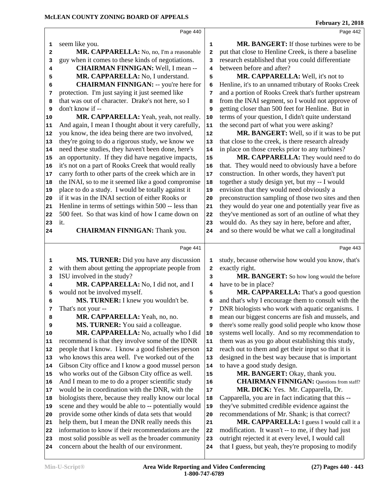|          | Page 440                                                                                             |              | Page 442                                                                                                 |
|----------|------------------------------------------------------------------------------------------------------|--------------|----------------------------------------------------------------------------------------------------------|
| 1        | seem like you.                                                                                       | 1            | <b>MR. BANGERT:</b> If those turbines were to be                                                         |
| 2        | MR. CAPPARELLA: No, no, I'm a reasonable                                                             | 2            | put that close to Henline Creek, is there a baseline                                                     |
| 3        | guy when it comes to these kinds of negotiations.                                                    | 3            | research established that you could differentiate                                                        |
| 4        | <b>CHAIRMAN FINNIGAN: Well, I mean --</b>                                                            | 4            | between before and after?                                                                                |
| 5        | MR. CAPPARELLA: No, I understand.                                                                    | 5            | MR. CAPPARELLA: Well, it's not to                                                                        |
| 6        | <b>CHAIRMAN FINNIGAN:</b> -- you're here for                                                         | 6            | Henline, it's to an unnamed tributary of Rooks Creek                                                     |
| 7        | protection. I'm just saying it just seemed like                                                      | 7            | and a portion of Rooks Creek that's further upstream                                                     |
| 8        | that was out of character. Drake's not here, so I                                                    | 8            | from the INAI segment, so I would not approve of                                                         |
| 9        | don't know if --                                                                                     | 9            | getting closer than 500 feet for Henline. But in                                                         |
| 10       | MR. CAPPARELLA: Yeah, yeah, not really.                                                              | 10           | terms of your question, I didn't quite understand                                                        |
| 11       | And again, I mean I thought about it very carefully,                                                 | 11           | the second part of what you were asking?                                                                 |
| 12       | you know, the idea being there are two involved,                                                     | 12           | MR. BANGERT: Well, so if it was to be put                                                                |
| 13       | they're going to do a rigorous study, we know we                                                     | 13           | that close to the creek, is there research already                                                       |
| 14       | need these studies, they haven't been done, here's                                                   | 14           | in place on those creeks prior to any turbines?                                                          |
| 15       | an opportunity. If they did have negative impacts,                                                   | 15           | MR. CAPPARELLA: They would need to do                                                                    |
| 16       | it's not on a part of Rooks Creek that would really                                                  | 16           | that. They would need to obviously have a before                                                         |
| 17       | carry forth to other parts of the creek which are in                                                 | 17           | construction. In other words, they haven't put                                                           |
| 18       | the INAI, so to me it seemed like a good compromise                                                  | 18           | together a study design yet, but my -- I would                                                           |
| 19       | place to do a study. I would be totally against it                                                   | 19           | envision that they would need obviously a                                                                |
| 20       | if it was in the INAI section of either Rooks or                                                     | 20           | preconstruction sampling of those two sites and then                                                     |
| 21       | Henline in terms of settings within 500 -- less than                                                 | 21           | they would do year one and potentially year five as                                                      |
| 22       | 500 feet. So that was kind of how I came down on                                                     | 22           | they've mentioned as sort of an outline of what they                                                     |
| 23       | it.                                                                                                  | 23           | would do. As they say in here, before and after,                                                         |
| 24       | <b>CHAIRMAN FINNIGAN: Thank you.</b>                                                                 | 24           | and so there would be what we call a longitudinal                                                        |
|          |                                                                                                      |              |                                                                                                          |
|          | Page 441                                                                                             |              | Page 443                                                                                                 |
|          |                                                                                                      |              |                                                                                                          |
| 1        | MS. TURNER: Did you have any discussion                                                              | 1            | study, because otherwise how would you know, that's                                                      |
| 2        | with them about getting the appropriate people from                                                  | $\mathbf{z}$ | exactly right.                                                                                           |
| 3        | ISU involved in the study?                                                                           | 3            | MR. BANGERT: So how long would the before                                                                |
| 4        | MR. CAPPARELLA: No, I did not, and I                                                                 | 4            | have to be in place?                                                                                     |
| 5        | would not be involved myself.                                                                        | 5            | MR. CAPPARELLA: That's a good question                                                                   |
| 6        | MS. TURNER: I knew you wouldn't be.                                                                  | 6            | and that's why I encourage them to consult with the                                                      |
| 7        | That's not your --                                                                                   | 7            | DNR biologists who work with aquatic organisms. I                                                        |
| 8        | MR. CAPPARELLA: Yeah, no, no.                                                                        | 8            | mean our biggest concerns are fish and mussels, and                                                      |
| 9        | <b>MS. TURNER:</b> You said a colleague.                                                             | 9            | there's some really good solid people who know those                                                     |
| 10       | MR. CAPPARELLA: No, actually who I did                                                               | 10           | systems well locally. And so my recommendation to                                                        |
| 11       | recommend is that they involve some of the IDNR                                                      | 11           | them was as you go about establishing this study,                                                        |
| 12       | people that I know. I know a good fisheries person                                                   | 12           | reach out to them and get their input so that it is                                                      |
| 13       | who knows this area well. I've worked out of the                                                     | 13           | designed in the best way because that is important                                                       |
| 14       | Gibson City office and I know a good mussel person                                                   | 14           | to have a good study design.                                                                             |
| 15       | who works out of the Gibson City office as well.                                                     | 15           | MR. BANGERT: Okay, thank you.                                                                            |
| 16       | And I mean to me to do a proper scientific study                                                     | 16           | <b>CHAIRMAN FINNIGAN:</b> Questions from staff?                                                          |
| 17       | would be in coordination with the DNR, with the                                                      | $17\,$       | MR. DICK: Yes. Mr. Capparella, Dr.                                                                       |
| 18       | biologists there, because they really know our local                                                 | 18           | Capparella, you are in fact indicating that this --                                                      |
| 19       | scene and they would be able to -- potentially would                                                 | 19           | they've submitted credible evidence against the                                                          |
| 20       | provide some other kinds of data sets that would                                                     | 20           | recommendations of Mr. Shank; is that correct?                                                           |
| 21       | help them, but I mean the DNR really needs this                                                      | 21           | MR. CAPPARELLA: I guess I would call it a                                                                |
| 22       | information to know if their recommendations are the                                                 | 22           | modification. It wasn't -- to me, if they had just                                                       |
| 23<br>24 | most solid possible as well as the broader community<br>concern about the health of our environment. | 23<br>24     | outright rejected it at every level, I would call<br>that I guess, but yeah, they're proposing to modify |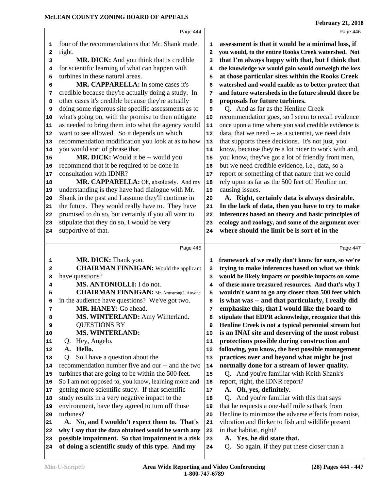|          | Page 444                                                                                              |            | Page 446                                                                                                 |
|----------|-------------------------------------------------------------------------------------------------------|------------|----------------------------------------------------------------------------------------------------------|
| 1        | four of the recommendations that Mr. Shank made,                                                      | 1          | assessment is that it would be a minimal loss, if                                                        |
| 2        | right.                                                                                                | 2          | you would, to the entire Rooks Creek watershed. Not                                                      |
| 3        | <b>MR. DICK:</b> And you think that is credible                                                       | 3          | that I'm always happy with that, but I think that                                                        |
| 4        | for scientific learning of what can happen with                                                       | 4          | the knowledge we would gain would outweigh the loss                                                      |
| 5        | turbines in these natural areas.                                                                      | 5          | at those particular sites within the Rooks Creek                                                         |
| 6        | MR. CAPPARELLA: In some cases it's                                                                    | 6          | watershed and would enable us to better protect that                                                     |
| 7        | credible because they're actually doing a study. In                                                   | 7          | and future watersheds in the future should there be                                                      |
| 8        | other cases it's credible because they're actually                                                    | 8          | proposals for future turbines.                                                                           |
| 9        | doing some rigorous site specific assessments as to                                                   | 9          | Q. And as far as the Henline Creek                                                                       |
| 10       | what's going on, with the promise to then mitigate                                                    | ${\bf 10}$ | recommendation goes, so I seem to recall evidence                                                        |
| 11       | as needed to bring them into what the agency would                                                    | 11         | once upon a time where you said credible evidence is                                                     |
| 12       | want to see allowed. So it depends on which                                                           | 12         | data, that we need -- as a scientist, we need data                                                       |
| 13       | recommendation modification you look at as to how                                                     | 13         | that supports these decisions. It's not just, you                                                        |
| 14       | you would sort of phrase that.                                                                        | 14         | know, because they're a lot nicer to work with and,                                                      |
| 15       | MR. DICK: Would it be -- would you                                                                    | 15         | you know, they've got a lot of friendly front men,                                                       |
| 16       | recommend that it be required to be done in                                                           | 16         | but we need credible evidence, i.e., data, so a                                                          |
| 17       | consultation with IDNR?                                                                               | $17\,$     | report or something of that nature that we could                                                         |
| 18<br>19 | MR. CAPPARELLA: Oh, absolutely. And my<br>understanding is they have had dialogue with Mr.            | 18<br>19   | rely upon as far as the 500 feet off Henline not<br>causing issues.                                      |
| 20       | Shank in the past and I assume they'll continue in                                                    | 20         | A. Right, certainly data is always desirable.                                                            |
| 21       | the future. They would really have to. They have                                                      | 21         | In the lack of data, then you have to try to make                                                        |
| 22       | promised to do so, but certainly if you all want to                                                   | 22         | inferences based on theory and basic principles of                                                       |
| 23       | stipulate that they do so, I would be very                                                            | 23         | ecology and zoology, and some of the argument over                                                       |
| 24       | supportive of that.                                                                                   | 24         | where should the limit be is sort of in the                                                              |
|          |                                                                                                       |            |                                                                                                          |
|          |                                                                                                       |            |                                                                                                          |
|          | Page 445                                                                                              |            | Page 447                                                                                                 |
| 1        |                                                                                                       | 1          |                                                                                                          |
| 2        | MR. DICK: Thank you.<br><b>CHAIRMAN FINNIGAN:</b> Would the applicant                                 | 2          | framework of we really don't know for sure, so we're<br>trying to make inferences based on what we think |
| 3        | have questions?                                                                                       | 3          | would be likely impacts or possible impacts on some                                                      |
| 4        | MS. ANTONIOLLI: I do not.                                                                             | 4          | of these more treasured resources. And that's why I                                                      |
| 5        | <b>CHAIRMAN FINNIGAN:</b> Mr. Armstrong? Anyone                                                       | 5          | wouldn't want to go any closer than 500 feet which                                                       |
| 6        | in the audience have questions? We've got two.                                                        | 6          | is what was -- and that particularly, I really did                                                       |
| 7        | MR. HANEY: Go ahead.                                                                                  | 7          | emphasize this, that I would like the board to                                                           |
| 8        | MS. WINTERLAND: Amy Winterland.                                                                       | 8          | stipulate that EDPR acknowledge, recognize that this                                                     |
| 9        | <b>QUESTIONS BY</b>                                                                                   | 9          | Henline Creek is not a typical perennial stream but                                                      |
| 10       | <b>MS. WINTERLAND:</b>                                                                                | 10         | is an INAI site and deserving of the most robust                                                         |
| 11       | Hey, Angelo.<br>Q.                                                                                    | 11         | protections possible during construction and                                                             |
| 12       | Hello.<br>A.                                                                                          | 12         | following, you know, the best possible management                                                        |
| 13       | So I have a question about the<br>Q.                                                                  | 13         | practices over and beyond what might be just                                                             |
| 14       | recommendation number five and our -- and the two                                                     | 14         | normally done for a stream of lower quality.                                                             |
| 15       | turbines that are going to be within the 500 feet.                                                    | 15         | Q. And you're familiar with Keith Shank's                                                                |
| 16       | So I am not opposed to, you know, learning more and                                                   | 16         | report, right, the IDNR report?                                                                          |
| 17       | getting more scientific study. If that scientific                                                     | 17         | A. Oh, yes, definitely.                                                                                  |
| 18       | study results in a very negative impact to the                                                        | 18         | Q. And you're familiar with this that says                                                               |
| 19       | environment, have they agreed to turn off those                                                       | 19         | that he requests a one-half mile setback from                                                            |
| 20       | turbines?                                                                                             | 20         | Henline to minimize the adverse effects from noise,                                                      |
| 21       | A. No, and I wouldn't expect them to. That's                                                          | 21         | vibration and flicker to fish and wildlife present                                                       |
| 22       | why I say that the data obtained would be worth any                                                   | 22         | in that habitat, right?                                                                                  |
| 23<br>24 | possible impairment. So that impairment is a risk<br>of doing a scientific study of this type. And my | 23<br>24   | A. Yes, he did state that.<br>So again, if they put these closer than a<br>Q.                            |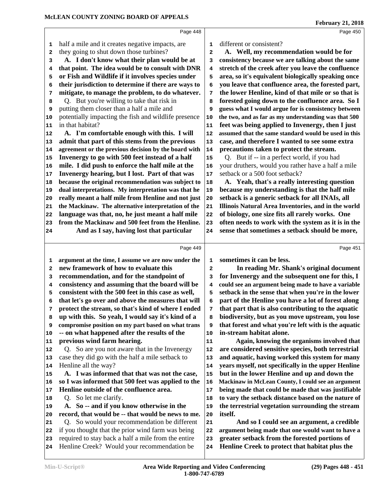|          | Page 448                                                                                           |          | Page 450                                                                                           |
|----------|----------------------------------------------------------------------------------------------------|----------|----------------------------------------------------------------------------------------------------|
| 1        | half a mile and it creates negative impacts, are                                                   | 1        | different or consistent?                                                                           |
| 2        | they going to shut down those turbines?                                                            | 2        | A. Well, my recommendation would be for                                                            |
| 3        | A. I don't know what their plan would be at                                                        | 3        | consistency because we are talking about the same                                                  |
| 4        | that point. The idea would be to consult with DNR                                                  | 4        | stretch of the creek after you leave the confluence                                                |
| 5        | or Fish and Wildlife if it involves species under                                                  | 5        | area, so it's equivalent biologically speaking once                                                |
| 6        | their jurisdiction to determine if there are ways to                                               | 6        | you leave that confluence area, the forested part,                                                 |
| 7        | mitigate, to manage the problem, to do whatever.                                                   | 7        | the lower Henline, kind of that mile or so that is                                                 |
| 8        | Q. But you're willing to take that risk in                                                         | 8        | forested going down to the confluence area. So I                                                   |
| 9        | putting them closer than a half a mile and                                                         | 9        | guess what I would argue for is consistency between                                                |
| 10       | potentially impacting the fish and wildlife presence                                               | 10       | the two, and as far as my understanding was that 500                                               |
| 11       | in that habitat?                                                                                   | 11       | feet was being applied to Invenergy, then I just                                                   |
| 12       | A. I'm comfortable enough with this. I will                                                        | 12       | assumed that the same standard would be used in this                                               |
| 13       | admit that part of this stems from the previous                                                    | 13       | case, and therefore I wanted to see some extra                                                     |
| 14       | agreement or the previous decision by the board with                                               | 14       | precautions taken to protect the stream.                                                           |
| 15       | Invenergy to go with 500 feet instead of a half                                                    | 15       | Q. But if -- in a perfect world, if you had                                                        |
| 16       | mile. I did push to enforce the half mile at the                                                   | 16       | your druthers, would you rather have a half a mile                                                 |
| 17       | Invenergy hearing, but I lost. Part of that was                                                    | 17       | setback or a 500 foot setback?                                                                     |
| 18       | because the original recommendation was subject to                                                 | 18       | A. Yeah, that's a really interesting question                                                      |
| 19       | dual interpretations. My interpretation was that he                                                | 19       | because my understanding is that the half mile                                                     |
| 20       | really meant a half mile from Henline and not just                                                 | 20       | setback is a generic setback for all INAIs, all                                                    |
| 21       | the Mackinaw. The alternative interpretation of the                                                | 21       | Illinois Natural Area Inventories, and in the world                                                |
| 22       | language was that, no, he just meant a half mile                                                   | 22       | of biology, one size fits all rarely works. One                                                    |
| 23       | from the Mackinaw and 500 feet from the Henline.                                                   | 23       | often needs to work with the system as it is in the                                                |
| 24       | And as I say, having lost that particular                                                          | 24       | sense that sometimes a setback should be more,                                                     |
|          |                                                                                                    |          |                                                                                                    |
|          | Page 449                                                                                           |          | Page 451                                                                                           |
| 1        | argument at the time, I assume we are now under the                                                | 1        | sometimes it can be less.                                                                          |
| 2        | new framework of how to evaluate this                                                              | 2        | In reading Mr. Shank's original document                                                           |
| 3        | recommendation, and for the standpoint of                                                          | 3        | for Invenergy and the subsequent one for this, I                                                   |
| 4        | consistency and assuming that the board will be                                                    | 4        | could see an argument being made to have a variable                                                |
| 5        | consistent with the 500 feet in this case as well,                                                 | 5        | setback in the sense that when you're in the lower                                                 |
| 6        | that let's go over and above the measures that will                                                | 6        | part of the Henline you have a lot of forest along                                                 |
| 7        | protect the stream, so that's kind of where I ended                                                | 7        | that part that is also contributing to the aquatic                                                 |
| 8        | up with this. So yeah, I would say it's kind of a                                                  | 8        | biodiversity, but as you move upstream, you lose                                                   |
| 9        | compromise position on my part based on what trans                                                 | 9        | that forest and what you're left with is the aquatic                                               |
| 10       | -- on what happened after the results of the                                                       | 10       | in-stream habitat alone.                                                                           |
| 11       | previous wind farm hearing.                                                                        | 11       | Again, knowing the organisms involved that                                                         |
| 12       | Q. So are you not aware that in the Invenergy                                                      | 12       | are considered sensitive species, both terrestrial                                                 |
| 13       | case they did go with the half a mile setback to                                                   | 13       | and aquatic, having worked this system for many                                                    |
| 14       | Henline all the way?<br>A. I was informed that that was not the case,                              | 14       | years myself, not specifically in the upper Henline                                                |
| 15       | so I was informed that 500 feet was applied to the                                                 | 15       | but in the lower Henline and up and down the<br>Mackinaw in McLean County, I could see an argument |
| 16<br>17 | Henline outside of the confluence area.                                                            | 16<br>17 | being made that could be made that was justifiable                                                 |
|          | Q. So let me clarify.                                                                              |          | to vary the setback distance based on the nature of                                                |
| 18<br>19 | A. So -- and if you know otherwise in the                                                          | 18<br>19 | the terrestrial vegetation surrounding the stream                                                  |
| 20       | record, that would be -- that would be news to me.                                                 | 20       | itself.                                                                                            |
| 21       | Q. So would your recommendation be different                                                       | 21       | And so I could see an argument, a credible                                                         |
| 22       | if you thought that the prior wind farm was being                                                  | 22       | argument being made that one would want to have a                                                  |
|          |                                                                                                    |          |                                                                                                    |
|          |                                                                                                    |          |                                                                                                    |
| 23<br>24 | required to stay back a half a mile from the entire<br>Henline Creek? Would your recommendation be | 23<br>24 | greater setback from the forested portions of<br>Henline Creek to protect that habitat plus the    |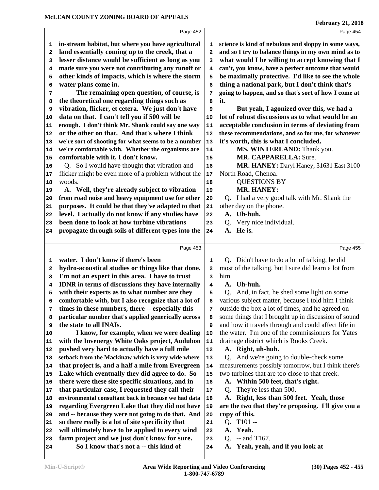|                         | Page 452                                                                                              |        | Page 454                                                                                       |
|-------------------------|-------------------------------------------------------------------------------------------------------|--------|------------------------------------------------------------------------------------------------|
| 1                       | in-stream habitat, but where you have agricultural                                                    | 1      | science is kind of nebulous and sloppy in some ways,                                           |
| $\overline{\mathbf{2}}$ | land essentially coming up to the creek, that a                                                       | 2      | and so I try to balance things in my own mind as to                                            |
| 3                       | lesser distance would be sufficient as long as you                                                    | 3      | what would I be willing to accept knowing that I                                               |
| 4                       | made sure you were not contributing any runoff or                                                     | 4      | can't, you know, have a perfect outcome that would                                             |
| 5                       | other kinds of impacts, which is where the storm                                                      | 5      | be maximally protective. I'd like to see the whole                                             |
| 6                       | water plans come in.                                                                                  | 6      | thing a national park, but I don't think that's                                                |
| 7                       | The remaining open question, of course, is                                                            | 7      | going to happen, and so that's sort of how I come at                                           |
| 8                       | the theoretical one regarding things such as                                                          | 8      | it.                                                                                            |
| 9                       | vibration, flicker, et cetera. We just don't have                                                     | 9      | But yeah, I agonized over this, we had a                                                       |
| 10                      | data on that. I can't tell you if 500 will be                                                         | 10     | lot of robust discussions as to what would be an                                               |
| 11                      | enough. I don't think Mr. Shank could say one way                                                     | 11     | acceptable conclusion in terms of deviating from                                               |
| 12                      | or the other on that. And that's where I think                                                        | 12     | these recommendations, and so for me, for whatever                                             |
| 13                      | we're sort of shooting for what seems to be a number                                                  | 13     | it's worth, this is what I concluded.                                                          |
| 14                      | we're comfortable with. Whether the organisms are                                                     | 14     | MS. WINTERLAND: Thank you.                                                                     |
| 15                      | comfortable with it, I don't know.                                                                    | 15     | MR. CAPPARELLA: Sure.                                                                          |
| 16                      | Q. So I would have thought that vibration and                                                         | 16     | MR. HANEY: Daryl Haney, 31631 East 3100                                                        |
| 17                      | flicker might be even more of a problem without the                                                   | 17     | North Road, Chenoa.                                                                            |
| 18                      | woods.                                                                                                | 18     | <b>QUESTIONS BY</b>                                                                            |
| 19                      | A. Well, they're already subject to vibration                                                         | 19     | MR. HANEY:                                                                                     |
| 20                      | from road noise and heavy equipment use for other                                                     | 20     | Q. I had a very good talk with Mr. Shank the                                                   |
| 21                      | purposes. It could be that they've adapted to that                                                    | 21     | other day on the phone.                                                                        |
| 22                      | level. I actually do not know if any studies have                                                     | 22     | A. Uh-huh.                                                                                     |
| 23                      | been done to look at how turbine vibrations                                                           | 23     | Very nice individual.<br>Q.                                                                    |
| 24                      | propagate through soils of different types into the                                                   | 24     | He is.<br>А.                                                                                   |
|                         |                                                                                                       |        |                                                                                                |
|                         |                                                                                                       |        |                                                                                                |
|                         | Page 453                                                                                              |        | Page 455                                                                                       |
|                         |                                                                                                       |        |                                                                                                |
| 1                       | water. I don't know if there's been                                                                   | 1      | Q. Didn't have to do a lot of talking, he did                                                  |
| 2                       | hydro-acoustical studies or things like that done.                                                    | 2      | most of the talking, but I sure did learn a lot from                                           |
| 3<br>4                  | I'm not an expert in this area. I have to trust                                                       | 3<br>4 | him.<br>A. Uh-huh.                                                                             |
| 5                       | <b>IDNR</b> in terms of discussions they have internally                                              | 5      | O.                                                                                             |
| 6                       | with their experts as to what number are they<br>comfortable with, but I also recognize that a lot of | 6      | And, in fact, he shed some light on some<br>various subject matter, because I told him I think |
| 7                       | times in these numbers, there -- especially this                                                      | 7      | outside the box a lot of times, and he agreed on                                               |
| 8                       | particular number that's applied generically across                                                   | 8      | some things that I brought up in discussion of sound                                           |
| 9                       | the state to all INAIs.                                                                               | 9      | and how it travels through and could affect life in                                            |
| 10                      | I know, for example, when we were dealing                                                             | 10     | the water. I'm one of the commissioners for Yates                                              |
| 11                      | with the Invenergy White Oaks project, Audubon                                                        | 11     | drainage district which is Rooks Creek.                                                        |
| 12                      | pushed very hard to actually have a full mile                                                         | 12     | A. Right, uh-huh.                                                                              |
| 13                      | setback from the Mackinaw which is very wide where                                                    | 13     | Q. And we're going to double-check some                                                        |
| 14                      | that project is, and a half a mile from Evergreen                                                     | 14     | measurements possibly tomorrow, but I think there's                                            |
| 15                      | Lake which eventually they did agree to do. So                                                        | 15     | two turbines that are too close to that creek.                                                 |
| 16                      | there were these site specific situations, and in                                                     | 16     | A. Within 500 feet, that's right.                                                              |
| 17                      | that particular case, I requested they call their                                                     | 17     | They're less than 500.<br>Q.                                                                   |
| 18                      | environmental consultant back in because we had data                                                  | 18     | A. Right, less than 500 feet. Yeah, those                                                      |
| 19                      | regarding Evergreen Lake that they did not have                                                       | 19     | are the two that they're proposing. I'll give you a                                            |
| 20                      | and -- because they were not going to do that. And                                                    | 20     | copy of this.                                                                                  |
| 21                      | so there really is a lot of site specificity that                                                     | 21     | Q. T101 --                                                                                     |
| 22                      | will ultimately have to be applied to every wind                                                      | 22     | A. Yeah.                                                                                       |
| 23                      | farm project and we just don't know for sure.<br>So I know that's not a -- this kind of               | 23     | $-$ and T167.<br>Q.<br>A. Yeah, yeah, and if you look at                                       |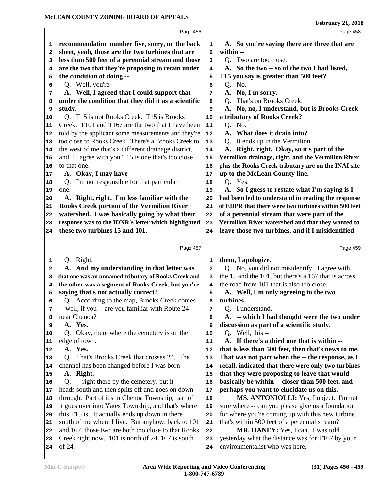|          | Page 456                                                                                                   |                   | Page 458                                                                           |
|----------|------------------------------------------------------------------------------------------------------------|-------------------|------------------------------------------------------------------------------------|
|          | recommendation number five, sorry, on the back                                                             |                   | A. So you're saying there are three that are                                       |
| ı<br>2   | sheet, yeah, those are the two turbines that are                                                           | 1<br>$\mathbf{z}$ | within --                                                                          |
| 3        | less than 500 feet of a perennial stream and those                                                         | 3                 | Q. Two are too close.                                                              |
|          | are the two that they're proposing to retain under                                                         | 4                 | A. So the two -- so of the two I had listed,                                       |
| 4        | the condition of doing --                                                                                  |                   | T15 you say is greater than 500 feet?                                              |
| 5        | Q. Well, you're --                                                                                         | 5<br>6            | Q. No.                                                                             |
| 6        | A. Well, I agreed that I could support that                                                                |                   | A. No, I'm sorry.                                                                  |
| 7        | under the condition that they did it as a scientific                                                       | 7                 | That's on Brooks Creek.                                                            |
| 8        | study.                                                                                                     | 8                 | O.                                                                                 |
| 9        | Q. T15 is not Rooks Creek. T15 is Brooks                                                                   | 9<br>10           | A. No, no, I understand, but is Brooks Creek<br>a tributary of Rooks Creek?        |
| 10       | Creek. T101 and T167 are the two that I have been                                                          | 11                | Q. No.                                                                             |
| 11       |                                                                                                            |                   | A. What does it drain into?                                                        |
| 12       | told by the applicant some measurements and they're<br>too close to Rooks Creek. There's a Brooks Creek to | 12                |                                                                                    |
| 13       |                                                                                                            | 13                | Q. It ends up in the Vermilion.                                                    |
| 14       | the west of me that's a different drainage district,                                                       | 14                | A. Right, right. Okay, so it's part of the                                         |
| 15       | and I'll agree with you T15 is one that's too close                                                        | 15                | Vermilion drainage, right, and the Vermilion River                                 |
| 16       | to that one.                                                                                               | 16                | plus the Rooks Creek tributary are on the INAI site                                |
| 17       | A. Okay, I may have --                                                                                     | 17                | up to the McLean County line.                                                      |
| 18       | Q. I'm not responsible for that particular                                                                 | 18                | Q. Yes.                                                                            |
| 19       | one.                                                                                                       | 19                | A. So I guess to restate what I'm saying is I                                      |
| 20       | A. Right, right. I'm less familiar with the                                                                | 20                | had been led to understand in reading the response                                 |
| 21       | Rooks Creek portion of the Vermilion River                                                                 | 21                | of EDPR that there were two turbines within 500 feet                               |
| 22       | watershed. I was basically going by what their                                                             | 22                | of a perennial stream that were part of the                                        |
| 23       | response was to the IDNR's letter which highlighted                                                        | 23                | Vermilion River watershed and that they wanted to                                  |
| 24       | these two turbines 15 and 101.                                                                             | 24                | leave those two turbines, and if I misidentified                                   |
|          | Page 457                                                                                                   |                   | Page 459                                                                           |
| 1        | Q. Right.                                                                                                  | 1                 | them, I apologize.                                                                 |
| 2        | A. And my understanding in that letter was                                                                 | $\mathbf{2}$      | Q. No, you did not misidentify. I agree with                                       |
| 3        | that one was an unnamed tributary of Rooks Creek and                                                       | 3                 | the 15 and the 101, but there's a 167 that is across                               |
| 4        | the other was a segment of Rooks Creek, but you're                                                         | 4                 | the road from 101 that is also too close.                                          |
|          | saying that's not actually correct?                                                                        | 5                 | A. Well, I'm only agreeing to the two                                              |
| 5<br>6   | Q. According to the map, Brooks Creek comes                                                                | 6                 | turbines --                                                                        |
| 7        | -- well, if you -- are you familiar with Route 24                                                          | 7                 | Q. I understand.                                                                   |
|          | near Chenoa?                                                                                               |                   | A. -- which I had thought were the two under                                       |
| 8        | A. Yes.                                                                                                    | 8                 | discussion as part of a scientific study.                                          |
| 9        | Q. Okay, there where the cemetery is on the                                                                | 9<br>10           | Q. Well, this --                                                                   |
| 10       | edge of town.                                                                                              | 11                | A. If there's a third one that is within --                                        |
| 11       |                                                                                                            | 12                | that is less than 500 feet, then that's news to me.                                |
| 12       |                                                                                                            |                   |                                                                                    |
| 13       | A. Yes.                                                                                                    |                   |                                                                                    |
|          | Q. That's Brooks Creek that crosses 24. The                                                                | 13                | That was not part when the -- the response, as I                                   |
| 14       | channel has been changed before I was born --                                                              | 14                | recall, indicated that there were only two turbines                                |
| 15       | A. Right.                                                                                                  | 15                | that they were proposing to leave that would                                       |
| 16       | Q. -- right there by the cemetery, but it                                                                  | ${\bf 16}$        | basically be within -- closer than 500 feet, and                                   |
| 17       | heads south and then splits off and goes on down                                                           | 17                | perhaps you want to elucidate us on this.                                          |
| 18       | through. Part of it's in Chenoa Township, part of                                                          | 18                | MS. ANTONIOLLI: Yes, I object. I'm not                                             |
| 19       | it goes over into Yates Township, and that's where                                                         | 19                | sure where -- can you please give us a foundation                                  |
| 20       | this T15 is. It actually ends up down in there                                                             | 20                | for where you're coming up with this new turbine                                   |
| 21       | south of me where I live. But anyhow, back to 101                                                          | 21                | that's within 500 feet of a perennial stream?                                      |
| 22       | and 167, those two are both too close to that Rooks                                                        | 22                | MR. HANEY: Yes, I can. I was told                                                  |
| 23<br>24 | Creek right now. 101 is north of 24, 167 is south<br>of 24.                                                | 23<br>24          | yesterday what the distance was for T167 by your<br>environmentalist who was here. |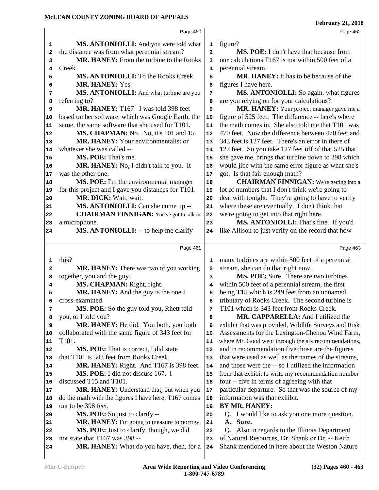|          | Page 460                                                      |                | Page 462                                                                               |
|----------|---------------------------------------------------------------|----------------|----------------------------------------------------------------------------------------|
|          |                                                               |                |                                                                                        |
| 1        | MS. ANTONIOLLI: And you were told what                        | 1              | figure?                                                                                |
| 2        | the distance was from what perennial stream?                  | $\overline{a}$ | MS. POE: I don't have that because from                                                |
| 3        | MR. HANEY: From the turbine to the Rooks                      | 3              | our calculations T167 is not within 500 feet of a                                      |
| 4        | Creek.                                                        | 4              | perennial stream.                                                                      |
| 5        | MS. ANTONIOLLI: To the Rooks Creek.<br>MR. HANEY: Yes.        | 5              | MR. HANEY: It has to be because of the                                                 |
| 6        |                                                               | 6              | figures I have here.<br>MS. ANTONIOLLI: So again, what figures                         |
| 7        | MS. ANTONIOLLI: And what turbine are you                      | 7              |                                                                                        |
| 8        | referring to?<br>MR. HANEY: T167. I was told 398 feet         | 8              | are you relying on for your calculations?<br>MR. HANEY: Your project manager gave me a |
| 9        | based on her software, which was Google Earth, the            | 9              | figure of 525 feet. The difference -- here's where                                     |
| 10<br>11 | same, the same software that she used for T101.               | 10<br>11       | the math comes in. She also told me that T101 was                                      |
|          | MS. CHAPMAN: No. No, it's 101 and 15.                         | 12             | 470 feet. Now the difference between 470 feet and                                      |
| 12       | MR. HANEY: Your environmentalist or                           | 13             | 343 feet is 127 feet. There's an error in there of                                     |
| 13       | whatever she was called --                                    | 14             | 127 feet. So you take 127 feet off of that 525 that                                    |
| 14       | MS. POE: That's me.                                           |                | she gave me, brings that turbine down to 398 which                                     |
| 15       |                                                               | 15             | would jibe with the same error figure as what she's                                    |
| 16       | MR. HANEY: No, I didn't talk to you. It<br>was the other one. | 16<br>17       | got. Is that fair enough math?                                                         |
| 17<br>18 | MS. POE: I'm the environmental manager                        | 18             | <b>CHAIRMAN FINNIGAN:</b> We're getting into a                                         |
| 19       | for this project and I gave you distances for T101.           | 19             | lot of numbers that I don't think we're going to                                       |
| 20       | MR. DICK: Wait, wait.                                         | 20             | deal with tonight. They're going to have to verify                                     |
| 21       | MS. ANTONIOLLI: Can she come up --                            | 21             | where these are eventually. I don't think that                                         |
| 22       | <b>CHAIRMAN FINNIGAN:</b> You've got to talk in               | 22             | we're going to get into that right here.                                               |
| 23       | a microphone.                                                 | 23             | MS. ANTONIOLLI: That's fine. If you'd                                                  |
| 24       | <b>MS. ANTONIOLLI:</b> -- to help me clarify                  | 24             | like Allison to just verify on the record that how                                     |
|          |                                                               |                |                                                                                        |
|          | Page 461                                                      |                | Page 463                                                                               |
| 1        | this?                                                         | 1              | many turbines are within 500 feet of a perennial                                       |
| 2        | MR. HANEY: There was two of you working                       | 2              | stream, she can do that right now.                                                     |
| 3        | together, you and the guy.                                    | 3              | MS. POE: Sure. There are two turbines                                                  |
| 4        | MS. CHAPMAN: Right, right.                                    | 4              | within 500 feet of a perennial stream, the first                                       |
| 5        | MR. HANEY: And the guy is the one I                           | 5              | being T15 which is 249 feet from an unnamed                                            |
| 6        | cross-examined.                                               | 6              | tributary of Rooks Creek. The second turbine is                                        |
| 7        | MS. POE: So the guy told you, Rhett told                      | 7              | T101 which is 343 feet from Rooks Creek.                                               |
| 8        | you, or I told you?                                           | 8              | MR. CAPPARELLA: And I utilized the                                                     |
| 9        | MR. HANEY: He did. You both, you both                         | 9              | exhibit that was provided, Wildlife Surveys and Risk                                   |
| 10       | collaborated with the same figure of 343 feet for             | 10             | Assessments for the Lexington-Chenoa Wind Farm,                                        |
| 11       | T <sub>101</sub> .                                            | 11             | where Mr. Good went through the six recommendations,                                   |
| 12       | <b>MS. POE:</b> That is correct, I did state                  | 12             | and in recommendation five those are the figures                                       |
| 13       | that T101 is 343 feet from Rooks Creek.                       | 13             | that were used as well as the names of the streams,                                    |
| 14       | MR. HANEY: Right. And T167 is 398 feet.                       | 14             | and those were the -- so I utilized the information                                    |
| 15       | MS. POE: I did not discuss 167. I                             | 15             | from that exhibit to write my recommendation number                                    |
| 16       | discussed T15 and T101.                                       | 16             | four -- five in terms of agreeing with that                                            |
| 17       | MR. HANEY: Understand that, but when you                      | 17             | particular departure. So that was the source of my                                     |
| 18       | do the math with the figures I have here, T167 comes          | 18             | information was that exhibit.                                                          |
| 19       | out to be 398 feet.                                           | 19             | BY MR. HANEY:                                                                          |
| 20       | MS. POE: So just to clarify --                                | 20             | Q. I would like to ask you one more question.                                          |
| 21       | MR. HANEY: I'm going to measure tomorrow.                     | 21             | A. Sure.                                                                               |
| 22       | MS. POE: Just to clarify, though, we did                      | 22             | Q. Also in regards to the Illinois Department                                          |
| 23       | not state that T167 was 398 --                                | 23             | of Natural Resources, Dr. Shank or Dr. -- Keith                                        |
| 24       | MR. HANEY: What do you have, then, for a                      | 24             | Shank mentioned in here about the Weston Nature                                        |
|          |                                                               |                |                                                                                        |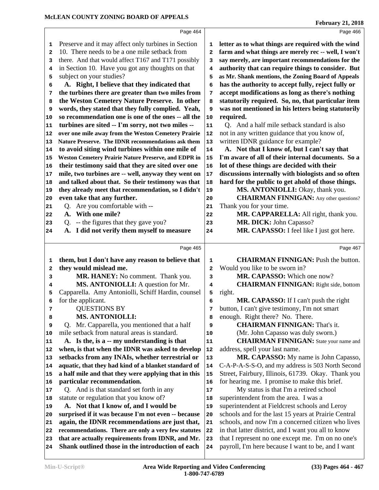|          | Page 464                                                                                              |                         | Page 466                                                                                                 |
|----------|-------------------------------------------------------------------------------------------------------|-------------------------|----------------------------------------------------------------------------------------------------------|
| 1        | Preserve and it may affect only turbines in Section                                                   | 1                       | letter as to what things are required with the wind                                                      |
| 2        | 10. There needs to be a one mile setback from                                                         | $\mathbf{2}$            | farm and what things are merely rec -- well, I won't                                                     |
| 3        | there. And that would affect T167 and T171 possibly                                                   | 3                       | say merely, are important recommendations for the                                                        |
| 4        | in Section 10. Have you got any thoughts on that                                                      | 4                       | authority that can require things to consider. But                                                       |
| 5        | subject on your studies?                                                                              | 5                       | as Mr. Shank mentions, the Zoning Board of Appeals                                                       |
| 6        | A. Right, I believe that they indicated that                                                          | 6                       | has the authority to accept fully, reject fully or                                                       |
| 7        | the turbines there are greater than two miles from                                                    | 7                       | accept modifications as long as there's nothing                                                          |
| 8        | the Weston Cemetery Nature Preserve. In other                                                         | 8                       | statutorily required. So, no, that particular item                                                       |
| 9        | words, they stated that they fully complied. Yeah,                                                    | 9                       | was not mentioned in his letters being statutorily                                                       |
| 10       | so recommendation one is one of the ones -- all the                                                   | 10                      | required.                                                                                                |
| 11       | turbines are sited -- I'm sorry, not two miles --                                                     | ${\bf 11}$              | Q. And a half mile setback standard is also                                                              |
| 12       | over one mile away from the Weston Cemetery Prairie                                                   | 12                      | not in any written guidance that you know of,                                                            |
| 13       | Nature Preserve. The IDNR recommendations ask them                                                    | 13                      | written IDNR guidance for example?                                                                       |
| 14       | to avoid siting wind turbines within one mile of                                                      | 14                      | A. Not that I know of, but I can't say that                                                              |
| 15       | <b>Weston Cemetery Prairie Nature Preserve, and EDPR in</b>                                           | 15                      | I'm aware of all of their internal documents. So a                                                       |
| 16       | their testimony said that they are sited over one                                                     | 16                      | lot of these things are decided with their                                                               |
| 17       | mile, two turbines are -- well, anyway they went on                                                   | 17                      | discussions internally with biologists and so often                                                      |
| 18       | and talked about that. So their testimony was that                                                    | 18                      | hard for the public to get ahold of those things.                                                        |
| 19       | they already meet that recommendation, so I didn't                                                    | 19                      | MS. ANTONIOLLI: Okay, thank you.                                                                         |
| 20       | even take that any further.                                                                           | 20                      | <b>CHAIRMAN FINNIGAN:</b> Any other questions?                                                           |
| 21       | Q. Are you comfortable with --                                                                        | 21                      | Thank you for your time.                                                                                 |
| 22       | A. With one mile?                                                                                     | 22                      | MR. CAPPARELLA: All right, thank you.                                                                    |
| 23       | Q. -- the figures that they gave you?                                                                 | 23                      | MR. DICK: John Capasso?                                                                                  |
| 24       | A. I did not verify them myself to measure                                                            | 24                      | MR. CAPASSO: I feel like I just got here.                                                                |
|          |                                                                                                       |                         |                                                                                                          |
|          |                                                                                                       |                         |                                                                                                          |
|          | Page 465                                                                                              |                         | Page 467                                                                                                 |
| 1        | them, but I don't have any reason to believe that                                                     | 1                       | <b>CHAIRMAN FINNIGAN: Push the button.</b>                                                               |
| 2        | they would mislead me.                                                                                | $\overline{\mathbf{2}}$ | Would you like to be sworn in?                                                                           |
| з        | MR. HANEY: No comment. Thank you.                                                                     | 3                       | MR. CAPASSO: Which one now?                                                                              |
| 4        | MS. ANTONIOLLI: A question for Mr.                                                                    | 4                       | <b>CHAIRMAN FINNIGAN:</b> Right side, bottom                                                             |
| 5        | Capparella. Amy Antoniolli, Schiff Hardin, counsel                                                    | 5                       | right.                                                                                                   |
| 6        | for the applicant.                                                                                    | 6                       | MR. CAPASSO: If I can't push the right                                                                   |
| 7        | <b>QUESTIONS BY</b>                                                                                   | 7                       | button, I can't give testimony, I'm not smart                                                            |
| 8        | <b>MS. ANTONIOLLI:</b>                                                                                | 8                       | enough. Right there? No. There.                                                                          |
| 9        | Q. Mr. Capparella, you mentioned that a half                                                          | 9                       | <b>CHAIRMAN FINNIGAN: That's it.</b>                                                                     |
| 10       | mile setback from natural areas is standard.                                                          | 10                      | (Mr. John Capasso was duly sworn.)                                                                       |
| 11       | A. Is the, is a -- my understanding is that                                                           | 11                      | <b>CHAIRMAN FINNIGAN:</b> State your name and                                                            |
| 12       | when, is that when the IDNR was asked to develop                                                      | 12                      | address, spell your last name.                                                                           |
| 13       | setbacks from any INAIs, whether terrestrial or                                                       | 13                      | MR. CAPASSO: My name is John Capasso,                                                                    |
| 14       | aquatic, that they had kind of a blanket standard of                                                  | 14                      | C-A-P-A-S-S-O, and my address is 503 North Second                                                        |
| 15       | a half mile and that they were applying that in this                                                  | 15                      | Street, Fairbury, Illinois, 61739. Okay. Thank you                                                       |
| 16       | particular recommendation.                                                                            | 16                      | for hearing me. I promise to make this brief.                                                            |
| 17       | Q. And is that standard set forth in any                                                              | 17                      | My status is that I'm a retired school                                                                   |
| 18       | statute or regulation that you know of?                                                               | 18                      | superintendent from the area. I was a                                                                    |
| 19       | A. Not that I know of, and I would be                                                                 | 19                      | superintendent at Fieldcrest schools and Leroy                                                           |
| 20       | surprised if it was because I'm not even -- because                                                   | 20                      | schools and for the last 15 years at Prairie Central                                                     |
| 21       | again, the IDNR recommendations are just that,                                                        | 21                      | schools, and now I'm a concerned citizen who lives                                                       |
| 22       | recommendations. There are only a very few statutes                                                   | 22                      | in that latter district, and I want you all to know                                                      |
| 23<br>24 | that are actually requirements from IDNR, and Mr.<br>Shank outlined those in the introduction of each | 23<br>24                | that I represent no one except me. I'm on no one's<br>payroll, I'm here because I want to be, and I want |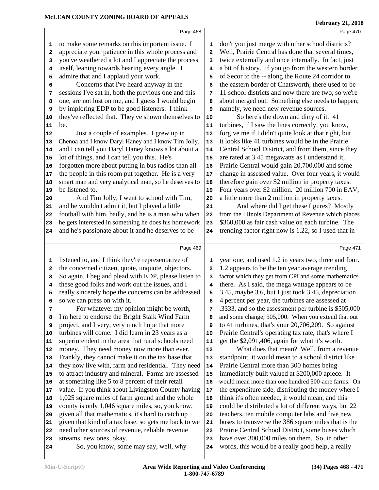to make some remarks on this important issue. I 1

 have over 300,000 miles on them. So, in other words, this would be a really good help, a really

| 2          | appreciate your patience in this whole process and                                                       | 2          | Well, Prairie Central has done that several times,                                            |
|------------|----------------------------------------------------------------------------------------------------------|------------|-----------------------------------------------------------------------------------------------|
| 3          | you've weathered a lot and I appreciate the process                                                      | 3          | twice externally and once internally. In fact, just                                           |
| 4          | itself, leaning towards hearing every angle. I                                                           | 4          | a bit of history. If you go from the western border                                           |
| 5          | admire that and I applaud your work.                                                                     | 5          | of Secor to the -- along the Route 24 corridor to                                             |
| 6          | Concerns that I've heard anyway in the                                                                   | 6          | the eastern border of Chatsworth, there used to be                                            |
| 7          | sessions I've sat in, both the previous one and this                                                     | 7          | 11 school districts and now there are two, so we're                                           |
| 8          | one, are not lost on me, and I guess I would begin                                                       | 8          | about merged out. Something else needs to happen;                                             |
| 9          | by imploring EDP to be good listeners. I think                                                           | 9          | namely, we need new revenue sources.                                                          |
| 10         | they've reflected that. They've shown themselves to                                                      | 10         | So here's the down and dirty of it. 41                                                        |
| ${\bf 11}$ | be.                                                                                                      | 11         | turbines, if I saw the lines correctly, you know,                                             |
| 12         | Just a couple of examples. I grew up in                                                                  | 12         | forgive me if I didn't quite look at that right, but                                          |
| 13         | Chenoa and I know Daryl Haney and I know Tim Jolly,                                                      | 13         | it looks like 41 turbines would be in the Prairie                                             |
| 14         | and I can tell you Daryl Haney knows a lot about a                                                       | 14         | Central School District, and from them, since they                                            |
| 15         | lot of things, and I can tell you this. He's                                                             | 15         | are rated at 3.45 megawatts as I understand it,                                               |
| 16         | forgotten more about putting in bus radios than all                                                      | 16         | Prairie Central would gain 20,700,000 and some                                                |
| 17         | the people in this room put together. He is a very                                                       | 17         | change in assessed value. Over four years, it would                                           |
| 18         | smart man and very analytical man, so he deserves to                                                     | 18         | therefore gain over \$2 million in property taxes.                                            |
| 19         | be listened to.                                                                                          | 19         | Four years over \$2 million. 20 million 700 in EAV,                                           |
| 20         | And Tim Jolly, I went to school with Tim,                                                                | 20         | a little more than 2 million in property taxes.                                               |
| 21         | and he wouldn't admit it, but I played a little                                                          | 21         | And where did I get these figures? Mostly                                                     |
| 22         | football with him, badly, and he is a man who when                                                       | ${\bf 22}$ | from the Illinois Department of Revenue which places                                          |
| 23         | he gets interested in something he does his homework                                                     | 23         | \$360,000 as fair cash value on each turbine. The                                             |
| 24         | and he's passionate about it and he deserves to be                                                       | 24         | trending factor right now is 1.22, so I used that in                                          |
|            | Page 469                                                                                                 |            | Page 471                                                                                      |
|            |                                                                                                          |            |                                                                                               |
|            |                                                                                                          |            |                                                                                               |
| 1          | listened to, and I think they're representative of                                                       | 1          | year one, and used 1.2 in years two, three and four.                                          |
| 2          | the concerned citizen, quote, unquote, objectors.                                                        | 2          | 1.2 appears to be the ten year average trending                                               |
| 3          | So again, I beg and plead with EDP, please listen to                                                     | 3          | factor which they get from CPI and some mathematics                                           |
| 4          | these good folks and work out the issues, and I                                                          | 4          | there. As I said, the mega wattage appears to be                                              |
| 5          | really sincerely hope the concerns can be addressed                                                      | 5          | 3.45, maybe 3.6, but I just took 3.45, depreciation                                           |
| 6          | so we can press on with it.                                                                              | 6          | 4 percent per year, the turbines are assessed at                                              |
| 7          | For whatever my opinion might be worth,                                                                  | 7          | .3333, and so the assessment per turbine is \$505,000                                         |
| 8          | I'm here to endorse the Bright Stalk Wind Farm                                                           | 8          | and some change, 505,000. When you extend that out                                            |
| 9<br>10    | project, and I very, very much hope that more                                                            | 9<br>10    | to 41 turbines, that's your $20,706,209$ . So against                                         |
| 11         | turbines will come. I did learn in 23 years as a                                                         | 11         | Prairie Central's operating tax rate, that's where I                                          |
|            | superintendent in the area that rural schools need                                                       | 12         | get the \$2,091,406, again for what it's worth.<br>What does that mean? Well, from a revenue  |
| 12<br>13   | money. They need money now more than ever.                                                               | 13         |                                                                                               |
|            | Frankly, they cannot make it on the tax base that<br>they now live with, farm and residential. They need | 14         | standpoint, it would mean to a school district like                                           |
| 14<br>15   | to attract industry and mineral. Farms are assessed                                                      | 15         | Prairie Central more than 300 homes being<br>immediately built valued at \$200,000 apiece. It |
| 16         | at something like 5 to 8 percent of their retail                                                         | 16         | would mean more than one hundred 500-acre farms. On                                           |
| 17         | value. If you think about Livingston County having                                                       | 17         | the expenditure side, distributing the money where I                                          |
| 18         | 1,025 square miles of farm ground and the whole                                                          | 18         | think it's often needed, it would mean, and this                                              |
| 19         | county is only 1,046 square miles, so, you know,                                                         | 19         | could be distributed a lot of different ways, but 22                                          |
| 20         | given all that mathematics, it's hard to catch up                                                        | 20         | teachers, ten mobile computer labs and five new                                               |
| 21         | given that kind of a tax base, so gets me back to we                                                     | 21         | buses to transverse the 386 square miles that is the                                          |

Page 468

- streams, new ones, okay.
- So, you know, some may say, well, why

don't you just merge with other school districts?

Page 470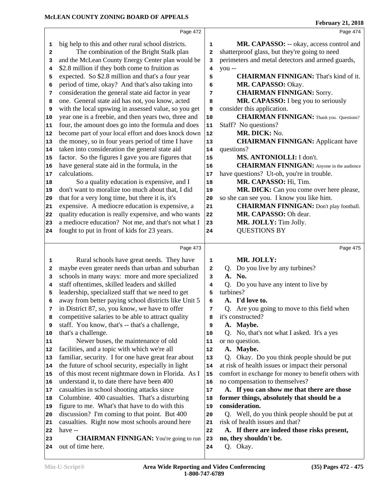|                         | Page 472                                                           |              | Page 474                                             |
|-------------------------|--------------------------------------------------------------------|--------------|------------------------------------------------------|
| 1                       | big help to this and other rural school districts.                 | 1            | MR. CAPASSO: -- okay, access control and             |
| 2                       | The combination of the Bright Stalk plan                           | 2            | shatterproof glass, but they're going to need        |
| 3                       | and the McLean County Energy Center plan would be                  | 3            | perimeters and metal detectors and armed guards,     |
| 4                       | \$2.8 million if they both come to fruition as                     | 4            | you --                                               |
| 5                       | expected. So \$2.8 million and that's a four year                  | 5            | <b>CHAIRMAN FINNIGAN:</b> That's kind of it.         |
| 6                       | period of time, okay? And that's also taking into                  | 6            | MR. CAPASSO: Okay.                                   |
| 7                       | consideration the general state aid factor in year                 | 7            | <b>CHAIRMAN FINNIGAN: Sorry.</b>                     |
| 8                       | one. General state aid has not, you know, acted                    | 8            | MR. CAPASSO: I beg you to seriously                  |
| 9                       | with the local upswing in assessed value, so you get               | 9            | consider this application.                           |
| 10                      | year one is a freebie, and then years two, three and               | 10           | <b>CHAIRMAN FINNIGAN:</b> Thank you. Questions?      |
| 11                      | four, the amount does go into the formula and does                 | 11           | Staff? No questions?                                 |
| 12                      | become part of your local effort and does knock down               | 12           | MR. DICK: No.                                        |
| 13                      | the money, so in four years period of time I have                  | 13           | <b>CHAIRMAN FINNIGAN:</b> Applicant have             |
| 14                      | taken into consideration the general state aid                     | 14           | questions?                                           |
| 15                      | factor. So the figures I gave you are figures that                 | 15           | MS. ANTONIOLLI: I don't.                             |
| 16                      | have general state aid in the formula, in the                      | 16           | <b>CHAIRMAN FINNIGAN:</b> Anyone in the audience     |
| 17                      | calculations.                                                      | 17           | have questions? Ut-oh, you're in trouble.            |
| 18                      | So a quality education is expensive, and I                         | 18           | MR. CAPASSO: Hi, Tim.                                |
| 19                      | don't want to moralize too much about that, I did                  | 19           | MR. DICK: Can you come over here please,             |
| 20                      | that for a very long time, but there it is, it's                   | 20           | so she can see you. I know you like him.             |
| 21                      | expensive. A mediocre education is expensive, a                    | 21           | <b>CHAIRMAN FINNIGAN:</b> Don't play football.       |
| 22                      | quality education is really expensive, and who wants               | 22           | MR. CAPASSO: Oh dear.                                |
| 23                      | a mediocre education? Not me, and that's not what I                | 23           | MR. JOLLY: Tim Jolly.                                |
| 24                      | fought to put in front of kids for 23 years.                       | 24           | <b>QUESTIONS BY</b>                                  |
|                         |                                                                    |              |                                                      |
|                         | Page 473                                                           |              | Page 475                                             |
| 1                       | Rural schools have great needs. They have                          | 1            | MR. JOLLY:                                           |
| $\overline{\mathbf{2}}$ | maybe even greater needs than urban and suburban                   | $\mathbf{2}$ | Q. Do you live by any turbines?                      |
| 3                       | schools in many ways: more and more specialized                    | 3            | A. No.                                               |
| 4                       | staff oftentimes, skilled leaders and skilled                      |              |                                                      |
| 5                       |                                                                    |              |                                                      |
|                         |                                                                    | 4            | Q. Do you have any intent to live by                 |
|                         | leadership, specialized staff that we need to get                  | 5            | turbines?                                            |
| 6                       | away from better paying school districts like Unit 5               | 6            | A. I'd love to.                                      |
| 7                       | in District 87, so, you know, we have to offer                     | 7            | Q. Are you going to move to this field when          |
| 8                       | competitive salaries to be able to attract quality                 | 8            | it's constructed?                                    |
| 9                       | staff. You know, that's -- that's a challenge,                     | 9            | A. Maybe.                                            |
|                         | that's a challenge.                                                | 10           | Q. No, that's not what I asked. It's a yes           |
| 10<br>11                | Newer buses, the maintenance of old                                | 11           | or no question.                                      |
| 12                      | facilities, and a topic with which we're all                       | 12           | A. Maybe.                                            |
| 13                      | familiar, security. I for one have great fear about                | 13           | Q. Okay. Do you think people should be put           |
| 14                      | the future of school security, especially in light                 | 14           | at risk of health issues or impact their personal    |
| 15                      | of this most recent nightmare down in Florida. As I                | 15           | comfort in exchange for money to benefit others with |
| 16                      | understand it, to date there have been 400                         | 16           | no compensation to themselves?                       |
| 17                      | casualties in school shooting attacks since                        | 17           | A. If you can show me that there are those           |
| 18                      | Columbine. 400 casualties. That's a disturbing                     | 18           | former things, absolutely that should be a           |
| 19                      | figure to me. What's that have to do with this                     | 19           | consideration.                                       |
| 20                      | discussion? I'm coming to that point. But 400                      | 20           | Q. Well, do you think people should be put at        |
| 21                      | casualties. Right now most schools around here                     | 21           | risk of health issues and that?                      |
| 22                      | have --                                                            | 22           | A. If there are indeed those risks present,          |
| 23<br>24                | <b>CHAIRMAN FINNIGAN:</b> You're going to run<br>out of time here. | 23<br>24     | no, they shouldn't be.<br>Q. Okay.                   |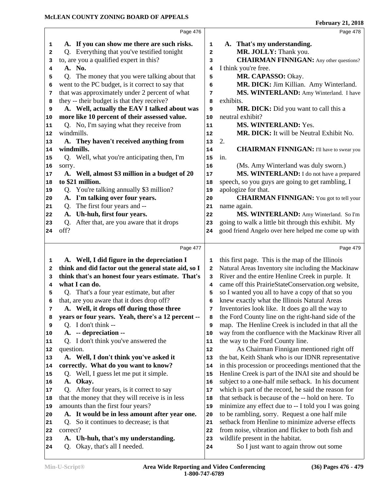|                | Page 476                                                                |    | Page 478                                                                   |  |
|----------------|-------------------------------------------------------------------------|----|----------------------------------------------------------------------------|--|
| 1              | A. If you can show me there are such risks.                             | 1  | A. That's my understanding.                                                |  |
| 2              | Q. Everything that you've testified tonight                             | 2  | MR. JOLLY: Thank you.                                                      |  |
| з              | to, are you a qualified expert in this?                                 | 3  | <b>CHAIRMAN FINNIGAN:</b> Any other questions?                             |  |
| 4              | A. No.                                                                  | 4  | I think you're free.                                                       |  |
| 5              | Q. The money that you were talking about that                           | 5  | MR. CAPASSO: Okay.                                                         |  |
| 6              | went to the PC budget, is it correct to say that                        | 6  | MR. DICK: Jim Killian. Amy Winterland.                                     |  |
| 7              | that was approximately under 2 percent of what                          | 7  | MS. WINTERLAND: Amy Winterland. I have                                     |  |
| 8              | they -- their budget is that they receive?                              | 8  | exhibits.                                                                  |  |
| 9              | A. Well, actually the EAV I talked about was                            | 9  | MR. DICK: Did you want to call this a                                      |  |
| 10             | more like 10 percent of their assessed value.                           | 10 | neutral exhibit?                                                           |  |
| 11             | Q. No, I'm saying what they receive from                                | 11 | MS. WINTERLAND: Yes.                                                       |  |
| 12             | windmills.                                                              | 12 | MR. DICK: It will be Neutral Exhibit No.                                   |  |
| 13             | A. They haven't received anything from                                  | 13 | 2.                                                                         |  |
| 14             | windmills.                                                              | 14 | <b>CHAIRMAN FINNIGAN:</b> I'll have to swear you                           |  |
| 15             | Q. Well, what you're anticipating then, I'm                             | 15 | in.                                                                        |  |
| 16             | sorry.                                                                  | 16 | (Ms. Amy Winterland was duly sworn.)                                       |  |
| 17             | A. Well, almost \$3 million in a budget of 20                           | 17 | MS. WINTERLAND: I do not have a prepared                                   |  |
| 18             | to \$21 million.                                                        | 18 | speech, so you guys are going to get rambling, I                           |  |
| 19             | Q. You're talking annually \$3 million?                                 | 19 | apologize for that.                                                        |  |
| 20             | A. I'm talking over four years.                                         | 20 | <b>CHAIRMAN FINNIGAN:</b> You got to tell your                             |  |
| 21             | The first four years and --<br>Q.                                       | 21 | name again.                                                                |  |
| 22             | A. Uh-huh, first four years.                                            | 22 | MS. WINTERLAND: Amy Winterland. So I'm                                     |  |
| 23             | After that, are you aware that it drops<br>Q.                           | 23 | going to walk a little bit through this exhibit. My                        |  |
| 24             | off?                                                                    | 24 | good friend Angelo over here helped me come up with                        |  |
|                |                                                                         |    |                                                                            |  |
|                |                                                                         |    |                                                                            |  |
|                | Page 477                                                                |    | Page 479                                                                   |  |
| 1              | A. Well, I did figure in the depreciation I                             | 1  | this first page. This is the map of the Illinois                           |  |
| 2              | think and did factor out the general state aid, so I                    | 2  | Natural Areas Inventory site including the Mackinaw                        |  |
| 3              | think that's an honest four years estimate. That's                      | 3  | River and the entire Henline Creek in purple. It                           |  |
| 4              | what I can do.                                                          | 4  | came off this PrairieStateConservation.org website,                        |  |
| 5              | Q. That's a four year estimate, but after                               | 5  | so I wanted you all to have a copy of that so you                          |  |
| 6              | that, are you aware that it does drop off?                              | 6  | knew exactly what the Illinois Natural Areas                               |  |
| 7              | A. Well, it drops off during those three                                | 7  | Inventories look like. It does go all the way to                           |  |
| 8              | years or four years. Yeah, there's a 12 percent --                      | 8  | the Ford County line on the right-hand side of the                         |  |
| 9              | Q. I don't think --                                                     | 9  | map. The Henline Creek is included in that all the                         |  |
|                | A. -- depreciation --                                                   | 10 | way from the confluence with the Mackinaw River all                        |  |
|                | Q. I don't think you've answered the                                    | 11 | the way to the Ford County line.                                           |  |
| 11<br>12       | question.                                                               | 12 | As Chairman Finnigan mentioned right off                                   |  |
|                | A. Well, I don't think you've asked it                                  | 13 | the bat, Keith Shank who is our IDNR representative                        |  |
| 10<br>13<br>14 | correctly. What do you want to know?                                    | 14 | in this procession or proceedings mentioned that the                       |  |
|                | Well, I guess let me put it simple.<br>Q.                               | 15 | Henline Creek is part of the INAI site and should be                       |  |
| 15<br>16       | A. Okay.                                                                | 16 | subject to a one-half mile setback. In his document                        |  |
| 17             | Q. After four years, is it correct to say                               | 17 | which is part of the record, he said the reason for                        |  |
| 18             | that the money that they will receive is in less                        | 18 | that setback is because of the -- hold on here. To                         |  |
| 19             | amounts than the first four years?                                      | 19 | minimize any effect due to -- I told you I was going                       |  |
| 20             | A. It would be in less amount after year one.                           | 20 | to be rambling, sorry. Request a one half mile                             |  |
| 21             | Q. So it continues to decrease; is that                                 | 21 | setback from Henline to minimize adverse effects                           |  |
| 22             | correct?                                                                | 22 | from noise, vibration and flicker to both fish and                         |  |
| 23             | Uh-huh, that's my understanding.<br>A.<br>Q. Okay, that's all I needed. | 23 | wildlife present in the habitat.<br>So I just want to again throw out some |  |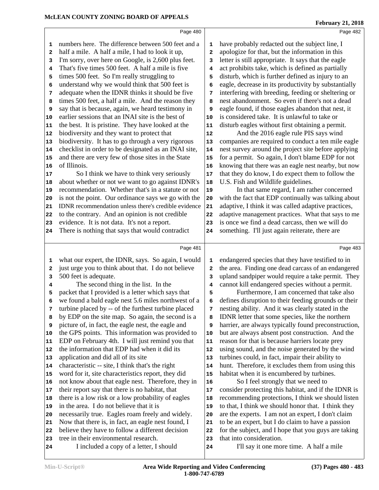| 1        | numbers here. The difference between 500 feet and a                                            | 1          | have probably redacted out the subject line, I                                                            |
|----------|------------------------------------------------------------------------------------------------|------------|-----------------------------------------------------------------------------------------------------------|
| 2        | half a mile. A half a mile, I had to look it up,                                               | 2          | apologize for that, but the information in this                                                           |
| 3        | I'm sorry, over here on Google, is 2,600 plus feet.                                            | 3          | letter is still appropriate. It says that the eagle                                                       |
| 4        | That's five times 500 feet. A half a mile is five                                              | 4          | act prohibits take, which is defined as partially                                                         |
| 5        | times 500 feet. So I'm really struggling to                                                    | 5          | disturb, which is further defined as injury to an                                                         |
| 6        | understand why we would think that 500 feet is                                                 | 6          | eagle, decrease in its productivity by substantially                                                      |
| 7        | adequate when the IDNR thinks it should be five                                                | 7          | interfering with breeding, feeding or sheltering or                                                       |
| 8        | times 500 feet, a half a mile. And the reason they                                             | 8          | nest abandonment. So even if there's not a dead                                                           |
| 9        | say that is because, again, we heard testimony in                                              | 9          | eagle found, if those eagles abandon that nest, it                                                        |
| 10       | earlier sessions that an INAI site is the best of                                              | 10         | is considered take. It is unlawful to take or                                                             |
| 11       | the best. It is pristine. They have looked at the                                              | 11         | disturb eagles without first obtaining a permit.                                                          |
| 12       | biodiversity and they want to protect that                                                     | ${\bf 12}$ | And the 2016 eagle rule PIS says wind                                                                     |
| 13       | biodiversity. It has to go through a very rigorous                                             | 13         | companies are required to conduct a ten mile eagle                                                        |
| 14       | checklist in order to be designated as an INAI site,                                           | 14         | nest survey around the project site before applying                                                       |
| 15       | and there are very few of those sites in the State                                             | 15         | for a permit. So again, I don't blame EDP for not                                                         |
| 16       | of Illinois.                                                                                   | 16         | knowing that there was an eagle nest nearby, but now                                                      |
| 17       | So I think we have to think very seriously                                                     | $17\,$     | that they do know, I do expect them to follow the                                                         |
| 18       | about whether or not we want to go against IDNR's                                              | 18         | U.S. Fish and Wildlife guidelines.                                                                        |
| 19       | recommendation. Whether that's in a statute or not                                             | 19         | In that same regard, I am rather concerned                                                                |
| 20       | is not the point. Our ordinance says we go with the                                            | 20         | with the fact that EDP continually was talking about                                                      |
| 21       | IDNR recommendation unless there's credible evidence                                           | 21         | adaptive, I think it was called adaptive practices,                                                       |
| 22       | to the contrary. And an opinion is not credible                                                | 22         | adaptive management practices. What that says to me                                                       |
| 23       | evidence. It is not data. It's not a report.                                                   | 23         | is once we find a dead carcass, then we will do                                                           |
| 24       | There is nothing that says that would contradict                                               | 24         | something. I'll just again reiterate, there are                                                           |
|          |                                                                                                |            |                                                                                                           |
|          | Page 481                                                                                       |            | Page 483                                                                                                  |
| 1        | what our expert, the IDNR, says. So again, I would                                             | 1          | endangered species that they have testified to in                                                         |
| 2        | just urge you to think about that. I do not believe                                            | 2          | the area. Finding one dead carcass of an endangered                                                       |
| 3        | 500 feet is adequate.                                                                          | 3          | upland sandpiper would require a take permit. They                                                        |
| 4        | The second thing in the list. In the                                                           | 4          | cannot kill endangered species without a permit.                                                          |
| 5        | packet that I provided is a letter which says that                                             | 5          | Furthermore, I am concerned that take also                                                                |
| 6        | we found a bald eagle nest 5.6 miles northwest of a                                            | 6          | defines disruption to their feeding grounds or their                                                      |
| 7        | turbine placed by -- of the furthest turbine placed                                            | 7          | nesting ability. And it was clearly stated in the                                                         |
| 8        | by EDP on the site map. So again, the second is a                                              | 8          | IDNR letter that some species, like the northern                                                          |
| 9        | picture of, in fact, the eagle nest, the eagle and                                             | 9          | harrier, are always typically found preconstruction,                                                      |
| 10       | the GPS points. This information was provided to                                               | 10         | but are always absent post construction. And the                                                          |
| 11       | EDP on February 4th. I will just remind you that                                               | 11         | reason for that is because harriers locate prey                                                           |
| 12       | the information that EDP had when it did its                                                   | 12         | using sound, and the noise generated by the wind                                                          |
| 13       | application and did all of its site                                                            | 13         | turbines could, in fact, impair their ability to                                                          |
| 14       |                                                                                                |            | hunt. Therefore, it excludes them from using this                                                         |
| 15       | characteristic -- site, I think that's the right                                               | 14         |                                                                                                           |
|          | word for it, site characteristics report, they did                                             | 15         | habitat when it is encumbered by turbines.                                                                |
|          | not know about that eagle nest. Therefore, they in                                             | 16         | So I feel strongly that we need to                                                                        |
| 16<br>17 | their report say that there is no habitat, that                                                | 17         | consider protecting this habitat, and if the IDNR is                                                      |
| 18       | there is a low risk or a low probability of eagles<br>in the area. I do not believe that it is | 18         | recommending protections, I think we should listen<br>to that, I think we should honor that. I think they |

Page 480

- in the area. I do not believe that it is
- necessarily true. Eagles roam freely and widely.
- Now that there is, in fact, an eagle nest found, I 21
- believe they have to follow a different decision 22 tree in their environmental research.
- I included a copy of a letter, I should
- that into consideration. I'll say it one more time. A half a mile

 are the experts. I am not an expert, I don't claim to be an expert, but I do claim to have a passion for the subject, and I hope that you guys are taking

**February 21, 2018**

Page 482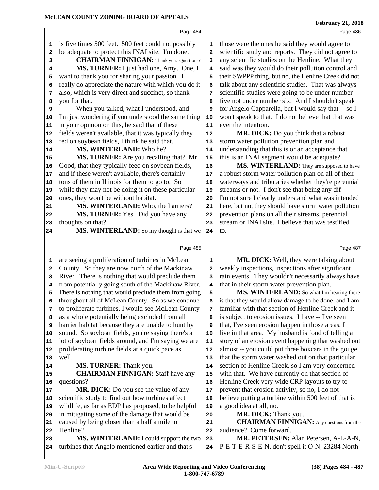|    | Page 484                                             |                         | Page 486                                             |
|----|------------------------------------------------------|-------------------------|------------------------------------------------------|
| 1  | is five times 500 feet. 500 feet could not possibly  | 1                       | those were the ones he said they would agree to      |
| 2  | be adequate to protect this INAI site. I'm done.     | $\overline{\mathbf{2}}$ | scientific study and reports. They did not agree to  |
| 3  | <b>CHAIRMAN FINNIGAN:</b> Thank you. Questions?      | 3                       | any scientific studies on the Henline. What they     |
| 4  | MS. TURNER: I just had one, Amy. One, I              | 4                       | said was they would do their pollution control and   |
| 5  | want to thank you for sharing your passion. I        | 5                       | their SWPPP thing, but no, the Henline Creek did not |
| 6  | really do appreciate the nature with which you do it | 6                       | talk about any scientific studies. That was always   |
| 7  | also, which is very direct and succinct, so thank    | 7                       | scientific studies were going to be under number     |
| 8  | you for that.                                        | 8                       | five not under number six. And I shouldn't speak     |
| 9  | When you talked, what I understood, and              | 9                       | for Angelo Capparella, but I would say that -- so I  |
| 10 | I'm just wondering if you understood the same thing  | 10                      | won't speak to that. I do not believe that that was  |
| 11 | in your opinion on this, he said that if these       | 11                      | ever the intention.                                  |
| 12 | fields weren't available, that it was typically they | 12                      | MR. DICK: Do you think that a robust                 |
| 13 | fed on soybean fields, I think he said that.         | 13                      | storm water pollution prevention plan and            |
| 14 | MS. WINTERLAND: Who he?                              | 14                      | understanding that this is or an acceptance that     |
| 15 | MS. TURNER: Are you recalling that? Mr.              | 15                      | this is an INAI segment would be adequate?           |
| 16 | Good, that they typically feed on soybean fields,    | 16                      | MS. WINTERLAND: They are supposed to have            |
| 17 | and if these weren't available, there's certainly    | 17                      | a robust storm water pollution plan on all of their  |
| 18 | tons of them in Illinois for them to go to. So       | 18                      | waterways and tributaries whether they're perennial  |
| 19 | while they may not be doing it on these particular   | 19                      | streams or not. I don't see that being any dif --    |
| 20 | ones, they won't be without habitat.                 | 20                      | I'm not sure I clearly understand what was intended  |
| 21 | MS. WINTERLAND: Who, the harriers?                   | 21                      | here, but no, they should have storm water pollution |
| 22 | MS. TURNER: Yes. Did you have any                    | 22                      | prevention plans on all their streams, perennial     |
| 23 | thoughts on that?                                    | 23                      | stream or INAI site. I believe that was testified    |
| 24 | MS. WINTERLAND: So my thought is that we             | 24                      | to.                                                  |
|    |                                                      |                         |                                                      |
|    | Page 485                                             |                         | Page 487                                             |
| 1  | are seeing a proliferation of turbines in McLean     | 1                       | MR. DICK: Well, they were talking about              |
| 2  | County. So they are now north of the Mackinaw        | 2                       | weekly inspections, inspections after significant    |
| з  | River. There is nothing that would preclude them     | 3                       | rain events. They wouldn't necessarily always have   |
| 4  | from potentially going south of the Mackinaw River.  | 4                       | that in their storm water prevention plan.           |
| 5  | There is nothing that would preclude them from going | 5                       | MS. WINTERLAND: So what I'm hearing there            |
| 6  | throughout all of McLean County. So as we continue   | 6                       | is that they would allow damage to be done, and I am |
| 7  | to proliferate turbines, I would see McLean County   | 7                       | familiar with that section of Henline Creek and it   |
| 8  | as a whole potentially being excluded from all       | 8                       | is subject to erosion issues. I have -- I've seen    |
| 9  | harrier habitat because they are unable to hunt by   | 9                       | that, I've seen erosion happen in those areas, I     |
| 10 | sound. So soybean fields, you're saying there's a    | 10                      | live in that area. My husband is fond of telling a   |
| 11 | lot of soybean fields around, and I'm saying we are  | 11                      | story of an erosion event happening that washed out  |
| 12 | proliferating turbine fields at a quick pace as      | 12                      | almost -- you could put three boxcars in the gouge   |
| 13 | well.                                                | 13                      | that the storm water washed out on that particular   |
| 14 | MS. TURNER: Thank you.                               | 14                      | section of Henline Creek, so I am very concerned     |
| 15 | <b>CHAIRMAN FINNIGAN: Staff have any</b>             | 15                      | with that. We have currently on that section of      |
| 16 | questions?                                           | 16                      | Henline Creek very wide CRP layouts to try to        |
| 17 | MR. DICK: Do you see the value of any                | 17                      | prevent that erosion activity, so no, I do not       |
| 18 | scientific study to find out how turbines affect     | 18                      | believe putting a turbine within 500 feet of that is |
| 19 | wildlife, as far as EDP has proposed, to be helpful  | 19                      | a good idea at all, no.                              |
| 20 | in mitigating some of the damage that would be       | 20                      | MR. DICK: Thank you.                                 |
| 21 | caused by being closer than a half a mile to         | 21                      | <b>CHAIRMAN FINNIGAN:</b> Any questions from the     |
| 22 | Henline?                                             | 22                      | audience? Come forward.                              |
| 23 | MS. WINTERLAND: I could support the two              | 23                      | MR. PETERSEN: Alan Petersen, A-L-A-N,                |
| 24 | turbines that Angelo mentioned earlier and that's -- | 24                      | P-E-T-E-R-S-E-N, don't spell it O-N, 23284 North     |
|    |                                                      |                         |                                                      |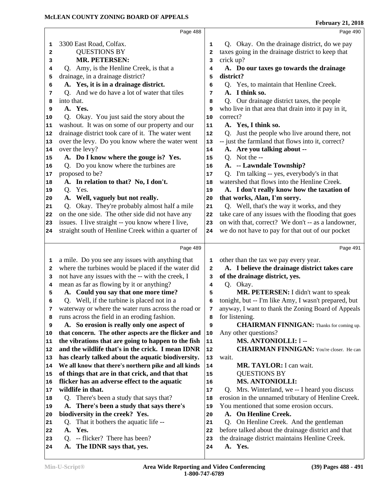|          | Page 488                                                                          |            | Page 490                                                                                      |
|----------|-----------------------------------------------------------------------------------|------------|-----------------------------------------------------------------------------------------------|
| 1        | 3300 East Road, Colfax.                                                           | 1          | Q. Okay. On the drainage district, do we pay                                                  |
| 2        | <b>QUESTIONS BY</b>                                                               | 2          | taxes going in the drainage district to keep that                                             |
| 3        | <b>MR. PETERSEN:</b>                                                              | 3          | crick up?                                                                                     |
| 4        | Q. Amy, is the Henline Creek, is that a                                           | 4          | A. Do our taxes go towards the drainage                                                       |
| 5        | drainage, in a drainage district?                                                 | 5          | district?                                                                                     |
| 6        | A. Yes, it is in a drainage district.                                             | 6          | Q. Yes, to maintain that Henline Creek.                                                       |
| 7        | Q. And we do have a lot of water that tiles                                       | 7          | A. I think so.                                                                                |
| 8        | into that.                                                                        | 8          | Q. Our drainage district taxes, the people                                                    |
| 9        | A. Yes.                                                                           | 9          | who live in that area that drain into it pay in it,                                           |
| 10       | Okay. You just said the story about the<br>O.                                     | 10         | correct?                                                                                      |
| 11       | washout. It was on some of our property and our                                   | 11         | A. Yes, I think so.                                                                           |
| 12       | drainage district took care of it. The water went                                 | 12         | Q. Just the people who live around there, not                                                 |
| 13       | over the levy. Do you know where the water went                                   | 13         | -- just the farmland that flows into it, correct?                                             |
| 14       | over the levy?                                                                    | 14         | A. Are you talking about --                                                                   |
| 15       | A. Do I know where the gouge is? Yes.                                             | 15         | Q. Not the --                                                                                 |
| 16       | Q. Do you know where the turbines are                                             | 16         | A. -- Lawndale Township?                                                                      |
| 17       | proposed to be?                                                                   | 17         | Q. I'm talking -- yes, everybody's in that<br>watershed that flows into the Henline Creek.    |
| 18       | A. In relation to that? No, I don't.<br>Q. Yes.                                   | 18<br>19   | A. I don't really know how the taxation of                                                    |
| 19<br>20 | A. Well, vaguely but not really.                                                  | 20         | that works, Alan, I'm sorry.                                                                  |
| 21       | Okay. They're probably almost half a mile                                         | 21         | Q. Well, that's the way it works, and they                                                    |
| 22       | on the one side. The other side did not have any                                  | 22         | take care of any issues with the flooding that goes                                           |
| 23       | issues. I live straight -- you know where I live,                                 | 23         | on with that, correct? We don't -- as a landowner,                                            |
| 24       | straight south of Henline Creek within a quarter of                               | 24         | we do not have to pay for that out of our pocket                                              |
|          |                                                                                   |            |                                                                                               |
|          | Page 489                                                                          |            |                                                                                               |
|          |                                                                                   |            | Page 491                                                                                      |
|          |                                                                                   |            |                                                                                               |
| 1        | a mile. Do you see any issues with anything that                                  | 1          | other than the tax we pay every year.                                                         |
| 2<br>3   | where the turbines would be placed if the water did                               | 2<br>3     | A. I believe the drainage district takes care                                                 |
| 4        | not have any issues with the -- with the creek, I                                 | 4          | of the drainage district, yes.<br>Q. Okay.                                                    |
| 5        | mean as far as flowing by it or anything?<br>A. Could you say that one more time? | 5          | MR. PETERSEN: I didn't want to speak                                                          |
| 6        | Q. Well, if the turbine is placed not in a                                        | 6          | tonight, but -- I'm like Amy, I wasn't prepared, but                                          |
| 7        | waterway or where the water runs across the road or                               | 7          | anyway, I want to thank the Zoning Board of Appeals                                           |
| 8        | runs across the field in an eroding fashion.                                      | 8          | for listening.                                                                                |
| 9        | A. So erosion is really only one aspect of                                        | 9          | <b>CHAIRMAN FINNIGAN:</b> Thanks for coming up.                                               |
| 10       | that concern. The other aspects are the flicker and                               | 10         | Any other questions?                                                                          |
| 11       | the vibrations that are going to happen to the fish                               | ${\bf 11}$ | MS. ANTONIOLLI: I --                                                                          |
| 12       | and the wildlife that's in the crick. I mean IDNR                                 | ${\bf 12}$ | <b>CHAIRMAN FINNIGAN:</b> You're closer. He can                                               |
| 13       | has clearly talked about the aquatic biodiversity.                                | 13         | wait.                                                                                         |
| 14       | We all know that there's northern pike and all kinds                              | 14         | MR. TAYLOR: I can wait.                                                                       |
| 15       | of things that are in that crick, and that that                                   | 15         | <b>QUESTIONS BY</b>                                                                           |
| 16       | flicker has an adverse effect to the aquatic                                      | 16         | <b>MS. ANTONIOLLI:</b>                                                                        |
| 17       | wildlife in that.                                                                 | 17<br>18   | Q. Mrs. Winterland, we -- I heard you discuss                                                 |
| 18<br>19 | Q. There's been a study that says that?                                           | 19         | erosion in the unnamed tributary of Henline Creek.<br>You mentioned that some erosion occurs. |
| 20       | A. There's been a study that says there's<br>biodiversity in the creek? Yes.      | 20         | A. On Henline Creek.                                                                          |
| 21       | Q. That it bothers the aquatic life --                                            | 21         | Q. On Henline Creek. And the gentleman                                                        |
| 22       | A. Yes.                                                                           | 22         | before talked about the drainage district and that                                            |
| 23       | Q. -- flicker? There has been?                                                    | 23         | the drainage district maintains Henline Creek.                                                |
| 24       | The IDNR says that, yes.<br>A.                                                    | 24         | A. Yes.                                                                                       |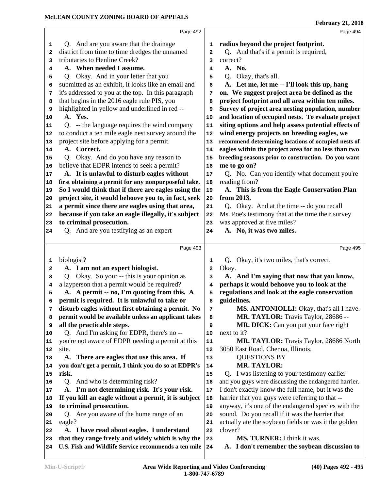|                                                                                                                 | Page 492                                                                                                                                                                                                                                                                                                                                                                                                                                                                                                                                                                                                                                                                                                                           |                                                                                                        | Page 494                                                                                                                                                                                                                                                                                                                                                                                                                                                                                                                                                                                                                                                                                                                                  |
|-----------------------------------------------------------------------------------------------------------------|------------------------------------------------------------------------------------------------------------------------------------------------------------------------------------------------------------------------------------------------------------------------------------------------------------------------------------------------------------------------------------------------------------------------------------------------------------------------------------------------------------------------------------------------------------------------------------------------------------------------------------------------------------------------------------------------------------------------------------|--------------------------------------------------------------------------------------------------------|-------------------------------------------------------------------------------------------------------------------------------------------------------------------------------------------------------------------------------------------------------------------------------------------------------------------------------------------------------------------------------------------------------------------------------------------------------------------------------------------------------------------------------------------------------------------------------------------------------------------------------------------------------------------------------------------------------------------------------------------|
| 1<br>$\overline{\mathbf{2}}$<br>3<br>4<br>5<br>6<br>7<br>8<br>9<br>10<br>11<br>12<br>13<br>14<br>15<br>16<br>17 | Q. And are you aware that the drainage<br>district from time to time dredges the unnamed<br>tributaries to Henline Creek?<br>A. When needed I assume.<br>Q. Okay. And in your letter that you<br>submitted as an exhibit, it looks like an email and<br>it's addressed to you at the top. In this paragraph<br>that begins in the 2016 eagle rule PIS, you<br>highlighted in yellow and underlined in red --<br>A. Yes.<br>Q. -- the language requires the wind company<br>to conduct a ten mile eagle nest survey around the<br>project site before applying for a permit.<br>A. Correct.<br>Q. Okay. And do you have any reason to<br>believe that EDPR intends to seek a permit?<br>A. It is unlawful to disturb eagles without | 1<br>$\overline{a}$<br>3<br>4<br>5<br>6<br>7<br>8<br>9<br>10<br>11<br>12<br>13<br>14<br>15<br>16<br>17 | radius beyond the project footprint.<br>Q. And that's if a permit is required,<br>correct?<br>A. No.<br>Q. Okay, that's all.<br>A. Let me, let me -- I'll look this up, hang<br>on. We suggest project area be defined as the<br>project footprint and all area within ten miles.<br>Survey of project area nesting population, number<br>and location of occupied nests. To evaluate project<br>siting options and help assess potential effects of<br>wind energy projects on breeding eagles, we<br>recommend determining locations of occupied nests of<br>eagles within the project area for no less than two<br>breeding seasons prior to construction. Do you want<br>me to go on?<br>Q. No. Can you identify what document you're |
| 18                                                                                                              | first obtaining a permit for any nonpurposeful take.                                                                                                                                                                                                                                                                                                                                                                                                                                                                                                                                                                                                                                                                               | 18                                                                                                     | reading from?                                                                                                                                                                                                                                                                                                                                                                                                                                                                                                                                                                                                                                                                                                                             |
| 19                                                                                                              | So I would think that if there are eagles using the                                                                                                                                                                                                                                                                                                                                                                                                                                                                                                                                                                                                                                                                                | 19                                                                                                     | A. This is from the Eagle Conservation Plan                                                                                                                                                                                                                                                                                                                                                                                                                                                                                                                                                                                                                                                                                               |
| 20                                                                                                              | project site, it would behoove you to, in fact, seek                                                                                                                                                                                                                                                                                                                                                                                                                                                                                                                                                                                                                                                                               | 20                                                                                                     | from 2013.                                                                                                                                                                                                                                                                                                                                                                                                                                                                                                                                                                                                                                                                                                                                |
| 21<br>22                                                                                                        | a permit since there are eagles using that area,<br>because if you take an eagle illegally, it's subject                                                                                                                                                                                                                                                                                                                                                                                                                                                                                                                                                                                                                           | 21<br>22                                                                                               | Q. Okay. And at the time -- do you recall<br>Ms. Poe's testimony that at the time their survey                                                                                                                                                                                                                                                                                                                                                                                                                                                                                                                                                                                                                                            |
| 23                                                                                                              | to criminal prosecution.                                                                                                                                                                                                                                                                                                                                                                                                                                                                                                                                                                                                                                                                                                           | 23                                                                                                     | was approved at five miles?                                                                                                                                                                                                                                                                                                                                                                                                                                                                                                                                                                                                                                                                                                               |
| 24                                                                                                              | Q. And are you testifying as an expert                                                                                                                                                                                                                                                                                                                                                                                                                                                                                                                                                                                                                                                                                             | 24                                                                                                     | A. No, it was two miles.                                                                                                                                                                                                                                                                                                                                                                                                                                                                                                                                                                                                                                                                                                                  |
|                                                                                                                 |                                                                                                                                                                                                                                                                                                                                                                                                                                                                                                                                                                                                                                                                                                                                    |                                                                                                        |                                                                                                                                                                                                                                                                                                                                                                                                                                                                                                                                                                                                                                                                                                                                           |
|                                                                                                                 | Page 493                                                                                                                                                                                                                                                                                                                                                                                                                                                                                                                                                                                                                                                                                                                           |                                                                                                        | Page 495                                                                                                                                                                                                                                                                                                                                                                                                                                                                                                                                                                                                                                                                                                                                  |
| 1<br>$\mathbf{2}$<br>3<br>4<br>5                                                                                | biologist?<br>A. I am not an expert biologist.<br>Q. Okay. So your -- this is your opinion as<br>a layperson that a permit would be required?<br>A. A permit -- no, I'm quoting from this. A                                                                                                                                                                                                                                                                                                                                                                                                                                                                                                                                       | 1<br>$\overline{a}$<br>3<br>4<br>5                                                                     | Q. Okay, it's two miles, that's correct.<br>Okay.<br>A. And I'm saying that now that you know,<br>perhaps it would behoove you to look at the<br>regulations and look at the eagle conservation                                                                                                                                                                                                                                                                                                                                                                                                                                                                                                                                           |
| 6                                                                                                               | permit is required. It is unlawful to take or                                                                                                                                                                                                                                                                                                                                                                                                                                                                                                                                                                                                                                                                                      | 6                                                                                                      | guidelines.                                                                                                                                                                                                                                                                                                                                                                                                                                                                                                                                                                                                                                                                                                                               |
| 7                                                                                                               | disturb eagles without first obtaining a permit. No                                                                                                                                                                                                                                                                                                                                                                                                                                                                                                                                                                                                                                                                                | 7                                                                                                      | MS. ANTONIOLLI: Okay, that's all I have.                                                                                                                                                                                                                                                                                                                                                                                                                                                                                                                                                                                                                                                                                                  |
| 8<br>9                                                                                                          | permit would be available unless an applicant takes<br>all the practicable steps.                                                                                                                                                                                                                                                                                                                                                                                                                                                                                                                                                                                                                                                  | 8                                                                                                      | MR. TAYLOR: Travis Taylor, 28686 --<br>MR. DICK: Can you put your face right                                                                                                                                                                                                                                                                                                                                                                                                                                                                                                                                                                                                                                                              |
|                                                                                                                 |                                                                                                                                                                                                                                                                                                                                                                                                                                                                                                                                                                                                                                                                                                                                    |                                                                                                        |                                                                                                                                                                                                                                                                                                                                                                                                                                                                                                                                                                                                                                                                                                                                           |
| 10                                                                                                              | Q. And I'm asking for EDPR, there's no --                                                                                                                                                                                                                                                                                                                                                                                                                                                                                                                                                                                                                                                                                          | 9<br>10                                                                                                | next to it?                                                                                                                                                                                                                                                                                                                                                                                                                                                                                                                                                                                                                                                                                                                               |
| 11                                                                                                              | you're not aware of EDPR needing a permit at this                                                                                                                                                                                                                                                                                                                                                                                                                                                                                                                                                                                                                                                                                  | 11                                                                                                     | MR. TAYLOR: Travis Taylor, 28686 North                                                                                                                                                                                                                                                                                                                                                                                                                                                                                                                                                                                                                                                                                                    |
| 12                                                                                                              | site.                                                                                                                                                                                                                                                                                                                                                                                                                                                                                                                                                                                                                                                                                                                              | 12                                                                                                     | 3050 East Road, Chenoa, Illinois.                                                                                                                                                                                                                                                                                                                                                                                                                                                                                                                                                                                                                                                                                                         |
| 13                                                                                                              | A. There are eagles that use this area. If                                                                                                                                                                                                                                                                                                                                                                                                                                                                                                                                                                                                                                                                                         | 13                                                                                                     | <b>QUESTIONS BY</b>                                                                                                                                                                                                                                                                                                                                                                                                                                                                                                                                                                                                                                                                                                                       |
| 14                                                                                                              | you don't get a permit, I think you do so at EDPR's                                                                                                                                                                                                                                                                                                                                                                                                                                                                                                                                                                                                                                                                                | 14                                                                                                     | <b>MR. TAYLOR:</b>                                                                                                                                                                                                                                                                                                                                                                                                                                                                                                                                                                                                                                                                                                                        |
| 15                                                                                                              | risk.                                                                                                                                                                                                                                                                                                                                                                                                                                                                                                                                                                                                                                                                                                                              | 15                                                                                                     | Q. I was listening to your testimony earlier                                                                                                                                                                                                                                                                                                                                                                                                                                                                                                                                                                                                                                                                                              |
| 16                                                                                                              | Q. And who is determining risk?                                                                                                                                                                                                                                                                                                                                                                                                                                                                                                                                                                                                                                                                                                    | 16                                                                                                     | and you guys were discussing the endangered harrier.                                                                                                                                                                                                                                                                                                                                                                                                                                                                                                                                                                                                                                                                                      |
| 17                                                                                                              | A. I'm not determining risk. It's your risk.                                                                                                                                                                                                                                                                                                                                                                                                                                                                                                                                                                                                                                                                                       | $17$                                                                                                   | I don't exactly know the full name, but it was the                                                                                                                                                                                                                                                                                                                                                                                                                                                                                                                                                                                                                                                                                        |
| 18<br>19                                                                                                        | If you kill an eagle without a permit, it is subject<br>to criminal prosecution.                                                                                                                                                                                                                                                                                                                                                                                                                                                                                                                                                                                                                                                   | 18<br>19                                                                                               | harrier that you guys were referring to that --<br>anyway, it's one of the endangered species with the                                                                                                                                                                                                                                                                                                                                                                                                                                                                                                                                                                                                                                    |
| 20                                                                                                              | Q. Are you aware of the home range of an                                                                                                                                                                                                                                                                                                                                                                                                                                                                                                                                                                                                                                                                                           | 20                                                                                                     | sound. Do you recall if it was the harrier that                                                                                                                                                                                                                                                                                                                                                                                                                                                                                                                                                                                                                                                                                           |
| 21                                                                                                              | eagle?                                                                                                                                                                                                                                                                                                                                                                                                                                                                                                                                                                                                                                                                                                                             | 21                                                                                                     | actually ate the soybean fields or was it the golden                                                                                                                                                                                                                                                                                                                                                                                                                                                                                                                                                                                                                                                                                      |
| 22                                                                                                              | A. I have read about eagles. I understand                                                                                                                                                                                                                                                                                                                                                                                                                                                                                                                                                                                                                                                                                          | 22                                                                                                     | clover?                                                                                                                                                                                                                                                                                                                                                                                                                                                                                                                                                                                                                                                                                                                                   |
| 23                                                                                                              | that they range freely and widely which is why the                                                                                                                                                                                                                                                                                                                                                                                                                                                                                                                                                                                                                                                                                 | 23                                                                                                     | MS. TURNER: I think it was.                                                                                                                                                                                                                                                                                                                                                                                                                                                                                                                                                                                                                                                                                                               |
| 24                                                                                                              | U.S. Fish and Wildlife Service recommends a ten mile                                                                                                                                                                                                                                                                                                                                                                                                                                                                                                                                                                                                                                                                               | 24                                                                                                     | A. I don't remember the soybean discussion to                                                                                                                                                                                                                                                                                                                                                                                                                                                                                                                                                                                                                                                                                             |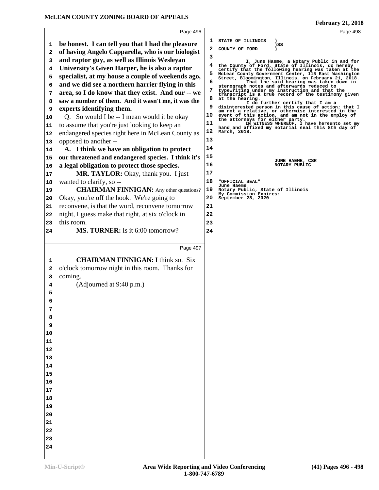|              |                                                     |    | $\ldots$                                                                                                |
|--------------|-----------------------------------------------------|----|---------------------------------------------------------------------------------------------------------|
|              | Page 496                                            |    | Page 498                                                                                                |
| 1            | be honest. I can tell you that I had the pleasure   | 1  | STATE OF ILLINOIS<br>)SS                                                                                |
| $\mathbf{2}$ | of having Angelo Capparella, who is our biologist   | 2  | COUNTY OF FORD                                                                                          |
| 3            | and raptor guy, as well as Illinois Wesleyan        | 3  | I, June Haeme, a Notary Public in and for                                                               |
| 4            | University's Given Harper, he is also a raptor      |    | the County of Ford, State of Illinois, do hereby<br>certify that the following hearing was taken at the |
| 5            | specialist, at my house a couple of weekends ago,   | 5  | McLean County Government Center, 115 East Washington                                                    |
| 6            | and we did see a northern harrier flying in this    | 6  | Street, Bloomington, Illinois, on February 21, 2018.<br>That the said hearing was taken down in         |
| 7            | area, so I do know that they exist. And our -- we   | 7  | stenograph notes and afterwards reduced to<br>typewriting under my instruction and that the             |
| 8            | saw a number of them. And it wasn't me, it was the  | 8  | transcript is a true record of the testimony given<br>at the hearing.                                   |
| 9            | experts identifying them.                           | 9  | I do further certify that I am a<br>disinterested person in this cause of action; that I                |
| 10           | Q. So would I be -- I mean would it be okay         | 10 | am not a relative, or otherwise interested in the<br>event of this action, and am not in the employ of  |
| 11           | to assume that you're just looking to keep an       | 11 | the attorneys for either party.<br>IN WITNESS WHEREOF, I have hereunto set my                           |
| 12           | endangered species right here in McLean County as   | 12 | hand and affixed my notarial seal this 8th day of<br>March, 2018.                                       |
| 13           | opposed to another --                               | 13 |                                                                                                         |
| 14           | A. I think we have an obligation to protect         | 14 |                                                                                                         |
| 15           | our threatened and endangered species. I think it's | 15 |                                                                                                         |
| 16           | a legal obligation to protect those species.        | 16 | JUNE HAEME, CSR<br>NOTARY PUBLIC                                                                        |
| 17           | MR. TAYLOR: Okay, thank you. I just                 | 17 |                                                                                                         |
| 18           | wanted to clarify, so --                            | 18 | "OFFICIAL SEAL"                                                                                         |
| 19           | <b>CHAIRMAN FINNIGAN:</b> Any other questions?      | 19 | June Haeme<br>Notary Public, State of Illinois                                                          |
| 20           | Okay, you're off the hook. We're going to           | 20 | My Commission Expires:<br>September 28, 2020                                                            |
| 21           | reconvene, is that the word, reconvene tomorrow     | 21 |                                                                                                         |
| 22           | night, I guess make that right, at six o'clock in   | 22 |                                                                                                         |
| 23           | this room.                                          | 23 |                                                                                                         |
| 24           | <b>MS. TURNER:</b> Is it 6:00 tomorrow?             | 24 |                                                                                                         |
|              |                                                     |    |                                                                                                         |
|              |                                                     |    |                                                                                                         |
|              | Page 497                                            |    |                                                                                                         |
|              |                                                     |    |                                                                                                         |
| 1            | <b>CHAIRMAN FINNIGAN: I think so. Six</b>           |    |                                                                                                         |
| 2            | o'clock tomorrow night in this room. Thanks for     |    |                                                                                                         |
| 3            | coming.                                             |    |                                                                                                         |
| 4            | (Adjourned at 9:40 p.m.)                            |    |                                                                                                         |
| 5            |                                                     |    |                                                                                                         |
| 6            |                                                     |    |                                                                                                         |
| 7            |                                                     |    |                                                                                                         |
| 8<br>9       |                                                     |    |                                                                                                         |
| 10           |                                                     |    |                                                                                                         |
| 11           |                                                     |    |                                                                                                         |
| 12           |                                                     |    |                                                                                                         |
| 13           |                                                     |    |                                                                                                         |
| 14           |                                                     |    |                                                                                                         |
| 15           |                                                     |    |                                                                                                         |
| 16           |                                                     |    |                                                                                                         |
| 17           |                                                     |    |                                                                                                         |
| 18           |                                                     |    |                                                                                                         |
| 19           |                                                     |    |                                                                                                         |
| 20           |                                                     |    |                                                                                                         |
| 21           |                                                     |    |                                                                                                         |
| 22           |                                                     |    |                                                                                                         |
| 23           |                                                     |    |                                                                                                         |
| 24           |                                                     |    |                                                                                                         |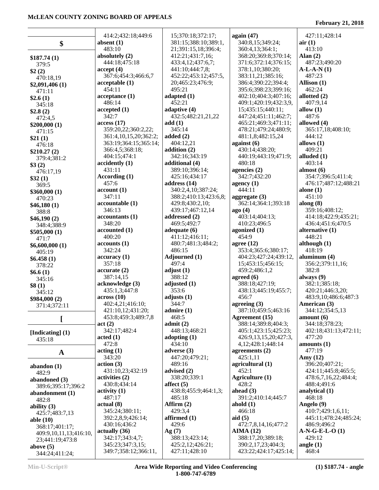$\mathbf{I}$ 

 $\mathbf{I}$ 

|                                | 414:2;432:18;449:6                       | 15;370:18;372:17;                 | again $(47)$                                | 427:11;428:14                            |
|--------------------------------|------------------------------------------|-----------------------------------|---------------------------------------------|------------------------------------------|
| \$                             | absent $(1)$                             | 381:15;388:10;389:1,              | 340:8,15;349:24;                            | air(1)                                   |
|                                | 483:10                                   | 21;391:15,18;396:4;               | 360:4,13;364:1;                             | 413:10                                   |
| \$187.74(1)                    | absolutely (2)                           | 412:21;431:7,16;                  | 368:20;369:8;370:14;                        | Alan $(2)$                               |
| 379:5                          | 444:18;475:18                            | 433:4,12;437:6,7;                 | 371:6;372:14;376:15;                        | 487:23;490:20                            |
| \$2(2)                         | accept(4)                                | 441:10;444:7,8;                   | 378:1,10;380:20;                            | $A-L-A-N(1)$                             |
| 470:18,19                      | 367:6;454:3;466:6,7                      | 452:22;453:12;457:5,              | 383:11,21;385:16;                           | 487:23                                   |
| \$2,091,406(1)                 | acceptable(1)                            | 20;465:23;476:9;                  | 386:4;390:22;394:4;                         | Allison $(1)$                            |
| 471:11                         | 454:11                                   | 495:21                            | 395:6;398:23;399:16;                        | 462:24                                   |
| \$2.6(1)                       | acceptance(1)                            | adapted $(1)$                     | 402:10;404:3;407:16;                        | allotted (2)                             |
| 345:18                         | 486:14                                   | 452:21                            | 409:1;420:19;432:3,9,                       | 407:9,14                                 |
| \$2.8(2)                       | accepted(1)                              | adaptive (4)                      | 15;435:15;440:11;                           | allow $(1)$                              |
| 472:4,5                        | 342:7                                    | 432:5;482:21,21,22                | 447:24;451:11;462:7;                        | 487:6                                    |
| \$200,000(1)                   | access(17)                               | add(1)                            | 465:21;469:3;471:11;                        | allowed (4)                              |
| 471:15                         | 359:20,22;360:2,22;                      | 345:14                            | 478:21;479:24;480:9;                        | 365:17,18;408:10;                        |
| \$21(1)                        | 361:4, 10, 15, 20; 362: 2;               | added $(2)$                       | 481:1,8;482:15,24                           | 444:12                                   |
| 476:18                         | 363:19;364:15;365:14;                    | 404:12,21                         | against $(6)$                               | allows $(1)$                             |
| \$210.27(2)                    | 366:4,5;368:18;                          | addition $(2)$                    | 430:14;438:20;                              | 409:21                                   |
| 379:4;381:2                    | 404:15;474:1                             | 342:16;343:19                     | 440:19;443:19;471:9;                        | alluded $(1)$                            |
| \$3(2)                         | accidentally (1)                         | additional (4)                    | 480:18                                      | 403:14                                   |
| 476:17,19                      | 431:11                                   | 389:10;396:14;                    | agencies (2)                                | almost $(6)$                             |
| \$32(1)                        | According (1)                            | 425:16;434:17                     | 342:7;432:20                                | 354:7;396:5;411:4;                       |
| 369:5                          | 457:6                                    | address $(14)$                    | agency $(1)$                                | 476:17;487:12;488:21                     |
| \$360,000(1)                   | account(1)                               | 340:2,4,10;387:24;                | 444:11                                      | alone $(1)$                              |
| 470:23                         | 347:11                                   | 388:2;410:13;423:6,8;             | aggregate $(3)$                             | 451:10                                   |
| \$46,180(1)                    | accountable (1)                          | 429:8;430:2,10;                   | 362:14;364:1;393:18                         | along $(8)$                              |
| 388:8                          | 346:13                                   | 439:17;467:12,14                  | ago(4)                                      | 359:16;408:12;                           |
| \$46,190(2)                    | accountants (1)                          | addressed (2)                     | 403:14;404:13;                              | 414:18;422:9;435:21;                     |
| 348:4;388:9                    | 348:20                                   | 469:5;492:7                       | 410:23;496:5                                | 436:4;451:6;470:5                        |
| \$505,000(1)                   | accounted (1)                            | adequate $(6)$                    | agonized (1)                                | alternative (1)                          |
| 471:7                          | 400:20                                   | 411:12;416:11;                    | 454:9                                       | 448:21                                   |
| \$6,600,000(1)                 | accounts(1)                              | 480:7;481:3;484:2;                | agree $(12)$                                | although $(1)$                           |
| 405:19                         | 342:24                                   | 486:15                            | 353:4;365:6;380:17;                         | 418:19                                   |
| \$6.458(1)                     | accuracy(1)                              | Adjourned (1)                     | 404:23;427:24;439:12,                       | aluminum (4)                             |
| 378:22                         | 357:18                                   | 497:4                             | 15;453:15;456:15;                           | 356:2;379:11,16;                         |
| \$6.6(1)                       | accurate(2)                              | adjust $(1)$                      | 459:2;486:1,2                               | 382:8                                    |
| 345:16                         | 387:14,15                                | 388:12                            | agreed $(6)$                                | always $(9)$                             |
| \$8(1)                         | acknowledge (3)<br>435:1,3;447:8         | adjusted (1)<br>353:6             | 388:18;427:19;<br>438:13;445:19;455:7;      | 382:1;385:18;                            |
| 345:12                         |                                          | adjusts $(1)$                     | 456:7                                       | 420:21;446:3,20;<br>483:9,10;486:6;487:3 |
| \$984,000(2)                   | $\arccos(10)$<br>402:4,21;416:10;        | 344:7                             | agreeing $(3)$                              | American (3)                             |
| 371:4;372:11                   | 421:10,12;431:20;                        | admire(1)                         | 387:10;459:5;463:16                         | 344:12;354:5,13                          |
|                                | 453:8;459:3;489:7,8                      | 468:5                             | Agreement (15)                              | amount(6)                                |
|                                | act(2)                                   | admit(2)                          | 388:14;389:8;404:3;                         | 344:18;378:23;                           |
|                                | 342:17;482:4                             | 448:13;468:21                     | 405:1;423:15;425:23;                        | 402:18;431:13;472:11;                    |
| [Indicating] (1)               | $\boldsymbol{\mathrm{acted}}$ (1)        | adopting $(1)$                    | 426:9,13,15,20;427:3,                       | 477:20                                   |
| 435:18                         | 472:8                                    | 434:10                            | 4, 12; 428: 1; 448: 14                      | amounts $(1)$                            |
| $\mathbf{A}$                   | $\arctan(1)$                             | adverse $(3)$                     | agreements $(2)$                            | 477:19                                   |
|                                | 343:20                                   | 447:20:479:21:                    | 425:1,11                                    | Amy $(12)$                               |
| abandon $(1)$                  | action(3)                                | 489:16                            | agricultural (1)                            | 396:20;407:21;                           |
| 482:9                          | 431:10,23;432:19                         | advised (2)                       | 452:1                                       | 424:11;445:8;465:5;                      |
| abandoned (3)                  | activities (2)                           | 338:20;339:1                      | Agriculture (1)                             | 478:6,7,16,22;484:4;                     |
| 389:6;395:17;396:2             | 430:8;434:14                             | affect $(5)$                      | 428:2                                       | 488:4;491:6                              |
| abandonment (1)                | $\text{activity} (1)$                    | 438:8;455:9;464:1,3;              | ahead $(3)$                                 | analytical $(1)$                         |
| 482:8                          | 487:17                                   | 485:18                            | 391:2;410:14;445:7                          | 468:18                                   |
| ability $(3)$                  | actual(8)                                | Affirm $(2)$                      | ahold $(1)$                                 | Angelo (9)                               |
| 425:7;483:7,13                 | 345:24;380:11;                           | 429:3,4                           | 466:18                                      | 410:7;429:1,6,11;                        |
| able $(10)$                    | 392:2,8,9;426:14;                        | affirmed $(1)$                    | aid $(5)$                                   | 445:11;478:24;485:24;                    |
| 368:17;401:17;                 | 430:16;436:2                             | 429:6                             | 472:7,8,14,16;477:2                         | 486:9;496:2                              |
| 409:9,10,11,13;416:10,         | actually (36)                            | Ag(7)                             | AIMA(12)                                    | $A-N-G-E-L-O(1)$                         |
|                                |                                          |                                   |                                             |                                          |
|                                | 342:17;343:4,7;                          | 388:13;423:14;                    | 388:17,20;389:18;                           | 429:12                                   |
| 23;441:19;473:8<br>above $(5)$ | 345:23;347:3,15;<br>349:7;358:12;366:11, | 425:2,12;426:21;<br>427:11;428:10 | 390:2,17,23;404:3;<br>423:22;424:17;425:14; | angle $(1)$                              |

Τ

# **February 21, 2018**

Τ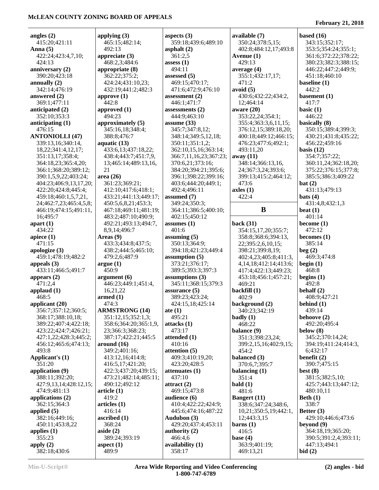| angles $(2)$           | applying $(3)$                    | aspects $(3)$          | available (7)               | based $(16)$          |
|------------------------|-----------------------------------|------------------------|-----------------------------|-----------------------|
| 415:20;421:11          | 465:15;482:14;                    | 359:18;439:6;489:10    | 350:24;378:5,15;            | 343:15;352:17;        |
| Anna $(5)$             | 492:13                            | asphalt $(2)$          | 402:8;484:12,17;493:8       | 353:5;354:24;355:1;   |
| 422:24;423:4,7,10;     | appreciate $(3)$                  | 361:2,5                | Avenue $(1)$                | 361:6;372:22;378:22;  |
| 424:13                 | 468:2,3;484:6                     | assess $(1)$           | 429:13                      | 380:23;382:3;388:15;  |
| anniversary $(2)$      | appropriate (8)                   | 494:11                 | average $(4)$               | 446:22;447:2;449:9;   |
| 390:20;423:18          | 362:22;375:2;                     | assessed (5)           | 355:1;432:17,17;            | 451:18;460:10         |
| annually $(2)$         | 424:24;431:10,23;                 | 469:15;470:17;         | 471:2                       | baseline (1)          |
| 342:14;476:19          | 432:19;441:2;482:3                | 471:6;472:9;476:10     | avoid (5)                   | 442:2                 |
| answered (2)           | approve $(1)$                     | assessment $(2)$       | 430:6;432:22;434:2,         | basement (1)          |
| 369:1;477:11           | 442:8                             | 446:1;471:7            | 12;464:14                   | 417:7                 |
| anticipated (2)        | approved (1)                      | assessments (2)        | aware $(20)$                | basic $(1)$           |
| 352:10;353:3           | 494:23                            | 444:9;463:10           | 353:22,24;354:1;            | 446:22                |
| anticipating $(1)$     | approximately (5)                 | assume $(33)$          | 355:4;363:3,6,11,15;        | basically (8)         |
| 476:15                 | 345:16,18;348:4;                  | 345:7;347:8,12;        | 376:12,15;389:18,20;        | 350:15;389:4;399:3;   |
| <b>ANTONIOLLI (47)</b> | 388:8;476:7                       | 348:14;349:5,12,18;    | 400:18;449:12;466:15;       | 430:21;431:8;435:22;  |
| 339:13,16;340:14,      | aquatic $(13)$                    | 350:11;351:1,2;        | 476:23;477:6;492:1;         | 456:22;459:16         |
| 18,22;341:4,12,17;     | 433:6,13;437:18,22;               | 362:10,15,16;363:14;   | 493:11,20                   | basis $(12)$          |
| 351:13,17;358:4;       | 438:4;443:7;451:7,9,              | 366:7,11,16,23;367:23; | away (11)                   | 354:7;357:22;         |
| 364:18,23;365:4,20;    | 13;465:14;489:13,16,              | 370:6,21;373:16;       | 348:14;366:13,16,           | 360:11,24;362:18,20;  |
| 366:1;368:20;389:12;   | 21                                | 384:20;394:21;395:6;   | 24;367:3,24;393:6;          | 375:22;376:15;377:8;  |
| 390:1,5,9,22;403:24;   | area $(26)$                       | 396:1;398:22;399:16;   | 399:13;415:2;464:12;        | 385:5;386:3;409:22    |
| 404:23;406:9,13,17,20; | 361:23;369:21;                    | 403:6;444:20;449:1;    | 473:6                       | bat(2)                |
| 422:20;424:8;445:4;    | 412:10;417:6;418:1;               | 492:4;496:11           | axles(1)                    | 431:13;479:13         |
| 459:18;460:1,5,7,21,   | 433:21;441:13;449:17;             | assumed (7)            | 422:4                       | bats $(4)$            |
| 24;462:7,23;465:4,5,8; | 450:5,6,8,21;453:3;               | 349:24;350:3;          |                             | 431:4,8;432:1,3       |
| 466:19;474:15;491:11,  | 467:18;469:11;481:19;             | 364:11;386:5;400:10;   | B                           | beat $(1)$            |
| 16;495:7               | 483:2;487:10;490:9;               | 402:15;450:12          |                             | 401:14                |
| apart $(1)$            | 492:21;493:13;494:7,              | assumes (1)            | back $(31)$                 | become $(1)$          |
| 434:22                 | 8,9,14;496:7                      | 401:6                  | 354:15,17,20;355:7;         | 472:12                |
| apiece $(1)$           | Areas $(9)$                       | assuming $(5)$         | 358:8;368:6;394:13,         | becomes $(1)$         |
| 471:15                 | 433:3;434:8;437:5;                | 350:13;364:9;          | 22;395:2,6,10,15;           | 385:14                |
| apologize $(3)$        | 438:2;444:5;465:10;               | 394:18;421:23;449:4    | 398:21;399:8,19;            | beg(2)                |
| 459:1;478:19;482:2     | 479:2,6;487:9                     | assumption $(5)$       | 402:4,23;405:8;411:3,       | 469:3;474:8           |
| appeals $(3)$          | argue(1)                          | 373:21;376:17;         | 4, 14, 18; 412: 14; 413: 6; | begin $(1)$           |
| 433:11;466:5;491:7     | 450:9                             | 389:5;393:3;397:3      | 417:4;422:13;449:23;        | 468:8                 |
| appears $(2)$          | argument $(6)$                    | assumptions $(3)$      | 453:18;456:1;457:21;        | begins $(1)$          |
| 471:2,4                | 446:23;449:1;451:4,               | 345:11;368:15;379:3    | 469:21                      | 492:8                 |
| applaud $(1)$          | 16,21,22                          | assurance $(5)$        | backfill $(1)$              | behalf $(2)$          |
| 468:5                  | $\boldsymbol{\mathrm{armed}}$ (1) | 389:23;423:24;         | 402:9                       | 408:9;427:21          |
| applicant (20)         | 474:3                             | 424:15,18;425:14       | background (2)              | behind (1)            |
| 356:7;357:12;360:5;    | <b>ARMSTRONG (14)</b>             | ate $(1)$              | 340:23;342:19               | 439:14                |
| 368:17;388:10,18;      | 351:12,15;352:1,3;                | 495:21                 | badly $(1)$                 | behoove (2)           |
| 389:22;407:4;422:18;   | 358:6;364:20;365:1,9,             | attacks(1)             | 468:22                      | 492:20:495:4          |
| 423:22;424:7;426:21;   | 23;366:3;368:23;                  | 473:17                 | balance (9)                 | below $(8)$           |
| 427:1,22;428:3;445:2;  | 387:17;422:21;445:5               | attended (1)           | 351:3;398:23,24;            | 345:2;370:14,24;      |
| 456:12;465:6;474:13;   | around $(16)$                     | 410:16                 | 399:2,15,16;402:9,15;       | 394:19;411:24;414:3,  |
| 493:8                  | 349:2;401:16;                     | attention (5)          | 454:2                       | 6;432:17              |
| Applicant's (1)        | 413:12,16;414:8;                  | 409:3;410:19,20;       | balanced (3)                | benefit $(2)$         |
| 351:20                 | 416:5,17;421:20;                  | 423:20;428:5           | 370:6,7;395:7               | 390:7;475:15          |
| application (9)        | 422:3;437:20;439:15;              | attenuates (1)         | balancing $(1)$             | best $(8)$            |
| 388:11;392:20;         | 473:21;482:14;485:11;             | 437:10                 | 351:4                       | 381:5;382:5,10;       |
| 427:9,13,14;428:12,15; | 490:12;492:12                     | attract $(2)$          | bald(1)                     | 425:7;443:13;447:12;  |
| 474:9;481:13           | article <sub>(1)</sub>            | 469:15;473:8           | 481:6                       | 480:10,11             |
| applications $(2)$     | 419:2                             | audience (6)           | <b>Bangert</b> (11)         | Beth $(1)$            |
| 362:15;364:3           | articles (1)                      | 410:4;422:22;424:9;    | 338:6;347:24;348:6,         | 338:7                 |
| applied $(5)$          | 416:14                            | 445:6;474:16;487:22    | 10,21;350:5,19;442:1,       | Better $(3)$          |
| 382:16;449:16;         | ascribed $(1)$                    | Audubon (3)            | 12;443:3,15                 | 429:10;446:6;473:6    |
| 450:11;453:8,22        | 368:24                            | 429:20;437:4;453:11    | barns $(1)$                 | beyond $(9)$          |
| applies $(1)$          | aside $(2)$                       | authority $(2)$        | 416:5                       | 364:18,19;365:20;     |
| 355:23                 | 389:24;393:19                     | 466:4,6                | base $(4)$                  | 390:5;391:2,4;393:11; |
| apply $(2)$            | aspect $(1)$                      | availability (1)       | 363:9;401:19;               | 447:13;494:1          |
| 382:18;430:6           | 489:9                             | 358:17                 | 469:13,21                   | bid(2)                |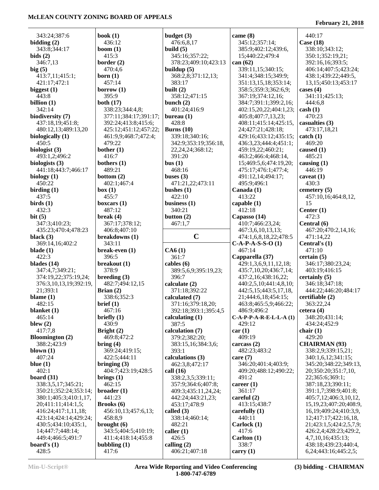#### **February 21, 2018**

| 343:24;387:6                              | book $(1)$                           |
|-------------------------------------------|--------------------------------------|
| bidding $(2)$                             | 436:12                               |
| 343:8;344:17                              | boom $(1)$                           |
| bids(2)                                   | 415:3                                |
| 346:7,13                                  | border (2)                           |
| big(5)<br>413:7,11;415:1;                 | 470:4,6<br>born $(1)$                |
| 421:17;472:1                              | 457:14                               |
| biggest $(1)$                             | borrow $(1)$                         |
| 443:8                                     | 395:9                                |
| billion $(1)$                             | both (17)                            |
| 342:14                                    | 338:23;344:4,8;                      |
| biodiversity (7)                          | 377:11;384:17;3                      |
| 437:18,19;451:8;<br>480:12,13;489:13,20   | 392:24;413:8;41<br>425:12;451:12;4   |
| biologically (1)                          | 461:9,9;468:7;4                      |
| 450:5                                     | 479:22                               |
| biologist (3)                             | bother $(1)$                         |
| 493:1,2;496:2                             | 416:7                                |
| biologists (3)                            | bothers (1)                          |
| 441:18;443:7;466:17<br>biology (1)        | 489:21<br>bottom $(2)$               |
| 450:22                                    | 402:1;467:4                          |
| birding $(1)$                             | box(1)                               |
| 437:5                                     | 455:7                                |
| $\boldsymbol{\text{birds}}$ (1)           | boxcars $(1)$                        |
| 432:3                                     | 487:12                               |
| bit $(5)$<br>347:3;410:23;                | break $(4)$<br>367:17;378:12;        |
| 435:23;470:4;478:23                       | 406:8;407:10                         |
| black $(3)$                               | breakdowns (1)                       |
| 369:14,16;402:2                           | 343:11                               |
| blade (1)                                 | break-even (1)                       |
| 422:3                                     | 396:5                                |
| blades (14)<br>347:4,7;349:21;            | breakout (1)<br>378:9                |
| 374:19,22;375:19,24;                      | breeding $(3)$                       |
| 376:3,10,13,19;392:19,                    | 482:7;494:12,15                      |
| 21;393:1                                  | Brian $(2)$                          |
| blame $(1)$                               | 338:6;352:3                          |
| 482:15                                    | brief (1)                            |
| blanket (1)<br>465:14                     | 467:16<br>briefly $(1)$              |
| blew $(2)$                                | 430:9                                |
| 417:7,8                                   | Bright (2)                           |
| <b>Bloomington</b> (2)                    | 469:8;472:2                          |
| 388:2;423:9                               | bring (4)                            |
| blown $(1)$<br>407:24                     | 369:24;419:15;                       |
| blue $(1)$                                | 422:5;444:11<br>bringing $(3)$       |
| 402:1                                     | 404:7;423:19;42                      |
| board $(31)$                              | brings $(1)$                         |
| 338:3,5,17;345:21;                        | 462:15                               |
| 350:21;352:24;353:14;                     | broader (1)                          |
| 380:1;405:3;410:1,17,                     | 441:23                               |
| 20;411:11;414:1,5;<br>416:24;417:1,11,18; | <b>Brooks</b> (6)<br>456:10,13;457:6 |
| 423:14;424:14;429:24;                     | 458:8,9                              |
| 430:5;434:10;435:1,                       | brought (6)                          |
| 14;447:7;448:14;                          | 343:5;404:5;410                      |
| 449:4;466:5;491:7                         | 411:4;418:14;45                      |
| board's $(1)$                             | bubbling $(1)$                       |
| 428:5                                     | 417:6                                |

|                         | budget (3)                     | came         |
|-------------------------|--------------------------------|--------------|
|                         | 476:6,8,17                     | 345          |
|                         | build $(5)$                    | 385          |
|                         | 345:16;357:22;                 | 15;4         |
|                         | 378:23;409:10;423:13           | can (6       |
|                         | buildup $(5)$                  | 339          |
|                         | 368:2,8;371:12,13;             | 341          |
|                         | 383:17                         | 351          |
|                         | built (2)                      | 358          |
|                         | 358:12;471:15                  | 367          |
|                         | bunch $(2)$                    | 384          |
| :4.8:                   | 401:24;416:9                   | 402:         |
| :17;391:17;             | bureau $(1)$                   | 405          |
| :8;415:6;               | 428:8                          | 408          |
| :12;457:22;             | Burns $(10)$                   | 24;4         |
| 3:7;472:4;              | 339:18;340:16;                 | 429:         |
|                         | 342:9;353:19;356:18,           | 436          |
|                         | 22, 24, 24; 368: 12;           | 459          |
|                         | 391:20                         | 463          |
|                         | bus(1)                         | 15;4         |
|                         | 468:16                         | 475          |
|                         | buses $(3)$                    | 491          |
| 1                       | 471:21,22;473:11               | 495          |
|                         | bushes $(1)$                   | Canad        |
|                         | 422:10                         | 413          |
|                         | business (1)                   | capab        |
|                         | 340:21                         | 412          |
|                         | button $(2)$                   | Capas        |
| :12;                    | 467:1,7                        | 410          |
| 10                      |                                | 467          |
| (1)                     | C                              | 474          |
|                         |                                | $C-A-P$      |
| l)                      | CA6(1)                         | 467          |
|                         | 361:7                          | Cappa        |
|                         | cables (6)                     | 429          |
|                         | 389:5,6,9;395:19,23;           |              |
|                         |                                | 435          |
|                         | 396:7                          | 437          |
| 12,15                   | calculate (2)                  | 440:         |
|                         | 371:18;392:22                  | 442          |
| 3                       | calculated (7)                 | 21;4         |
|                         | 371:16;379:18,20;              | 463          |
|                         | 392:18;393:1;395:4,5           | 486          |
|                         | calculating $(1)$              | $C-A-P$      |
|                         | 387:5                          | 429          |
|                         | calculation (7)                | car(1)       |
| $\overline{\mathbf{r}}$ | 379:2;382:20;                  | 409          |
|                         | 383:15,16;384:3,6;             | carcas       |
| :15;                    | 393:1                          | 482          |
| 11                      | calculations (3)               | care ('      |
|                         | 462:3,8;472:17                 | 346          |
| 19;428:5                | call (16)                      | 409          |
|                         | 338:2,3,5;339:11;              | 491          |
|                         | 357:9:364:6:407:8:             | career       |
|                         | 409:3;435:11,24,24;            | 361          |
|                         | 442:24;443:21,23;              | carefu       |
|                         | 453:17;478:9                   | 413          |
| 457:6,13;               | called (3)                     | carefu       |
|                         | 338:14;460:14;                 | 440          |
|                         | 482:21                         | Carlo        |
| 5;410:19;               | caller $(1)$                   | 417          |
| 14;455:8                | 426:5                          | Carlto       |
|                         | calling $(2)$<br>406:21;407:18 | 338<br>carry |

| came (8)                 | 440:17                                             |
|--------------------------|----------------------------------------------------|
| 345:12;357:14;           | Case (18)                                          |
| 385:9;402:12;439:6,      | 338:10;343:12;                                     |
| 15;440:22;479:4          | 350:1;352:19,21;                                   |
| can (62)                 | 392:16,16;393:5;                                   |
| 339:11,15;340:15;        | 406:14;407:5;423:24;                               |
| 341:4;348:15;349:9;      | 438:1;439:22;449:5,                                |
| 351:13,15,18;353:14;     | 13, 15; 450: 13; 453: 17                           |
| 358:5;359:3;362:6,9;     | cases $(4)$                                        |
| 367:19;374:12,16;        | 341:11;425:13;                                     |
| 384:7;391:1;399:2,16;    | 444:6,8                                            |
| 402:15,20,22;404:1,23;   | $\cosh(1)$                                         |
| 405:8;407:7,13,23;       | 470:23                                             |
| 408:11;415:14;425:15,    | casualties (3)                                     |
| 24;427:21;428:18;        | 473:17,18,21                                       |
| 429:16;433:12;435:15;    | $\text{catch} (1)$                                 |
| 436:3,23;444:4;451:1;    | 469:20                                             |
| 459:19,22;460:21;        |                                                    |
|                          | caused $(1)$<br>485:21                             |
| 463:2;466:4;468:14,      |                                                    |
| 15;469:5,6;474:19,20;    | causing $(1)$                                      |
| 475:17;476:1;477:4;      | 446:19                                             |
| 491:12,14;494:17;        | caveat $(1)$                                       |
| 495:9;496:1              | 430:3                                              |
| Canada (1)               | cemetery (5)                                       |
| 413:22                   | 457:10,16;464:8,12,                                |
| capable (1)              | 15                                                 |
| 412:18                   | Center $(1)$                                       |
| Capasso (14)             | 472:3                                              |
| 410:7;466:23,24;         | Central (6)                                        |
| 467:3,6,10,13,13;        | 467:20;470:2,14,16;                                |
| 474:1,6,8,18,22;478:5    | 471:14,22                                          |
| $C-A-P-A-S-S-O(1)$       | Central's (1)                                      |
| 467:14                   | 471:10                                             |
| Capparella (37)          | certain (5)                                        |
| 429:1,3,6,9,11,12,18;    | 346:17;380:23,24;                                  |
| 435:7,10,20;436:7,14;    | 403:19;416:15                                      |
| 437:2,16;438:16,22;      | certainly (5)                                      |
| 440:2,5,10;441:4,8,10;   | 346:18;347:18;                                     |
| 442:5,15;443:5,17,18,    | 444:22;446:20;484:17                               |
| 21;444:6,18;454:15;      | certifiable (2)                                    |
| 463:8;465:5,9;466:22;    | 363:22,24                                          |
| 486:9;496:2              | cetera (4)                                         |
| $C-A-P-P-A-R-E-L-L-A(1)$ | 348:20;431:14;                                     |
| 429:12                   | 434:24;452:9                                       |
| car(1)                   | chair $(1)$                                        |
| 409:19                   | 429:20                                             |
| carcass (2)              | <b>CHAIRMAN (93)</b>                               |
| 482:23;483:2             | 338:2,9;339:15,21;                                 |
| care (7)                 | 340:1,6,12;341:15;                                 |
| 346:20;401:4;403:9;      | 345:20;348:22;349:13,                              |
| 409:20;488:12;490:22;    | 20;350:20;351:7,10,                                |
| 491:2                    | 22;365:6;369:1;                                    |
| career (1)               | 387:18,23;390:11;                                  |
| 361:17                   | 391:1,7;398:9;401:8;                               |
| careful (2)              | 405:7,12;406:3,10,12,                              |
| 413:15;438:7             | 15, 19, 23; 407: 20; 408: 9,                       |
| carefully (1)            | 16, 19; 409: 24; 410: 3, 9,                        |
| 440:11                   | 12;417:17;422:16,18,                               |
| Carlock (1)              | 21;423:1,5;424:2,5,7,9;                            |
| 417:6                    | 426:2,4;428:23;429:2,                              |
| Carlton (1)              |                                                    |
|                          |                                                    |
|                          | 4,7,10,16;435:13;                                  |
| 338:7<br>carry (1)       | 438:18;439:23;440:4,<br>6, 24; 443: 16; 445: 2, 5; |

**(3) bidding - CHAIRMAN**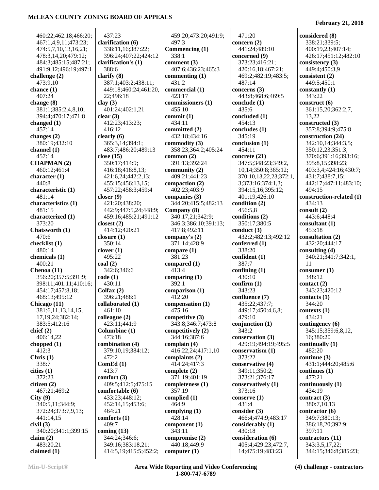| 460:22;462:18;466:20;                                      | 437:23                                          | 459:20;473:20;491:9;           | 471:20                 | considered (8)                         |
|------------------------------------------------------------|-------------------------------------------------|--------------------------------|------------------------|----------------------------------------|
| 467:1,4,9,11;473:23;                                       | clarification (6)                               | 497:3                          | concern $(2)$          | 338:21;339:5;                          |
| 474:5,7,10,13,16,21;                                       | 338:11,16;387:22;                               | Commencing (1)                 | 441:24;489:10          | 400:19,23;407:14;                      |
| 478:3,14,20;479:12;                                        | 396:24;407:22;424:12                            | 338:1                          | concerned (9)          | 426:17;451:12;482:10                   |
| 484:3;485:15;487:21;                                       | clarification's (1)                             | comment $(3)$                  | 373:23;416:21;         | consistency $(3)$                      |
| 491:9,12;496:19;497:1                                      | 388:6                                           | 407:6;436:23;465:3             | 420:16,18;467:21;      | 449:4;450:3,9                          |
| challenge $(2)$                                            | clarify $(8)$                                   | commenting (1)                 | 469:2;482:19;483:5;    | consistent (2)                         |
| 473:9,10                                                   | 387:1;403:2;438:11;                             | 431:2                          | 487:14                 | 449:5;450:1                            |
| chance (1)                                                 | 449:18;460:24;461:20,                           | commercial (1)                 | concerns $(3)$         | constantly $(1)$                       |
| 407:24                                                     | 22;496:18                                       | 423:17                         | 443:8;468:6;469:5      | 343:22                                 |
| change (8)                                                 | clay(3)                                         | commissioners (1)              | conclude $(1)$         | construct (6)                          |
| 381:1;385:2,4,8,10;                                        | 401:24;402:1,21                                 | 455:10                         | 435:6                  | 361:15,20;362:2,7,                     |
| 394:4:470:17:471:8                                         | clear $(3)$                                     | commit(1)                      | concluded (1)          | 13,22                                  |
| changed $(1)$                                              | 412:23;413:23;                                  | 434:11                         | 454:13                 | constructed (3)                        |
| 457:14                                                     | 416:12                                          | committed (2)                  | concludes $(1)$        | 357:8;394:9;475:8                      |
| changes $(2)$                                              | clearly $(6)$                                   | 432:18;434:16                  | 345:19                 | construction (24)                      |
| 380:19;432:10                                              | 365:3,14;394:1;                                 | commodity (3)                  | conclusion (1)         | 342:10,14;344:3,5;                     |
|                                                            |                                                 |                                |                        |                                        |
| channel $(1)$                                              | 483:7;486:20;489:13                             | 358:23;364:2;405:24            | 454:11                 | 350:12,23;351:3;                       |
| 457:14                                                     | close $(15)$                                    | common $(2)$                   | concrete (21)          | 370:6;391:16;393:16;                   |
| <b>CHAPMAN(2)</b>                                          | 350:17;414:9;                                   | 391:13;392:24                  | 347:5;348:23;349:2,    | 395:8,15;398:23;                       |
| 460:12;461:4                                               | 416:18:418:8,13;                                | community $(2)$                | 10,14;350:8;365:12;    | 403:3,4;424:16;430:7;                  |
| character $(1)$                                            | 421:6,24;442:2,13;                              | 409:21;441:23                  | 370:10,13,22,23;372:1, | 431:7;438:7,15;                        |
| 440:8                                                      | 455:15;456:13,15;                               | compaction (2)                 | 3;373:16;374:1,3;      | 442:17;447:11;483:10;                  |
| characteristic (1)                                         | 457:22;458:3;459:4                              | 402:23;403:9                   | 394:15,16;395:12;      | 494:15                                 |
| 481:14                                                     | closer $(9)$                                    | companies (3)                  | 401:19;426:10          | construction-related (1)               |
| characteristics (1)                                        | 421:20;438:20;                                  | 344:20;415:5;482:13            | condition (2)          | 434:13                                 |
| 481:15                                                     | 442:9;447:5,24;448:9;                           | Company (8)                    | 456:5,8                | consult $(2)$                          |
| characterized (1)                                          | 459:16;485:21;491:12                            | 340:17,21;342:9;               | conditions (2)         | 443:6;448:4                            |
| 373:20                                                     | closest $(2)$                                   | 346:3;386:10;391:13;           | 350:17;380:5           | consultant (1)                         |
| Chatsworth (1)                                             | 414:12;420:21                                   | 417:8;492:11                   | conduct $(3)$          | 453:18                                 |
| 470:6                                                      | closure $(1)$                                   | company's $(2)$                | 432:2;482:13;492:12    | consultation (2)                       |
| checklist (1)                                              | 350:14                                          | 371:14;428:9                   | conferred $(1)$        | 432:20;444:17                          |
| 480:14                                                     | clover $(1)$                                    | compare $(1)$                  | 338:20                 | consulting (4)                         |
| chemicals (1)                                              | 495:22                                          | 381:23                         | confident (1)          | 340:21;341:7;342:1,                    |
| 400:21                                                     | $\text{coal}(2)$                                | compared (1)                   | 387:7                  | 11                                     |
| Chenoa (11)                                                | 342:6;346:6                                     | 413:4                          | confining $(1)$        | $\text{cosumer} (1)$                   |
| 356:20;357:5;391:9;                                        | code(1)                                         | comparing $(1)$                | 430:10                 | 348:12                                 |
| 398:11;401:11;410:16;                                      | 430:11                                          | 392:1                          | confirm (1)            | contact $(2)$                          |
| 454:17;457:8,18;                                           | Colfax $(2)$                                    | comparison (1)                 | 343:23                 | 343:23;420:12                          |
| 468:13;495:12                                              | 396:21;488:1                                    | 412:20                         | confluence (7)         | contacts $(1)$                         |
| Chicago $(11)$                                             | collaborated (1)                                | compensation (1)               | 435:22;437:7;          | 344:20                                 |
| 381:6,11,13,14,15,                                         | 461:10                                          | 475:16                         | 449:17;450:4,6,8;      | contexts $(1)$                         |
| 17, 19, 24; 382: 14;                                       | colleague (2)                                   | competitive (3)                | 479:10                 | 434:21                                 |
| 383:5;412:16                                               | 423:11;441:9                                    | 343:8;346:7;473:8              | conjunction $(1)$      | contingency (6)                        |
| chief $(2)$                                                | Columbine (1)                                   | competitively (2)              | 343:2                  | 345:15;359:6,8,12,                     |
| 406:14,22                                                  | 473:18                                          | 344:16;387:6                   | conservation (3)       | 16;380:20                              |
| chopped $(1)$                                              | combination (4)                                 | complain $(4)$                 | 429:19;494:19;495:5    | continually (1)                        |
| 412:3                                                      | 379:10,19;384:12;                               | 416:22,24;417:1,10             | conservatism (1)       | 482:20                                 |
| Christ (1)                                                 | 472:2                                           | complaints (2)                 | 373:22                 | continue (3)                           |
|                                                            | ComEd(1)                                        |                                |                        |                                        |
| 338:7                                                      |                                                 |                                |                        |                                        |
|                                                            |                                                 | 414:24;417:3                   | conservative (4)       | 431:1;444:20;485:6                     |
|                                                            | 413:7                                           | complete $(2)$                 | 349:11;350:2;          | continues $(1)$                        |
| 372:23                                                     | comfort (3)                                     | 371:19:401:19                  | 373:21;376:17          | 477:21                                 |
|                                                            | 409:5;412:5;475:15                              | completeness (1)               | conservatively (1)     | continuously (1)                       |
| 467:21;469:2                                               | comfortable (6)                                 | 357:19                         | 373:16                 | 434:19                                 |
|                                                            | 433:23;448:12;                                  | complied $(1)$                 | conserve $(1)$         | contract $(3)$                         |
| 340:5,11;344:9;                                            | 452:14,15;453:6;                                | 464:9                          | 431:4                  | 380:7,10,13                            |
| 372:24;373:7,9,13;                                         | 464:21                                          | complying $(1)$                | consider $(3)$         | contractor(6)                          |
| cities (1)<br>citizen(2)<br>441:14,15                      | comforts (1)                                    | 428:14                         | 466:4;474:9;483:17     | 349:7;380:13;                          |
|                                                            | 409:7                                           | component $(1)$                | considerably (1)       | 386:18,20;392:9;                       |
| City(9)<br>$\dot{\text{civil}}$ (3)<br>340:20;341:1;399:15 | coming $(13)$                                   | 343:11                         | 430:18                 | 397:11                                 |
|                                                            | 344:24;346:6;                                   | compromise (2)                 | consideration (6)      | contractors (11)                       |
| claim $(2)$<br>483:20,21<br>claimed $(1)$                  | 349:16;383:18,21;<br>414:5, 19; 415: 5; 452: 2; | 440:18;449:9<br>computer $(1)$ | 405:4;429:23;472:7,    | 343:3,5,17,22;<br>344:15;346:8;385:23; |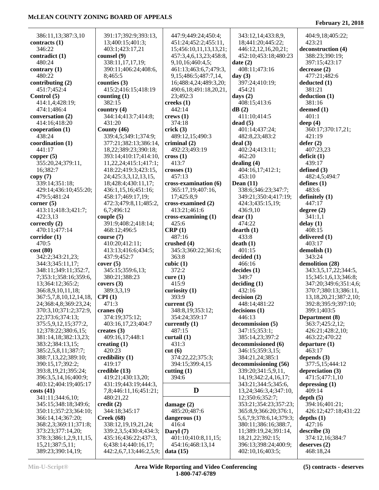L,

| 386:11,13;387:3,10      | 391:17;392:9;393:13,    | 447:9;449:24;450:4;        | 343:12,14;433:8,9,              | 404:9,18;405:22;            |
|-------------------------|-------------------------|----------------------------|---------------------------------|-----------------------------|
| contracts (1)           | 13;400:15;401:3;        | 451:24;452:2;455:11,       | 18;441:20;445:22;               | 423:21                      |
| 346:22                  | 403:1;423:17,21         | 15;456:10,11,13,13,21;     | 446:12,12,16,20,21;             | deconstruction (4)          |
| contradict (1)          | counsel (9)             | 457:3,4,6,13,23;458:8,     | 452:10;453:18;480:23            | 388:23;390:19;              |
| 480:24                  | 338:11,17,17,19;        | 9,10,16;460:4,5;           | date(2)                         | 397:15;423:17               |
| contrary (1)            | 390:11;406:24;408:6,    | 461:13;463:6,7;479:3,      | 408:11;473:16                   | decrease(2)                 |
| 480:22                  | 8;465:5                 | 9, 15; 486: 5; 487: 7, 14, | day $(3)$                       | 477:21;482:6                |
| contributing $(2)$      | counties $(3)$          | 16;488:4,24;489:3,20;      | 397:24;410:19;                  | deducted (1)                |
| 451:7;452:4             | 415:2;416:15;418:19     | 490:6,18;491:18,20,21,     | 454:21                          | 381:21                      |
| Control (5)             | counting $(1)$          | 23;492:3                   | days $(2)$                      | deduction (1)               |
| 414:1,4;428:19;         | 382:15                  | creeks $(1)$               | 408:15;413:6                    | 381:16                      |
| 474:1;486:4             | country $(4)$           | 442:14                     | dB(2)                           | deemed (1)                  |
| conversation (2)        | 344:14;413:7;414:8;     | crews(1)                   | 411:10;414:5                    | 401:1                       |
| 414:16;418:20           | 431:20                  | 374:18                     | dead(5)                         | deep $(4)$                  |
| cooperation (1)         | County $(46)$           | crick(3)                   | 401:14;437:24;                  | 360:17;370:17,21;           |
| 438:24                  | 339:4,5;349:1;374:9;    | 489:12,15;490:3            | 482:8,23;483:2                  | 421:19                      |
| coordination (1)        | 377:21;382:13;386:14,   | criminal $(2)$             | deal(3)                         | defer $(2)$                 |
| 441:17                  | 18,22;389:23;390:18;    | 492:23;493:19              | 402:24;413:11;                  | 407:23,23                   |
| copper (5)              | 393:14;410:17;414:10,   | $\csc(1)$                  | 462:20                          | deficit (1)                 |
| 355:20,24;379:11,       | 11,22,24;415:1;417:1;   | 413:7                      | dealing $(4)$                   | 439:17                      |
| 16;382:7                | 418:22;419:3;423:15,    | crosses(1)                 | 404:16,17;412:1;                | defined $(3)$               |
| copy (7)                | 24;425:3,3,12,13,15,    | 457:13                     | 453:10                          | 482:4,5;494:7               |
| 339:14;351:18;          | 18;428:4;430:11,17;     | cross-examination (6)      | Dean $(11)$                     | defines $(1)$               |
| 429:14;436:10;455:20;   | 436:1,15,16;451:16;     | 365:17,19;407:16,          | 338:6;346:23;347:7;             | 483:6                       |
| 479:5;481:24            | 458:17;469:17,19;       | 17;425:8,9                 | 349:21;350:4;417:19;            | definitely $(1)$            |
| corner(5)               | 472:3;479:8,11;485:2,   | cross-examined (2)         | 424:3;435:15,19;                | 447:17                      |
| 413:11;418:3;421:7;     | 6,7;496:12              | 413:21;461:6               | 436:9,10                        | degree $(2)$                |
| 422:3,13                | couple $(5)$            | cross-examining (1)        | dear(1)                         | 341:1,1                     |
| correctly (2)           | 391:9;408:2;418:14;     | 425:6                      | 474:22                          | delay(1)                    |
| 470:11;477:14           | 468:12;496:5            | CRP(1)                     | $d$ earth $(1)$                 | 408:15                      |
| corridor (1)            | course(7)               | 487:16                     | 433:8                           | delivered $(1)$             |
| 470:5                   | 410:20;412:11;          | crushed $(4)$              | death(1)                        | 403:17                      |
| cost (80)               | 413:13;416:6;434:5;     | 345:3;360:22;361:6;        | 401:15                          | demolish (1)                |
| 342:2;343:21,23;        | 437:9;452:7             | 363:8                      | decided(1)                      | 343:24                      |
| 344:3;345:11,17;        | cover(5)                | cubic $(1)$                | 466:16                          | demolition (28)             |
| 348:11;349:11;352:7,    | 345:15;359:6,13;        | 372:2                      | decides(1)                      | 343:3,5,17,22;344:5,        |
| 7;353:1;358:16;359:6,   | 380:21;388:23           | curve(1)                   | 349:7                           | 15;345:1,6,13;346:8;        |
| 13;364:12;365:2;        | covers $(3)$            | 415:9                      | deciding (1)                    | 347:20;349:6;351:4,6;       |
| 366:8,9,10,11,18;       | 389:3,3,19              | curiosity $(1)$            | 432:16                          | 370:7;380:13;386:11,        |
| 367:5,7,8,10,12,14,18,  | CPI(1)                  | 393:9                      | decision(2)                     | 13, 18, 20, 21; 387: 2, 10; |
| 24;368:4,8;369:23,24;   | 471:3                   | current $(5)$              | 448:14;481:22                   | 392:8;395:9;397:10;         |
| 370:3,10;371:2;372:9,   | cranes $(6)$            | 348:8,19;353:12;           | decisions(1)                    | 399:1;403:5                 |
| 22;373:6;374:13;        | 374:19;375:12;          | 354:24;359:17              | 446:13                          | Department (8)              |
| 375:5,9,12,15;377:2,    | 403:16,17,23;404:7      | currently $(1)$            | decommission (5)                | 363:7;425:2,12;             |
| 12;378:22;380:6,15;     | creates $(3)$           | 487:15                     | 347:15;353:1;                   | 426:21;428:2,10;            |
| 381:14,18;382:13,23;    | 409:16,17;448:1         | curtail $(1)$              | 385:14,23;397:2                 | 463:22;470:22               |
| 383:2;384:13,15;        | creating $(1)$          | 431:3                      | decommissioned (6)              | departure $(1)$             |
| 385:2,5,8,11;387:7;     | 420:23                  | cut(6)                     | 346:15;359:3,15;                | 463:17                      |
| 388:7,13,22;389:10;     | credibility $(1)$       | 374:22,22;375:3;           | 384:21,24;385:1                 | depends $(3)$               |
| 390:15,17;392:2;        | 419:17                  | 394:15;399:4,15            | decommissioning (56)            | 377:5,15;444:12             |
| 393:8, 19, 21; 395: 24; | $\bf{c}$ redible $(13)$ | cutting $(1)$              | 339:20;341:5,9,11,              | depreciation $(3)$          |
| 396:3,5,14,16;400:9;    | 419:21;430:13,20;       | 394:6                      | 14, 19; 342: 2, 4, 16, 17;      | 471:5;477:1,10              |
| 403:12;404:19;405:17    | 431:19;443:19;444:3,    |                            | 343:21;344:5;345:6,             | depressing $(1)$            |
| costs(41)               | 7,8;446:11,16;451:21;   | D                          | 13,24;346:3,4;347:10,           | 409:14                      |
| 341:11;344:6,10;        | 480:21,22               |                            | 12;350:6;352:7;                 | depth(5)                    |
| 345:15;348:18;349:6;    | $\text{credit}(2)$      | damage $(2)$               | 353:21;354:23;357:23;           | 394:16;401:21;              |
| 350:11;357:23;364:10;   | 344:18;345:17           | 485:20;487:6               | 365:8,9;366:20;376:1,           | 426:12;427:18;431:22        |
| 366:14,14;367:20;       | Creek(68)               | dangerous $(1)$            | 5, 6, 7, 9; 378: 6, 14; 379: 3; | depths $(1)$                |
| 368:2,3;369:11;371:8;   | 338:12,19,19,21,24;     | 416:4                      | 380:11;386:16;388:7,            | 427:16                      |
| 373:23;377:14,20;       | 339:2,3,5;430:4;434:3;  | Daryl $(7)$                | 11;389:19,24;391:14,            | describe(3)                 |
| 378:3;386:1,2,9,11,15,  | 435:16;436:22;437:3,    | 401:10;410:8,11,15;        | 18,21,22;392:15;                | 374:12,16;384:7             |
| 15,21;387:5,11;         | 6;438:14;440:16,17;     | 454:16;468:13,14           | 396:13;398:24;400:9;            | deserves $(2)$              |
| 389:23;390:14,19;       | 442:2,6,7,13;446:2,5,9; | data(15)                   | 402:10,16;403:5;                | 468:18,24                   |
|                         |                         |                            |                                 |                             |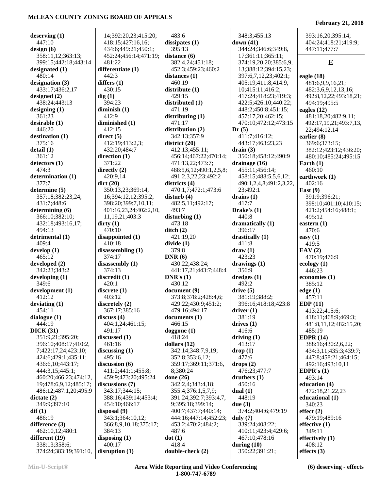#### **deserving (1)** 447:10 **design (6)** 358:11,12;363:13; 399:15;442:18;443:14 **designated (1)** 480:14 **designation (3)** 433:17;436:2,17 **designed (2)** 438:24;443:13 **designing (1)** 361:23 **desirable (1)** 446:20 **destination (1)** 375:16 **detail (1)** 361:12 **detectors (1)** 474:3 **determination (1)** 377:7 **determine (5)** 357:18;382:23,24; 431:7;448:6 **determining (6)** 366:10;382:10; 432:18;493:16,17; 494:13 **detrimental (1)** 409:4 **develop (1)** 465:12 **developed (2)** 342:23;343:2 **developing (1)** 349:6 **development (1)** 412:12 **deviating (1)** 454:11 **dialogue (1)** 444:19 **DICK (31)** 351:9,21;395:20; 396:10;408:17;410:2, 7;422:17,24;423:10; 424:6;429:1;435:11; 436:6,10;443:17; 444:3,15;445:1; 460:20;466:23;474:12, 19;478:6,9,12;485:17; 486:12;487:1,20;495:9 **dictate (2)** 349:9;397:10 **dif (1)** 486:19 **difference (3)** 462:10,12;480:1 **different (19)** 338:13;358:6; 374:24;383:19;391:10, 14;392:20,23;415:20; 418:15;427:16,16; 434:6;449:21;450:1; 452:24;456:14;471:19; 481:22 **differentiate (1)** 442:3 **differs (1)** 430:15 **dig (1)** 394:23 **diminish (1)** 412:9 **diminished (1)** 412:15 **direct (5)** 412:19;413:2,3; 432:20;484:7 **direction (1)** 371:22 **directly (2)** 420:9,14 **dirt (20)** 350:13,23;369:14, 16;394:12,12;395:2; 398:20;399:7,10,11; 401:16,23,24;402:2,10, 11,19,21;403:3 **dirty (1)** 470:10 **disappointed (1)** 410:18 **disassembling (1)** 374:17 **disassembly (1)** 374:13 **discredit (1)** 420:1 **discrete (1)** 403:12 **discretely (2)** 367:17;385:16 **discuss (4)** 404:1,24;461:15; 491:17 **discussed (1)** 461:16 **discussing (1)** 495:16 **discussion (6)** 411:2;441:1;455:8; 459:9;473:20;495:24 **discussions (7)** 343:17;344:15; 388:16;439:14;453:4; 454:10;466:17 **disposal (9)** 343:1;364:10,12; 366:8,9,10,18;375:17; 384:13 **disposing (1)** 400:17 **disruption (1)** 483:6 **dissipates (1)** 395:13 **distance (6)** 382:4,24;451:18; 452:3;459:23;460:2 **distances (1)** 460:19 **distribute (1)** 429:15 **distributed (1)** 471:19 **distributing (1)** 471:17 **distribution (2)** 342:13;357:9 **district (20)** 412:13;455:11; 456:14;467:22;470:14; 471:13,22;473:7; 488:5,6,12;490:1,2,5,8; 491:2,3,22,23;492:2 **districts (4)** 470:1,7;472:1;473:6 **disturb (4)** 482:5,11;492:17; 493:7 **disturbing (1)** 473:18 **ditch (2)** 421:19,20 **divide (1)** 379:8 **DNR (6)** 430:22;438:24; 441:17,21;443:7;448:4 **DNR's (1)** 430:12 **document (9)** 373:8;378:2;428:4,6; 429:22;430:9;451:2; 479:16;494:17 **documents (1)** 466:15 **doggone (1)** 418:24 **dollars (12)** 342:14;348:7,9,19; 352:8;353:6,12; 359:17;369:11;371:6, 8;380:24 **done (26)** 342:2,4;343:4,18; 355:4;376:1,5,7,9; 391:24;392:7;393:4,7, 9;395:18;399:14; 400:7;437:7;440:14; 444:16;447:14;452:23; 453:2;470:2;484:2; 487:6 **dot (1)** 418:4 **double-check (2)** 348:3;455:13 **down (41)** 344:24;346:6;349:8, 17;361:11;365:11; 374:19,20,20;385:6,9, 13;388:12;394:15,23; 397:6,7,12,23;402:1; 405:19;411:8;414:9, 10;415:11;416:2; 417:24;418:23;419:3; 422:5;426:10;440:22; 448:2;450:8;451:15; 457:17,20;462:15; 470:10;472:12;473:15 **Dr (5)** 411:7;416:12; 443:17;463:23,23 **drain (3)** 350:18;458:12;490:9 **drainage (16)** 455:11;456:14; 458:15;488:5,5,6,12; 490:1,2,4,8;491:2,3,22, 23;492:1 **drains (1)** 417:7 **Drake's (1)** 440:8 **dramatically (1)** 396:17 **drastically (1)** 411:8 **draw (1)** 423:23 **drawings (1)** 356:9 **dredges (1)** 492:2 **drive (5)** 381:19;388:2; 396:16;418:18;423:8 **driver (1)** 381:19 **drives (1)** 416:6 **driving (1)** 413:17 **drop (1)** 477:6 **drops (2)** 476:23;477:7 **druthers (1)** 450:16 **dual (1)** 448:19 **due (3)** 374:2;404:6;479:19 **duly (7)** 339:24;408:22; 410:11;423:4;429:6; 467:10;478:16 **during (10)** 350:22;391:21; 393:16,20;395:14; 404:24;418:21;419:9; 447:11;477:7 **E eagle (18)** 481:6,9,9,16,21; 482:3,6,9,12,13,16; 492:8,12,22;493:18,21; 494:19;495:5 **eagles (12)** 481:18,20;482:9,11; 492:17,19,21;493:7,13, 22;494:12,14 **earlier (8)** 369:6;373:15; 382:12;423:12;436:20; 480:10;485:24;495:15 **Earth (1)** 460:10 **earthwork (1)** 402:16 **East (9)** 391:9;396:21; 398:10;401:10;410:15; 421:2;454:16;488:1; 495:12 **eastern (1)** 470:6 **easy (1)** 419:5 **EAV (2)** 470:19;476:9 **ecology (1)** 446:23 **economies (1)** 385:12 **edge (1)** 457:11 **EDP (11)** 413:22;415:6; 418:11;468:9;469:3; 481:8,11,12;482:15,20; 485:19 **EDPR (14)** 388:16;430:2,6,22; 434:3,11;435:3;439:7; 447:8;458:21;464:15; 492:16;493:10,11 **EDPR's (1)** 493:14 **education (4)** 472:18,21,22,23 **educational (1)** 340:23 **effect (2)** 479:19;489:16 **effective (1)** 349:11 **effectively (1)** 408:12 **effects (3)**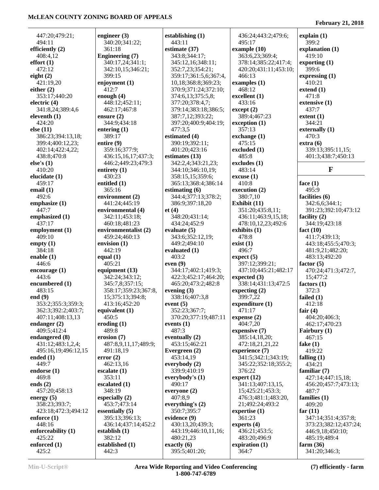447:20;479:21; 494:11 **efficiently (2)** 408:4,12 **effort (1)** 472:12 **eight (2)** 421:19,20 **either (2)** 353:17;440:20 **electric (4)** 341:8,24;389:4,6 **eleventh (1)** 424:20 **else (11)** 386:23;394:13,18; 399:4;400:12,23; 402:14;422:4,22; 438:8;470:8 **else's (1)** 410:20 **elucidate (1)** 459:17 **email (1)** 492:6 **emphasize (1)** 447:7 **emphasized (1)** 437:17 **employment (1)** 409:10 **empty (1)** 384:18 **enable (1)** 446:6 **encourage (1)** 443:6 **encumbered (1)** 483:15 **end (9)** 353:2;355:3;359:3; 362:3;392:2;403:7; 407:11;408:13,13 **endanger (2)** 409:5;412:4 **endangered (8)** 431:12;483:1,2,4; 495:16,19;496:12,15 **ended (1)** 449:7 **endorse (1)** 469:8 **ends (2)** 457:20;458:13 **energy (5)** 358:23;393:7; 423:18;472:3;494:12 **enforce (1)** 448:16 **enforceability (1)** 425:22 **enforced (1)** 425:2

**engineer (3)** 340:20;341:22; 361:18 **Engineering (7)** 340:17,24;341:1; 342:10,15;346:21; 399:15 **enjoyment (1)** 412:7 **enough (4)** 448:12;452:11; 462:17;467:8 **ensure (2)** 344:9;434:18 **entering (1)** 389:17 **entire (9)** 359:16;377:9; 436:15,16,17;437:3; 446:2;449:23;479:3 **entirety (1)** 430:23 **entitled (1)** 365:16 **environment (2)** 441:24;445:19 **environmental (4)** 342:11;453:18; 460:18;481:23 **environmentalist (2)** 459:24;460:13 **envision (1)** 442:19 **equal (1)** 405:21 **equipment (13)** 342:24;343:12; 345:7,8;357:15; 358:17;359:23;367:8, 15;375:13;394:8; 413:16;452:20 **equivalent (1)** 450:5 **eroding (1)** 489:8 **erosion (7)** 487:8,9,11,17;489:9; 491:18,19 **error (2)** 462:13,16 **escalate (1)** 353:11 **escalated (1)** 348:19 **especially (2)** 453:7;473:14 **essentially (5)** 395:13;396:13; 436:14;437:14;452:2 **establish (1)** 382:12 **established (1)** 442:3

**establishing (1)** 443:11 **estimate (37)** 343:8;344:17; 345:12,16;348:11; 352:7,23;354:21; 359:17;361:5,6;367:4, 10,18;368:8;369:23; 370:9;371:24;372:10; 374:6,13;375:5,8; 377:20;378:4,7; 379:14;383:18;386:5; 387:7,12;393:22; 397:20;400:9;404:19; 477:3,5 **estimated (4)** 390:19;392:11; 401:20;423:16 **estimates (13)** 342:2,4;343:21,23; 344:10;346:10,19; 358:15,15;359:6; 365:13;368:4;386:14 **estimating (6)** 344:4;377:13;378:2; 386:9;397:18,20 **et (4)** 348:20;431:14; 434:24;452:9 **evaluate (5)** 343:6;352:12,19; 449:2;494:10 **evaluated (1)** 403:2 **even (9)** 344:17;402:1;419:3; 422:3;452:17;464:20; 465:20;473:2;482:8 **evening (3)** 338:16;407:3,8 **event (5)** 352:23;367:7; 370:20;377:19;487:11 **events (1)** 487:3 **eventually (2)** 453:15;462:21 **Evergreen (2)** 453:14,19 **everybody (2)** 339:9;410:19 **everybody's (1)** 490:17 **everyone (2)** 407:8,9 **everything's (2)** 350:7;395:7 **evidence (9)** 430:13,20;439:3; 443:19;446:10,11,16; 480:21,23 **exactly (6)** 395:5;401:20;

 436:24;443:2;479:6; 495:17 **example (10)** 363:6,23;369:4; 378:14;385:22;417:4; 420:20;431:11;453:10; 466:13 **examples (1)** 468:12 **excellent (1)** 433:16 **except (2)** 389:4;467:23 **exception (1)** 357:13 **exchange (1)** 475:15 **excluded (1)** 485:8 **excludes (1)** 483:14 **excuse (1)** 410:8 **execution (2)** 380:7,10 **Exhibit (11)** 351:20;435:8,11; 436:11;463:9,15,18; 478:10,12,23;492:6 **exhibits (1)** 478:8 **exist (1)** 496:7 **expect (5)** 397:12;399:21; 437:10;445:21;482:17 **expected (3)** 338:14;431:13;472:5 **expecting (2)** 399:7,22 **expenditure (1)** 471:17 **expense (2)** 404:7,20 **expensive (7)** 385:14,18,20; 472:18,21,21,22 **experience (7)** 341:5;342:1;343:19; 345:22;352:18;355:2; 376:22 **expert (12)** 341:13;407:13,15, 15;425:21;453:3; 476:3;481:1;483:20, 21;492:24;493:2 **expertise (1)** 361:23 **experts (4)** 436:21;453:5; 483:20;496:9 **expiration (1)** 364:7

#### **February 21, 2018**

**explain (1)** 399:2 **explanation (1)** 419:10 **exporting (1)** 399:6 **expressing (1)** 410:21 **extend (1)** 471:8 **extensive (1)** 437:7 **extent (1)** 344:21 **externally (1)** 470:3 **extra (6)** 339:13;395:11,15; 401:3;438:7;450:13 **F**

**face (1)** 495:9 **facilities (6)** 342:6,6;344:1; 391:23;392:10;473:12 **facility (2)** 344:19;423:18 **fact (10)** 411:7;439:13; 443:18;455:5;470:3; 481:9,21;482:20; 483:13;492:20 **factor (5)** 470:24;471:3;472:7, 15;477:2 **factors (1)** 372:3 **failed (1)** 412:18 **fair (4)** 404:20;406:3; 462:17;470:23 **Fairbury (1)** 467:15 **fake (1)** 419:22 **falling (1)** 434:21 **familiar (7)** 427:14;447:15,18; 456:20;457:7;473:13; 487:7 **families (1)** 409:20 **far (11)** 347:14;351:4;357:8; 373:23;382:12;437:24; 446:9,18;450:10; 485:19;489:4 **farm (36)** 341:20;346:3;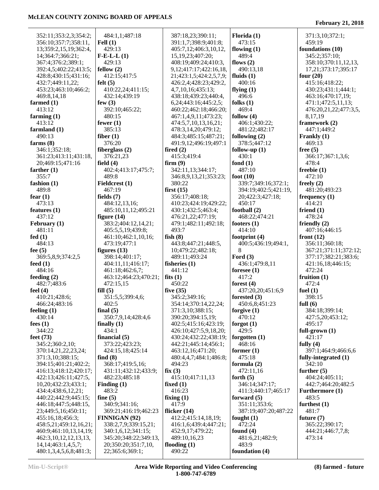| 352:11;353:2,3;354:2;      | 484:1,1;487:18        | 387:18,23;390:11;            | Florida $(1)$        | 371:3,10;372:1;       |
|----------------------------|-----------------------|------------------------------|----------------------|-----------------------|
| 356:10;357:7;358:11,       | Fell $(1)$            | 391:1,7;398:9;401:8;         | 473:15               | 459:19                |
| 13;359:2,15,19;362:4,      | 429:13                | 405:7,12;406:3,10,12,        | flowing $(1)$        | foundations (10)      |
|                            |                       |                              |                      |                       |
| 14;364:7;366:21;           | $F-E-L(L)$            | 15, 19, 23; 407: 20;         | 489:4                | 345:2;357:10;         |
| 367:4;376:2;389:1;         | 429:13                | 408:19;409:24;410:3,         | flows $(2)$          | 358:10;370:11,12,13,  |
| 392:4,5;402:22;413:5;      | fellow $(2)$          | 9, 12; 417: 17; 422: 16, 18, | 490:13,18            | 17,21;373:17;395:17   |
| 428:8;430:15;431:16;       | 412:15;417:5          | 21;423:1,5;424:2,5,7,9;      | fluids $(1)$         | four $(20)$           |
| 432:7;449:11,22;           | felt $(5)$            | 426:2,4;428:23;429:2,        | 400:16               | 415:16;418:22;        |
| 453:23;463:10;466:2;       | 410:22,24;411:15;     | 4,7,10,16;435:13;            | flying $(1)$         | 430:23;431:1;444:1;   |
| 469:8,14,18                | 432:14;439:19         | 438:18;439:23;440:4,         | 496:6                | 463:16;470:17,19;     |
| farmed (1)                 | few $(3)$             | 6, 24; 443: 16; 445: 2, 5;   | folks $(1)$          | 471:1;472:5,11,13;    |
| 413:12                     | 392:10;465:22;        | 460:22;462:18;466:20;        | 469:4                | 476:20,21,22;477:3,5, |
| farming (1)                | 480:15                | 467:1,4,9,11;473:23;         | follow $(4)$         | 8,17,19               |
| 413:12                     | fewer $(1)$           | 474:5,7,10,13,16,21;         | 406:1;430:22;        | framework (2)         |
| farmland (1)               | 385:13                | 478:3,14,20;479:12;          | 481:22;482:17        | 447:1;449:2           |
|                            |                       |                              |                      |                       |
| 490:13                     | fiber $(1)$           | 484:3;485:15;487:21;         | following $(2)$      | Frankly (1)           |
| farms $(8)$                | 376:20                | 491:9,12;496:19;497:1        | 378:5;447:12         | 469:13                |
| 346:1;352:18;              | fiberglass $(2)$      | fired $(2)$                  | follow-up $(1)$      | free $(5)$            |
| 361:23;413:11;431:18,      | 376:21,23             | 415:3;419:4                  | 430:1                | 366:17;367:1,3,6;     |
| 20;469:15;471:16           | field $(4)$           | firm(9)                      | fond $(1)$           | 478:4                 |
| farther (1)                | 402:4;413:17;475:7;   | 342:11,13;344:17;            | 487:10               | freebie(1)            |
| 355:7                      | 489:8                 | 346:8,9,13,21;353:23;        | foot $(10)$          | 472:10                |
| fashion (1)                | Fieldcrest (1)        | 380:22                       | 339:7;349:16;372:1;  | freely $(2)$          |
| 489:8                      | 467:19                | first $(15)$                 | 394:19;402:5;421:19, | 481:20;493:23         |
| fear $(1)$                 | fields $(7)$          | 356:17;408:18;               | 20;422:3;427:18;     | frequency $(1)$       |
| 473:13                     | 484:12,13,16;         | 410:23;424:19;429:22;        | 450:17               | 414:21                |
| features (1)               | 485:10,11,12;495:21   | 430:1;432:5;463:4;           | football (2)         | friend $(1)$          |
| 437:12                     | figure $(14)$         | 476:21,22;477:19;            | 468:22;474:21        | 478:24                |
| February (1)               | 383:2;404:12,14,21;   | 479:1;482:11;492:18;         | footers $(1)$        | friendly $(2)$        |
|                            |                       |                              |                      |                       |
| 481:11                     | 405:5,5,19;439:8;     | 493:7                        | 414:10               | 407:16;446:15         |
| fed $(1)$                  | 461:10;462:1,10,16;   | fish $(8)$                   | footprint $(4)$      | front $(12)$          |
| 484:13                     | 473:19;477:1          | 443:8;447:21;448:5,          | 400:5;436:19;494:1,  | 356:11;360:18;        |
| fee (5)                    | figures $(13)$        | 10;479:22;482:18;            | 8                    | 367:21;371:11;372:12; |
| 369:5,8,9;374:2,5          | 398:14;401:17;        | 489:11;493:24                | Ford $(3)$           | 377:17;382:21;383:6;  |
| feed (1)                   | 404:11,11;416:17;     | fisheries $(1)$              | 436:1;479:8,11       | 421:16,18;446:15;     |
| 484:16                     | 461:18;462:6,7;       | 441:12                       | foresee $(1)$        | 472:24                |
| feeding (2)                | 463:12;464:23;470:21; | fits $(1)$                   | 417:2                | fruition $(1)$        |
| 482:7;483:6                | 472:15,15             | 450:22                       | forest $(4)$         | 472:4                 |
| feel (4)                   | fill(5)               | five $(35)$                  | 437:20,20;451:6,9    | fuel $(1)$            |
| 410:21;428:6;              | 351:5,5;399:4,6;      | 345:2;349:16;                | forested $(3)$       | 398:15                |
| 466:24;483:16              | 402:5                 | 354:14;370:14,22,24;         | 450:6,8;451:23       | full $(6)$            |
| feeling (1)                | final $(5)$           | 371:3,10;388:15;             | forgive $(1)$        | 384:18;399:14;        |
| 430:14                     | 350:7,9,14;428:4,6    | 390:20;394:15,19;            | 470:12               | 427:5,20;453:12;      |
| fees $(1)$                 | finally $(1)$         | 402:5;415:16;423:19;         | forgot $(1)$         | 495:17                |
| 344:22                     | 434:1                 | 426:10;427:5,9,18,20;        | 429:5                | full-grown $(1)$      |
| feet (73)                  | financial $(5)$       | 430:24;432:22;438:19;        | forgotten $(1)$      | 421:17                |
| 345:2;360:2,10;            | 373:22;423:23;        | 442:21;445:14;456:1;         | 468:16               | fully $(4)$           |
| 370:14,21,22,23,24;        | 424:15,18;425:14      | 463:12,16;471:20;            | former $(1)$         | 397:1;464:9;466:6,6   |
| 371:3,10;388:15;           | find $(8)$            | 480:4,4,7;484:1;486:8;       | 475:18               | fully-integrated (1)  |
| 394:15;401:21;402:2;       | 368:17;419:5,16;      | 494:23                       | formula $(2)$        | 342:10                |
|                            |                       |                              |                      |                       |
| 416:13;418:12;420:17;      | 431:11;432:12;433:9;  | fix(3)                       | 472:11,16            | further $(5)$         |
| 422:13;426:11;427:5,       | 482:23;485:18         | 415:10;417:11,13             | forth $(5)$          | 404:24;405:11;        |
| 10,20;432:23;433:1;        | Finding $(1)$         | fixed $(1)$                  | 346:14;347:17;       | 442:7;464:20;482:5    |
| 434:4;438:6,12,21;         | 483:2                 | 416:23                       | 411:3;440:17;465:17  | Furthermore (1)       |
| 440:22;442:9;445:15;       | fine $(5)$            | fixing $(1)$                 | forward $(5)$        | 483:5                 |
| 446:18;447:5;448:15,       | 340:9;341:16;         | 417:9                        | 351:11;353:6;        | furthest $(1)$        |
| 23;449:5,16;450:11;        | 369:21;416:19;462:23  | flicker $(14)$               | 387:19;407:20;487:22 | 481:7                 |
| 455:16,18;456:3;           | FINNIGAN (92)         | 412:2;415:14,18,19;          | fought $(1)$         | future $(7)$          |
| 458:5,21;459:12,16,21;     | 338:2,7,9;339:15,21;  | 416:1,6;439:4;447:21;        | 472:24               | 365:22;390:17;        |
| 460:9;461:10,13,14,19;     | 340:1,6,12;341:15;    | 452:9,17;479:22;             | found $(4)$          | 444:21;446:7,7,8;     |
| 462:3, 10, 12, 12, 13, 13, | 345:20;348:22;349:13, | 489:10,16,23                 | 481:6,21;482:9;      | 473:14                |
| 14, 14; 463: 1, 4, 5, 7;   | 20;350:20;351:7,10,   | flooding $(1)$               | 483:9                |                       |
| 480:1,3,4,5,6,8;481:3;     | 22;365:6;369:1;       | 490:22                       | foundation (4)       |                       |
|                            |                       |                              |                      |                       |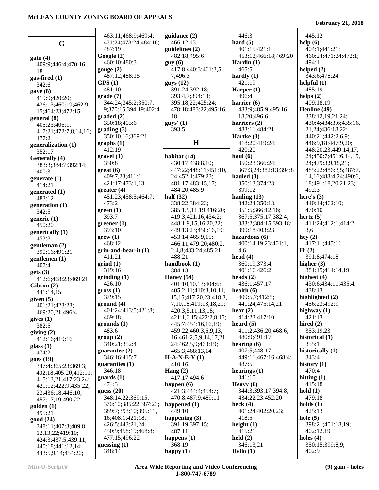Ĭ.

|                                               | 463:11;468:9;469:4;                  | guidance $(2)$                               | 446:3                                   | 445:12                                    |
|-----------------------------------------------|--------------------------------------|----------------------------------------------|-----------------------------------------|-------------------------------------------|
| G                                             | 471:24;478:24;484:16;<br>487:19      | 466:12,13                                    | hard $(5)$<br>401:15;421:1;             | help (6)<br>404:1;441:21;                 |
|                                               | Google(2)                            | guidelines $(2)$<br>482:18;495:6             | 453:12;466:18;469:20                    | 460:24;471:24;472:1;                      |
| gain(4)                                       | 460:10;480:3                         | guy(6)                                       | Hardin $(1)$                            | 494:11                                    |
| 409:9;446:4;470:16,<br>18                     | gauge(2)                             | 417:8;440:3;461:3,5,                         | 465:5                                   | helped $(2)$                              |
| gas-fired $(1)$                               | 487:12;488:15                        | 7;496:3                                      | hardly $(1)$                            | 343:6;478:24                              |
| 342:6                                         | GPS(1)                               | guys(12)                                     | 421:19                                  | helpful $(1)$                             |
| gave(8)                                       | 481:10                               | 391:24;392:18;                               | Harper $(1)$                            | 485:19                                    |
| 419:9;420:20;                                 | grade(7)                             | 393:4,7;394:13;                              | 496:4                                   | helps $(2)$                               |
| 436:13;460:19;462:9,                          | 344:24;345:2;350:7,                  | 395:18,22;425:24;                            | harrier $(6)$                           | 409:18,19                                 |
| 15;464:23;472:15                              | 9;370:15;394:19;402:4                | 478:18;483:22;495:16,                        | 483:9;485:9;495:16,                     | Henline (49)                              |
| general (8)                                   | $\boldsymbol{graded}\left( 2\right)$ | 18                                           | 18,20;496:6                             | 338:12,19,21,24;                          |
| 405:23;406:1;                                 | 350:18;403:6                         | $guys'$ (1)<br>393:5                         | harriers $(2)$<br>483:11;484:21         | 430:4;434:3,6;435:16,                     |
| 417:21;472:7,8,14,16;                         | grading(3)<br>350:10,16;369:21       |                                              | Hartke $(3)$                            | 21, 24; 436: 18, 22;<br>440:21;442:2,6,9; |
| 477:2                                         | graphs(1)                            | H                                            | 418:20;419:24;                          | 446:9,18;447:9,20;                        |
| generalization (1)<br>352:17                  | 412:19                               |                                              | 420:20                                  | 448:20,23;449:14,17,                      |
| Generally (4)                                 | gravel(1)                            | habitat (14)                                 | haul $(6)$                              | 24;450:7;451:6,14,15,                     |
| 383:3;384:7;392:14;                           | 350:8                                | 430:17;438:8,10;                             | 350:23;366:24;                          | 24;479:3,9,15,21;                         |
| 400:3                                         | $gr(6)$                              | 447:22;448:11;451:10,                        | 367:3,24;382:13;394:8                   | 485:22;486:3,5;487:7,                     |
| generate $(1)$                                | 409:7,23;411:1;                      | 24;452:1;479:23;                             | hauled $(3)$                            | 14, 16; 488: 4, 24; 490: 6,               |
| 414:21                                        | 421:17;473:1,13                      | 481:17;483:15,17;                            | 350:13;374:23;                          | 18;491:18,20,21,23;                       |
| generated (1)                                 | greater(4)                           | 484:20;485:9                                 | 399:12                                  | 492:3                                     |
| 483:12                                        | 451:23;458:5;464:7;                  | half $(32)$                                  | hauling $(13)$                          | here's $(3)$                              |
| generation $(1)$                              | 473:2                                | 338:22;384:23;                               | 342:24;350:13;                          | 440:14;462:10;                            |
| 342:5                                         | green(1)<br>393:7                    | 385:1,9,11,19;416:20;<br>419:3;421:16;434:2; | 351:5;366:12,16;<br>367:5;375:17;382:4; | 470:10<br>hertz $(5)$                     |
| generic $(1)$                                 | greener(1)                           | 448:1,9,15,16,20,22;                         | 383:2;384:15;393:18;                    | 411:24;412:1;414:2,                       |
| 450:20                                        | 393:10                               | 449:13,23;450:16,19;                         | 399:18;403:23                           | 3,6                                       |
| generically (1)<br>453:8                      | $\textbf{grew}$ (1)                  | 453:14;465:9,15;                             | hazardous (6)                           | hey $(2)$                                 |
| gentleman $(2)$                               | 468:12                               | 466:11;479:20;480:2,                         | 400:14,19,23;401:1,                     | 417:11;445:11                             |
| 390:16;491:21                                 | $grin$ -and-bear-it $(1)$            | 2,4,8;483:24;485:21;                         | 4,6                                     | Hi(2)                                     |
| gentlemen (1)                                 | 411:21                               | 488:21                                       | head $(4)$                              | 391:8;474:18                              |
| 407:4                                         | grind(1)                             | handbook $(1)$                               | 360:19;373:4;                           | higher $(3)$                              |
| gets(3)                                       | 349:16                               | 384:13                                       | 401:16;426:2                            | 381:15;414:14,19                          |
| 412:6;468:23;469:21                           | grinding(1)                          | Haney $(54)$                                 | heads $(2)$                             | highest $(4)$                             |
| Gibson $(2)$                                  | 426:10<br>$\arccos(1)$               | 401:10,10,13;404:6;<br>405:2,11;410:8,10,11, | 436:1;457:17<br>health $(6)$            | 430:6;434:11;435:4;<br>438:13             |
| 441:14,15                                     | 379:15                               | 15, 15; 417: 20, 23; 418: 3,                 | 409:5,7;412:5;                          | highlighted (2)                           |
| given $(5)$<br>401:21;423:23;                 | ground (4)                           | 7, 10, 18; 419: 13, 18, 21;                  | 441:24:475:14,21                        | 456:23:492:9                              |
| 469:20,21;496:4                               | 401:24;413:5;421:8;                  | 420:3,5,11,13,18;                            | hear $(2)$                              | highway $(1)$                             |
| gives(1)                                      | 469:18                               | 421:1,6,15;422:2,8,15;                       | 414:23;417:10                           | 421:13                                    |
| 382:5                                         | grounds (1)                          | 445:7;454:16,16,19;                          | heard $(5)$                             | hired $(2)$                               |
| giving $(2)$                                  | 483:6                                | 459:22;460:3,6,9,13,                         | 411:2;436:20;468:6;                     | 353:19,23                                 |
| 412:16;419:16                                 | group(2)                             | 16;461:2,5,9,14,17,21,                       | 480:9;491:17                            | historical (1)                            |
| glass $(1)$                                   | 340:21;352:4                         | 24;462:5,9;463:19;                           | hearing $(6)$                           | 355:1                                     |
| 474:2                                         | guarantee $(2)$                      | 465:3;468:13,14                              | 407:5;448:17;                           | historically (1)                          |
| goes(19)                                      | 346:16;415:7<br>guaranties $(1)$     | $H-A-N-E-Y(1)$<br>410:16                     | 449:11;467:16;468:4;<br>487:5           | 343:4<br>history $(1)$                    |
| 347:4;365:23;369:3;                           | 346:18                               | Hang $(2)$                                   | hearings $(1)$                          | 470:4                                     |
| 402:18;405:20;412:11;<br>415:13,21;417:23,24; | guards $(1)$                         | 417:17:494:6                                 | 341:10                                  | hitting $(1)$                             |
| 421:12;422:9;435:22,                          | 474:3                                | happen $(6)$                                 | Heavy $(6)$                             | 415:18                                    |
| 23;436:18;446:10;                             | guess $(20)$                         | 421:3;444:4;454:7;                           | 344:3;393:17;394:8;                     | hold(1)                                   |
| 457:17,19;490:22                              | 348:14,22;369:15;                    | 470:8;487:9;489:11                           | 434:22,23;452:20                        | 479:18                                    |
| $\text{golden} \left( 1 \right)$              | 370:10;385:22;387:23;                | happened $(1)$                               | heck $(4)$                              | holds $(1)$                               |
| 495:21                                        | 389:7;393:10;395:11,                 | 449:10                                       | 401:24;402:20,23;                       | 425:13                                    |
| good (24)                                     | 16;408:1;421:18;                     | happening $(3)$                              | 418:5                                   | hole $(5)$                                |
| 348:11;407:3;409:8,                           | 426:5;443:21,24;                     | 391:19;397:15;                               | height $(1)$                            | 398:21;401:18,19;                         |
| 12, 13, 22; 419: 10;                          | 450:9;458:19;468:8;<br>477:15;496:22 | 487:11<br>happens $(1)$                      | 415:21<br>held $(2)$                    | 402:12,19<br>holes $(4)$                  |
| 424:3;437:5;439:11;                           | guessing $(1)$                       | 368:19                                       | 346:13,21                               | 350:15;399:8,9;                           |
| 440:18;441:12,14;<br>443:5,9,14;454:20;       | 348:14                               | happy $(1)$                                  | Hello $(1)$                             | 402:9                                     |
|                                               |                                      |                                              |                                         |                                           |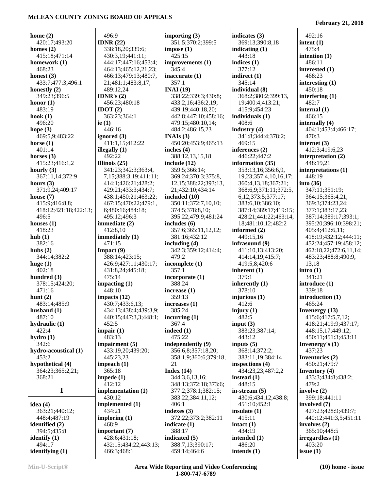| interested (1)<br>interesting $(1)$<br>interfering $(1)$<br>internally $(4)$<br>404:1;453:4;466:17;<br>412:3;419:6,23<br>interpretation (2)<br>interpretations (1)<br>347:11;351:19;<br>364:15;365:4,21;<br>369:3;374:23,24;<br>377:1;383:17,23; |
|--------------------------------------------------------------------------------------------------------------------------------------------------------------------------------------------------------------------------------------------------|
|                                                                                                                                                                                                                                                  |
|                                                                                                                                                                                                                                                  |
|                                                                                                                                                                                                                                                  |
|                                                                                                                                                                                                                                                  |
|                                                                                                                                                                                                                                                  |
|                                                                                                                                                                                                                                                  |
|                                                                                                                                                                                                                                                  |
|                                                                                                                                                                                                                                                  |
|                                                                                                                                                                                                                                                  |
|                                                                                                                                                                                                                                                  |
|                                                                                                                                                                                                                                                  |
|                                                                                                                                                                                                                                                  |
|                                                                                                                                                                                                                                                  |
|                                                                                                                                                                                                                                                  |
|                                                                                                                                                                                                                                                  |
|                                                                                                                                                                                                                                                  |
|                                                                                                                                                                                                                                                  |
|                                                                                                                                                                                                                                                  |
|                                                                                                                                                                                                                                                  |
|                                                                                                                                                                                                                                                  |
|                                                                                                                                                                                                                                                  |
|                                                                                                                                                                                                                                                  |
|                                                                                                                                                                                                                                                  |
|                                                                                                                                                                                                                                                  |
|                                                                                                                                                                                                                                                  |
|                                                                                                                                                                                                                                                  |
|                                                                                                                                                                                                                                                  |
|                                                                                                                                                                                                                                                  |
| 387:14;389:17;393:1;                                                                                                                                                                                                                             |
| 395:20;396:10;398:21;                                                                                                                                                                                                                            |
| 405:4;412:6,11;                                                                                                                                                                                                                                  |
| 418:19;432:12;444:11;                                                                                                                                                                                                                            |
| 452:24;457:19;458:12;                                                                                                                                                                                                                            |
|                                                                                                                                                                                                                                                  |
| 462:18,22;472:6,11,14;                                                                                                                                                                                                                           |
| 483:23;488:8;490:9,                                                                                                                                                                                                                              |
|                                                                                                                                                                                                                                                  |
|                                                                                                                                                                                                                                                  |
|                                                                                                                                                                                                                                                  |
| introduce (1)                                                                                                                                                                                                                                    |
|                                                                                                                                                                                                                                                  |
| introduction (1)                                                                                                                                                                                                                                 |
|                                                                                                                                                                                                                                                  |
| Invenergy $(13)$                                                                                                                                                                                                                                 |
| 415:6;417:5,7,12;                                                                                                                                                                                                                                |
| 418:21;419:9;437:17;                                                                                                                                                                                                                             |
| 448:15,17;449:12;                                                                                                                                                                                                                                |
| 450:11;451:3;453:11                                                                                                                                                                                                                              |
| Invenergy's $(1)$                                                                                                                                                                                                                                |
|                                                                                                                                                                                                                                                  |
| Inventories (2)                                                                                                                                                                                                                                  |
| 450:21;479:7                                                                                                                                                                                                                                     |
| <b>Inventory</b> $(4)$                                                                                                                                                                                                                           |
|                                                                                                                                                                                                                                                  |
| 433:3;434:8;438:2;                                                                                                                                                                                                                               |
|                                                                                                                                                                                                                                                  |
|                                                                                                                                                                                                                                                  |
|                                                                                                                                                                                                                                                  |
| 399:18;441:11                                                                                                                                                                                                                                    |
|                                                                                                                                                                                                                                                  |
| 427:23;428:9;439:7;                                                                                                                                                                                                                              |
| 440:12;441:3,5;451:11                                                                                                                                                                                                                            |
|                                                                                                                                                                                                                                                  |
|                                                                                                                                                                                                                                                  |
| 365:10;448:5                                                                                                                                                                                                                                     |
| irregardless (1)                                                                                                                                                                                                                                 |
|                                                                                                                                                                                                                                                  |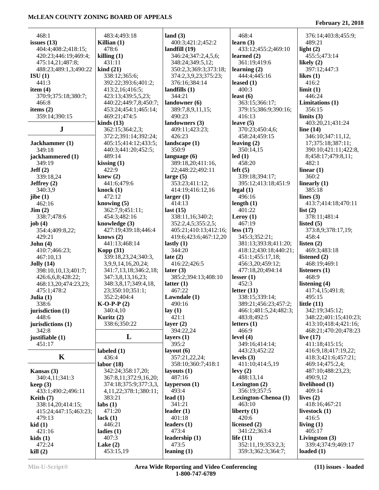| 468:1                          | 483:4;493:18                | land $(3)$                    | 468:4                           | 376:14;403:8;455:9;                    |
|--------------------------------|-----------------------------|-------------------------------|---------------------------------|----------------------------------------|
| issues $(13)$                  | Killian $(1)$               | 400:3;421:2;452:2             | learn $(3)$                     | 489:21                                 |
| 404:4;408:2;418:15;            | 478:6                       | landfill $(19)$               | 433:12;455:2;469:10             | light $(2)$                            |
| 420:23;446:19;469:4;           | killing(1)                  | 346:24;347:2,4,5,6;           | learned $(2)$                   | 455:5;473:14                           |
| 475:14,21;487:8;               | 431:11                      | 348:24;349:5,12;              | 361:19;419:6                    | likely $(2)$                           |
| 488:23;489:1,3;490:22          | $\operatorname{kind}(21)$   | 350:2,3;369:3;373:18;         | learning $(2)$                  | 397:12;447:3                           |
| $\left[ \text{SU (1)} \right]$ | 338:12;365:6;               | 374:2,3,9,23;375:23;          | 444:4:445:16                    | likes $(1)$                            |
| 441:3                          | 392:22;393:6;401:2;         | 376:16;384:14                 | leased $(1)$                    | 416:2                                  |
| item $(4)$                     | 413:2,16;416:5;             | landfills $(1)$               | 400:3                           | limit(1)                               |
| 370:9;375:18;380:7;            | 423:13;439:5,5,23;          | 344:21                        | least $(6)$                     | 446:24                                 |
| 466:8                          | 440:22;449:7,8;450:7;       | landowner $(6)$               | 363:15;366:17;                  | Limitations (1)                        |
| items $(2)$                    | 453:24;454:1;465:14;        | 389:7,8,9,11,15;              | 379:15;386:9;390:16;            | 356:15                                 |
| 359:14;390:15                  | 469:21;474:5                | 490:23                        | 416:13                          | limits $(3)$                           |
|                                | kinds $(13)$                | landowners (3)                | leave $(5)$                     | 403:20,21;431:24                       |
| ${\bf J}$                      | 362:15;364:2,3;             | 409:11;423:23;                | 370:23;450:4,6;                 | line $(14)$                            |
|                                | 372:2;391:14;392:24;        | 426:23                        | 458:24;459:15                   | 346:10;347:11,12,                      |
| Jackhammer (1)                 | 405:15;414:12;433:5;        | landscape $(1)$               | leaving $(2)$                   | 17;375:18;387:11;                      |
| 349:18                         | 440:3;441:20;452:5;         | 350:9                         | 350:14,15                       | 390:10;421:11;422:8,                   |
| jackhammered (1)               | 489:14                      | language $(6)$                | led(1)                          | 8;458:17;479:8,11;                     |
| 349:19                         | kissing $(1)$               | 389:18,20;411:16,             | 458:20                          | 482:1                                  |
| Jeff(2)                        | 422:9                       | 22;448:22;492:11              | left(5)                         | linear $(1)$                           |
| 339:18,24                      | knew $(2)$                  | large $(5)$                   | 339:18;394:17;                  | 360:2                                  |
| Jeffrey $(2)$                  | 441:6;479:6                 | 353:23;411:12;                | 395:12;413:18;451:9             | linearly $(1)$                         |
| 340:3,9                        | knock $(1)$                 | 414:19;416:12,16              | $\text{legal } (1)$             | 385:18                                 |
| jibe $(1)$                     | 472:12                      | larger(1)                     | 496:16                          | lines $(3)$                            |
| 462:16                         | knowing $(5)$               | 414:13                        | length $(1)$                    | 413:7;414:18;470:11                    |
| $\text{Jim} (2)$               | 362:7,9;451:11;             | last $(15)$                   | 401:22                          | list $(2)$                             |
| 338:7;478:6                    | 454:3;482:16                | 338:11,16;340:2;              | Leroy $(1)$                     | 378:11;481:4                           |
| job $(4)$                      | knowledge $(3)$             | 352:2,4,5;355:2,5;            | 467:19                          | listed $(5)$                           |
| 354:4;409:8,22;                | 427:19;439:18;446:4         | 405:21;410:13;412:16;         | less (17)                       | 373:8,9;378:17,19;                     |
| 429:21                         | knows $(2)$                 | 419:6;423:6;467:12,20         | 345:3;352:21;                   | 458:4                                  |
| John(4)                        | 441:13;468:14               | lastly $(1)$                  | 381:13;393:8;411:20;            | listen $(2)$                           |
| 410:7;466:23;                  | Kopp $(31)$                 | 344:20                        | 418:12;430:18;440:21;           | 469:3;483:18                           |
| 467:10,13                      | 339:18,23,24;340:3,         | late $(2)$                    | 451:1;455:17,18;                | listened $(2)$                         |
| Jolly(14)                      | 3,9,9,14,16,20,24;          | 416:22;426:5                  | 456:3,20;459:12;                | 468:19;469:1                           |
| 398:10,10,13;401:7;            | 341:7,13,18;346:2,18;       | later $(3)$                   | 477:18,20;494:14                | listeners $(1)$                        |
| 426:6,6,8;428:22;              | 347:3,8,13,16,23;           | 385:2;394:13;408:10           | lesser $(1)$                    | 468:9                                  |
| 468:13,20;474:23,23;           | 348:3,8,17;349:4,18,        | latter $(1)$                  | 452:3                           | listening $(4)$                        |
| 475:1;478:2                    | 23;350:10;351:1;            | 467:22                        | letter $(11)$                   | 417:4,15;491:8;                        |
| Julia $(1)$                    | 352:2;404:4                 | Lawndale $(1)$                | 338:15;339:14;                  | 495:15                                 |
| 338:6                          | $K-O-P-P(2)$                | 490:16                        | 389:21;456:23;457:2;            | little $(11)$                          |
| jurisdiction $(1)$             | 340:4,10                    | lay(1)                        | 466:1;481:5,24;482:3;           | 342:19;345:12;                         |
| 448:6                          | Kuritz (2)                  | 421:1                         | 483:8;492:5                     | 348:22;401:15;410:23;                  |
| jurisdictions (1)              | 338:6;350:22                | layer $(2)$                   | letters $(1)$                   | 413:10;418:4;421:16;                   |
| 342:8                          |                             | 394:22,24                     | 466:9                           | 468:21;470:20;478:23                   |
| justifiable (1)                | L                           | layers $(1)$                  | level $(4)$                     | live $(17)$                            |
| 451:17                         |                             | 395:2                         | 349:16;414:14;                  | 411:18;415:15;                         |
| K                              | labeled $(1)$               | layout $(6)$<br>357:21,22,24; | 443:23;452:22                   | 416:9,18;417:19,22;                    |
|                                | 436:4<br>labor(18)          | 358:10;360:7;418:1            | levels $(3)$<br>411:10;414:5,19 | 418:3;421:6;457:21;<br>469:14;475:2,4; |
| Kansas $(3)$                   | 342:24;358:17,20;           | layouts $(1)$                 | levy(2)                         | 487:10;488:23,23;                      |
| 340:4,11;341:3                 | 367:8,11;372:9,16,20;       | 487:16                        | 488:13,14                       | 490:9,12                               |
| keep(3)                        | 374:18;375:9;377:3,3,       | layperson $(1)$               | Lexington $(2)$                 | livelihood (1)                         |
| 433:1;490:2;496:11             | 4, 11, 22; 378: 1; 380: 11; | 493:4                         | 356:19;357:5                    | 409:14                                 |
| Keith $(7)$                    | 383:21                      | lead $(1)$                    | Lexington-Chenoa (1)            | lives $(2)$                            |
| 338:14,20;414:15;              | $\text{labs}(1)$            | 341:21                        | 463:10                          | 418:16;467:21                          |
| 415:24;447:15;463:23;          | 471:20                      | leader $(1)$                  | liberty $(1)$                   | livestock $(1)$                        |
| 479:13                         | lack $(1)$                  | 401:18                        | 420:6                           | 416:5                                  |
| kid(1)                         | 446:21                      | leaders $(1)$                 | licensed $(2)$                  | living $(1)$                           |
| 421:16                         | ladies $(1)$                | 473:4                         | 341:22;363:4                    | 405:17                                 |
| kids(1)                        | 407:3                       | leadership $(1)$              | life $(11)$                     | Livingston $(3)$                       |
| 472:24                         | Lake $(2)$                  | 473:5                         | 352:11,19;353:2,3;              | 339:4;374:9;469:17                     |
|                                | 453:15,19                   | leaning $(1)$                 | 359:3;362:3;364:7;              | loaded $(1)$                           |
| kill(2)                        |                             |                               |                                 |                                        |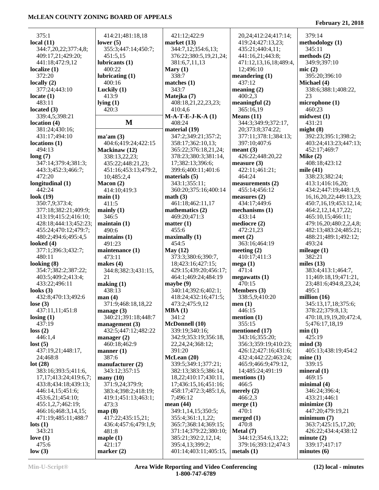#### 375:1 **local (11)** 344:7,20,22;377:4,8; 409:17,21;429:20; 441:18;472:9,12 **localize (1)** 372:20 **locally (2)** 377:24;443:10 **locate (1)** 483:11 **located (3)** 339:4,5;398:21 **location (4)** 381:24;430:16; 431:17;494:10 **locations (1)** 494:13 **long (7)** 347:14;379:4;381:3; 443:3;452:3;466:7; 472:20 **longitudinal (1)** 442:24 **look (19)** 350:7,9;373:4; 377:18;382:21;409:9; 413:19;415:2;416:10; 428:18;444:13;452:23; 455:24;470:12;479:7; 480:2;494:6;495:4,5 **looked (4)** 377:1;396:3;432:7; 480:11 **looking (8)** 354:7;382:2;387:22; 403:5;409:2;413:4; 433:22;496:11 **looks (3)** 432:8;470:13;492:6 **lose (3)** 437:11,11;451:8 **losing (1)** 437:19 **loss (2)** 446:1,4 **lost (5)** 437:19,21;448:17, 24;468:8 **lot (28)** 383:16;393:5;411:6, 17,17;413:24;419:6,7; 433:8;434:18;439:13; 446:14,15;451:6; 453:6,21;454:10; 455:1,2,7;462:19; 466:16;468:3,14,15; 471:19;485:11;488:7 **lots (1)** 343:21 **love (1)** 475:6 **low (3)** 414:21;481:18,18 **lower (5)** 355:3;447:14;450:7; 451:5,15 **lubricants (1)** 400:22 **lubricating (1)** 400:16 **Luckily (1)** 413:9 **lying (1)** 420:3 **M** 408:24 **ma'am (3)** 404:6;419:24;422:15 **Mackinaw (12)** 338:13,22,23; 435:22;448:21,23; 451:16;453:13;479:2, 10;485:2,4 **Macon (2)** 414:10;419:3 **main (1)** 411:5 **mainly (1)** 346:5 **maintain (1)** 490:6 **maintains (1)** 491:23 **maintenance (1)** 473:11 **makes (4)** 344:8;382:3;431:15, 21 **making (1)** 438:13 **man (4)** 371:9;468:18,18,22 **manage (3)** 340:21;391:18;448:7 **management (3)** 432:5;447:12;482:22 **manager (2)** 460:18;462:9 **manner (1)** 387:6 **manufacturer (2)** 343:12;357:15 **many (10)** 371:9,24;379:9; 383:4;398:2;418:19; 419:1;451:13;463:1; 473:3 **map (8)** 417:22;435:15,21; 436:4;457:6;479:1,9; 481:8 **maple (1)** 421:17 **marker (2)** 421:12;422:9 **market (13)** 344:7,12;354:6,13; 376:22;380:5,19,21,24; 381:6,7,11,13 **Mary (1)** 338:7 **matches (1)** 343:7 **Matejka (7)** 408:18,21,22,23,23; 410:4,6 **M-A-T-E-J-K-A (1) material (19)** 347:2;349:21;357:2; 358:17;362:10,13; 365:22;376:18,21,24; 378:23;380:3;381:14, 17;382:13;396:6; 399:6;400:11;401:6 **materials (5)** 343:1;355:11; 360:20;375:16;400:14 **math (3)** 461:18;462:11,17 **mathematics (2)** 469:20;471:3 **matter (1)** 455:6 **maximally (1)** 454:5 **May (12)** 373:3;380:6;390:7, 18;423:16;427:15; 429:15;439:20;456:17; 464:1;469:24;484:19 **maybe (9)** 340:14;392:6;402:1; 418:24;432:16;471:5; 473:2;475:9,12 **MBA (1)** 341:2 **McDonnell (10)** 339:19;340:16; 342:9;353:19;356:18, 22,24,24;368:12; 391:20 **McLean (20)** 339:5;349:1;377:21; 382:13;383:5;386:14, 18,22;410:17;430:11, 17;436:15,16;451:16; 458:17;472:3;485:1,6, 7;496:12 **mean (44)** 349:1,14,15;350:5; 355:4;361:1,1,22; 365:7;368:14;369:15; 371:14;379:22;380:10; 385:21;392:2,12,14; 395:4,13;399:2; 401:14;403:11;405:15, 20,24;412:24;417:14; 419:24;427:13,23; 435:21;440:4,11; 441:16,21;443:8; 471:12,13,16,18;489:4, 12;496:10 **meandering (1)** 437:12 **meaning (2)** 400:2,3 **meaningful (2)** 365:16,19 **Means (11)** 344:3;349:9;372:17, 20;373:8;374:22; 377:11;378:1;384:13; 397:10;407:6 **meant (3)** 426:22;448:20,22 **measure (3)** 422:11;461:21; 464:24 **measurements (2)** 455:14;456:12 **measures (2)** 434:17;449:6 **mechanisms (1)** 433:14 **mediocre (2)** 472:21,23 **meet (2)** 363:16;464:19 **meeting (2)** 410:17;411:3 **mega (1)** 471:4 **megawatts (1)** 470:15 **Members (3)** 338:5,9;410:20 **men (1)** 446:15 **mention (1)** 355:15 **mentioned (17)** 343:16;355:20; 356:3;359:19;410:23; 426:12;427:16;431:6; 432:4;442:22;463:24; 465:9;466:9;479:12, 14;485:24;491:19 **mentions (1)** 466:5 **merely (2)** 466:2,3 **merge (1)** 470:1 **merged (1)** 470:8 **Metal (7)** 344:12;354:6,13,22; 379:16;393:12;474:3 **metals (1)** 379:14 **methodology (1)** 345:11 **methods (2)** 349:9;397:10 **mic (2)** 395:20;396:10 **Michael (4)** 338:6;388:1;408:22, 23 **microphone (1)** 460:23 **midwest (1)** 431:21 **might (8)** 392:23;395:1;398:2; 403:24;413:23;447:13; 452:17;469:7 **Mike (2)** 408:18;423:12 **mile (41)** 338:23;382:24; 413:1;416:16,20; 434:2;447:19;448:1,9, 16,16,20,22;449:13,23; 450:7,16,19;453:12,14; 464:2,12,14,17,22; 465:10,15;466:11; 479:16,20;480:2,2,4,8; 482:13;483:24;485:21; 488:21;489:1;492:12; 493:24 **mileage (1)** 382:21 **miles (13)** 383:4;413:1;464:7, 11;469:18,19;471:21, 23;481:6;494:8,23,24; 495:1 **million (16)** 345:13,17,18;375:6; 378:22;379:8,13; 470:18,19,19,20;472:4, 5;476:17,18,19 **min (1)** 425:19 **mind (3)** 405:13;438:19;454:2 **mine (1)** 339:15 **mineral (1)** 469:15 **minimal (4)** 346:24;396:4; 433:21;446:1 **minimize (3)** 447:20;479:19,21 **minimum (7)** 363:7;425:15,17,20; 426:22;434:4;438:12 **minute (2)** 339:17;417:17 **minutes (6)**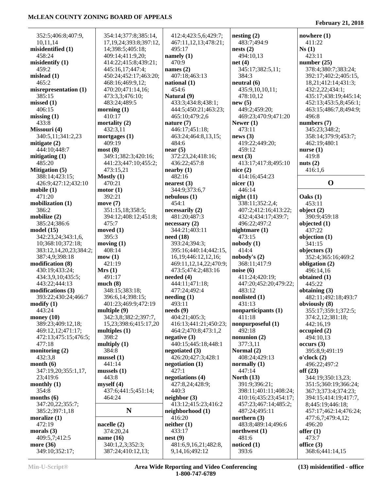÷,

| 352:5;406:8;407:9,                          | 354:14;377:8;385:14,                           | 412:4;423:5,6;429:7;                   | nesting(2)                      | nowhere $(1)$                        |
|---------------------------------------------|------------------------------------------------|----------------------------------------|---------------------------------|--------------------------------------|
| 10,11,14                                    | 17, 19, 24; 393: 8; 397: 12,                   | 467:11,12,13;478:21;                   | 483:7:494:9                     | 411:22                               |
| misidentified (1)                           | 14;398:5;405:18;                               | 495:17                                 | nests(2)                        | Ns(1)                                |
| 458:24                                      | 409:14;411:9,20;                               | namely $(1)$<br>470:9                  | 494:10,13                       | 423:11                               |
| misidentify (1)<br>459:2                    | 414:22;415:8;439:21;<br>445:16,17;447:4;       | names $(2)$                            | net(4)<br>345:17;382:5,11;      | number $(25)$<br>378:4;380:7;383:24; |
| mislead (1)                                 | 450:24;452:17;463:20;                          | 407:18;463:13                          | 384:3                           | 392:17;402:2;405:15,                 |
| 465:2                                       | 468:16;469:9,12;                               | national $(1)$                         | neutral (6)                     | 18,21;412:14;431:3;                  |
| misrepresentation (1)                       | 470:20;471:14,16;                              | 454:6                                  | 435:9,10,10,11;                 | 432:2,22;434:1;                      |
| 385:15                                      | 473:3,3;476:10;                                | Natural (9)                            | 478:10,12                       | 435:17;438:19;445:14;                |
| missed (1)                                  | 483:24;489:5                                   | 433:3;434:8;438:1;                     | new(5)                          | 452:13;453:5,8;456:1;                |
| 406:15                                      | morning $(1)$                                  | 444:5;450:21;463:23;                   | 449:2;459:20;                   | 463:15;486:7,8;494:9;                |
| missing(1)                                  | 410:17                                         | 465:10;479:2,6                         | 469:23;470:9;471:20             | 496:8                                |
| 433:8                                       | mortality $(2)$                                | nature $(7)$                           | Newer $(1)$                     | numbers (7)                          |
| Missouri (4)                                | 432:3,11                                       | 446:17;451:18;                         | 473:11                          | 345:23;348:2;                        |
| 340:5,11;341:2,23                           | mortgages $(1)$                                | 463:24;464:8,13,15;                    | news(3)                         | 358:14;379:9;453:7;                  |
| mitigate (2)<br>444:10;448:7                | 409:19<br>most(8)                              | 484:6<br>near $(5)$                    | 419:22;449:20;<br>459:12        | 462:19;480:1                         |
| mitigating (1)                              | 349:1;382:3;420:16;                            | 372:23,24;418:16;                      | next(3)                         | nurse $(1)$<br>419:8                 |
| 485:20                                      | 441:23;447:10;455:2;                           | 436:22;457:8                           | 413:17;417:8;495:10             | nuts $(2)$                           |
| <b>Mitigation</b> (5)                       | 473:15,21                                      | nearly (1)                             | nice $(2)$                      | 416:1,6                              |
| 388:14;423:15;                              | Mostly $(1)$                                   | 482:16                                 | 414:16;454:23                   |                                      |
| 426:9;427:12;432:10                         | 470:21                                         | nearest(3)                             | nicer $(1)$                     | $\mathbf 0$                          |
| mobile (1)                                  | motor(1)                                       | 344:9:373:6.7                          | 446:14                          |                                      |
| 471:20                                      | 392:21                                         | nebulous(1)                            | night(11)                       | Oaks(1)                              |
| mobilization (1)                            | move $(7)$                                     | 454:1                                  | 338:11;352:2,4;                 | 453:11                               |
| 386:2                                       | 351:15,18;358:5;                               | necessarily (2)                        | 407:2;412:16;413:22;            | object $(2)$                         |
| mobilize (2)                                | 394:12;408:12;451:8;                           | 481:20;487:3                           | 432:4;434:17;439:7;             | 390:9;459:18                         |
| 385:24;386:6                                | 475:7                                          | necessary(2)                           | 496:22;497:2                    | objected $(1)$                       |
| model (15)                                  | moved $(1)$                                    | 344:21;403:11                          | nightmare $(1)$                 | 437:22                               |
| 342:23,24;343:1,6,                          | 395:3                                          | need(18)                               | 473:15                          | objection $(1)$                      |
| 10;368:10;372:18;<br>383:12,14,20,23;384:2; | moving $(1)$<br>408:14                         | 393:24;394:3;<br>395:16;440:14;442:15, | nobody(1)<br>414:4              | 341:15<br>objectors (3)              |
| 387:4,9;398:18                              | mow(1)                                         | 16, 19; 446: 12, 12, 16;               | nobody's (2)                    | 352:4;365:16;469:2                   |
| modification (8)                            | 421:19                                         | 469:11,12,14,22;470:9;                 | 368:11;417:9                    | obligation (2)                       |
| 430:19;433:24;                              | Mrs(1)                                         | 473:5;474:2;483:16                     | noise(6)                        | 496:14,16                            |
| 434:3,9,10;435:5;                           | 491:17                                         | needed $(4)$                           | 411:24;420:19;                  | obtained $(1)$                       |
| 443:22;444:13                               | much(8)                                        | 444:11;471:18;                         | 447:20;452:20;479:22;           | 445:22                               |
| modifications (3)                           | 348:15;383:18;                                 | 477:24;492:4                           | 483:12                          | obtaining $(3)$                      |
| 393:22;430:24;466:7                         | 396:6,14;398:15;                               | needing(1)                             | nonlisted (1)                   | 482:11;492:18;493:7                  |
| modify (1)                                  | 401:23;469:9;472:19                            | 493:11                                 | 431:13                          | obviously (8)                        |
| 443:24                                      | multiple $(9)$                                 | $\boldsymbol{\text{needs}(9)}$         | nonparticipants (1)             | 355:17;359:1;372:5;                  |
| money (10)                                  | 342:3,8;382:2;397:7,                           | 404:21;405:3;                          | 411:18                          | 374:2,12;381:18;                     |
| 389:23;409:12,18;                           | 15, 23; 398: 6; 415: 17, 20<br>multiples $(1)$ | 416:13;441:21;450:23;                  | nonpurposeful (1)<br>492:18     | 442:16,19                            |
| 469:12,12;471:17;<br>472:13;475:15;476:5;   | 398:2                                          | 464:2;470:8;473:1,2<br>negative(3)     | nonunion $(2)$                  | occupied(2)<br>494:10,13             |
| 477:18                                      | multiply $(1)$                                 | 440:15;445:18;448:1                    | 377:3,11                        | occurs (3)                           |
| monitoring (2)                              | 384:8                                          | negotiated $(3)$                       | Normal (2)                      | 395:8,9;491:19                       |
| 432:3,8                                     | mussel(1)                                      | 426:20;427:3;428:1                     | 408:24;429:13                   | o'clock(2)                           |
| month (6)                                   | 441:14                                         | negotiation $(1)$                      | normally $(1)$                  | 496:22;497:2                         |
| 347:19,20;355:1,17,                         | mussels $(1)$                                  | 427:1                                  | 447:14                          | off $(23)$                           |
| 23;419:6                                    | 443:8                                          | negotiations (4)                       | North $(13)$                    | 344:19;350:13,23;                    |
| monthly (1)                                 | myself(4)                                      | 427:8,24;428:9;                        | 391:9;396:21;                   | 351:5;360:19;366:24;                 |
| 354:8                                       | 437:6;441:5;451:14;                            | 440:3                                  | 398:11;401:11;408:24;           | 367:3;373:4;374:23;                  |
| months (6)                                  | 464:24                                         | neighbor(3)                            | 410:16;435:23;454:17;           | 394:15;414:19;417:7,                 |
| 347:20,22;355:7;                            | $\mathbf N$                                    | 413:12;415:23;416:2                    | 457:23;467:14;485:2;            | 8;445:19;446:18;                     |
| 385:2;397:1,18<br>moralize (1)              |                                                | neighborhood (1)<br>416:20             | 487:24;495:11<br>northern $(3)$ | 457:17;462:14;476:24;                |
| 472:19                                      | nacelle $(2)$                                  | neither(1)                             | 483:8;489:14;496:6              | 477:6,7;479:4,12;<br>496:20          |
| morals (3)                                  | 374:20,24                                      | 433:17                                 | northwest $(1)$                 | offer $(1)$                          |
| 409:5,7;412:5                               | name (16)                                      | nest(9)                                | 481:6                           | 473:7                                |
| more (36)                                   | 340:1,2,3;352:3;                               | 481:6,9,16,21;482:8,                   | noticed $(1)$                   | office $(3)$                         |
| 349:10;352:17;                              | 387:24;410:12,13;                              | 9, 14, 16; 492: 12                     | 393:6                           | 368:6;441:14,15                      |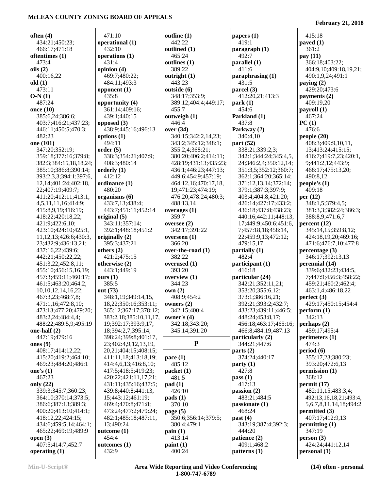**often (4)** 434:21;450:23; 466:17;471:18 **oftentimes (1)** 473:4 **oils (2)** 400:16,22 **old (1)** 473:11 **O-N (1)** 487:24 **once (10)** 385:6,24;386:6; 403:7;416:21;437:23; 446:11;450:5;470:3; 482:23 **one (101)** 347:20;352:19; 359:18;377:16;379:8; 382:3;384:15,18,18,24; 385:10;386:8;390:14; 393:2,3,3;394:1;397:6, 12,14;401:24;402:18, 22;407:19;409:7; 411:20;412:11;413:1, 4,5,11,11,16;414:9; 415:8,9,19;416:19; 418:22;420:18,22; 421:9;422:6,10; 423:10;424:10;425:1, 11,12,13;426:6;430:3, 23;432:9;436:13,21; 437:16,22;439:6; 442:21;450:22,22; 451:3,22;452:8,11; 455:10;456:15,16,19; 457:3;459:11;460:17; 461:5;463:20;464:2, 10,10,12,14,16,22; 467:3,23;468:7,8; 471:1,16;472:8,10; 473:13;477:20;479:20; 483:2,24;484:4,4; 488:22;489:5,9;495:19 **one-half (2)** 447:19;479:16 **ones (9)** 408:17;414:12,22; 415:20;419:2;464:10; 469:23;484:20;486:1 **one's (1)** 467:23 **only (22)** 339:3;345:7;360:23; 364:10;370:14;373:5; 386:6;387:13;389:3; 400:20;413:10;414:1; 418:12,22;424:15; 434:6;459:5,14;464:1; 465:22;469:19;489:9 **open (3)** 471:10 432:10 431:4 **opinion (4) opponent (1)** 435:8 **opposed (3) options (1)** 494:11 **order (5) orderly (1)** 412:12 **ordinance (1)** 480:20 **original (5) originally (2) others (2) otherwise (2) ours (1)** 385:5 **out (73) outcome (1)** 454:4

**operational (1) operations (1)** 469:7;480:22; 484:11;493:3 **opportunity (4)** 361:14;409:16; 439:1;440:15 438:9;445:16;496:13 338:3;354:21;407:9; 408:3;480:14 **organisms (6)** 433:7,13;438:4; 443:7;451:11;452:14 343:11;357:14; 392:1;448:18;451:2 395:3;437:21 421:2;475:15 443:1;449:19 348:1,19;349:14,15, 18,22;350:16;353:11; 365:12;367:17;378:12; 383:2,18;385:10,11,17, 19;392:17;393:9,17, 18;394:2,7;395:14; 398:24;399:8;401:17, 23;402:4,9,12,13,19, 20,21;404:15;408:15; 411:11,18;413:18,19; 414:4,6,13;416:8,10; 417:5;418:5;419:23; 420:22;421:11,17,21; 431:11;435:16;437:5; 439:8;440:8;441:13, 15;443:12;461:19; 469:4;470:8;471:8; 473:24;477:2;479:24; 482:1;485:18;487:11, 13;490:24 **outcomes (1) outline (1)** 442:22 **outlined (1)** 465:24 **outlines (1)** 389:22 **outright (1)** 443:23 **outside (6)** 348:17;353:9; 389:12;404:4;449:17; 455:7 **outweigh (1)** 446:4 **over (34)** 340:15;342:2,14,23; 343:2;345:12;348:1; 355:2,4;368:21; 380:20;406:2;414:11; 428:19;431:13;435:23; 436:1;446:23;447:13; 449:6;454:9;457:19; 464:12,16;470:17,18, 19;471:23;474:19; 476:20;478:24;480:3; 488:13,14 **overages (1)** 359:7 **oversee (2)** 342:17;391:22 **overseen (1)** 366:20 **over-the-road (1)** 382:22 **overused (1)** 393:20 **overview (1)** 344:23 **own (2)** 408:9;454:2 **owners (2)** 342:15;400:4 **owner's (4)** 342:18;343:20; 345:14;391:20 **P pace (1)** 485:12 **packet (1)** 481:5 **pad (1)** 426:10 **pads (1)** 370:10 **page (5)** 350:6;356:14;379:5; 380:4;479:1 **pain (1)** 413:14 **paint (1)** 400:24

**papers (1)** 419:1 **paragraph (1)** 492:7 **parallel (1)** 411:6 **paraphrasing (1)** 431:5 **parcel (3)** 412:20,21;413:3 **park (1)** 454:6 **Parkland (1)** 437:8 **Parkway (2)** 340:4,10 **part (52)** 338:21;339:2,3; 342:1;344:24;345:4,5, 24;346:2,4;350:12,14; 351:3,5;352:12;360:7; 362:1;364:20;365:14; 371:12,13,14;372:14; 379:1;387:3;397:9; 403:4;404:8;421:20; 426:14;427:17;433:2; 436:18;437:8;438:23; 440:16;442:11;448:13, 17;449:9;450:6;451:6, 7;457:18,18;458:14, 22;459:9,13;472:12; 479:15,17 **partially (1)** 482:4 **participant (1)** 416:18 **particular (24)** 342:21;352:11,21; 353:20;355:6,12; 373:1;386:16,21; 392:21;393:2;432:7; 433:23;439:11;446:5; 448:24;453:8,17; 456:18;463:17;465:16; 466:8;484:19;487:13 **particularly (2)** 344:21;447:6 **parts (2)** 374:24;440:17 **party (1)** 427:8 **pass (1)** 417:13 **passion (2)** 483:21;484:5 **passionate (1)** 468:24 **past (4)** 343:19;387:4;392:3; 444:20 **patience (2)** 409:1;468:2 **patterns (1)**

**February 21, 2018**

 415:18 **paved (1)** 361:2 **pay (11)** 366:18;403:22; 404:9,10;409:18,19,21; 490:1,9,24;491:1 **paying (2)** 429:20;473:6 **payments (2)** 409:19,20 **payroll (1)** 467:24 **PC (1)** 476:6 **people (20)** 408:3;409:9,10,11, 13;413:24;415:15; 416:7;419:7,23;420:1, 9;441:2,12;443:9; 468:17;475:13,20; 490:8,12 **people's (1)** 409:18 **per (12)** 348:1,5;379:4,5; 381:3,3;382:24;386:3; 388:8,9;471:6,7 **percent (12)** 345:14,15;359:8,12; 424:18,19,20;469:16; 471:6;476:7,10;477:8 **percentage (3)** 346:17;392:13,13 **perennial (14)** 339:6;432:23;434:5, 7;447:9;456:3;458:22; 459:21;460:2;462:4; 463:1,4;486:18,22 **perfect (3)** 429:17;450:15;454:4 **perform (1)** 342:13 **perhaps (2)** 459:17;495:4 **perimeters (1)** 474:3 **period (6)** 355:17,23;380:23; 393:20;472:6,13 **permission (1)** 368:12 **permit (17)** 482:11,15;483:3,4; 492:13,16,18,21;493:4, 5,6,7,8,11,14,18;494:2 **permitted (3)** 407:17;412:9,13 **permitting (1)** 347:19 **person (3)** 424:24;441:12,14 **personal (1)**

**operating (1)**

407:5;414:7;452:7

432:9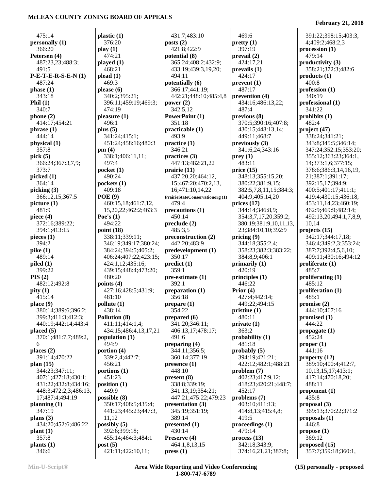Ĭ.

|                     |                                                                                                                                                                                                                                                                                                                                                                                                                                                                                                                                                                                                                                                                                                                                                                                                                                                      |                                                                                                                                                                                                                                                                                                                                                                                                                                                                                                                                                                                                                                                                                                                                                                                                                                                                                                                                            | 391:22;398:15;403:3,                                                                                                                                                                                                                                                                                                                                                                                                                                                                                                                                                                                                                                                                                                                                                                                                         |
|---------------------|------------------------------------------------------------------------------------------------------------------------------------------------------------------------------------------------------------------------------------------------------------------------------------------------------------------------------------------------------------------------------------------------------------------------------------------------------------------------------------------------------------------------------------------------------------------------------------------------------------------------------------------------------------------------------------------------------------------------------------------------------------------------------------------------------------------------------------------------------|--------------------------------------------------------------------------------------------------------------------------------------------------------------------------------------------------------------------------------------------------------------------------------------------------------------------------------------------------------------------------------------------------------------------------------------------------------------------------------------------------------------------------------------------------------------------------------------------------------------------------------------------------------------------------------------------------------------------------------------------------------------------------------------------------------------------------------------------------------------------------------------------------------------------------------------------|------------------------------------------------------------------------------------------------------------------------------------------------------------------------------------------------------------------------------------------------------------------------------------------------------------------------------------------------------------------------------------------------------------------------------------------------------------------------------------------------------------------------------------------------------------------------------------------------------------------------------------------------------------------------------------------------------------------------------------------------------------------------------------------------------------------------------|
|                     |                                                                                                                                                                                                                                                                                                                                                                                                                                                                                                                                                                                                                                                                                                                                                                                                                                                      |                                                                                                                                                                                                                                                                                                                                                                                                                                                                                                                                                                                                                                                                                                                                                                                                                                                                                                                                            | 4;409:2;468:2,3                                                                                                                                                                                                                                                                                                                                                                                                                                                                                                                                                                                                                                                                                                                                                                                                              |
|                     |                                                                                                                                                                                                                                                                                                                                                                                                                                                                                                                                                                                                                                                                                                                                                                                                                                                      |                                                                                                                                                                                                                                                                                                                                                                                                                                                                                                                                                                                                                                                                                                                                                                                                                                                                                                                                            | $\mathbf{procession}$ (1)                                                                                                                                                                                                                                                                                                                                                                                                                                                                                                                                                                                                                                                                                                                                                                                                    |
|                     |                                                                                                                                                                                                                                                                                                                                                                                                                                                                                                                                                                                                                                                                                                                                                                                                                                                      |                                                                                                                                                                                                                                                                                                                                                                                                                                                                                                                                                                                                                                                                                                                                                                                                                                                                                                                                            | 479:14                                                                                                                                                                                                                                                                                                                                                                                                                                                                                                                                                                                                                                                                                                                                                                                                                       |
|                     |                                                                                                                                                                                                                                                                                                                                                                                                                                                                                                                                                                                                                                                                                                                                                                                                                                                      |                                                                                                                                                                                                                                                                                                                                                                                                                                                                                                                                                                                                                                                                                                                                                                                                                                                                                                                                            | productivity (3)                                                                                                                                                                                                                                                                                                                                                                                                                                                                                                                                                                                                                                                                                                                                                                                                             |
|                     |                                                                                                                                                                                                                                                                                                                                                                                                                                                                                                                                                                                                                                                                                                                                                                                                                                                      |                                                                                                                                                                                                                                                                                                                                                                                                                                                                                                                                                                                                                                                                                                                                                                                                                                                                                                                                            |                                                                                                                                                                                                                                                                                                                                                                                                                                                                                                                                                                                                                                                                                                                                                                                                                              |
|                     |                                                                                                                                                                                                                                                                                                                                                                                                                                                                                                                                                                                                                                                                                                                                                                                                                                                      |                                                                                                                                                                                                                                                                                                                                                                                                                                                                                                                                                                                                                                                                                                                                                                                                                                                                                                                                            | 358:21;372:3;482:6                                                                                                                                                                                                                                                                                                                                                                                                                                                                                                                                                                                                                                                                                                                                                                                                           |
|                     |                                                                                                                                                                                                                                                                                                                                                                                                                                                                                                                                                                                                                                                                                                                                                                                                                                                      |                                                                                                                                                                                                                                                                                                                                                                                                                                                                                                                                                                                                                                                                                                                                                                                                                                                                                                                                            | products(1)                                                                                                                                                                                                                                                                                                                                                                                                                                                                                                                                                                                                                                                                                                                                                                                                                  |
|                     |                                                                                                                                                                                                                                                                                                                                                                                                                                                                                                                                                                                                                                                                                                                                                                                                                                                      |                                                                                                                                                                                                                                                                                                                                                                                                                                                                                                                                                                                                                                                                                                                                                                                                                                                                                                                                            | 400:8                                                                                                                                                                                                                                                                                                                                                                                                                                                                                                                                                                                                                                                                                                                                                                                                                        |
|                     |                                                                                                                                                                                                                                                                                                                                                                                                                                                                                                                                                                                                                                                                                                                                                                                                                                                      |                                                                                                                                                                                                                                                                                                                                                                                                                                                                                                                                                                                                                                                                                                                                                                                                                                                                                                                                            | profession(1)                                                                                                                                                                                                                                                                                                                                                                                                                                                                                                                                                                                                                                                                                                                                                                                                                |
|                     |                                                                                                                                                                                                                                                                                                                                                                                                                                                                                                                                                                                                                                                                                                                                                                                                                                                      |                                                                                                                                                                                                                                                                                                                                                                                                                                                                                                                                                                                                                                                                                                                                                                                                                                                                                                                                            | 340:19                                                                                                                                                                                                                                                                                                                                                                                                                                                                                                                                                                                                                                                                                                                                                                                                                       |
|                     |                                                                                                                                                                                                                                                                                                                                                                                                                                                                                                                                                                                                                                                                                                                                                                                                                                                      |                                                                                                                                                                                                                                                                                                                                                                                                                                                                                                                                                                                                                                                                                                                                                                                                                                                                                                                                            | professional (1)                                                                                                                                                                                                                                                                                                                                                                                                                                                                                                                                                                                                                                                                                                                                                                                                             |
|                     |                                                                                                                                                                                                                                                                                                                                                                                                                                                                                                                                                                                                                                                                                                                                                                                                                                                      |                                                                                                                                                                                                                                                                                                                                                                                                                                                                                                                                                                                                                                                                                                                                                                                                                                                                                                                                            | 341:22                                                                                                                                                                                                                                                                                                                                                                                                                                                                                                                                                                                                                                                                                                                                                                                                                       |
|                     |                                                                                                                                                                                                                                                                                                                                                                                                                                                                                                                                                                                                                                                                                                                                                                                                                                                      |                                                                                                                                                                                                                                                                                                                                                                                                                                                                                                                                                                                                                                                                                                                                                                                                                                                                                                                                            | prohibits $(1)$                                                                                                                                                                                                                                                                                                                                                                                                                                                                                                                                                                                                                                                                                                                                                                                                              |
|                     |                                                                                                                                                                                                                                                                                                                                                                                                                                                                                                                                                                                                                                                                                                                                                                                                                                                      |                                                                                                                                                                                                                                                                                                                                                                                                                                                                                                                                                                                                                                                                                                                                                                                                                                                                                                                                            | 482:4                                                                                                                                                                                                                                                                                                                                                                                                                                                                                                                                                                                                                                                                                                                                                                                                                        |
|                     |                                                                                                                                                                                                                                                                                                                                                                                                                                                                                                                                                                                                                                                                                                                                                                                                                                                      | 430:15;448:13,14;                                                                                                                                                                                                                                                                                                                                                                                                                                                                                                                                                                                                                                                                                                                                                                                                                                                                                                                          | project (47)                                                                                                                                                                                                                                                                                                                                                                                                                                                                                                                                                                                                                                                                                                                                                                                                                 |
|                     | 493:9                                                                                                                                                                                                                                                                                                                                                                                                                                                                                                                                                                                                                                                                                                                                                                                                                                                |                                                                                                                                                                                                                                                                                                                                                                                                                                                                                                                                                                                                                                                                                                                                                                                                                                                                                                                                            | 338:24;341:21;                                                                                                                                                                                                                                                                                                                                                                                                                                                                                                                                                                                                                                                                                                                                                                                                               |
| 451:24;458:16;480:3 | practive(1)                                                                                                                                                                                                                                                                                                                                                                                                                                                                                                                                                                                                                                                                                                                                                                                                                                          | previously (3)                                                                                                                                                                                                                                                                                                                                                                                                                                                                                                                                                                                                                                                                                                                                                                                                                                                                                                                             | 343:8;345:5;346:14;                                                                                                                                                                                                                                                                                                                                                                                                                                                                                                                                                                                                                                                                                                                                                                                                          |
| pm(4)               | 346:21                                                                                                                                                                                                                                                                                                                                                                                                                                                                                                                                                                                                                                                                                                                                                                                                                                               | 341:6,24;343:16                                                                                                                                                                                                                                                                                                                                                                                                                                                                                                                                                                                                                                                                                                                                                                                                                                                                                                                            | 347:24;352:15;353:20;                                                                                                                                                                                                                                                                                                                                                                                                                                                                                                                                                                                                                                                                                                                                                                                                        |
|                     |                                                                                                                                                                                                                                                                                                                                                                                                                                                                                                                                                                                                                                                                                                                                                                                                                                                      |                                                                                                                                                                                                                                                                                                                                                                                                                                                                                                                                                                                                                                                                                                                                                                                                                                                                                                                                            | 355:12;363:23;364:1,                                                                                                                                                                                                                                                                                                                                                                                                                                                                                                                                                                                                                                                                                                                                                                                                         |
| 497:4               |                                                                                                                                                                                                                                                                                                                                                                                                                                                                                                                                                                                                                                                                                                                                                                                                                                                      | 483:11                                                                                                                                                                                                                                                                                                                                                                                                                                                                                                                                                                                                                                                                                                                                                                                                                                                                                                                                     | 14;373:1,6;377:15;                                                                                                                                                                                                                                                                                                                                                                                                                                                                                                                                                                                                                                                                                                                                                                                                           |
|                     |                                                                                                                                                                                                                                                                                                                                                                                                                                                                                                                                                                                                                                                                                                                                                                                                                                                      |                                                                                                                                                                                                                                                                                                                                                                                                                                                                                                                                                                                                                                                                                                                                                                                                                                                                                                                                            | 378:6;386:3,14,16,19,                                                                                                                                                                                                                                                                                                                                                                                                                                                                                                                                                                                                                                                                                                                                                                                                        |
|                     |                                                                                                                                                                                                                                                                                                                                                                                                                                                                                                                                                                                                                                                                                                                                                                                                                                                      |                                                                                                                                                                                                                                                                                                                                                                                                                                                                                                                                                                                                                                                                                                                                                                                                                                                                                                                                            | 21;387:1;391:17;                                                                                                                                                                                                                                                                                                                                                                                                                                                                                                                                                                                                                                                                                                                                                                                                             |
|                     |                                                                                                                                                                                                                                                                                                                                                                                                                                                                                                                                                                                                                                                                                                                                                                                                                                                      |                                                                                                                                                                                                                                                                                                                                                                                                                                                                                                                                                                                                                                                                                                                                                                                                                                                                                                                                            | 392:15,17;394:9;                                                                                                                                                                                                                                                                                                                                                                                                                                                                                                                                                                                                                                                                                                                                                                                                             |
|                     |                                                                                                                                                                                                                                                                                                                                                                                                                                                                                                                                                                                                                                                                                                                                                                                                                                                      |                                                                                                                                                                                                                                                                                                                                                                                                                                                                                                                                                                                                                                                                                                                                                                                                                                                                                                                                            | 400:5:401:17:411:1:                                                                                                                                                                                                                                                                                                                                                                                                                                                                                                                                                                                                                                                                                                                                                                                                          |
|                     |                                                                                                                                                                                                                                                                                                                                                                                                                                                                                                                                                                                                                                                                                                                                                                                                                                                      |                                                                                                                                                                                                                                                                                                                                                                                                                                                                                                                                                                                                                                                                                                                                                                                                                                                                                                                                            | 419:4;430:15;436:18;                                                                                                                                                                                                                                                                                                                                                                                                                                                                                                                                                                                                                                                                                                                                                                                                         |
|                     |                                                                                                                                                                                                                                                                                                                                                                                                                                                                                                                                                                                                                                                                                                                                                                                                                                                      |                                                                                                                                                                                                                                                                                                                                                                                                                                                                                                                                                                                                                                                                                                                                                                                                                                                                                                                                            | 453:11,14,23;460:19;                                                                                                                                                                                                                                                                                                                                                                                                                                                                                                                                                                                                                                                                                                                                                                                                         |
|                     |                                                                                                                                                                                                                                                                                                                                                                                                                                                                                                                                                                                                                                                                                                                                                                                                                                                      |                                                                                                                                                                                                                                                                                                                                                                                                                                                                                                                                                                                                                                                                                                                                                                                                                                                                                                                                            | 462:9;469:9;482:14;                                                                                                                                                                                                                                                                                                                                                                                                                                                                                                                                                                                                                                                                                                                                                                                                          |
|                     |                                                                                                                                                                                                                                                                                                                                                                                                                                                                                                                                                                                                                                                                                                                                                                                                                                                      |                                                                                                                                                                                                                                                                                                                                                                                                                                                                                                                                                                                                                                                                                                                                                                                                                                                                                                                                            |                                                                                                                                                                                                                                                                                                                                                                                                                                                                                                                                                                                                                                                                                                                                                                                                                              |
|                     |                                                                                                                                                                                                                                                                                                                                                                                                                                                                                                                                                                                                                                                                                                                                                                                                                                                      |                                                                                                                                                                                                                                                                                                                                                                                                                                                                                                                                                                                                                                                                                                                                                                                                                                                                                                                                            | 492:13,20;494:1,7,8,9,                                                                                                                                                                                                                                                                                                                                                                                                                                                                                                                                                                                                                                                                                                                                                                                                       |
|                     |                                                                                                                                                                                                                                                                                                                                                                                                                                                                                                                                                                                                                                                                                                                                                                                                                                                      |                                                                                                                                                                                                                                                                                                                                                                                                                                                                                                                                                                                                                                                                                                                                                                                                                                                                                                                                            | 10,14                                                                                                                                                                                                                                                                                                                                                                                                                                                                                                                                                                                                                                                                                                                                                                                                                        |
|                     |                                                                                                                                                                                                                                                                                                                                                                                                                                                                                                                                                                                                                                                                                                                                                                                                                                                      |                                                                                                                                                                                                                                                                                                                                                                                                                                                                                                                                                                                                                                                                                                                                                                                                                                                                                                                                            | projects $(15)$                                                                                                                                                                                                                                                                                                                                                                                                                                                                                                                                                                                                                                                                                                                                                                                                              |
|                     |                                                                                                                                                                                                                                                                                                                                                                                                                                                                                                                                                                                                                                                                                                                                                                                                                                                      |                                                                                                                                                                                                                                                                                                                                                                                                                                                                                                                                                                                                                                                                                                                                                                                                                                                                                                                                            | 342:17;344:17,18;                                                                                                                                                                                                                                                                                                                                                                                                                                                                                                                                                                                                                                                                                                                                                                                                            |
|                     |                                                                                                                                                                                                                                                                                                                                                                                                                                                                                                                                                                                                                                                                                                                                                                                                                                                      |                                                                                                                                                                                                                                                                                                                                                                                                                                                                                                                                                                                                                                                                                                                                                                                                                                                                                                                                            | 346:4;349:2,3;353:24;                                                                                                                                                                                                                                                                                                                                                                                                                                                                                                                                                                                                                                                                                                                                                                                                        |
|                     |                                                                                                                                                                                                                                                                                                                                                                                                                                                                                                                                                                                                                                                                                                                                                                                                                                                      |                                                                                                                                                                                                                                                                                                                                                                                                                                                                                                                                                                                                                                                                                                                                                                                                                                                                                                                                            | 387:7;392:4,5,6,10;                                                                                                                                                                                                                                                                                                                                                                                                                                                                                                                                                                                                                                                                                                                                                                                                          |
|                     |                                                                                                                                                                                                                                                                                                                                                                                                                                                                                                                                                                                                                                                                                                                                                                                                                                                      |                                                                                                                                                                                                                                                                                                                                                                                                                                                                                                                                                                                                                                                                                                                                                                                                                                                                                                                                            | 409:11;430:16;494:12                                                                                                                                                                                                                                                                                                                                                                                                                                                                                                                                                                                                                                                                                                                                                                                                         |
|                     |                                                                                                                                                                                                                                                                                                                                                                                                                                                                                                                                                                                                                                                                                                                                                                                                                                                      |                                                                                                                                                                                                                                                                                                                                                                                                                                                                                                                                                                                                                                                                                                                                                                                                                                                                                                                                            | proliferate (1)                                                                                                                                                                                                                                                                                                                                                                                                                                                                                                                                                                                                                                                                                                                                                                                                              |
|                     | 359:1                                                                                                                                                                                                                                                                                                                                                                                                                                                                                                                                                                                                                                                                                                                                                                                                                                                | 420:19                                                                                                                                                                                                                                                                                                                                                                                                                                                                                                                                                                                                                                                                                                                                                                                                                                                                                                                                     | 485:7                                                                                                                                                                                                                                                                                                                                                                                                                                                                                                                                                                                                                                                                                                                                                                                                                        |
| 480:20              |                                                                                                                                                                                                                                                                                                                                                                                                                                                                                                                                                                                                                                                                                                                                                                                                                                                      | principles (1)                                                                                                                                                                                                                                                                                                                                                                                                                                                                                                                                                                                                                                                                                                                                                                                                                                                                                                                             | proliferating (1)                                                                                                                                                                                                                                                                                                                                                                                                                                                                                                                                                                                                                                                                                                                                                                                                            |
| points $(4)$        | 392:1                                                                                                                                                                                                                                                                                                                                                                                                                                                                                                                                                                                                                                                                                                                                                                                                                                                | 446:22                                                                                                                                                                                                                                                                                                                                                                                                                                                                                                                                                                                                                                                                                                                                                                                                                                                                                                                                     | 485:12                                                                                                                                                                                                                                                                                                                                                                                                                                                                                                                                                                                                                                                                                                                                                                                                                       |
|                     |                                                                                                                                                                                                                                                                                                                                                                                                                                                                                                                                                                                                                                                                                                                                                                                                                                                      | Prior $(4)$                                                                                                                                                                                                                                                                                                                                                                                                                                                                                                                                                                                                                                                                                                                                                                                                                                                                                                                                | proliferation (1)                                                                                                                                                                                                                                                                                                                                                                                                                                                                                                                                                                                                                                                                                                                                                                                                            |
| 481:10              | 356:18                                                                                                                                                                                                                                                                                                                                                                                                                                                                                                                                                                                                                                                                                                                                                                                                                                               |                                                                                                                                                                                                                                                                                                                                                                                                                                                                                                                                                                                                                                                                                                                                                                                                                                                                                                                                            | 485:1                                                                                                                                                                                                                                                                                                                                                                                                                                                                                                                                                                                                                                                                                                                                                                                                                        |
|                     |                                                                                                                                                                                                                                                                                                                                                                                                                                                                                                                                                                                                                                                                                                                                                                                                                                                      | 449:22:494:15                                                                                                                                                                                                                                                                                                                                                                                                                                                                                                                                                                                                                                                                                                                                                                                                                                                                                                                              | promise(2)                                                                                                                                                                                                                                                                                                                                                                                                                                                                                                                                                                                                                                                                                                                                                                                                                   |
|                     |                                                                                                                                                                                                                                                                                                                                                                                                                                                                                                                                                                                                                                                                                                                                                                                                                                                      |                                                                                                                                                                                                                                                                                                                                                                                                                                                                                                                                                                                                                                                                                                                                                                                                                                                                                                                                            | 444:10;467:16                                                                                                                                                                                                                                                                                                                                                                                                                                                                                                                                                                                                                                                                                                                                                                                                                |
|                     |                                                                                                                                                                                                                                                                                                                                                                                                                                                                                                                                                                                                                                                                                                                                                                                                                                                      |                                                                                                                                                                                                                                                                                                                                                                                                                                                                                                                                                                                                                                                                                                                                                                                                                                                                                                                                            | promised (1)                                                                                                                                                                                                                                                                                                                                                                                                                                                                                                                                                                                                                                                                                                                                                                                                                 |
|                     |                                                                                                                                                                                                                                                                                                                                                                                                                                                                                                                                                                                                                                                                                                                                                                                                                                                      |                                                                                                                                                                                                                                                                                                                                                                                                                                                                                                                                                                                                                                                                                                                                                                                                                                                                                                                                            | 444:22                                                                                                                                                                                                                                                                                                                                                                                                                                                                                                                                                                                                                                                                                                                                                                                                                       |
|                     |                                                                                                                                                                                                                                                                                                                                                                                                                                                                                                                                                                                                                                                                                                                                                                                                                                                      |                                                                                                                                                                                                                                                                                                                                                                                                                                                                                                                                                                                                                                                                                                                                                                                                                                                                                                                                            | propagate $(1)$                                                                                                                                                                                                                                                                                                                                                                                                                                                                                                                                                                                                                                                                                                                                                                                                              |
|                     |                                                                                                                                                                                                                                                                                                                                                                                                                                                                                                                                                                                                                                                                                                                                                                                                                                                      |                                                                                                                                                                                                                                                                                                                                                                                                                                                                                                                                                                                                                                                                                                                                                                                                                                                                                                                                            | 452:24                                                                                                                                                                                                                                                                                                                                                                                                                                                                                                                                                                                                                                                                                                                                                                                                                       |
|                     |                                                                                                                                                                                                                                                                                                                                                                                                                                                                                                                                                                                                                                                                                                                                                                                                                                                      |                                                                                                                                                                                                                                                                                                                                                                                                                                                                                                                                                                                                                                                                                                                                                                                                                                                                                                                                            | proper <sub>(1)</sub>                                                                                                                                                                                                                                                                                                                                                                                                                                                                                                                                                                                                                                                                                                                                                                                                        |
|                     |                                                                                                                                                                                                                                                                                                                                                                                                                                                                                                                                                                                                                                                                                                                                                                                                                                                      |                                                                                                                                                                                                                                                                                                                                                                                                                                                                                                                                                                                                                                                                                                                                                                                                                                                                                                                                            | 441:16                                                                                                                                                                                                                                                                                                                                                                                                                                                                                                                                                                                                                                                                                                                                                                                                                       |
|                     |                                                                                                                                                                                                                                                                                                                                                                                                                                                                                                                                                                                                                                                                                                                                                                                                                                                      |                                                                                                                                                                                                                                                                                                                                                                                                                                                                                                                                                                                                                                                                                                                                                                                                                                                                                                                                            | property $(12)$                                                                                                                                                                                                                                                                                                                                                                                                                                                                                                                                                                                                                                                                                                                                                                                                              |
|                     |                                                                                                                                                                                                                                                                                                                                                                                                                                                                                                                                                                                                                                                                                                                                                                                                                                                      |                                                                                                                                                                                                                                                                                                                                                                                                                                                                                                                                                                                                                                                                                                                                                                                                                                                                                                                                            |                                                                                                                                                                                                                                                                                                                                                                                                                                                                                                                                                                                                                                                                                                                                                                                                                              |
|                     |                                                                                                                                                                                                                                                                                                                                                                                                                                                                                                                                                                                                                                                                                                                                                                                                                                                      |                                                                                                                                                                                                                                                                                                                                                                                                                                                                                                                                                                                                                                                                                                                                                                                                                                                                                                                                            | 389:10;400:4;412:7,                                                                                                                                                                                                                                                                                                                                                                                                                                                                                                                                                                                                                                                                                                                                                                                                          |
|                     |                                                                                                                                                                                                                                                                                                                                                                                                                                                                                                                                                                                                                                                                                                                                                                                                                                                      |                                                                                                                                                                                                                                                                                                                                                                                                                                                                                                                                                                                                                                                                                                                                                                                                                                                                                                                                            | 10,13,15,17;413:1;                                                                                                                                                                                                                                                                                                                                                                                                                                                                                                                                                                                                                                                                                                                                                                                                           |
|                     |                                                                                                                                                                                                                                                                                                                                                                                                                                                                                                                                                                                                                                                                                                                                                                                                                                                      |                                                                                                                                                                                                                                                                                                                                                                                                                                                                                                                                                                                                                                                                                                                                                                                                                                                                                                                                            | 417:14;470:18,20;                                                                                                                                                                                                                                                                                                                                                                                                                                                                                                                                                                                                                                                                                                                                                                                                            |
|                     |                                                                                                                                                                                                                                                                                                                                                                                                                                                                                                                                                                                                                                                                                                                                                                                                                                                      |                                                                                                                                                                                                                                                                                                                                                                                                                                                                                                                                                                                                                                                                                                                                                                                                                                                                                                                                            | 488:11                                                                                                                                                                                                                                                                                                                                                                                                                                                                                                                                                                                                                                                                                                                                                                                                                       |
|                     |                                                                                                                                                                                                                                                                                                                                                                                                                                                                                                                                                                                                                                                                                                                                                                                                                                                      |                                                                                                                                                                                                                                                                                                                                                                                                                                                                                                                                                                                                                                                                                                                                                                                                                                                                                                                                            | proponent $(1)$                                                                                                                                                                                                                                                                                                                                                                                                                                                                                                                                                                                                                                                                                                                                                                                                              |
|                     |                                                                                                                                                                                                                                                                                                                                                                                                                                                                                                                                                                                                                                                                                                                                                                                                                                                      |                                                                                                                                                                                                                                                                                                                                                                                                                                                                                                                                                                                                                                                                                                                                                                                                                                                                                                                                            | 435:8                                                                                                                                                                                                                                                                                                                                                                                                                                                                                                                                                                                                                                                                                                                                                                                                                        |
|                     |                                                                                                                                                                                                                                                                                                                                                                                                                                                                                                                                                                                                                                                                                                                                                                                                                                                      |                                                                                                                                                                                                                                                                                                                                                                                                                                                                                                                                                                                                                                                                                                                                                                                                                                                                                                                                            | proposal (3)                                                                                                                                                                                                                                                                                                                                                                                                                                                                                                                                                                                                                                                                                                                                                                                                                 |
|                     |                                                                                                                                                                                                                                                                                                                                                                                                                                                                                                                                                                                                                                                                                                                                                                                                                                                      |                                                                                                                                                                                                                                                                                                                                                                                                                                                                                                                                                                                                                                                                                                                                                                                                                                                                                                                                            | 369:13;370:22;371:2                                                                                                                                                                                                                                                                                                                                                                                                                                                                                                                                                                                                                                                                                                                                                                                                          |
| 11,12               | 389:14                                                                                                                                                                                                                                                                                                                                                                                                                                                                                                                                                                                                                                                                                                                                                                                                                                               | 419:5                                                                                                                                                                                                                                                                                                                                                                                                                                                                                                                                                                                                                                                                                                                                                                                                                                                                                                                                      | proposals $(1)$                                                                                                                                                                                                                                                                                                                                                                                                                                                                                                                                                                                                                                                                                                                                                                                                              |
| possibly $(5)$      | presented $(1)$                                                                                                                                                                                                                                                                                                                                                                                                                                                                                                                                                                                                                                                                                                                                                                                                                                      | proceedings (1)                                                                                                                                                                                                                                                                                                                                                                                                                                                                                                                                                                                                                                                                                                                                                                                                                                                                                                                            | 446:8                                                                                                                                                                                                                                                                                                                                                                                                                                                                                                                                                                                                                                                                                                                                                                                                                        |
| 392:6;399:18;       | 430:14                                                                                                                                                                                                                                                                                                                                                                                                                                                                                                                                                                                                                                                                                                                                                                                                                                               | 479:14                                                                                                                                                                                                                                                                                                                                                                                                                                                                                                                                                                                                                                                                                                                                                                                                                                                                                                                                     | propose(1)                                                                                                                                                                                                                                                                                                                                                                                                                                                                                                                                                                                                                                                                                                                                                                                                                   |
| 455:14;464:3;484:1  | Preserve (4)                                                                                                                                                                                                                                                                                                                                                                                                                                                                                                                                                                                                                                                                                                                                                                                                                                         | process(13)                                                                                                                                                                                                                                                                                                                                                                                                                                                                                                                                                                                                                                                                                                                                                                                                                                                                                                                                | 369:12                                                                                                                                                                                                                                                                                                                                                                                                                                                                                                                                                                                                                                                                                                                                                                                                                       |
| post(5)             | 464:1,8,13,15                                                                                                                                                                                                                                                                                                                                                                                                                                                                                                                                                                                                                                                                                                                                                                                                                                        | 342:18;343:9;                                                                                                                                                                                                                                                                                                                                                                                                                                                                                                                                                                                                                                                                                                                                                                                                                                                                                                                              | proposed (15)                                                                                                                                                                                                                                                                                                                                                                                                                                                                                                                                                                                                                                                                                                                                                                                                                |
| 421:11;422:10,11;   | pres(1)                                                                                                                                                                                                                                                                                                                                                                                                                                                                                                                                                                                                                                                                                                                                                                                                                                              | 374:16,21,21;387:8;                                                                                                                                                                                                                                                                                                                                                                                                                                                                                                                                                                                                                                                                                                                                                                                                                                                                                                                        | 357:7;359:18;360:1,                                                                                                                                                                                                                                                                                                                                                                                                                                                                                                                                                                                                                                                                                                                                                                                                          |
|                     | plastic $(1)$<br>376:20<br>play(1)<br>474:21<br>played $(1)$<br>468:21<br>plead(1)<br>469:3<br>please $(6)$<br>340:2;395:21;<br>396:11;459:19;469:3;<br>474:19<br>pleasure(1)<br>496:1<br>plus $(5)$<br>341:24;415:1;<br>338:1;406:11,11;<br>pocket $(1)$<br>490:24<br>pockets $(1)$<br>409:18<br>POE(9)<br>460:15,18;461:7,12,<br>15,20,22;462:2;463:3<br>Poe's $(1)$<br>494:22<br>point $(18)$<br>338:11;339:11;<br>346:19;349:17;380:24;<br>384:24;394:5;405:2;<br>406:24;407:22;423:15;<br>424:1,12;435:16;<br>439:15;448:4;473:20;<br>427:16;428:5;431:9;<br>pollute (1)<br>438:14<br>Pollution (8)<br>411:11;414:1,4;<br>434:15;486:4,13,17,21<br>population $(1)$<br>494:9<br>portion $(4)$<br>339:2,4;442:7;<br>456:21<br>portions $(1)$<br>451:23<br>position $(1)$<br>449:9<br>possible (8)<br>350:17;408:5;435:4;<br>441:23;445:23;447:3, | 431:7;483:10<br>posts $(2)$<br>421:8;422:9<br>potential (8)<br>365:24;408:2;432:9;<br>433:19;439:3,19,20;<br>494:11<br>potentially (6)<br>366:17;441:19;<br>442:21;448:10;485:4,8<br>power $(2)$<br>342:5,12<br>PowerPoint (1)<br>351:18<br>practicalble(1)<br>practices (3)<br>447:13;482:21,22<br>prairie (11)<br>437:20,20;464:12,<br>15;467:20;470:2,13,<br>16;471:10,14,22<br><b>PrairieStateConservationorg (1)</b><br>479:4<br>precautions (1)<br>450:14<br>$\boldsymbol{\mathrm{preclude}}$ (2)<br>485:3.5<br>preconstruction (2)<br>442:20;483:9<br>predevelopment (1)<br>350:17<br>predict(1)<br>pre-estimate (1)<br>preparation (1)<br>$prepare (1)$<br>354:22<br>prepared $(6)$<br>341:20;346:11;<br>406:13,17;478:17;<br>491:6<br>preparing (4)<br>344:11;356:5;<br>360:14;377:19<br>presence(1)<br>448:10<br>present (8)<br>338:8;339:19;<br>341:13,19;354:21;<br>447:21;475:22;479:23<br>presentation (3)<br>345:19;351:19; | 469:6<br>pretty(1)<br>397:19<br>prevail(2)<br>424:17,21<br>prevals(1)<br>424:17<br>prevent(1)<br>487:17<br>prevention (4)<br>434:16;486:13,22;<br>487:4<br>previous (8)<br>370:5;390:16;407:8;<br>449:11;468:7<br>prey(1)<br>price(15)<br>348:13;355:15,20;<br>380:22;381:9,15;<br>382:5,7,8,11,15;384:3;<br>404:9;405:14,20<br>prices $(17)$<br>344:14;346:8,9;<br>354:3,7,17,20;359:2;<br>380:19;381:9,10,11,13,<br>23;384:10,10;392:9<br>pricing $(9)$<br>344:18;355:2,4;<br>358:23;382:3;383:22;<br>384:8,9;406:1<br>primarily $(1)$<br>427:4;442:14;<br>pristine(1)<br>480:11<br>private(1)<br>363:2<br>probability (1)<br>481:18<br>probability(5)<br>394:19;421:21;<br>422:12;482:1;488:21<br>problem(7)<br>402:23;417:9,12;<br>418:23;420:21;448:7;<br>452:17<br>problems (7)<br>403:10;411:13;<br>414:8,13;415:4,8; |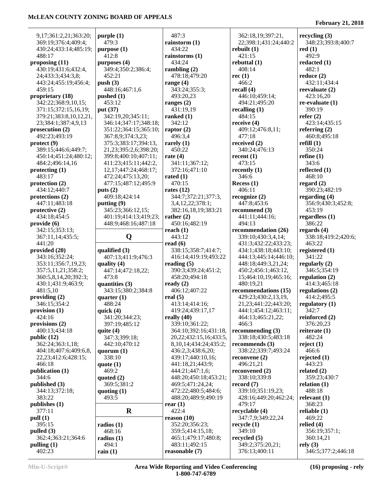| 9,17;361:2,21;363:20;          | purple(1)                   | 487:3                           | 362:18,19;397:21,                 | recycling $(3)$                  |
|--------------------------------|-----------------------------|---------------------------------|-----------------------------------|----------------------------------|
| 369:19;376:4;409:4;            | 479:3                       | rainstorm $(1)$                 | 22;398:1;431:24;440:2             | 348:23;393:8;400:7               |
| 430:24;433:14;485:19;          | purpose (1)                 | 434:22                          | rebuilt(1)                        | red(1)                           |
| 488:17                         | 412:8                       | rainstorms $(1)$                | 421:15                            | 492:9                            |
| proposing $(11)$               | purposes $(4)$              | 434:24                          | rebuttal $(1)$                    | redacted $(1)$                   |
| 430:19;431:6;432:4,            | 349:4;350:2;386:4;          | rambling $(2)$                  | 408:14                            | 482:1                            |
| 24;433:3;434:3,8;              | 452:21                      | 478:18;479:20                   | rec $(1)$                         | reduce $(2)$                     |
| 443:24;455:19;456:4;           | push $(3)$                  | range $(4)$                     | 466:2                             | 432:11;434:4                     |
| 459:15                         | 448:16;467:1,6              | 343:24;355:3;                   | recall $(4)$                      | reevaluate $(2)$                 |
| proprietary (18)               | pushed $(1)$                | 493:20,23                       | 446:10;459:14;                    | 423:16,20                        |
| 342:22;368:9,10,15;            | 453:12                      | ranges $(2)$                    | 494:21;495:20                     | $re-evaluate (1)$                |
| 371:15;372:15,16,19;           | put (37)                    | 431:19,19                       | recalling $(1)$                   | 390:19                           |
| 379:21;383:8,10,12,21,         | 342:19,20;345:11;           | ranked $(1)$                    | 484:15                            | refer $(2)$                      |
| 23;384:1;387:4,9,13            | 346:14;347:17;348:18;       | 342:12                          | receive $(4)$                     | 423:14;435:15                    |
| prosecution $(2)$              | 351:22;364:15;365:10;       | raptor $(2)$                    | 409:12;476:8,11;                  | referring $(2)$                  |
| 492:23;493:19                  | 367:8,9;374:3,23;           | 496:3,4                         | 477:18                            | 460:8;495:18                     |
| $\text{protect}\left(9\right)$ | 375:3;383:17;394:13,        | rarely $(1)$                    | received $(2)$                    | refill $(1)$                     |
| 389:15;446:6;449:7;            | 21, 23; 395: 2, 6; 398: 20; | 450:22                          | 340:24;476:13                     | 350:24                           |
| 450:14;451:24;480:12;          | 399:8;400:10;407:11;        | rate $(4)$                      | recent $(1)$                      | refine $(1)$                     |
| 484:2;496:14,16                | 411:23;415:11;442:2,        | 341:11;367:12;                  | 473:15                            | 343:6                            |
| protecting $(1)$               | 12, 17; 447: 24; 468: 17;   | 372:16;471:10                   | recently $(1)$                    | reflected $(1)$                  |
| 483:17                         | 472:24;475:13,20;           | rated $(1)$                     | 346:6                             | 468:10                           |
| protection $(2)$               | 477:15;487:12;495:9         | 470:15                          | Recess $(1)$                      | regard $(2)$                     |
| 434:12;440:7                   | puts $(2)$                  | rates $(12)$                    | 406:11                            | 390:23;482:19                    |
| protections (2)                | 409:18;424:14               | 344:7;372:21;377:3,             | recognize(2)                      | regarding $(4)$                  |
| 447:11;483:18                  | putting $(9)$               | 3,4,12,22;378:1;                | 447:8;453:6                       | 356:9;430:3;452:8;               |
| protective $(2)$               | 345:23;366:12,15;           | 382:16,18,19;383:21             | recommend (3)                     | 453:19                           |
| 434:18;454:5                   | 401:19;414:13;419:23;       | rather $(2)$                    | 441:11;444:16;                    | regardless $(1)$                 |
| provide(6)                     | 448:9;468:16;487:18         | 450:16;482:19                   | 494:13                            | 386:22                           |
| 342:15;353:13;                 |                             | reach $(1)$                     | recommendation (26)               | regards $(4)$                    |
| 367:11,14;435:5;               | Q                           | 443:12                          | 339:10;430:3,4,14;                | 338:18;419:2;420:6;              |
| 441:20                         |                             | read $(6)$                      | 431:3;432:22;433:23;              | 463:22                           |
|                                |                             |                                 |                                   |                                  |
| provided (20)                  | qualified $(3)$             | 338:15;358:7;414:7;             | 434:1;438:18;443:10;              | registered $(1)$                 |
| 343:16;352:24;                 | 407:13;411:9;476:3          | 416:14;419:19;493:22            | 444:13;445:14;446:10;             | 341:22                           |
| 353:11;356:7,19,23;            | quality $(4)$               | reading $(5)$                   | 448:18;449:3,21,24;               | regularly $(2)$                  |
| 357:5,11,21;358:2;             | 447:14;472:18,22;           | 390:3;439:24;451:2;             | 450:2;456:1;463:12,               | 346:5;354:19                     |
| 360:5,8,14,20;392:3;           | 473:8                       | 458:20;494:18                   | 15;464:10,19;465:16;              | regulation $(2)$                 |
| 430:1;431:9;463:9;             | quantities $(3)$            | ready $(2)$                     | 480:19,21                         | 414:3;465:18                     |
| 481:5,10                       | 343:15;380:2;384:8          | 406:12;407:22                   | recommendations (15)              | regulations $(2)$                |
| providing $(2)$                | quarter $(1)$               | real $(5)$                      | 429:23;430:2,13,19,               | 414:2;495:5                      |
| 346:15;354:2                   | 488:24                      | 413:14;414:16;                  | 21, 23; 441: 22; 443: 20;         | regulatory (1)                   |
| provision (1)                  | quick $(4)$                 | 419:24;439:17,17                | 444:1;454:12;463:11;              | 342:7                            |
| 424:16                         | 341:20;344:23;              | really $(40)$                   | 464:13;465:21,22;                 | reinforced $(2)$                 |
| provisions (2)                 | 397:19;485:12               | 339:10;361:22;                  | 466:3                             | 376:20,23                        |
| 400:13;434:18                  | quite $(4)$                 | 364:10;392:16;431:18,           | recommending $(3)$                | reiterate $(1)$                  |
| public $(12)$                  | 347:3;399:18;               | 20, 22; 432: 15, 16; 433: 5,    | 338:18;430:5;483:18               | 482:24                           |
| 362:24;363:1,18;               | 442:10;470:12               | 8, 10, 14; 434: 24; 435: 2;     | recommends $(3)$                  | reject $(1)$                     |
| 404:18;407:6;409:6,8,          | quorum $(1)$                | 436:2,3;438:6,20;               | 338:22;339:7;493:24               | 466:6                            |
| 22, 23; 412: 6; 428: 15;       | 338:10                      | 439:17;440:10,16;               | reconvene $(2)$                   | rejected $(1)$                   |
| 466:18                         | quote $(1)$                 | 441:18,21;443:9;                | 496:21,21                         | 443:23                           |
| publication (1)                | 469:2                       | 444:21;447:1,6;                 | reconvened $(2)$                  | related $(2)$                    |
| 344:6                          | quoted $(2)$                | 448:20;450:18;453:21;           | 338:10;339:8                      | 359:23;430:7                     |
| published (3)                  | 369:5;381:2                 | 469:5;471:24,24;                | record $(7)$                      | relation $(1)$                   |
| 344:13;372:18;                 | quoting $(1)$               | 472:22;480:5;484:6;             | 339:10;351:19,23;                 | 488:18                           |
| 383:22                         | 493:5                       | 488:20;489:9;490:19             | 428:16;449:20;462:24;             | relevant $(1)$                   |
| publishes (1)                  |                             | rear $(1)$                      | 479:17                            | 368:23                           |
| 377:11                         | $\mathbf R$                 | 422:4                           | recyclable (4)                    | reliable $(1)$                   |
| pull (1)                       |                             | reason (10)                     | 347:7,9;349:22,24                 | 469:22                           |
| 395:15                         | radios $(1)$                | 352:20;356:23;                  | recycle $(1)$                     | relied $(4)$                     |
| pulled $(3)$                   | 468:16                      | 359:5;414:15,18;                | 349:10                            | 356:19;357:1;                    |
| 362:4;363:21;364:6             | radius $(1)$                | 465:1;479:17;480:8;             | recycled $(5)$                    | 360:14,21                        |
| pulling $(1)$<br>402:23        | 494:1<br>rain $(1)$         | 483:11;492:15<br>reasonable (7) | 349:2;375:20,21;<br>376:13;400:11 | rely $(3)$<br>346:5;377:2;446:18 |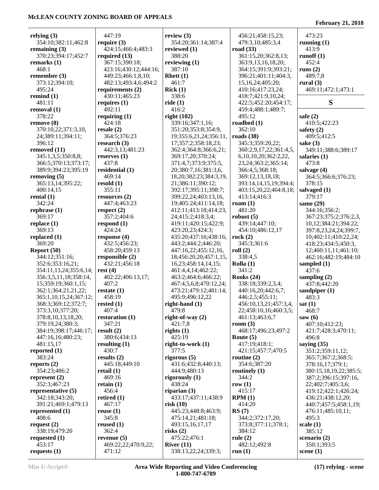#### **relying (3)** 354:10;382:11;462:8 **remaining (3)** 370:23;394:17;452:7 **remarks (1)** 468:1 **remember (3)** 373:12;394:10; 495:24 **remind (1)** 481:11 **removal (1)** 378:22 **remove (8)** 370:10,22;371:3,10, 24;389:11;394:11; 396:12 **removed (11)** 345:1,3,5;350:8,8; 366:5;370:13;373:17; 389:9;394:23;395:19 **removing (5)** 365:13,14;395:22; 400:14,15 **rental (1)** 342:24 **rephrase (1)** 369:17 **replace (1)** 369:13 **replaced (1)** 369:20 **Report (50)** 344:12;351:16; 352:6;353:16,21; 354:11,13,24;355:6,14; 356:3,5,11,18;358:14, 15;359:19;360:1,15; 362:1;364:21,21,22; 365:1,10,15,24;367:12; 368:3;369:12;372:7; 373:3,10;377:20; 378:8,10,13,18,20; 379:19,24;380:3; 384:19;398:17;446:17; 447:16,16;480:23; 481:15,17 **reported (1)** 383:24 **reports (2)** 354:23;486:2 **represent (2)** 352:3;467:23 **representative (5)** 342:18;343:20; 391:21;469:1;479:13 **represented (1)** 408:6 **request (2)** 338:19;479:20 **requested (1)** 453:17 447:19 **require (3)** 424:15;466:4;483:3 **required (13)** 367:15;390:18; 423:16;430:12;444:16; 449:23;466:1,8,10; 482:13;493:4,6;494:2 **requirements (2)** 430:11;465:23 **requires (1)** 492:11 **requiring (1)** 424:18 **resale (2)** 364:5;376:23 **research (3)** 442:3,13;481:23 **reserves (1)** 437:8 **residential (1)** 469:14 **resold (1)** 355:11 **resources (2)** 447:4;463:23 **respect (2)** 357:2;404:6 **respond (1)** 424:24 **response (4)** 432:5;456:23; 458:20;459:13 **responsible (2)** 432:21;456:18 **rest (4)** 402:22;406:13,17; 407:2 **restate (1)** 458:19 **rested (1)** 407:4 **restoration (1)** 347:21 **result (2)** 380:6;434:13 **resulting (1)** 430:7 **results (2)** 445:18;449:10 **retail (1)** 469:16 **retain (1)** 456:4 **retired (1)** 467:17 **reuse (1)** 345:8 **reused (1)** 362:4 **revenue (5)** 469:22,22;470:9,22; 471:12 **review (3)** 354:20;361:14;387:4 **reviewed (1)** 388:20 **reviewing (1)** 387:10 **Rhett (1)** 461:7 **Rick (1)** 338:6 **ride (1)** 416:2 **right (102)** 339:16;347:1,16; 351:20;353:8;354:9, 19;355:6,21,24;356:11, 17;357:2;358:18,23; 362:4;364:8;366:6,21; 369:17,20;370:24; 371:4,7;373:9;375:5, 20;380:7,16;381:3,6, 18,20;382:23;384:3,19, 21;386:11;390:12; 392:17;395:11;398:7; 399:22,24;403:13,16, 19;405:24;411:14,18; 412:11;413:18;414:23, 24;415:2;418:3,4; 419:11;420:15;422:9; 423:20,23;424:3; 435:20;437:16;438:16; 443:2;444:2;446:20; 447:16,22;455:12,16, 18;456:20,20;457:1,15, 16,23;458:14,14,15; 461:4,4,14;462:22; 463:2;464:6;466:22; 467:4,5,6,8;470:12,24; 473:21;479:12;481:14; 495:9;496:12,22 **right-hand (1)** 479:8 **right-of-way (2)** 421:7,8 **rights (1)** 425:19 **right-to-work (1)** 377:5 **rigorous (5)** 431:6;432:8;440:13; 444:9;480:13 **rigorously (1)** 438:24 **riparian (3)** 433:17;437:11;438:9 **risk (10)** 445:23;448:8;463:9; 475:14,21;481:18; 493:15,16,17,17 **risks (2)** 475:22;476:1 **River (11)** 338:13,22,24;339:3; 456:21;458:15,23; 479:3,10;485:3,4 **road (33)** 361:15,20;362:8,13; 363:9,13,16,18,20; 364:15;391:9;393:21; 396:21;401:11;404:3, 15,16,24;405:20; 410:16;417:23,24; 418:7;421:9,10,24; 422:5;452:20;454:17; 459:4;488:1;489:7; 495:12 **roadbed (1)** 362:10 **roads (38)** 345:3;359:20,22; 360:2,9,17,22;361:4,5, 6,10,10,20;362:2,22, 23,24;363:2;365:14; 366:4,5;368:18; 369:12,13,18,18; 393:14,14,15,19;394:4; 403:15,20,22;404:8,18; 413:14;416:3 **roam (1)** 481:20 **robust (5)** 439:14;447:10; 454:10;486:12,17 **rock (2)** 345:3;361:6 **roll (2)** 338:4,5 **Rolla (1)** 341:2 **Rooks (24)** 338:18;339:2,3,4; 440:16,20;442:6,7; 446:2,5;455:11; 456:10,13,21;457:3,4, 22;458:10,16;460:3,5; 461:13;463:6,7 **room (3)** 468:17;496:23;497:2 **Route (5)** 417:19;418:1; 421:15;457:7;470:5 **routine (2)** 354:6;387:20 **routinely (1)** 344:2 **row (1)** 415:17 **RPM (1)** 414:20 **RS (7)** 344:2;372:17,20; 373:8;377:11;378:1; 384:12 **rule (2)** 482:12;492:8 473:23 **running (1)** 413:9 **runoff (1)** 452:4 **runs (2)** 489:7,8 **rural (3)** 469:11;472:1;473:1 **S safe (2)** 410:5;422:23 **safety (2)** 409:5;412:5 **sake (3)** 349:11;388:6;389:17 **salaries (1)** 473:8 **salvage (4)** 364:5;366:6;376:23; 378:15 **salvaged (1)** 379:17 **same (29)** 344:16;356:2; 367:23;375:2;376:2,3, 10,12;384:21;394:22; 397:8,23,24,24;399:7, 10;402:11;410:22,24; 418:23;434:5;450:3, 12;460:11,11;461:10; 462:16;482:19;484:10 **sampled (1)** 437:6 **sampling (2)** 437:8;442:20 **sandpiper (1)** 483:3 **sat (1)** 468:7 **saw (6)** 407:10;412:23; 421:7;428:3;470:11; 496:8 **saying (35)** 351:2;359:11,12; 365:7;367:2;368:5; 378:16,17;379:1; 380:15,18,19,22;385:5; 387:2;396:15;397:16, 22;402:7;405:3,6; 419:12;422:1;426:24; 436:21;438:12,20; 440:7;457:5;458:1,19; 476:11;485:10,11; 495:3 **scale (1)** 385:12 **scenario (2)** 350:1;393:5

**requests (1)**

**run (1)**

**scene (1)**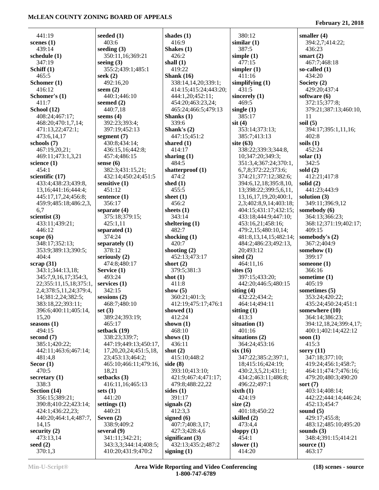| 441:19                         | seeded $(1)$                    | shades $(1)$                                 |
|--------------------------------|---------------------------------|----------------------------------------------|
| scenes $(1)$                   | 403:6                           | 416:9                                        |
| 439:14                         | seeding $(3)$                   | Shakes $(1)$                                 |
| schedule (1)                   | 350:11,16;369:21                | 426:2                                        |
| 347:19                         | seeing $(3)$                    | shall $(1)$                                  |
| Schiff $(1)$                   | 355:2;439:1;485:1               | 419:22                                       |
| 465:5                          | seek $(2)$                      | Shank $(16)$                                 |
| Schomer (1)<br>416:12          | 492:16,20<br>seem $(2)$         | 338:14,14,20;339:1;<br>414:15;415:24;443:20; |
| Schomer's (1)                  | 440:1;446:10                    | 444:1,20;452:11;                             |
| 411:7                          | seemed $(2)$                    | 454:20;463:23,24;                            |
| School (12)                    | 440:7,18                        | 465:24;466:5;479:13                          |
| 408:24;467:17;                 | seems $(4)$                     | Shanks (1)                                   |
| 468:20;470:1,7,14;             | 392:23;393:4;                   | 339:6                                        |
| 471:13,22;472:1;               | 397:19;452:13                   | Shank's $(2)$                                |
| 473:6,14,17                    | segment $(7)$                   | 447:15;451:2                                 |
| schools (7)                    | 430:8;434:14;                   | shared $(1)$                                 |
| 467:19,20,21;                  | 436:15,16;442:8;                | 414:17                                       |
| 469:11;473:1,3,21              | 457:4;486:15                    | sharing $(1)$                                |
| science $(1)$<br>454:1         | sense $(6)$<br>382:3;431:15,21; | 484:5<br>shatterproof (1)                    |
| scientific (17)                | 432:14;450:24;451:5             | 474:2                                        |
| 433:4;438:23;439:8,            | sensitive (1)                   | shed $(1)$                                   |
| 13, 16; 441: 16; 444: 4;       | 451:12                          | 455:5                                        |
| 445:17,17,24;456:8;            | sentence $(1)$                  | sheet $(1)$                                  |
| 459:9;485:18;486:2,3,          | 356:17                          | 456:2                                        |
| 6,7                            | separate (4)                    | sheets $(1)$                                 |
| scientist (3)                  | 375:18;379:15;                  | 343:14                                       |
| 433:11;439:21;                 | 425:1,11                        | sheltering (1)                               |
| 446:12                         | separated (1)                   | 482:7                                        |
| scope $(6)$<br>348:17;352:13;  | 374:24                          | shocking (1)<br>420:7                        |
| 353:9;389:13;390:5;            | separately $(1)$<br>378:12      | shooting $(2)$                               |
| 404:4                          | seriously (2)                   | 452:13;473:17                                |
| scrap(31)                      | 474:8;480:17                    | short $(2)$                                  |
| 343:1;344:13,18;               | Service (1)                     | 379:5;381:3                                  |
| 345:7,9,16,17;354:3,           | 493:24                          | shot $(1)$                                   |
| 22;355:11,15,18;375:1,         | services (1)                    | 411:8                                        |
| 2,4;378:5,11,24;379:4,         | 342:15                          | show $(5)$                                   |
| 14;381:2,24;382:5;             | $s_{\text{essions}}(2)$         | 360:21;401:3;                                |
| 383:18,22;393:11;              | 468:7;480:10                    | 412:19;475:17;476:1                          |
| 396:6;400:11;405:14,           | set $(3)$<br>389:24;393:19;     | showed (1)<br>412:24                         |
| 15,20<br>seasons $(1)$         | 465:17                          | shown $(1)$                                  |
| 494:15                         | setback (19)                    | 468:10                                       |
| second $(7)$                   | 338:23;339:7;                   | shows $(1)$                                  |
| 385:1;420:22;                  | 447:19;449:13;450:17,           | 436:11                                       |
| 442:11;463:6;467:14;           | 17, 20, 20, 24; 451: 5, 18,     | shut $(2)$                                   |
| 481:4,8                        | 23;453:13;464:2;                | 415:10;448:2                                 |
| Secor $(1)$                    | 465:10;466:11;479:16,           | side $(8)$                                   |
| 470:5                          | 18,21                           | 393:10;413:10;                               |
| secretary $(1)$                | setbacks (3)                    | 421:9;467:4;471:17;                          |
| 338:3                          | 416:11,16;465:13                | 479:8;488:22,22                              |
| Section (14)<br>356:15;389:21; | sets $(1)$<br>441:20            | sides $(1)$<br>391:17                        |
| 390:8;410:22;423:14;           | settings $(1)$                  | signals $(2)$                                |
| 424:1;436:22,23;               | 440:21                          | 412:3,3                                      |
| 440:20;464:1,4;487:7,          | Seven $(2)$                     | signed $(6)$                                 |
| 14,15                          | 338:9;409:2                     | 407:7;408:3,17;                              |
| security $(2)$                 | several (9)                     | 427:3;428:4,6                                |
| 473:13,14                      | 341:11;342:21;                  | significant $(3)$                            |
| seed $(2)$                     | 343:3,3;344:14;408:5;           | 432:13;435:2;487:2                           |
| 370:1,3                        | 410:20;431:9;470:2              | signing $(1)$                                |

| 380:12                               | smaller (4)                            |
|--------------------------------------|----------------------------------------|
| similar(1)                           | 394:2,7;414:22;                        |
| 387:5                                | 436:23                                 |
| simple(1)                            | smart $(2)$                            |
| 477:15                               | 467:7;468:18                           |
| simpler(1)                           | so-called (1)                          |
| 411:16                               | 434:20                                 |
| simplifying $(1)$                    | Society (2)                            |
| 431:5                                | 429:20;437:4                           |
| sincerely (1)                        | software (6)                           |
| 469:5                                | 372:15;377:8;<br>379:21;387:13;460:10, |
| single $(1)$<br>385:17               | 11                                     |
| $s$ it $(4)$                         | soil $(5)$                             |
| 353:14;373:13;                       | 394:17;395:1,11,16;                    |
| 385:7;413:13                         | 402:8                                  |
| site $(63)$                          | soils $(1)$                            |
| 338:22;339:3;344:8,                  | 452:24                                 |
| 10;347:20;349:3;                     | solar $(1)$                            |
| 351:3,4;367:24;370:1,                | 342:5                                  |
| 6,7,8;372:22;373:6;                  | sold (2)                               |
| 374:21;377:12;382:6;                 | 412:21;417:8                           |
| 394:6,12,18;395:8,10,                | solid $(2)$                            |
| 13;398:22;399:5,6,11,                | 441:23;443:9                           |
| 13, 16, 17, 19, 20; 400: 1,          | solution (3)                           |
| 2,3;402:8,9,14;403:18;               | 349:11;396:9,12                        |
| 404:15;431:17;432:15;                | somebody (6)                           |
| 433:18;444:9;447:10;                 | 364:13;366:23;                         |
| 453:16,21;458:16;                    | 368:12;371:19;402:17;                  |
| 479:2,15;480:10,14;                  | 409:15                                 |
| 481:8,13,14,15;482:14;               | somebody's (2)                         |
| 484:2;486:23;492:13,<br>20;493:12    | 367:2;404:9<br>somehow (1)             |
| sited $(2)$                          | 399:17                                 |
| 464:11,16                            | someone (1)                            |
| sites $(5)$                          | 366:16                                 |
| 397:15;433:20;                       | sometime (1)                           |
| 442:20;446:5;480:15                  | 405:19                                 |
| siting $(4)$                         | sometimes (5)                          |
| 432:22;434:2;                        | 353:24;420:22;                         |
| 464:14;494:11                        | 435:24;450:24;451:1                    |
| sitting $(1)$                        | somewhere (10)                         |
| 413:3                                | 364:14;386:23;                         |
| situation (1)                        | 394:12,18,24;399:4,17;                 |
| 401:16                               | 400:1;402:14;422:12                    |
| situations (2)                       | soon $(1)$                             |
| 364:24;453:16                        | 415:3                                  |
| $s$ ix $(16)$<br>347:22;385:2;397:1, | sorry $(11)$<br>347:18;377:10;         |
| 18;415:16;424:19;                    | 419:24;456:1;458:7;                    |
| 430:2,3,5,21;431:1;                  | 464:11;474:7;476:16;                   |
| 434:2;463:11;486:8;                  | 479:20;480:3;490:20                    |
| 496:22;497:1                         | sort $(7)$                             |
| sixth(1)                             | 403:14;408:14;                         |
| 424:19                               | 442:22;444:14;446:24;                  |
| size $(2)$                           | 452:13;454:7                           |
| 401:18;450:22                        | sound $(5)$                            |
| skilled (2)                          | 429:17;455:8;                          |
| 473:4,4                              | 483:12;485:10;495:20                   |
| sloppy $(1)$                         | sounds $(3)$                           |
| 454:1                                | 348:4;391:15;414:21                    |
| slower $(1)$                         | source $(1)$                           |
| 414:20                               | 463:17                                 |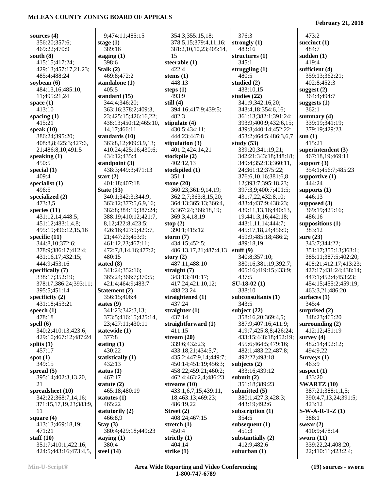| sources $(4)$          | 9;474:11;485:15       | 354:3;355:15,18;       | 376:3                 | 473:2                 |
|------------------------|-----------------------|------------------------|-----------------------|-----------------------|
| 356:20;357:6;          | stage $(1)$           | 378:5,15;379:4,11,16;  | strongly $(1)$        | succinct $(1)$        |
| 469:22;470:9           | 389:16                | 381:2,10,10,23;405:14, | 483:16                | 484:7                 |
| south $(8)$            | staging $(1)$         | 15                     | structures $(1)$      | sudden $(1)$          |
| 415:15;417:24;         | 398:6                 | steerable $(1)$        | 345:1                 | 419:4                 |
| 429:13;457:17,21,23;   | Stalk $(2)$           | 422:4                  | struggling $(1)$      | sufficient (4)        |
| 485:4;488:24           | 469:8;472:2           | stems $(1)$            | 480:5                 | 359:13;362:21;        |
| soybean $(6)$          | standalone (1)        | 448:13                 | studied $(2)$         | 402:8;452:3           |
| 484:13,16;485:10,      | 405:5                 | steps $(1)$            | 433:10,15             | suggest $(2)$         |
| 11;495:21,24           | standard (15)         | 493:9                  | studies $(22)$        | 364:4;494:7           |
| space $(1)$            | 344:4;346:20;         | still $(4)$            | 341:9;342:16,20;      | suggests $(1)$        |
| 413:10                 | 363:16;378:2;409:3,   | 394:16;417:9;439:5;    | 343:4,18;354:6,16;    | 362:1                 |
| spacing $(1)$          | 23;425:15;426:16,22;  | 482:3                  | 361:13;382:1;391:24;  | summary $(4)$         |
| 415:21                 | 438:13;450:12;465:10, | stipulate (4)          | 393:9;400:9;432:6,15; | 339:19;341:19;        |
| speak $(10)$           | 14,17;466:11          | 430:5;434:11;          | 439:8;440:14;452:22;  | 379:19;429:23         |
| 386:24;395:20;         | standards (10)        | 444:23;447:8           | 453:2;464:5;486:3,6,7 | sum(1)                |
| 408:8,8;425:3;427:6,   | 363:8,12;409:3,9,13;  | stipulation $(3)$      | study $(53)$          | 415:21                |
| 21;486:8,10;491:5      | 410:24;425:16;430:6;  | 401:2;424:14,21        | 339:20;341:19,21;     | superintendent (3)    |
| speaking $(1)$         | 434:12;435:4          | stockpile (2)          | 342:21;343:18;348:18; | 467:18,19;469:11      |
| 450:5                  | standpoint $(3)$      | 402:12,13              | 349:4;352:13;360:11,  | support $(3)$         |
| special $(1)$          | 438:3;449:3;471:13    | stockpiled (1)         | 24;361:12;375:22;     | 354:1;456:7;485:23    |
| 409:4                  | start $(2)$           | 351:1                  | 376:6,10,16;381:6,8,  | supportive $(1)$      |
| specialist $(1)$       | 401:18;407:18         | stone $(20)$           | 12;393:7;395:18,23;   | 444:24                |
| 496:5                  | State $(33)$          | 360:23;361:9,14,19;    | 397:3,9;400:7;401:5;  | supports $(1)$        |
| specialized (2)        | 340:1;342:3;344:9;    | 362:2,7;363:8,15,20;   | 431:7,22;432:8,10;    | 446:13                |
| 473:3,5                | 363:12;377:5,6,9,16;  | 364:13;365:13;366:4,   | 433:4;437:9;438:23;   | supposed $(3)$        |
| species $(11)$         | 382:8;384:19;387:24;  | 5;367:24;368:18,19;    | 439:11,13,16;440:13,  | 369:19;425:16;        |
| 431:12,14;448:5;       | 388:19;410:12;421:7,  | 369:3,4,18,19          | 19;441:3,16;442:18;   | 486:16                |
| 451:12;483:1,4,8;      | 8,12;422:8;423:5;     | stop $(2)$             | 443:1,11,14;444:7;    | suppositions (1)      |
| 495:19;496:12,15,16    | 426:16;427:9;429:7,   | 390:1;415:12           | 445:17,18,24;456:9;   | 383:12                |
| specific $(11)$        | 21;447:23;453:9;      | storm $(7)$            | 459:9;485:18;486:2;   | sure $(23)$           |
| 344:8,10;372:6;        | 461:12,23;467:11;     | 434:15;452:5;          | 489:18,19             | 343:7;344:22;         |
| 378:9;386:17;412:4;    | 472:7,8,14,16;477:2;  | 486:13,17,21;487:4,13  | stuff $(9)$           | 351:17;355:13;363:1;  |
| 431:16,17;432:15;      | 480:15                | story $(2)$            | 340:8;357:10;         | 385:11;387:5;402:20;  |
| 444:9;453:16           | stated $(8)$          | 487:11;488:10          | 380:16;381:19;392:7;  | 408:21;412:17;413:23; |
| specifically (7)       | 341:24;352:16;        | straight $(7)$         | 405:16;419:15;433:9;  | 427:17;431:24;438:14; |
| 338:17;352:19;         | 365:24;366:7;370:5;   | 343:13;401:17;         | 437:5                 | 447:1;452:4;453:23;   |
| 378:17;386:24;393:11;  | 421:4;464:9;483:7     | 417:24;421:10,12;      | $SU-18-02(1)$         | 454:15;455:2;459:19;  |
| 395:5;451:14           | Statement (2)         | 488:23,24              | 338:10                | 463:3,21;486:20       |
| specificity $(2)$      | 356:15;406:4          | straightened (1)       | subconsultants (1)    | surfaces $(1)$        |
| 431:18;453:21          | states $(9)$          | 437:24                 | 343:5                 | 345:4                 |
| speech $(1)$           | 341:23;342:3,13;      | straighter $(1)$       | subject $(22)$        | surprised $(2)$       |
| 478:18                 | 373:5;416:15;425:14,  | 437:14                 | 358:16,20;369:4,5;    | 348:23;465:20         |
| spell $(6)$            | 23;427:11;430:11      | straightforward (1)    | 387:9;407:16;411:9;   | surrounding $(2)$     |
| 340:2;410:13;423:6;    | statewide (1)         | 411:15                 | 419:7;425:8,8;426:24; | 412:12;451:19         |
| 429:10;467:12;487:24   | 377:8                 | stream $(20)$          | 433:15;448:18;452:19; | survey $(4)$          |
| splits $(1)$           | stating $(1)$         | 339:6;432:23;          | 455:6;464:5;479:16;   | 482:14;492:12;        |
| 457:17                 | 430:22                | 433:18,21;434:5,7;     | 482:1;483:22;487:8;   | 494:9,22              |
| spot $(1)$             | statistically (1)     | 435:2;447:9,14;449:7;  | 492:22;493:18         | Surveys $(1)$         |
| 349:15                 | 432:13                | 450:14;451:19;456:3;   | subjects $(2)$        | 463:9                 |
| spread $(5)$           | status $(1)$          | 458:22;459:21;460:2;   | 433:16;439:12         | suspect $(1)$         |
| 395:14;402:3,13,20,    | 467:17                | 462:4;463:2,4;486:23   | submit $(2)$          | 433:20                |
| 21                     | statute $(2)$         | streams $(10)$         | 351:18;389:23         | <b>SWARTZ (10)</b>    |
| spreadsheet (10)       | 465:18;480:19         | 433:1,6,7,15;439:11,   | submitted (5)         | 387:21;388:1,1,5;     |
| 342:22;368:7,14,16;    | statutes $(1)$        | 18;463:13;469:23;      | 380:1;427:3;428:3;    | 390:4,7,13,24;391:5;  |
| 371:15,17,19,23;383:9, | 465:22                | 486:19,22              | 443:19;492:6          | 423:12                |
| 11                     | statutorily $(2)$     | Street $(2)$           | subscription $(1)$    | $S-W-A-R-T-Z(1)$      |
| square $(4)$           | 466:8,9               | 408:24;467:15          | 354:5                 | 388:1                 |
| 413:13;469:18,19;      | Stay $(3)$            | stretch $(1)$          | subsequent $(1)$      | swear $(2)$           |
| 471:21                 | 380:4;429:18;449:23   | 450:4                  | 451:3                 | 410:9;478:14          |
| staff $(10)$           | staying $(1)$         | strictly $(1)$         | substantially $(2)$   | sworn $(11)$          |
| 351:7;410:1;422:16;    | 380:4                 | 404:14                 | 412:9;482:6           | 339:22,24;408:20,     |
| 424:5;443:16;473:4,5,  | steel $(14)$          | strike $(1)$           | suburban $(1)$        | 22;410:11;423:2,4;    |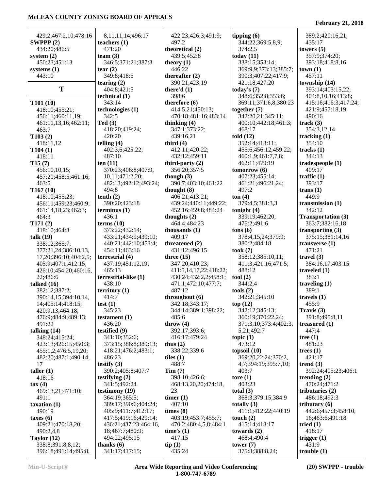#### 429:2;467:2,10;478:16 **SWPPP (2)** 434:20;486:5 **system (2)** 450:23;451:13 **systems (1)** 443:10 **T T101 (10)** 418:10;455:21; 456:11;460:11,19; 461:11,13,16;462:11; 463:7 **T103 (2)** 418:11,12 **T104 (1)** 418:11 **T15 (7)** 456:10,10,15; 457:20;458:5;461:16; 463:5 **T167 (10)** 418:10;455:23; 456:11;459:23;460:9; 461:14,18,23;462:3; 464:3 **T171 (2)** 418:10;464:3 **talk (19)** 338:12;365:7; 377:21,24;386:10,13, 17,20;396:10;404:2,5; 405:9;407:1;412:15; 426:10;454:20;460:16, 22;486:6 **talked (16)** 382:12;387:2; 390:14,15;394:10,14, 14;405:14;418:15; 420:9,13;464:18; 476:9;484:9;489:13; 491:22 **talking (14)** 348:24;415:24; 423:13;426:15;450:3; 455:1,2;476:5,19,20; 482:20;487:1;490:14, 17 **taller (1)** 418:16 **tax (4)** 469:13,21;471:10; 491:1 **taxation (1)** 490:19 **taxes (6)** 409:21;470:18,20; 490:2,4,8 **Taylor (12)** 338:8;391:8,8,12; 396:18;491:14;495:8, 8,11,11,14;496:17 **teachers (1)** 471:20 **team (3)** 346:5;371:21;387:3 **tear (2)** 349:8;418:5 **tearing (2)** 404:8;421:5 **technical (1)** 343:14 **technologies (1)** 342:5 **Ted (3)** 418:20;419:24; 420:20 **telling (4)** 402:3,6;425:22; 487:10 **ten (11)** 370:23;406:8;407:9, 10,11;471:2,20; 482:13;492:12;493:24; 494:8 **tenth (2)** 390:20;423:18 **terminus (1)** 436:1 **terms (10)** 373:22;432:14; 433:21;434:9;439:10; 440:21;442:10;453:4; 454:11;463:16 **terrestrial (4)** 437:19;451:12,19; 465:13 **terrestrial-like (1)** 438:10 **territory (1)** 414:7 **test (1)** 345:23 **testament (1)** 436:20 **testified (9)** 341:10;352:6; 373:15;386:8;389:13; 418:21;476:2;483:1; 486:23 **testify (3)** 390:2;405:8;407:7 **testifying (2)** 341:5;492:24 **testimony (19)** 364:19;365:5; 389:17;390:6;404:24; 405:9;411:7;412:17; 417:5;419:16;429:14; 436:21;437:23;464:16, 18;467:7;480:9; 494:22;495:15 **thanks (6)** 341:17;417:15; 422:23;426:3;491:9; 497:2 **theoretical (2)** 439:5;452:8 **theory (1)** 446:22 **thereafter (2)** 390:21;423:19 **there'd (1)** 398:6 **therefore (6)** 414:5,21;450:13; 470:18;481:16;483:14 **thinking (4)** 347:1;373:22; 439:16,21 **third (4)** 412:11;420:22; 432:12;459:11 **third-party (2)** 356:20;357:5 **though (3)** 390:7;403:10;461:22 **thought (8)** 406:21;413:21; 439:24;440:11;449:22; 452:16;459:8;484:24 **thoughts (2)** 464:4;484:23 **thousands (1)** 409:17 **threatened (2)** 431:12;496:15 **three (15)** 347:20;410:23; 411:5,14,17,22;418:22; 430:24;432:2,2;458:1; 471:1;472:10;477:7; 487:12 **throughout (6)** 342:18;343:17; 344:14;389:1;398:22; 485:6 **throw (4)** 392:17;393:6; 416:17;479:24 **thus (2)** 338:22;339:6 **tiles (1)** 488:7 **Tim (7)** 398:10;426:6; 468:13,20,20;474:18,  $23$ **timer (1)** 407:10 **times (8)** 403:19;453:7;455:7; 470:2;480:4,5,8;484:1 **time's (1)** 417:15 **tip (1)** 435:24 **tipping (6)** 344:22;369:5,8,9; 374:2,5 **today (11)** 338:15;353:14; 369:9,9;373:13;385:7; 390:3;407:22;417:9; 421:18;427:20 **today's (7)** 348:6;352:8;353:6; 369:11;371:6,8;380:23 **together (7)** 342:20,21;345:11; 400:10;442:18;461:3; 468:17 **told (12)** 352:14;418:11; 455:6;456:12;459:22; 460:1,9;461:7,7,8; 462:11;479:19 **tomorrow (6)** 407:23;455:14; 461:21;496:21,24; 497:2 **ton (4)** 379:4,5;381:3,3 **tonight (4)** 339:19;462:20; 476:2;491:6 **tons (6)** 378:4,15,24;379:9; 380:2;484:18 **took (7)** 358:12;385:10,11; 411:3;421:16;471:5; 488:12 **tool (2)** 344:2,4 **tools (2)** 342:21;345:10 **top (12)** 342:12;345:13; 360:19;370:22,24; 371:3,10;373:4;402:3, 5,21;492:7 **topic (1)** 473:12 **topsoil (10)** 369:20,22,24;370:2, 4,7;394:19;395:7,10; 403:7 **tore (1)** 403:23 **total (3)** 368:3;379:15;384:9 **totally (3)** 411:1;412:22;440:19 **touch (2)** 415:14;418:17 **towards (2)** 468:4;490:4 **tower (7)** 375:3;388:8,24; 389:2;420:16,21; 435:17 **towers (5)** 357:9;374:20; 393:18;418:8,16 **town (1)** 457:11 **township (14)** 393:14;403:15,22; 404:8,10,16;413:8; 415:16;416:3;417:24; 421:9;457:18,19; 490:16 **track (3)** 354:3,12,14 **tracking (1)** 354:10 **tracks (1)** 344:13 **tradespeople (1)** 409:17 **traffic (1)** 393:17 **trans (1)** 449:9 **transmission (1)** 342:12 **Transportation (3)** 363:7;382:16,18 **transporting (3)** 375:15;381:14,16 **transverse (1)** 471:21 **travel (3)** 384:16,17;403:15 **traveled (1)** 383:1 **traveling (1)** 389:1 **travels (1)** 455:9 **Travis (3)** 391:8;495:8,11 **treasured (1)** 447:4 **tree (1)** 481:23 **trees (1)** 421:17 **trend (3)** 392:24;405:23;406:1 **trending (2)** 470:24;471:2 **tributaries (2)** 486:18;492:3 **tributary (6)** 442:6;457:3;458:10, 16;463:6;491:18 **tried (1)** 418:17 **trigger (1)** 431:9 **trouble (1)**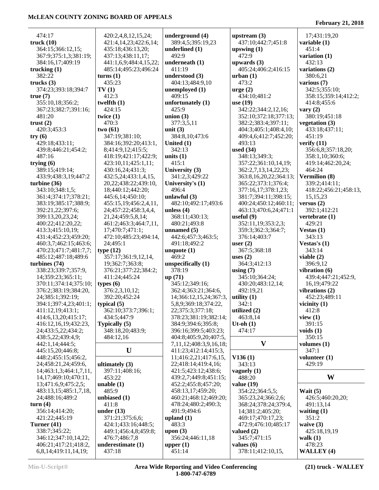$\overline{a}$ 

| 474:17                              | 420:2,4,8,12,15,24;       | underground (4)               | upstream $(3)$              | 17;431:19,20          |
|-------------------------------------|---------------------------|-------------------------------|-----------------------------|-----------------------|
| truck (10)                          | 421:4,14,23;422:6,14;     | 389:4,5;395:19,23             | 437:10;442:7;451:8          | variable (1)          |
| 364:15;366:12,15;                   | 435:18;436:13,20;         | underlined (1)                | upswing $(1)$               | 451:4                 |
| 367:9;375:1,3;381:19;               | 437:13;438:11,17;         | 492:9                         | 472:9                       | variation (1)         |
| 384:16,17;409:19                    | 441:1,6,9;484:4,15,22;    | underneath (1)                | upwards $(3)$               | 432:13                |
| trucking (1)                        | 485:14;495:23;496:24      | 411:19                        | 405:24;406:2;416:15         | variations (2)        |
| 382:22                              | turns(1)                  | understood (3)                | urban(1)                    | 380:6,21              |
| trucks $(3)$                        | 435:23                    | 404:13;484:9,10               | 473:2                       | various (7)           |
| 374:23;393:18;394:7                 | TV(1)                     | unemployed (1)                | $\text{urge} (2)$           | 342:5;355:10;         |
| true(7)                             | 412:3                     | 409:15                        | 434:10;481:2                | 358:15;359:14;412:2;  |
| 355:10,18;356:2;                    | twelfth $(1)$             | unfortunately (1)             | use $(19)$                  | 414:8;455:6           |
| 367:23;382:7;391:16;                | 424:15                    | 425:9                         | 342:22;344:2,12,16;         | vary $(2)$            |
| 481:20                              | twice $(1)$               | union $(3)$                   | 352:10;372:18;377:13;       | 380:19;451:18         |
| trust $(2)$                         | 470:3                     | 377:3,5,11                    | 382:2;383:4;397:11;         | vegetation (3)        |
| 420:3;453:3                         | two(61)                   | unit $(3)$                    | 404:3;405:1;408:4,10;       | 433:18;437:11;        |
| try $(6)$                           | 347:19;381:10;            | 384:8,10;473:6                | 409:4,6;412:7;452:20;       | 451:19                |
| 429:18;433:11;                      | 384:16;392:20;413:1,      | United $(1)$                  | 493:13                      | verify $(11)$         |
| 439:8;446:21;454:2;                 | 8;414:9,12;415:5;         | 342:13                        | used $(34)$                 | 356:6,8;357:18,20;    |
| 487:16                              | 418:19;421:17;422:9;      | units $(1)$                   | 348:13;349:3;               | 358:1,10;360:6;       |
|                                     |                           | 415:1                         |                             |                       |
| trying $(6)$                        | 423:10,11;425:1,11;       |                               | 357:22;361:10,14,19;        | 419:14;462:20,24;     |
| 389:15;419:14;                      | 430:16,24;431:3;          | University (3)                | 362:2,7,13,14,22,23;        | 464:24                |
| 433:9;438:3,19;447:2                | 432:5,24;433:1,4,15,      | 341:2,3;429:22                | 363:8, 16, 20, 22; 364: 13; | Vermilion (8)         |
| turbine (36)                        | 20, 22; 438: 22; 439: 10, | University's (1)              | 365:22;373:1;376:4;         | 339:2;414:11;         |
| 343:10;348:1,5;                     | 18;440:12;442:20;         | 496:4                         | 377:16,17;378:1,23;         | 418:22;456:21;458:13, |
| 361:4;374:17;378:21;                | 445:6,14;450:10;          | unlawful $(3)$                | 381:7;394:11;398:15;        | 15, 15, 23            |
| 383:19;385:17;388:9;                | 455:15,19;456:2,4,11,     | 482:10;492:17;493:6           | 400:24;450:12;460:11;       | versus $(2)$          |
| 392:21,22;397:6;                    | 24;457:22;458:3,4,4,      | unless $(4)$                  | 463:13;470:6,24;471:1       | 392:1;412:21          |
| 399:13,20,23,24;                    | 21, 24; 459: 5, 8, 14;    | 368:11;430:13;                | useful $(9)$                | vertebrate (1)        |
| 400:22;412:20,22;                   | 461:2;463:3;464:7,11,     | 480:21;493:8                  | 352:11,19;353:2,3;          | 429:21                |
| 413:3;415:10,19;                    | 17;470:7;471:1;           | unnamed $(5)$                 | 359:3;362:3;364:7;          | Vestas $(1)$          |
| 431:4;452:23;459:20;                | 472:10;485:23;494:14,     | 442:6;457:3;463:5;            | 376:14;403:7                | 343:13                |
| 460:3,7;462:15;463:6;               | 24;495:1                  | 491:18;492:2                  | user $(2)$                  | Vestas's $(1)$        |
| 470:23;471:7;481:7,7;               | type $(12)$               | unquote $(1)$                 | 367:5;368:18                | 343:14                |
| 485:12;487:18;489:6                 | 357:17;361:9,12,14,       | 469:2                         | uses $(2)$                  | viable $(2)$          |
| turbines (74)                       | 19;362:7;363:8;           | unspecifically $(1)$          | 364:3;412:13                | 396:9,12              |
| 338:23;339:7;357:9,                 | 376:21;377:22;384:2;      | 378:19                        | using $(7)$                 | vibration $(6)$       |
| 14;359:23;365:11;                   | 411:24;445:24             | up(71)                        | 345:10;364:24;              | 439:4;447:21;452:9,   |
| 370:11;374:14;375:10;               | types $(6)$               | 345:12;349:16;                | 430:20;483:12,14;           | 16, 19; 479: 22       |
| 376:2;383:19;384:20,                | 376:2,3,10,12;            | 362:4;363:21;364:6,           | 492:19,21                   | vibrations $(2)$      |
| 24;385:1;392:19;                    | 392:20;452:24             | 14;366:12,15,24;367:3,        | utility $(1)$               | 452:23;489:11         |
| 394:1;397:4,23;401:1;   typical (5) |                           | 5,8,9;369:18;374:22,          | 342:1                       | vicinity $(1)$        |
| 411:12,19;413:1;                    | 362:10;373:7;396:1;       | 22;375:3;377:18;              | utilized (2)                | 412:8                 |
| 414:6,13,20;415:17;                 | 434:5:447:9               | 378:23;381:19;382:14;         | 463:8,14                    | view $(1)$            |
| 416:12,16,19;432:23,                | Typically (5)             | 384:9;394:6;395:8;            | $Ut$ -oh $(1)$              | 391:15                |
| 24;433:5,22;434:2;                  | 348:18,20;483:9;          | 396:16;399:5;403:23;          | 474:17                      | voids $(1)$           |
| 438:5,22;439:4,9;                   | 484:12,16                 | 404:8;405:9,20;407:5,         |                             | 350:15                |
| 442:1,14;444:5;                     |                           | 7, 11, 12, 408: 3, 9, 16, 18; | $\mathbf{V}$                | volumes $(1)$         |
| 445:15,20;446:8;                    | U                         | 411:23;412:14;415:3,          |                             | 347:1                 |
| 448:2;455:15;456:2,                 |                           | 11;416:2,21;417:6,15,         | V136(1)                     | volunteer $(1)$       |
| 24;458:21,24;459:6,                 | ultimately $(3)$          | 22;418:14;419:4,16;           | 343:13                      | 429:19                |
| 14;463:1,3;464:1,7,11,              | 397:11;408:16;            | 421:5;423:12;438:6;           | vaguely $(1)$               |                       |
| 14, 17; 469: 10; 470: 11,           | 453:22                    | 439:2,7;449:8;451:15;         | 488:20                      | W                     |
| 13;471:6,9;475:2,5;                 | unable $(1)$              | 452:2;455:8;457:20;           | value $(19)$                |                       |
| 483:13,15;485:1,7,18,               | 485:9                     | 458:13,17;459:20;             | 354:22;364:5,5;             | Wait $(5)$            |
| 24;488:16;489:2                     | unbiased (1)              | 460:21;468:12;469:20;         | 365:23,24;366:2,6;          | 426:5;460:20,20;      |
| turn(4)                             | 411:8                     | 478:24;480:2;490:3;           | 368:24;378:24;379:4,        | 491:13,14             |
| 356:14;414:20;                      | under $(13)$              | 491:9;494:6                   | 14;381:2;405:20;            | waiting $(1)$         |
| 421:22;445:19                       | 371:21;375:6,6;           | upland $(1)$                  | 469:17;470:17,23;           | 351:2                 |
| Turner (41)                         | 424:1;433:16;448:5;       | 483:3                         | 472:9;476:10;485:17         | waive $(3)$           |
| 338:7;345:22;                       | 449:1;456:4,8;459:8;      | upon $(3)$                    | valued $(2)$                | 425:18,19,19          |
| 346:12;347:10,14,22;                | 476:7;486:7,8             | 356:24;446:11,18              | 345:7;471:15                | walk $(1)$            |
| 406:21;417:21;418:2,                | underestimate (1)         | upper $(1)$                   | values $(6)$                | 478:23                |
| 6,8,14;419:11,14,19;                | 437:18                    | 451:14                        | 378:11;412:10,15,           | <b>WALLEY</b> (4)     |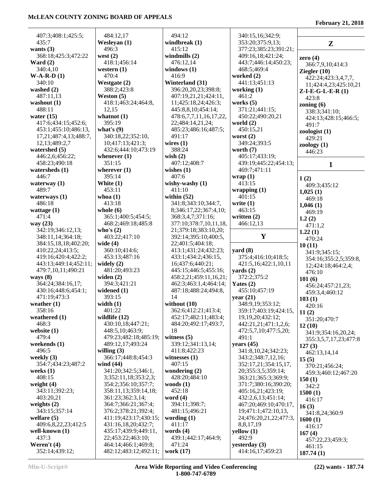| 407:3;408:1;425:5;                          | 484:12,17                                | 494:12                                   | 340:15,16;342:9;                    |                        |
|---------------------------------------------|------------------------------------------|------------------------------------------|-------------------------------------|------------------------|
| 435:7                                       | Wesleyan (1)                             | windbreak (1)                            | 353:20;375:9,13;                    | $\mathbf{Z}$           |
| wants $(3)$                                 | 496:3                                    | 415:12                                   | 377:23;385:23;391:21;               |                        |
| 368:18;425:3;472:22                         | west $(2)$                               | windmills $(2)$                          | 409:16,18;421:24;                   | zero $(4)$             |
| Ward $(2)$                                  | 418:1;456:14                             | 476:12,14                                | 443:7;446:14;450:23;                | 366:7,9,10;414:3       |
| 340:4,10                                    | western $(1)$                            | windows $(1)$                            | 468:5;469:4                         | Ziegler $(10)$         |
| $W-A-R-D(1)$                                | 470:4                                    | 416:9                                    | worked (2)                          | 422:24;423:3,4,7,7,    |
| 340:10                                      | Westgate (2)                             | Winterland (31)                          | 441:13;451:13                       | 11;424:4,23;425:10,21  |
| washed $(2)$                                | 388:2;423:8                              | 396:20,20,23;398:8;                      | working $(1)$                       | $Z-I-E-G-L-E-R(1)$     |
| 487:11,13                                   | Weston $(5)$                             | 407:19,21,21;424:11,                     | 461:2                               | 423:8                  |
| washout $(1)$                               | 418:1;463:24;464:8,                      | 11;425:18,24;426:3;                      | works $(5)$                         | zoning $(6)$           |
| 488:11                                      | 12,15                                    | 445:8,8,10;454:14;                       | 371:21;441:15;                      | 338:3;341:10;          |
| water $(15)$                                | whatnot $(1)$                            | 478:6,7,7,11,16,17,22,                   | 450:22;490:20,21                    | 424:13;428:15;466:5;   |
| 417:6;434:15;452:6;                         | 395:19                                   | 22;484:14,21,24;                         | world $(2)$                         | 491:7                  |
| 453:1;455:10;486:13,                        | what's $(9)$                             | 485:23;486:16;487:5;                     | 450:15,21                           | zoologist(1)           |
| 17,21;487:4,13;488:7,                       | 340:18,22;352:10,                        | 491:17                                   | worst $(2)$                         | 429:21                 |
| 12, 13; 489: 2, 7                           | 10;417:13;421:3;                         | wires $(1)$                              | 349:24;393:5                        | zoology(1)             |
| watershed $(5)$                             | 432:6;444:10;473:19                      | 388:24                                   | worth $(7)$                         | 446:23                 |
| 446:2,6;456:22;                             | whenever $(1)$                           | wish $(2)$                               | 405:17;433:19;                      |                        |
| 458:23;490:18                               | 351:15                                   | 407:12;408:7                             | 439:19;445:22;454:13;               | $\mathbf{1}$           |
| watersheds $(1)$                            | wherever $(1)$                           | wishes $(1)$                             | 469:7;471:11                        |                        |
| 446:7                                       | 395:14                                   | 407:6<br>wishy-washy $(1)$               | wrap(1)                             | 1(2)                   |
| waterway $(1)$<br>489:7                     | White $(1)$                              |                                          | 413:15                              | 409:3;435:12           |
|                                             | 453:11<br>whoa $(1)$                     | 411:10<br>within $(52)$                  | wrapping $(1)$<br>401:15            | 1,025(1)               |
| waterways $(1)$<br>486:18                   | 413:18                                   | 341:8;343:10;344:7,                      | write $(1)$                         | 469:18                 |
| wattage $(1)$                               | whole $(6)$                              | 8;346:17,22;367:4,10;                    | 463:15                              | 1,046(1)               |
| 471:4                                       | 365:1;400:5;454:5;                       | 368:3,4,7;371:16;                        | written $(2)$                       | 469:19                 |
| way $(23)$                                  | 468:2;469:18;485:8                       | 377:10;378:7,10,11,18,                   | 466:12,13                           | 1.2(2)                 |
| 342:19;346:12,13;                           | who's $(2)$                              | 21;379:18;383:10,20;                     |                                     | 471:1,2                |
| 348:11,14;364:18;                           | 403:22;417:10                            | 392:14;395:10;400:5,                     | Y                                   | 1.22(1)                |
| 384:15,18,18;402:20;                        | wide $(4)$                               | 22;401:5;404:18;                         |                                     | 470:24                 |
| 410:22,24;413:5;                            | 360:10;414:6;                            | 413:1;431:24;432:23;                     | yard $(8)$                          | 10(11)                 |
|                                             |                                          |                                          |                                     |                        |
|                                             |                                          |                                          |                                     | 341:9;345:15;          |
| 419:16;420:4;422:2;                         | 453:13;487:16                            | 433:1;434:2;436:15,                      | 375:4;416:10;418:5;                 | 354:16;355:2,5;359:8,  |
| 443:13;449:14;452:11;<br>479:7,10,11;490:21 | widely $(2)$<br>481:20;493:23            | 16;437:6;440:21;<br>445:15;446:5;455:16; | 421:5,16;422:1,10,11<br>yards $(2)$ | 12;424:18;464:2,4;     |
| ways $(8)$                                  | widen $(2)$                              | 458:2,21;459:11,16,21;                   |                                     | 476:10                 |
| 364:24;384:16,17;                           | 394:3;421:21                             | 462:3;463:1,4;464:14;                    | 372:2;375:2<br>Yates $(2)$          | 101(6)                 |
| 430:16;448:6;454:1;                         | widened $(1)$                            | 487:18;488:24;494:8,                     | 455:10;457:19                       | 456:24;457:21,23;      |
| 471:19;473:3                                | 393:15                                   | 14                                       | year(21)                            | 459:3,4;460:12         |
| weather $(1)$                               | width $(1)$                              | without $(10)$                           | 348:9,19;353:12;                    | 103(1)                 |
| 358:16                                      | 401:22                                   | 362:6;412:21;413:4;                      | 359:17;403:19;424:15,               | 420:16                 |
| weathered $(1)$                             | wildlife $(12)$                          | 452:17;482:11;483:4;                     | 19, 19, 20; 432: 12;                | 11(2)                  |
| 468:3                                       | 430:10,18;447:21;                        | 484:20;492:17;493:7,                     | 442:21,21;471:1,2,6;                | 351:20;470:7<br>12(10) |
| website $(1)$                               | 448:5,10;463:9;                          | 18                                       | 472:5,7,10;477:5,20;                | 341:9;354:16,20,24;    |
| 479:4                                       | 479:23;482:18;485:19;                    | witness $(5)$                            | 491:1                               | 355:3,5,7,17,23;477:8  |
| weekends $(1)$                              | 489:12,17;493:24                         | 339:12;341:13,14;                        | years $(45)$                        | 127(3)                 |
| 496:5                                       | willing $(3)$                            | 411:8;422:23                             | 341:8, 10, 24; 342: 23;             | 462:13,14,14           |
| weekly (3)                                  | 366:17;448:8;454:3                       | witnesses $(1)$                          | 343:2;348:7,12,16;                  | 15(5)                  |
| 354:7;434:23;487:2                          | wind $(44)$                              | 407:15                                   | 352:17,21;354:15,17,                | 370:21;456:24;         |
| weeks $(1)$                                 | 341:20;342:5;346:1,                      | wondering $(2)$                          | 20;355:3,5;359:14;                  | 459:3;460:12;467:20    |
| 408:15                                      | 3;352:11,18;353:2,3;                     | 428:20;484:10                            | 363:21;365:3;369:9;                 | 150(1)                 |
| weight $(4)$                                | 354:2;356:10;357:7;                      | woods $(1)$                              | 371:7;380:16;390:20;                | 342:2                  |
| 343:11;392:23;                              | 358:11,13;359:14,18;                     | 452:18                                   | 405:16,21;423:19;                   | 1500(1)                |
| 403:20,21                                   | 361:23;362:3,14;                         | word $(4)$                               | 432:2,6,13;451:14;                  | 416:17                 |
| weights $(2)$                               | 364:7;366:21;367:4;                      | 394:11;398:7;                            | 467:20;469:10;470:17,               | 16(3)                  |
| 343:15;357:14                               | 376:2;378:21;392:4;                      | 481:15;496:21                            | 19;471:1;472:10,13,                 | 341:8,24;360:9         |
| welfare $(5)$                               | 411:19;423:17;430:15;                    | wording $(1)$                            | 24;476:20,21,22;477:3,              | 1600(1)                |
| 409:6,8,22,23;412:5                         | 431:16,18,20;432:7;                      | 411:17                                   | 8,8,17,19                           | 416:17                 |
| well-known (1)                              | 435:17;439:9;449:11,                     | words $(4)$                              | yellow(1)<br>492:9                  | 167(4)                 |
| 437:3<br>Weren't $(4)$                      | 22;453:22;463:10;<br>464:14;466:1;469:8; | 439:1;442:17;464:9;<br>471:24            | yesterday $(3)$                     | 457:22,23;459:3;       |
| 352:14;439:12;                              | 482:12;483:12;492:11;                    | work (17)                                | 414:16,17;459:23                    | 461:15<br>187.74(1)    |